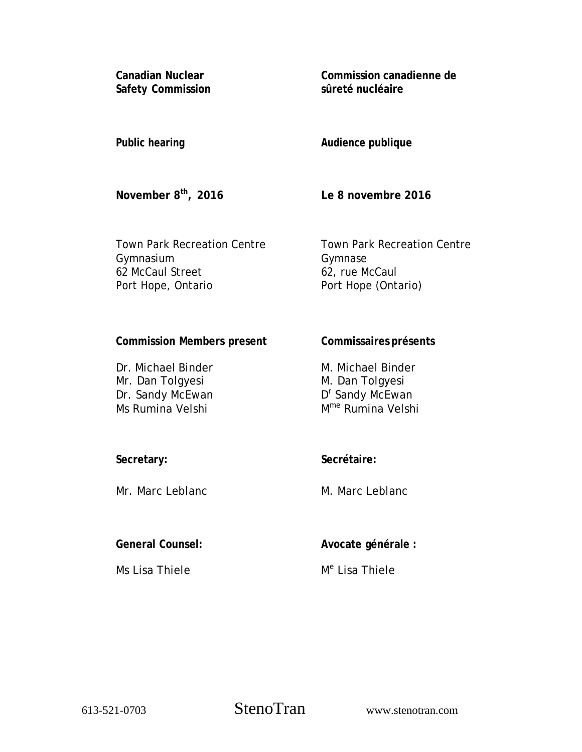**Canadian Nuclear Safety Commission**  **Commission canadienne de sûreté nucléaire** 

**Public hearing** 

**Audience publique** 

**November 8th, 2016** 

**Le 8 novembre 2016** 

Town Park Recreation Centre Gymnasium 62 McCaul Street Port Hope, Ontario

Town Park Recreation Centre Gymnase 62, rue McCaul Port Hope (Ontario)

**Commission Members present** 

Dr. Michael Binder Mr. Dan Tolgyesi Dr. Sandy McEwan Ms Rumina Velshi

**Commissaires présents** 

M. Michael Binder M. Dan Tolgyesi D<sup>r</sup> Sandy McEwan Mme Rumina Velshi

**Secretary:**

Mr. Marc Leblanc

**Secrétaire:** 

M. Marc Leblanc

**General Counsel:** 

Ms Lisa Thiele

**Avocate générale :** 

M<sup>e</sup> Lisa Thiele

613-521-0703 StenoTran www.stenotran.com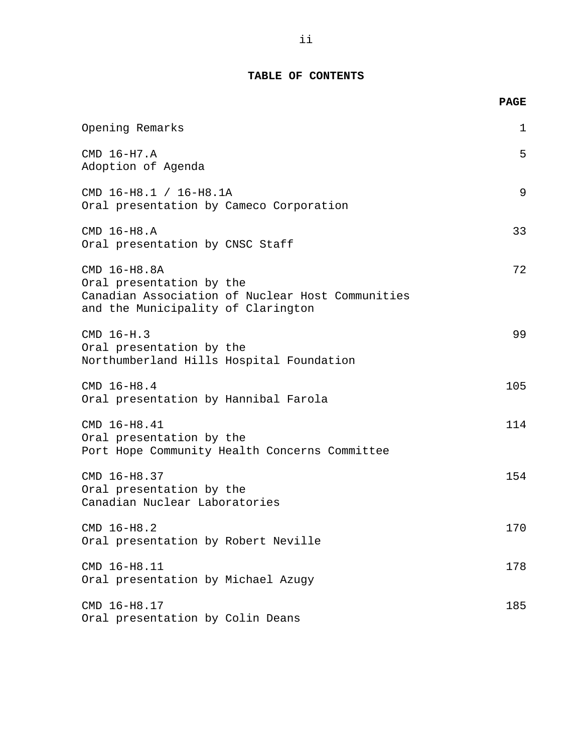# **TABLE OF CONTENTS**

|                                                                                                                                    | <b>PAGE</b> |
|------------------------------------------------------------------------------------------------------------------------------------|-------------|
| Opening Remarks                                                                                                                    | 1           |
| CMD 16-H7.A<br>Adoption of Agenda                                                                                                  | 5           |
| CMD 16-H8.1 / 16-H8.1A<br>Oral presentation by Cameco Corporation                                                                  | 9           |
| CMD 16-H8.A<br>Oral presentation by CNSC Staff                                                                                     | 33          |
| CMD 16-H8.8A<br>Oral presentation by the<br>Canadian Association of Nuclear Host Communities<br>and the Municipality of Clarington | 72          |
| CMD 16-H.3<br>Oral presentation by the<br>Northumberland Hills Hospital Foundation                                                 | 99          |
| CMD 16-H8.4<br>Oral presentation by Hannibal Farola                                                                                | 105         |
| CMD 16-H8.41<br>Oral presentation by the<br>Port Hope Community Health Concerns Committee                                          | 114         |
| CMD 16-H8.37<br>Oral presentation by the<br>Canadian Nuclear Laboratories                                                          | 154         |
| CMD 16-H8.2<br>Oral presentation by Robert Neville                                                                                 | 170         |
| CMD 16-H8.11<br>Oral presentation by Michael Azugy                                                                                 | 178         |
| CMD 16-H8.17<br>Oral presentation by Colin Deans                                                                                   | 185         |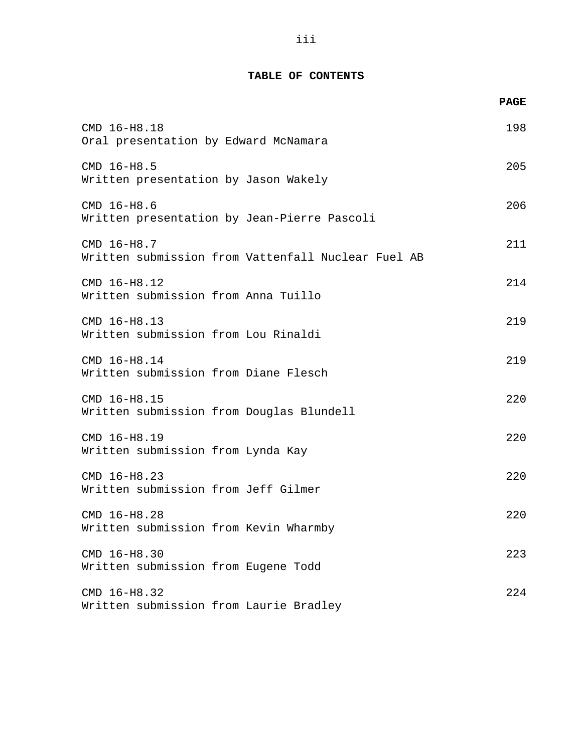# **TABLE OF CONTENTS**

|                                                                   | <b>PAGE</b> |
|-------------------------------------------------------------------|-------------|
| CMD 16-H8.18<br>Oral presentation by Edward McNamara              | 198         |
| CMD 16-H8.5<br>Written presentation by Jason Wakely               | 205         |
| CMD 16-H8.6<br>Written presentation by Jean-Pierre Pascoli        | 206         |
| CMD 16-H8.7<br>Written submission from Vattenfall Nuclear Fuel AB | 211         |
| CMD 16-H8.12<br>Written submission from Anna Tuillo               | 214         |
| CMD 16-H8.13<br>Written submission from Lou Rinaldi               | 219         |
| CMD 16-H8.14<br>Written submission from Diane Flesch              | 219         |
| CMD 16-H8.15<br>Written submission from Douglas Blundell          | 220         |
| CMD 16-H8.19<br>Written submission from Lynda Kay                 | 220         |
| CMD 16-H8.23<br>Written submission from Jeff Gilmer               | 220         |
| CMD 16-H8.28<br>Written submission from Kevin Wharmby             | 220         |
| CMD 16-H8.30<br>Written submission from Eugene Todd               | 223         |
| CMD 16-H8.32<br>Written submission from Laurie Bradley            | 224         |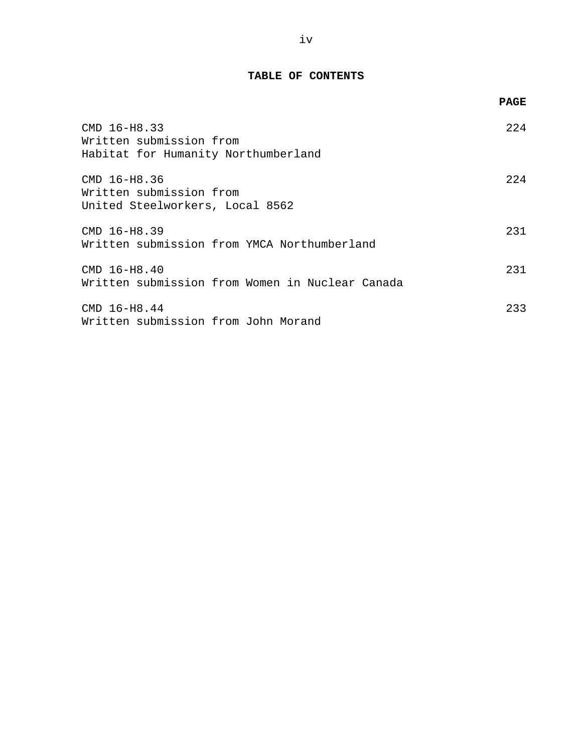# **TABLE OF CONTENTS**

|                                                                                | <b>PAGE</b> |
|--------------------------------------------------------------------------------|-------------|
| CMD 16-H8.33<br>Written submission from<br>Habitat for Humanity Northumberland | 224         |
| CMD 16-H8.36<br>Written submission from<br>United Steelworkers, Local 8562     | 224         |
| CMD 16-H8.39<br>Written submission from YMCA Northumberland                    | 231         |
| CMD 16-H8.40<br>Written submission from Women in Nuclear Canada                | 231         |
| CMD 16-H8.44<br>Written submission from John Morand                            | 233         |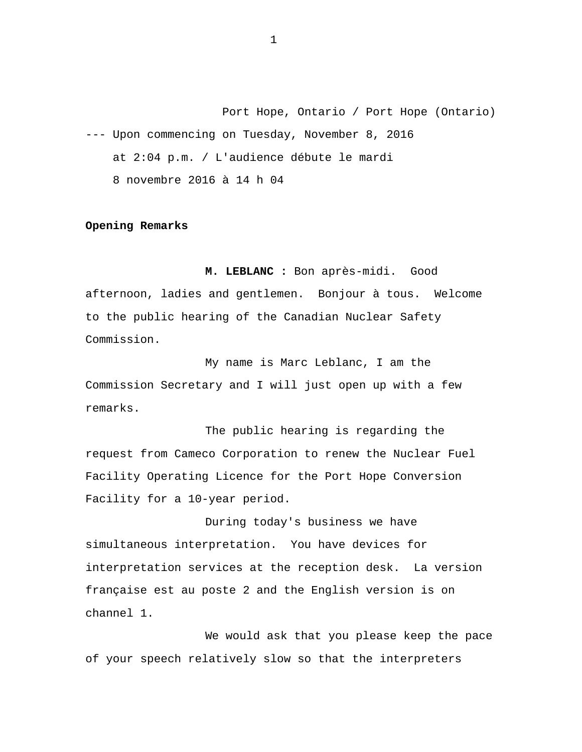<span id="page-4-0"></span>Port Hope, Ontario / Port Hope (Ontario) --- Upon commencing on Tuesday, November 8, 2016 at 2:04 p.m. / L'audience débute le mardi 8 novembre 2016 à 14 h 04

#### **Opening Remarks**

**M. LEBLANC :** Bon après-midi. Good afternoon, ladies and gentlemen. Bonjour à tous. Welcome to the public hearing of the Canadian Nuclear Safety Commission.

My name is Marc Leblanc, I am the Commission Secretary and I will just open up with a few remarks.

The public hearing is regarding the request from Cameco Corporation to renew the Nuclear Fuel Facility Operating Licence for the Port Hope Conversion Facility for a 10-year period.

During today's business we have simultaneous interpretation. You have devices for interpretation services at the reception desk. La version française est au poste 2 and the English version is on channel 1.

We would ask that you please keep the pace of your speech relatively slow so that the interpreters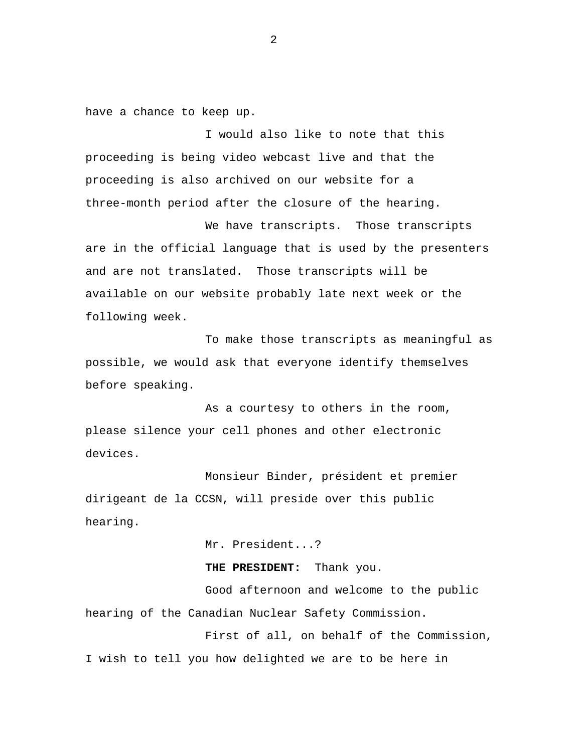have a chance to keep up.

I would also like to note that this proceeding is being video webcast live and that the proceeding is also archived on our website for a three-month period after the closure of the hearing.

We have transcripts. Those transcripts are in the official language that is used by the presenters and are not translated. Those transcripts will be available on our website probably late next week or the following week.

To make those transcripts as meaningful as possible, we would ask that everyone identify themselves before speaking.

As a courtesy to others in the room, please silence your cell phones and other electronic devices.

Monsieur Binder, président et premier dirigeant de la CCSN, will preside over this public hearing.

Mr. President...?

**THE PRESIDENT:** Thank you.

Good afternoon and welcome to the public hearing of the Canadian Nuclear Safety Commission.

First of all, on behalf of the Commission, I wish to tell you how delighted we are to be here in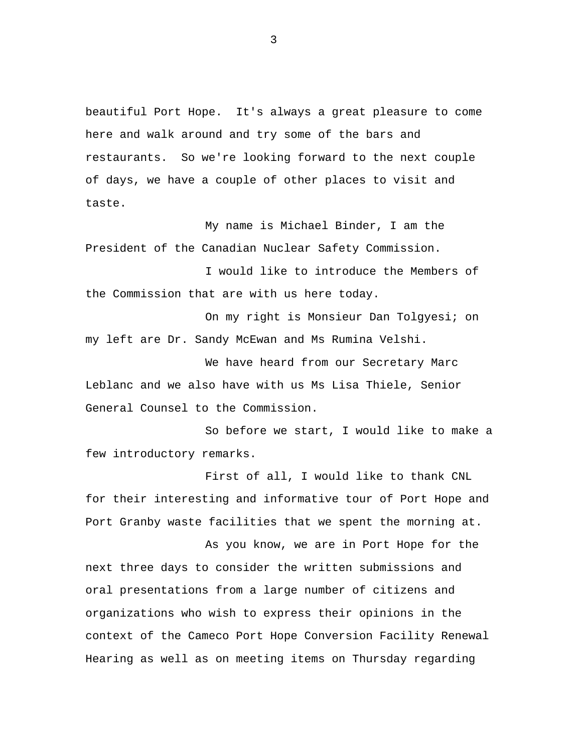beautiful Port Hope. It's always a great pleasure to come here and walk around and try some of the bars and restaurants. So we're looking forward to the next couple of days, we have a couple of other places to visit and taste.

My name is Michael Binder, I am the President of the Canadian Nuclear Safety Commission.

I would like to introduce the Members of the Commission that are with us here today.

On my right is Monsieur Dan Tolgyesi; on my left are Dr. Sandy McEwan and Ms Rumina Velshi.

We have heard from our Secretary Marc Leblanc and we also have with us Ms Lisa Thiele, Senior General Counsel to the Commission.

So before we start, I would like to make a few introductory remarks.

First of all, I would like to thank CNL for their interesting and informative tour of Port Hope and Port Granby waste facilities that we spent the morning at.

As you know, we are in Port Hope for the next three days to consider the written submissions and oral presentations from a large number of citizens and organizations who wish to express their opinions in the context of the Cameco Port Hope Conversion Facility Renewal Hearing as well as on meeting items on Thursday regarding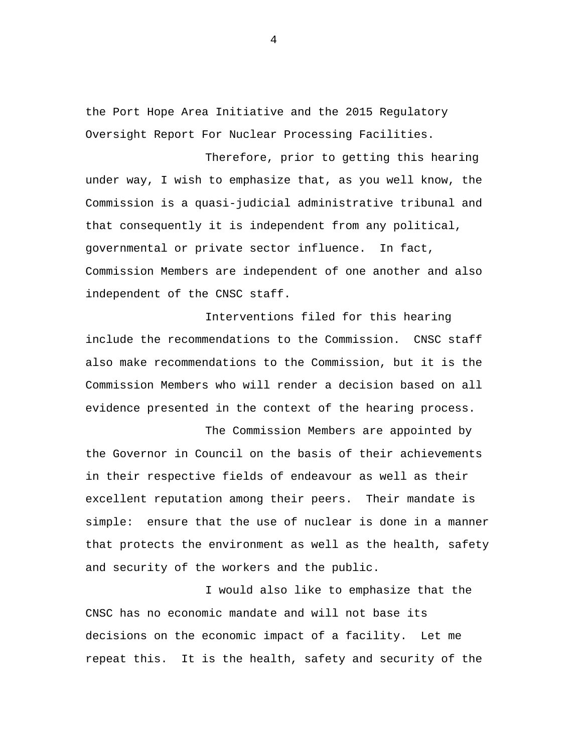the Port Hope Area Initiative and the 2015 Regulatory Oversight Report For Nuclear Processing Facilities.

Therefore, prior to getting this hearing under way, I wish to emphasize that, as you well know, the Commission is a quasi-judicial administrative tribunal and that consequently it is independent from any political, governmental or private sector influence. In fact, Commission Members are independent of one another and also independent of the CNSC staff.

Interventions filed for this hearing include the recommendations to the Commission. CNSC staff also make recommendations to the Commission, but it is the Commission Members who will render a decision based on all evidence presented in the context of the hearing process.

The Commission Members are appointed by the Governor in Council on the basis of their achievements in their respective fields of endeavour as well as their excellent reputation among their peers. Their mandate is simple: ensure that the use of nuclear is done in a manner that protects the environment as well as the health, safety and security of the workers and the public.

I would also like to emphasize that the CNSC has no economic mandate and will not base its decisions on the economic impact of a facility. Let me repeat this. It is the health, safety and security of the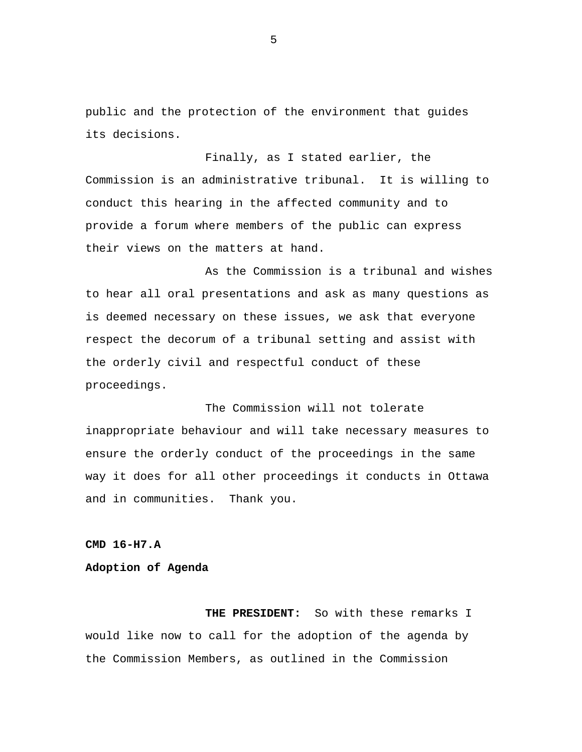<span id="page-8-0"></span>public and the protection of the environment that guides its decisions.

Finally, as I stated earlier, the Commission is an administrative tribunal. It is willing to conduct this hearing in the affected community and to provide a forum where members of the public can express their views on the matters at hand.

As the Commission is a tribunal and wishes to hear all oral presentations and ask as many questions as is deemed necessary on these issues, we ask that everyone respect the decorum of a tribunal setting and assist with the orderly civil and respectful conduct of these proceedings.

The Commission will not tolerate inappropriate behaviour and will take necessary measures to ensure the orderly conduct of the proceedings in the same way it does for all other proceedings it conducts in Ottawa and in communities. Thank you.

**CMD 16-H7.A** 

**Adoption of Agenda** 

**THE PRESIDENT:** So with these remarks I would like now to call for the adoption of the agenda by the Commission Members, as outlined in the Commission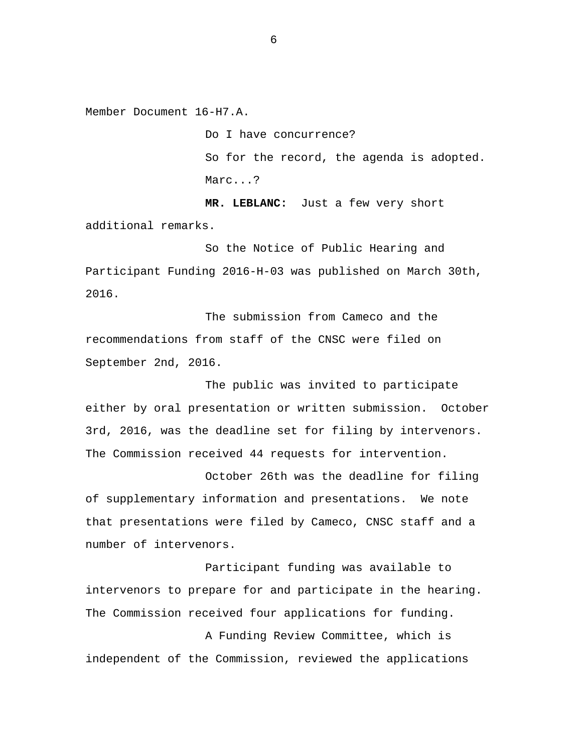Member Document 16-H7.A.

Do I have concurrence? So for the record, the agenda is adopted. Marc...?

**MR. LEBLANC:** Just a few very short additional remarks.

So the Notice of Public Hearing and Participant Funding 2016-H-03 was published on March 30th, 2016.

The submission from Cameco and the recommendations from staff of the CNSC were filed on September 2nd, 2016.

The public was invited to participate either by oral presentation or written submission. October 3rd, 2016, was the deadline set for filing by intervenors. The Commission received 44 requests for intervention.

October 26th was the deadline for filing of supplementary information and presentations. We note that presentations were filed by Cameco, CNSC staff and a number of intervenors.

Participant funding was available to intervenors to prepare for and participate in the hearing. The Commission received four applications for funding.

A Funding Review Committee, which is independent of the Commission, reviewed the applications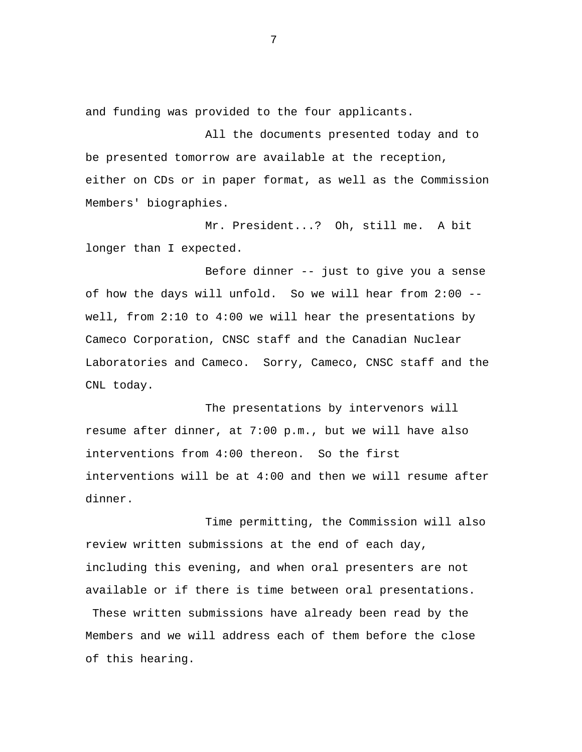and funding was provided to the four applicants.

All the documents presented today and to be presented tomorrow are available at the reception, either on CDs or in paper format, as well as the Commission Members' biographies.

Mr. President...? Oh, still me. A bit longer than I expected.

Before dinner -- just to give you a sense of how the days will unfold. So we will hear from 2:00 - well, from 2:10 to 4:00 we will hear the presentations by Cameco Corporation, CNSC staff and the Canadian Nuclear Laboratories and Cameco. Sorry, Cameco, CNSC staff and the CNL today.

The presentations by intervenors will resume after dinner, at 7:00 p.m., but we will have also interventions from 4:00 thereon. So the first interventions will be at 4:00 and then we will resume after dinner.

Time permitting, the Commission will also review written submissions at the end of each day, including this evening, and when oral presenters are not available or if there is time between oral presentations.

These written submissions have already been read by the Members and we will address each of them before the close of this hearing.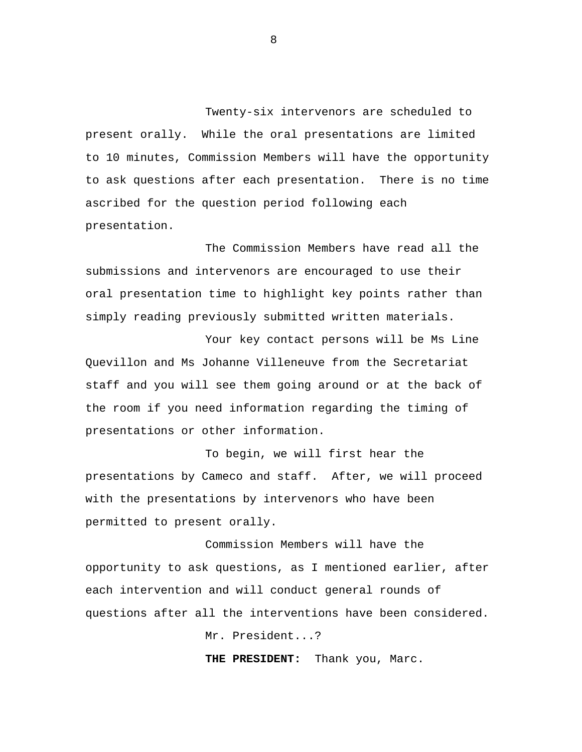Twenty-six intervenors are scheduled to present orally. While the oral presentations are limited to 10 minutes, Commission Members will have the opportunity to ask questions after each presentation. There is no time ascribed for the question period following each presentation.

The Commission Members have read all the submissions and intervenors are encouraged to use their oral presentation time to highlight key points rather than simply reading previously submitted written materials.

Your key contact persons will be Ms Line Quevillon and Ms Johanne Villeneuve from the Secretariat staff and you will see them going around or at the back of the room if you need information regarding the timing of presentations or other information.

To begin, we will first hear the presentations by Cameco and staff. After, we will proceed with the presentations by intervenors who have been permitted to present orally.

Commission Members will have the opportunity to ask questions, as I mentioned earlier, after each intervention and will conduct general rounds of questions after all the interventions have been considered.

Mr. President...?

**THE PRESIDENT:** Thank you, Marc.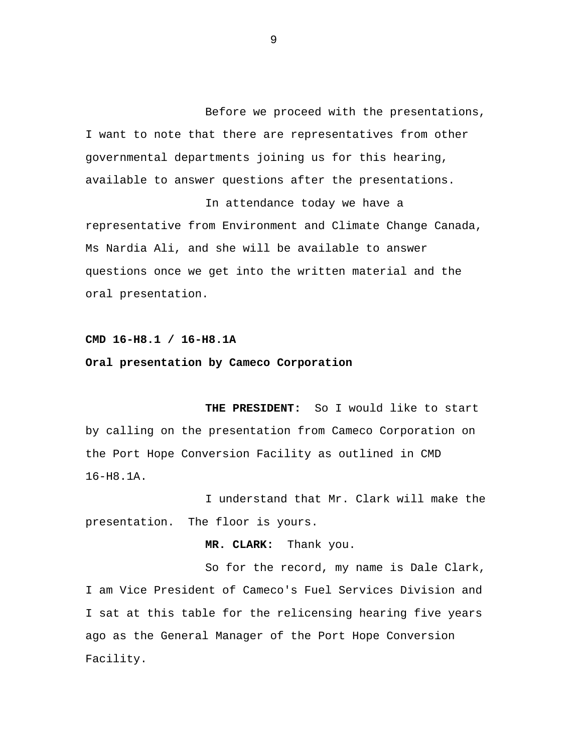Before we proceed with the presentations, I want to note that there are representatives from other governmental departments joining us for this hearing, available to answer questions after the presentations.

In attendance today we have a representative from Environment and Climate Change Canada, Ms Nardia Ali, and she will be available to answer questions once we get into the written material and the oral presentation.

### **CMD 16-H8.1 / 16-H8.1A**

### **Oral presentation by Cameco Corporation**

**THE PRESIDENT:** So I would like to start by calling on the presentation from Cameco Corporation on the Port Hope Conversion Facility as outlined in CMD 16-H8.1A.

I understand that Mr. Clark will make the presentation. The floor is yours.

**MR. CLARK:** Thank you.

So for the record, my name is Dale Clark, I am Vice President of Cameco's Fuel Services Division and I sat at this table for the relicensing hearing five years ago as the General Manager of the Port Hope Conversion Facility.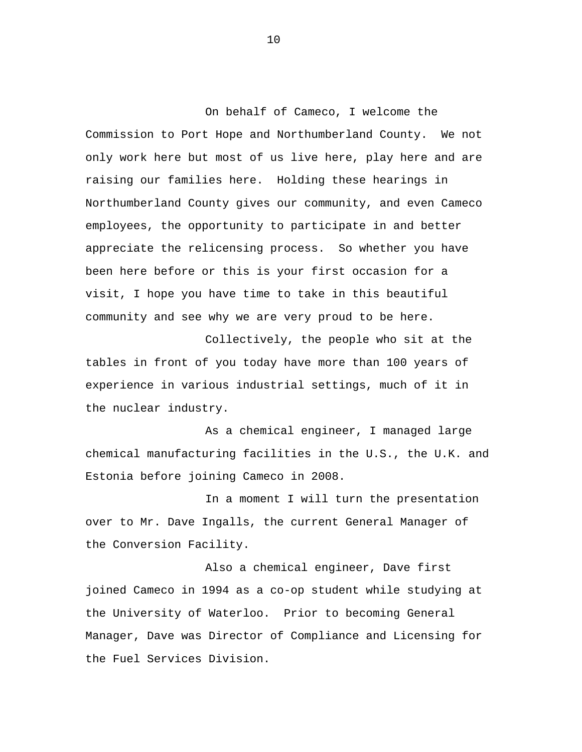On behalf of Cameco, I welcome the Commission to Port Hope and Northumberland County. We not only work here but most of us live here, play here and are raising our families here. Holding these hearings in Northumberland County gives our community, and even Cameco employees, the opportunity to participate in and better appreciate the relicensing process. So whether you have been here before or this is your first occasion for a visit, I hope you have time to take in this beautiful community and see why we are very proud to be here.

Collectively, the people who sit at the tables in front of you today have more than 100 years of experience in various industrial settings, much of it in the nuclear industry.

As a chemical engineer, I managed large chemical manufacturing facilities in the U.S., the U.K. and Estonia before joining Cameco in 2008.

In a moment I will turn the presentation over to Mr. Dave Ingalls, the current General Manager of the Conversion Facility.

Also a chemical engineer, Dave first joined Cameco in 1994 as a co-op student while studying at the University of Waterloo. Prior to becoming General Manager, Dave was Director of Compliance and Licensing for the Fuel Services Division.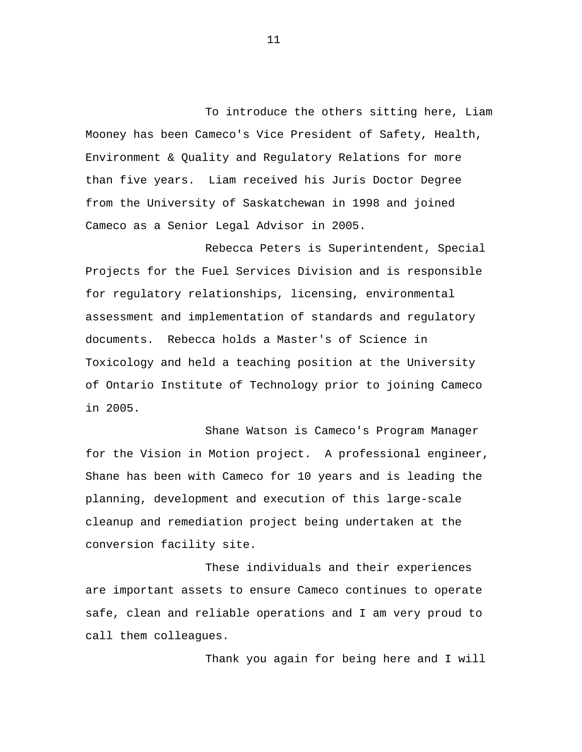To introduce the others sitting here, Liam Mooney has been Cameco's Vice President of Safety, Health, Environment & Quality and Regulatory Relations for more than five years. Liam received his Juris Doctor Degree from the University of Saskatchewan in 1998 and joined Cameco as a Senior Legal Advisor in 2005.

Rebecca Peters is Superintendent, Special Projects for the Fuel Services Division and is responsible for regulatory relationships, licensing, environmental assessment and implementation of standards and regulatory documents. Rebecca holds a Master's of Science in Toxicology and held a teaching position at the University of Ontario Institute of Technology prior to joining Cameco in 2005.

Shane Watson is Cameco's Program Manager for the Vision in Motion project. A professional engineer, Shane has been with Cameco for 10 years and is leading the planning, development and execution of this large-scale cleanup and remediation project being undertaken at the conversion facility site.

These individuals and their experiences are important assets to ensure Cameco continues to operate safe, clean and reliable operations and I am very proud to call them colleagues.

Thank you again for being here and I will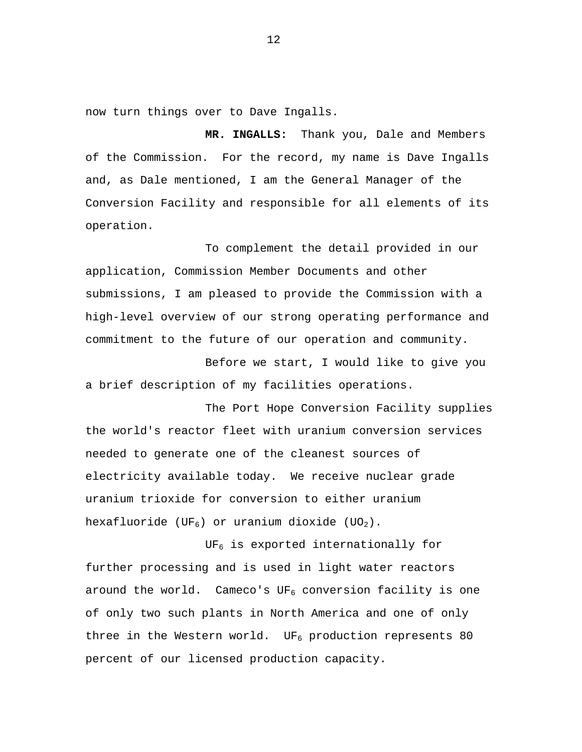now turn things over to Dave Ingalls.

**MR. INGALLS:** Thank you, Dale and Members of the Commission. For the record, my name is Dave Ingalls and, as Dale mentioned, I am the General Manager of the Conversion Facility and responsible for all elements of its operation.

To complement the detail provided in our application, Commission Member Documents and other submissions, I am pleased to provide the Commission with a high-level overview of our strong operating performance and commitment to the future of our operation and community.

Before we start, I would like to give you a brief description of my facilities operations.

The Port Hope Conversion Facility supplies the world's reactor fleet with uranium conversion services needed to generate one of the cleanest sources of electricity available today. We receive nuclear grade uranium trioxide for conversion to either uranium hexafluoride (UF<sub>6</sub>) or uranium dioxide (UO<sub>2</sub>).

 $UF<sub>6</sub>$  is exported internationally for further processing and is used in light water reactors around the world. Cameco's  $UF_6$  conversion facility is one of only two such plants in North America and one of only three in the Western world. UF<sub>6</sub> production represents 80 percent of our licensed production capacity.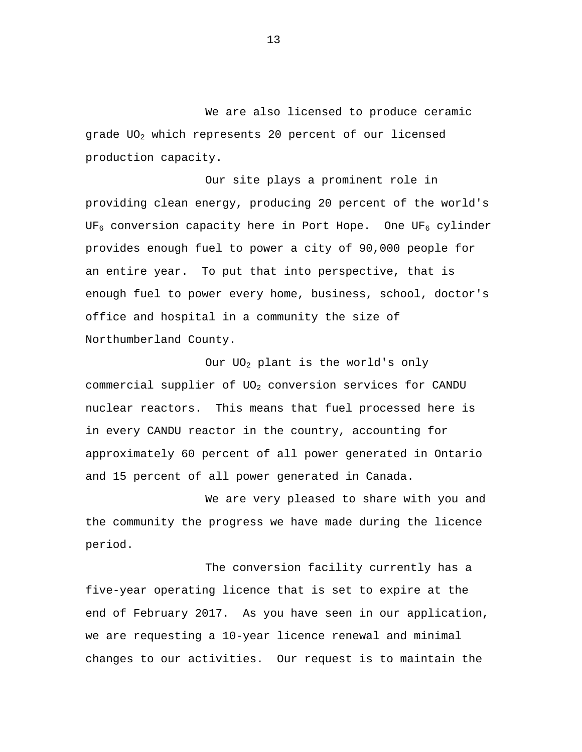We are also licensed to produce ceramic grade UO2 which represents 20 percent of our licensed production capacity.

Our site plays a prominent role in providing clean energy, producing 20 percent of the world's UF<sub>6</sub> conversion capacity here in Port Hope. One UF<sub>6</sub> cylinder provides enough fuel to power a city of 90,000 people for an entire year. To put that into perspective, that is enough fuel to power every home, business, school, doctor's office and hospital in a community the size of Northumberland County.

 Our UO2 plant is the world's only commercial supplier of UO<sub>2</sub> conversion services for CANDU nuclear reactors. This means that fuel processed here is in every CANDU reactor in the country, accounting for approximately 60 percent of all power generated in Ontario and 15 percent of all power generated in Canada.

We are very pleased to share with you and the community the progress we have made during the licence period.

The conversion facility currently has a five-year operating licence that is set to expire at the end of February 2017. As you have seen in our application, we are requesting a 10-year licence renewal and minimal changes to our activities. Our request is to maintain the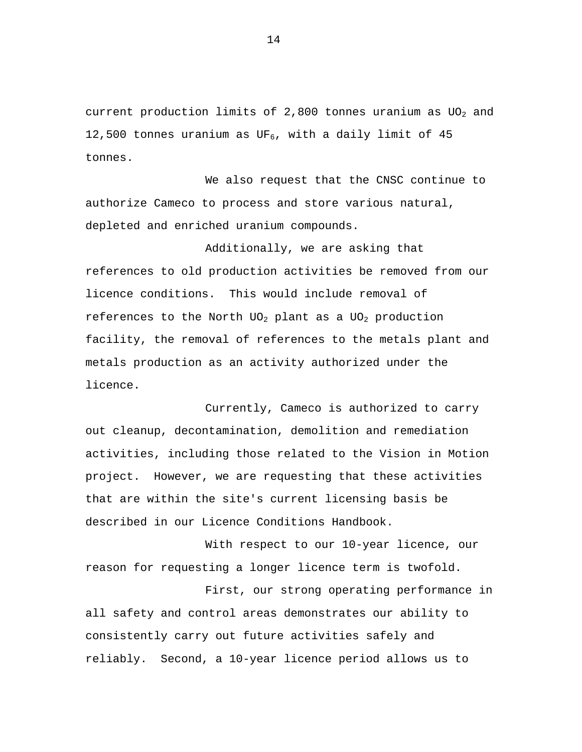current production limits of 2,800 tonnes uranium as  $UO<sub>2</sub>$  and 12,500 tonnes uranium as UF<sub>6</sub>, with a daily limit of 45 tonnes.

We also request that the CNSC continue to authorize Cameco to process and store various natural, depleted and enriched uranium compounds.

Additionally, we are asking that references to old production activities be removed from our licence conditions. This would include removal of references to the North  $UO<sub>2</sub>$  plant as a  $UO<sub>2</sub>$  production facility, the removal of references to the metals plant and metals production as an activity authorized under the licence.

Currently, Cameco is authorized to carry out cleanup, decontamination, demolition and remediation activities, including those related to the Vision in Motion project. However, we are requesting that these activities that are within the site's current licensing basis be described in our Licence Conditions Handbook.

With respect to our 10-year licence, our reason for requesting a longer licence term is twofold.

First, our strong operating performance in all safety and control areas demonstrates our ability to consistently carry out future activities safely and reliably. Second, a 10-year licence period allows us to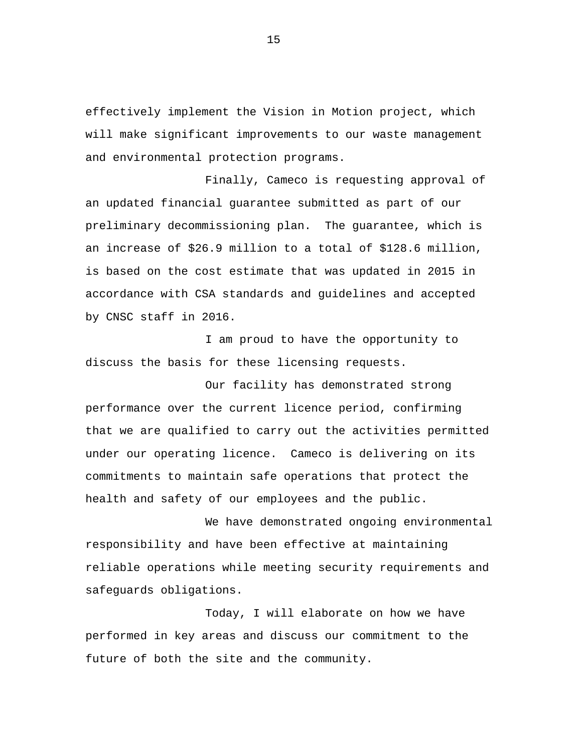effectively implement the Vision in Motion project, which will make significant improvements to our waste management and environmental protection programs.

Finally, Cameco is requesting approval of an updated financial guarantee submitted as part of our preliminary decommissioning plan. The guarantee, which is an increase of \$26.9 million to a total of \$128.6 million, is based on the cost estimate that was updated in 2015 in accordance with CSA standards and guidelines and accepted by CNSC staff in 2016.

I am proud to have the opportunity to discuss the basis for these licensing requests.

Our facility has demonstrated strong performance over the current licence period, confirming that we are qualified to carry out the activities permitted under our operating licence. Cameco is delivering on its commitments to maintain safe operations that protect the health and safety of our employees and the public.

We have demonstrated ongoing environmental responsibility and have been effective at maintaining reliable operations while meeting security requirements and safeguards obligations.

Today, I will elaborate on how we have performed in key areas and discuss our commitment to the future of both the site and the community.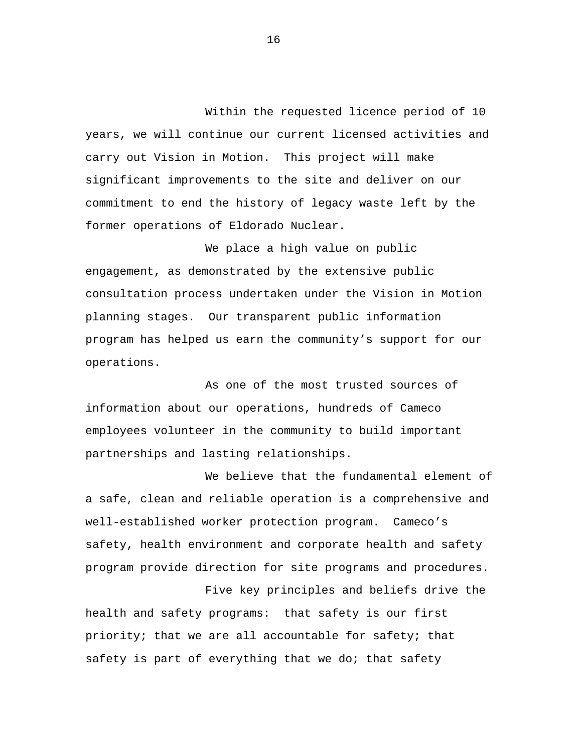Within the requested licence period of 10 years, we will continue our current licensed activities and carry out Vision in Motion. This project will make significant improvements to the site and deliver on our commitment to end the history of legacy waste left by the former operations of Eldorado Nuclear.

We place a high value on public engagement, as demonstrated by the extensive public consultation process undertaken under the Vision in Motion planning stages. Our transparent public information program has helped us earn the community's support for our operations.

As one of the most trusted sources of information about our operations, hundreds of Cameco employees volunteer in the community to build important partnerships and lasting relationships.

We believe that the fundamental element of a safe, clean and reliable operation is a comprehensive and well-established worker protection program. Cameco's safety, health environment and corporate health and safety program provide direction for site programs and procedures.

Five key principles and beliefs drive the health and safety programs: that safety is our first priority; that we are all accountable for safety; that safety is part of everything that we do; that safety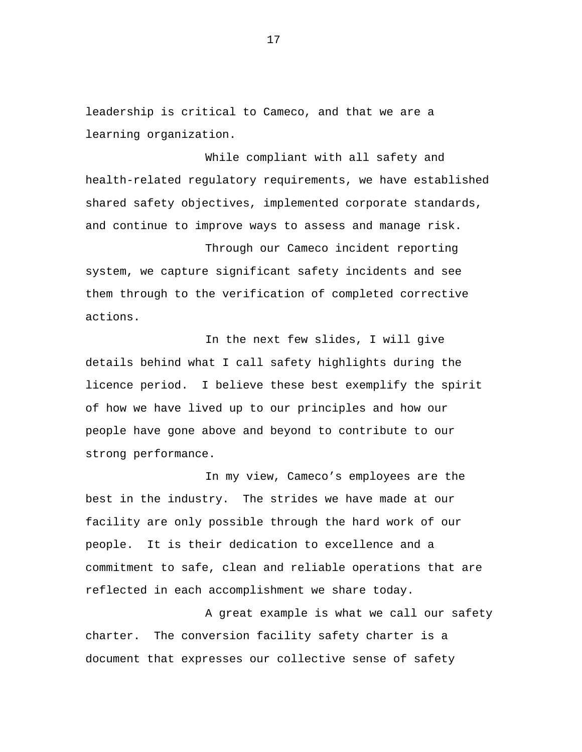leadership is critical to Cameco, and that we are a learning organization.

While compliant with all safety and health-related regulatory requirements, we have established shared safety objectives, implemented corporate standards, and continue to improve ways to assess and manage risk.

Through our Cameco incident reporting system, we capture significant safety incidents and see them through to the verification of completed corrective actions.

In the next few slides, I will give details behind what I call safety highlights during the licence period. I believe these best exemplify the spirit of how we have lived up to our principles and how our people have gone above and beyond to contribute to our strong performance.

In my view, Cameco's employees are the best in the industry. The strides we have made at our facility are only possible through the hard work of our people. It is their dedication to excellence and a commitment to safe, clean and reliable operations that are reflected in each accomplishment we share today.

A great example is what we call our safety charter. The conversion facility safety charter is a document that expresses our collective sense of safety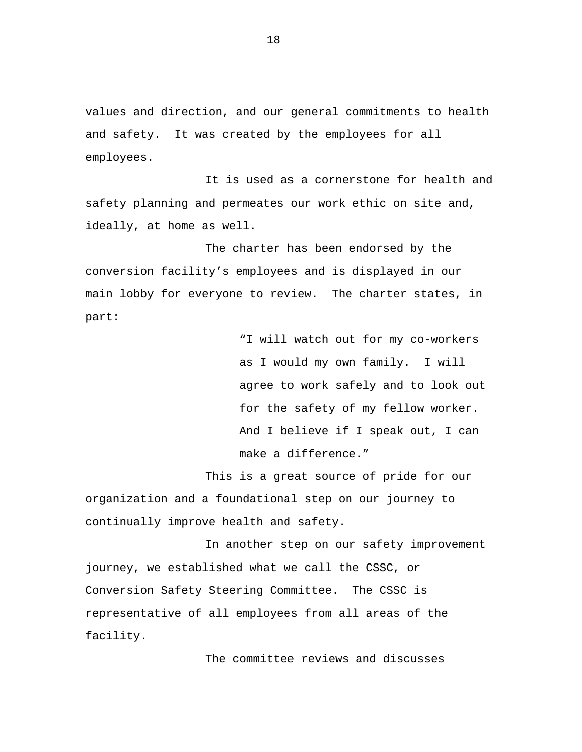values and direction, and our general commitments to health and safety. It was created by the employees for all employees.

It is used as a cornerstone for health and safety planning and permeates our work ethic on site and, ideally, at home as well.

The charter has been endorsed by the conversion facility's employees and is displayed in our main lobby for everyone to review. The charter states, in part:

> "I will watch out for my co-workers as I would my own family. I will agree to work safely and to look out for the safety of my fellow worker. And I believe if I speak out, I can make a difference."

This is a great source of pride for our organization and a foundational step on our journey to continually improve health and safety.

In another step on our safety improvement journey, we established what we call the CSSC, or Conversion Safety Steering Committee. The CSSC is representative of all employees from all areas of the facility.

The committee reviews and discusses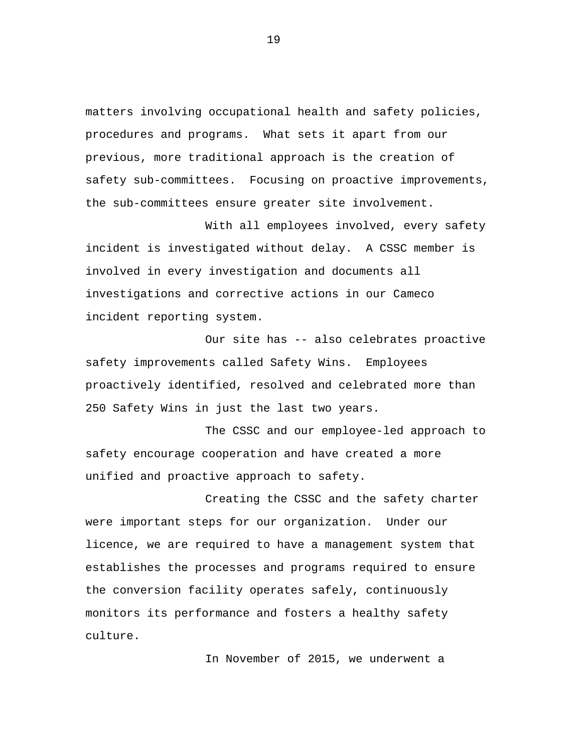matters involving occupational health and safety policies, procedures and programs. What sets it apart from our previous, more traditional approach is the creation of safety sub-committees. Focusing on proactive improvements, the sub-committees ensure greater site involvement.

With all employees involved, every safety incident is investigated without delay. A CSSC member is involved in every investigation and documents all investigations and corrective actions in our Cameco incident reporting system.

Our site has -- also celebrates proactive safety improvements called Safety Wins. Employees proactively identified, resolved and celebrated more than 250 Safety Wins in just the last two years.

The CSSC and our employee-led approach to safety encourage cooperation and have created a more unified and proactive approach to safety.

Creating the CSSC and the safety charter were important steps for our organization. Under our licence, we are required to have a management system that establishes the processes and programs required to ensure the conversion facility operates safely, continuously monitors its performance and fosters a healthy safety culture.

In November of 2015, we underwent a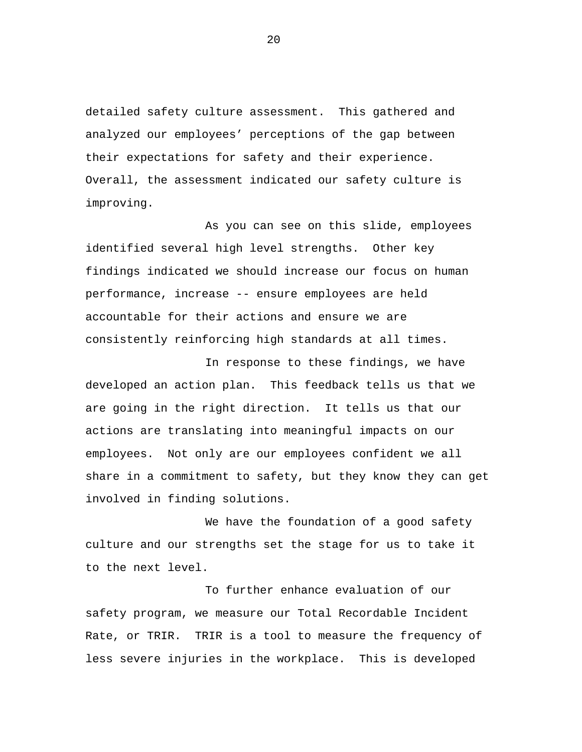detailed safety culture assessment. This gathered and analyzed our employees' perceptions of the gap between their expectations for safety and their experience. Overall, the assessment indicated our safety culture is improving.

As you can see on this slide, employees identified several high level strengths. Other key findings indicated we should increase our focus on human performance, increase -- ensure employees are held accountable for their actions and ensure we are consistently reinforcing high standards at all times.

In response to these findings, we have developed an action plan. This feedback tells us that we are going in the right direction. It tells us that our actions are translating into meaningful impacts on our employees. Not only are our employees confident we all share in a commitment to safety, but they know they can get involved in finding solutions.

We have the foundation of a good safety culture and our strengths set the stage for us to take it to the next level.

To further enhance evaluation of our safety program, we measure our Total Recordable Incident Rate, or TRIR. TRIR is a tool to measure the frequency of less severe injuries in the workplace. This is developed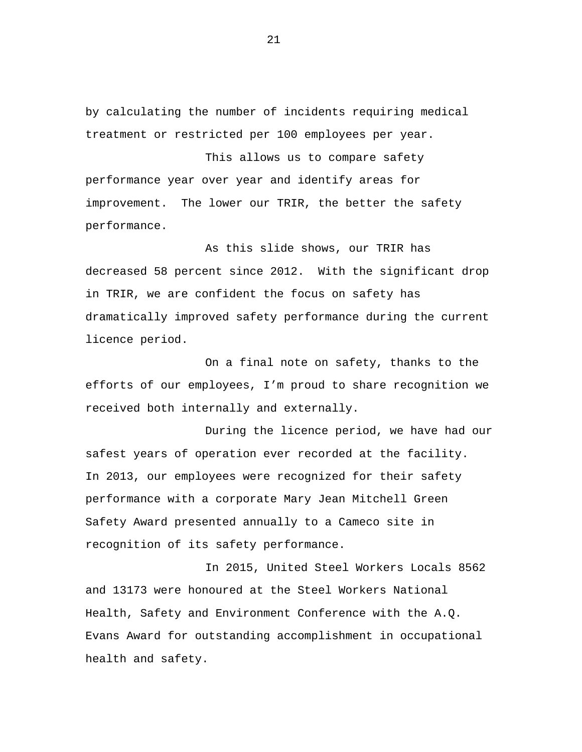by calculating the number of incidents requiring medical treatment or restricted per 100 employees per year.

This allows us to compare safety performance year over year and identify areas for improvement. The lower our TRIR, the better the safety performance.

As this slide shows, our TRIR has decreased 58 percent since 2012. With the significant drop in TRIR, we are confident the focus on safety has dramatically improved safety performance during the current licence period.

On a final note on safety, thanks to the efforts of our employees, I'm proud to share recognition we received both internally and externally.

During the licence period, we have had our safest years of operation ever recorded at the facility. In 2013, our employees were recognized for their safety performance with a corporate Mary Jean Mitchell Green Safety Award presented annually to a Cameco site in recognition of its safety performance.

In 2015, United Steel Workers Locals 8562 and 13173 were honoured at the Steel Workers National Health, Safety and Environment Conference with the A.Q. Evans Award for outstanding accomplishment in occupational health and safety.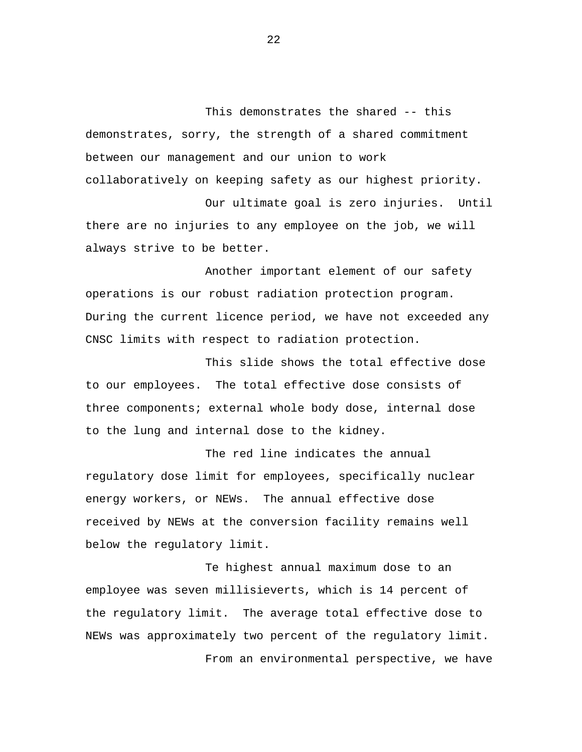This demonstrates the shared -- this demonstrates, sorry, the strength of a shared commitment between our management and our union to work collaboratively on keeping safety as our highest priority.

Our ultimate goal is zero injuries. Until there are no injuries to any employee on the job, we will always strive to be better.

Another important element of our safety operations is our robust radiation protection program. During the current licence period, we have not exceeded any CNSC limits with respect to radiation protection.

This slide shows the total effective dose to our employees. The total effective dose consists of three components; external whole body dose, internal dose to the lung and internal dose to the kidney.

The red line indicates the annual regulatory dose limit for employees, specifically nuclear energy workers, or NEWs. The annual effective dose received by NEWs at the conversion facility remains well below the regulatory limit.

Te highest annual maximum dose to an employee was seven millisieverts, which is 14 percent of the regulatory limit. The average total effective dose to NEWs was approximately two percent of the regulatory limit. From an environmental perspective, we have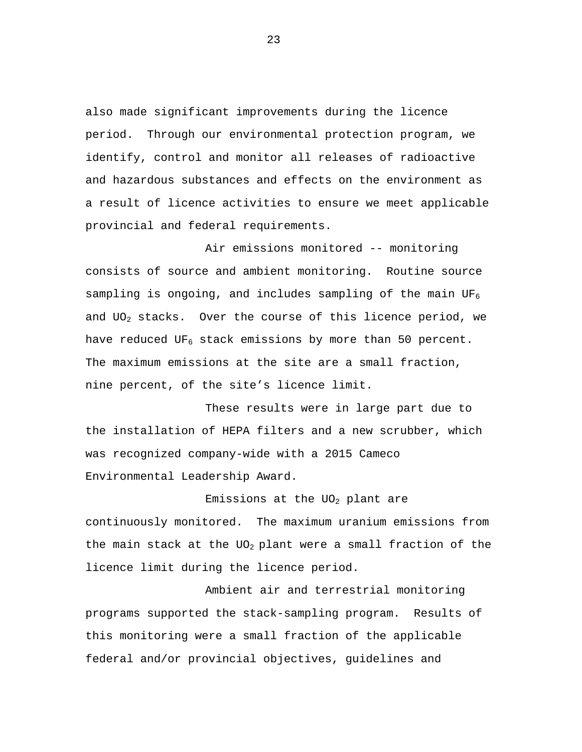also made significant improvements during the licence period. Through our environmental protection program, we identify, control and monitor all releases of radioactive and hazardous substances and effects on the environment as a result of licence activities to ensure we meet applicable provincial and federal requirements.

Air emissions monitored -- monitoring consists of source and ambient monitoring. Routine source sampling is ongoing, and includes sampling of the main  $UF_6$ and  $UO<sub>2</sub>$  stacks. Over the course of this licence period, we have reduced UF<sub>6</sub> stack emissions by more than 50 percent. The maximum emissions at the site are a small fraction, nine percent, of the site's licence limit.

These results were in large part due to the installation of HEPA filters and a new scrubber, which was recognized company-wide with a 2015 Cameco Environmental Leadership Award.

Emissions at the  $UO<sub>2</sub>$  plant are continuously monitored. The maximum uranium emissions from the main stack at the  $UO_2$  plant were a small fraction of the licence limit during the licence period.

Ambient air and terrestrial monitoring programs supported the stack-sampling program. Results of this monitoring were a small fraction of the applicable federal and/or provincial objectives, guidelines and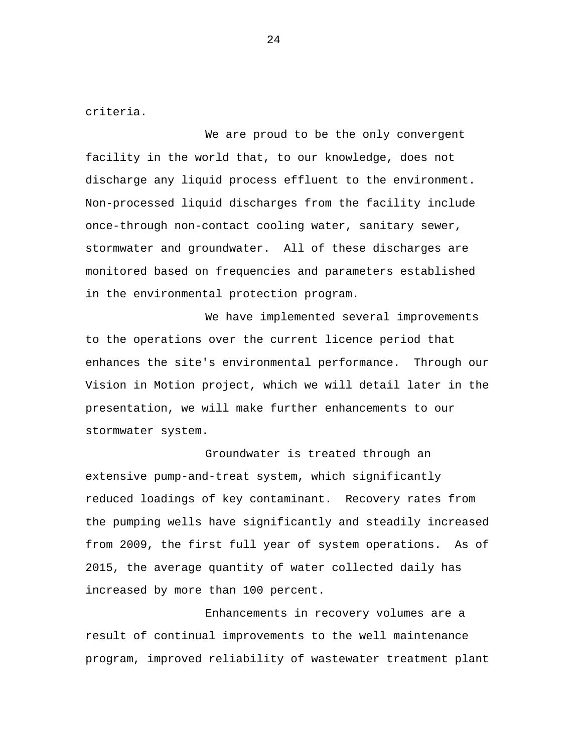criteria.

We are proud to be the only convergent facility in the world that, to our knowledge, does not discharge any liquid process effluent to the environment. Non-processed liquid discharges from the facility include once-through non-contact cooling water, sanitary sewer, stormwater and groundwater. All of these discharges are monitored based on frequencies and parameters established in the environmental protection program.

We have implemented several improvements to the operations over the current licence period that enhances the site's environmental performance. Through our Vision in Motion project, which we will detail later in the presentation, we will make further enhancements to our stormwater system.

Groundwater is treated through an extensive pump-and-treat system, which significantly reduced loadings of key contaminant. Recovery rates from the pumping wells have significantly and steadily increased from 2009, the first full year of system operations. As of 2015, the average quantity of water collected daily has increased by more than 100 percent.

Enhancements in recovery volumes are a result of continual improvements to the well maintenance program, improved reliability of wastewater treatment plant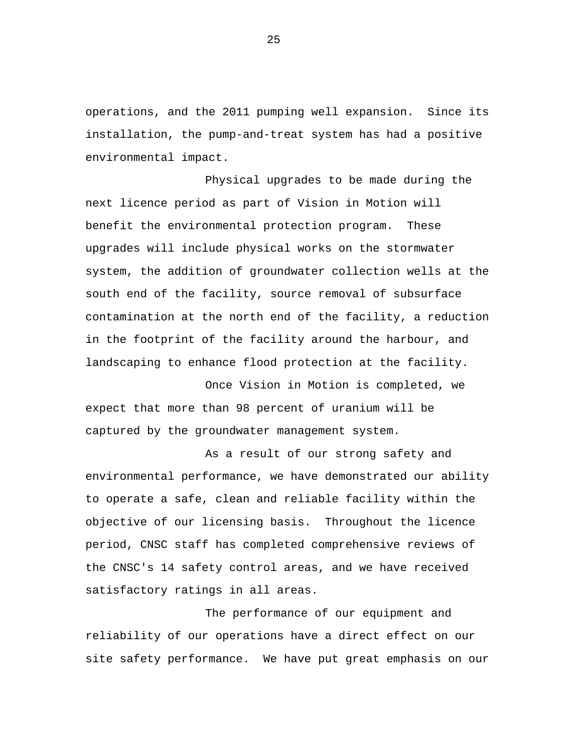operations, and the 2011 pumping well expansion. Since its installation, the pump-and-treat system has had a positive environmental impact.

Physical upgrades to be made during the next licence period as part of Vision in Motion will benefit the environmental protection program. These upgrades will include physical works on the stormwater system, the addition of groundwater collection wells at the south end of the facility, source removal of subsurface contamination at the north end of the facility, a reduction in the footprint of the facility around the harbour, and landscaping to enhance flood protection at the facility.

Once Vision in Motion is completed, we expect that more than 98 percent of uranium will be captured by the groundwater management system.

As a result of our strong safety and environmental performance, we have demonstrated our ability to operate a safe, clean and reliable facility within the objective of our licensing basis. Throughout the licence period, CNSC staff has completed comprehensive reviews of the CNSC's 14 safety control areas, and we have received satisfactory ratings in all areas.

The performance of our equipment and reliability of our operations have a direct effect on our site safety performance. We have put great emphasis on our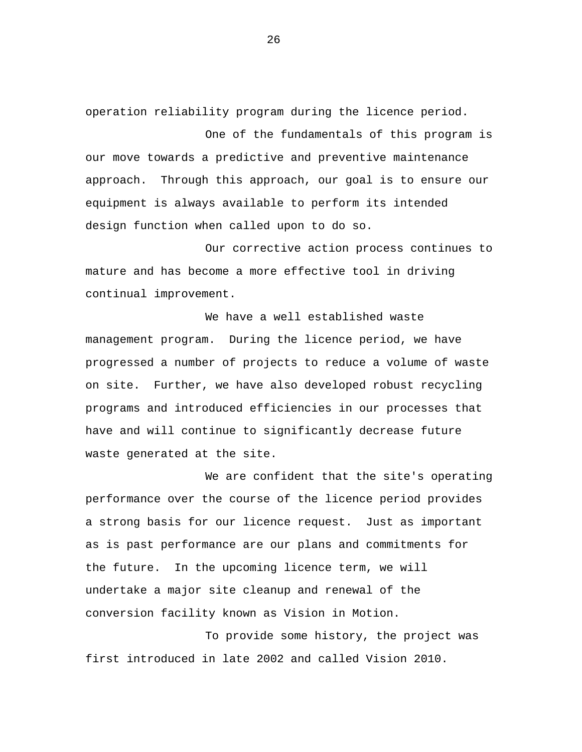operation reliability program during the licence period.

One of the fundamentals of this program is our move towards a predictive and preventive maintenance approach. Through this approach, our goal is to ensure our equipment is always available to perform its intended design function when called upon to do so.

Our corrective action process continues to mature and has become a more effective tool in driving continual improvement.

We have a well established waste management program. During the licence period, we have progressed a number of projects to reduce a volume of waste on site. Further, we have also developed robust recycling programs and introduced efficiencies in our processes that have and will continue to significantly decrease future waste generated at the site.

We are confident that the site's operating performance over the course of the licence period provides a strong basis for our licence request. Just as important as is past performance are our plans and commitments for the future. In the upcoming licence term, we will undertake a major site cleanup and renewal of the conversion facility known as Vision in Motion.

To provide some history, the project was first introduced in late 2002 and called Vision 2010.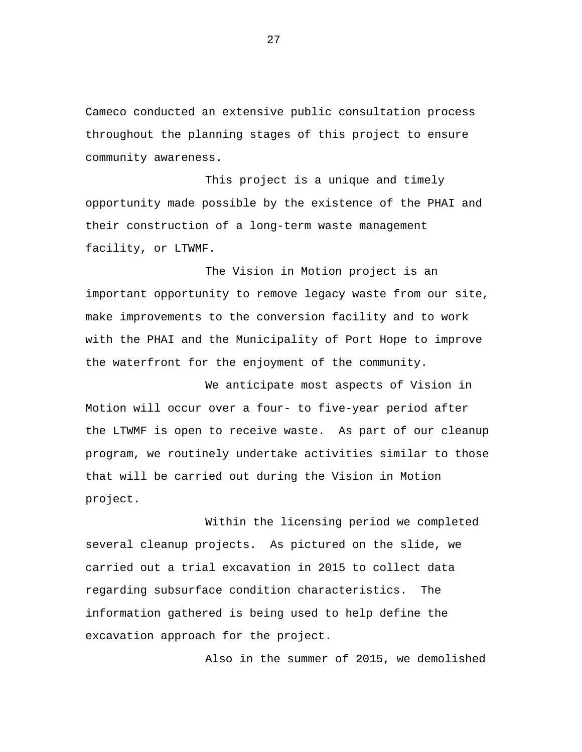Cameco conducted an extensive public consultation process throughout the planning stages of this project to ensure community awareness.

This project is a unique and timely opportunity made possible by the existence of the PHAI and their construction of a long-term waste management facility, or LTWMF.

The Vision in Motion project is an important opportunity to remove legacy waste from our site, make improvements to the conversion facility and to work with the PHAI and the Municipality of Port Hope to improve the waterfront for the enjoyment of the community.

We anticipate most aspects of Vision in Motion will occur over a four- to five-year period after the LTWMF is open to receive waste. As part of our cleanup program, we routinely undertake activities similar to those that will be carried out during the Vision in Motion project.

Within the licensing period we completed several cleanup projects. As pictured on the slide, we carried out a trial excavation in 2015 to collect data regarding subsurface condition characteristics. The information gathered is being used to help define the excavation approach for the project.

Also in the summer of 2015, we demolished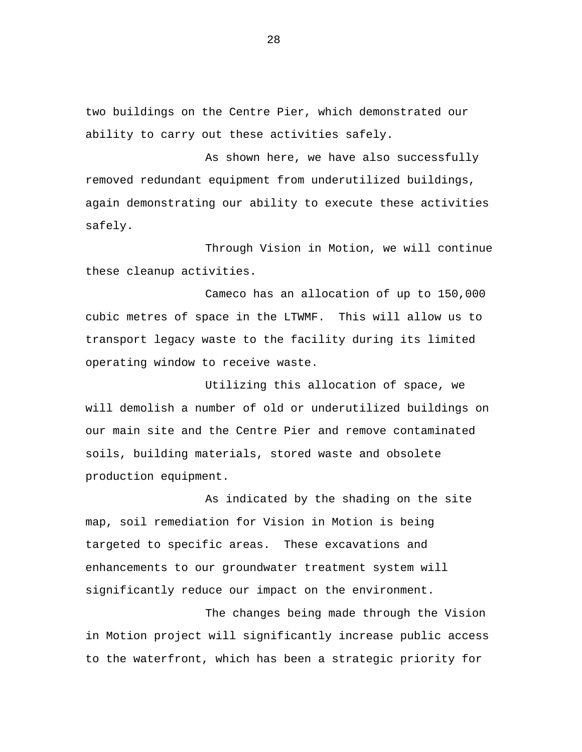two buildings on the Centre Pier, which demonstrated our ability to carry out these activities safely.

As shown here, we have also successfully removed redundant equipment from underutilized buildings, again demonstrating our ability to execute these activities safely.

Through Vision in Motion, we will continue these cleanup activities.

Cameco has an allocation of up to 150,000 cubic metres of space in the LTWMF. This will allow us to transport legacy waste to the facility during its limited operating window to receive waste.

Utilizing this allocation of space, we will demolish a number of old or underutilized buildings on our main site and the Centre Pier and remove contaminated soils, building materials, stored waste and obsolete production equipment.

As indicated by the shading on the site map, soil remediation for Vision in Motion is being targeted to specific areas. These excavations and enhancements to our groundwater treatment system will significantly reduce our impact on the environment.

The changes being made through the Vision in Motion project will significantly increase public access to the waterfront, which has been a strategic priority for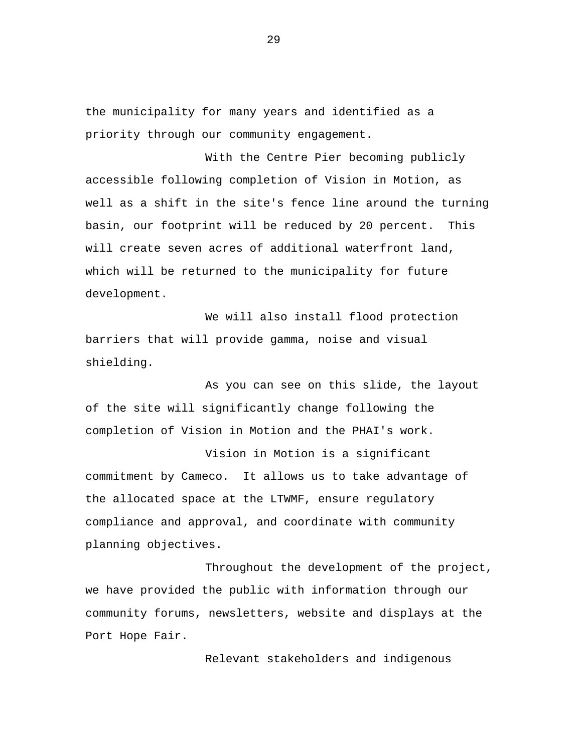the municipality for many years and identified as a priority through our community engagement.

With the Centre Pier becoming publicly accessible following completion of Vision in Motion, as well as a shift in the site's fence line around the turning basin, our footprint will be reduced by 20 percent. This will create seven acres of additional waterfront land, which will be returned to the municipality for future development.

We will also install flood protection barriers that will provide gamma, noise and visual shielding.

As you can see on this slide, the layout of the site will significantly change following the completion of Vision in Motion and the PHAI's work.

Vision in Motion is a significant commitment by Cameco. It allows us to take advantage of the allocated space at the LTWMF, ensure regulatory compliance and approval, and coordinate with community planning objectives.

Throughout the development of the project, we have provided the public with information through our community forums, newsletters, website and displays at the Port Hope Fair.

Relevant stakeholders and indigenous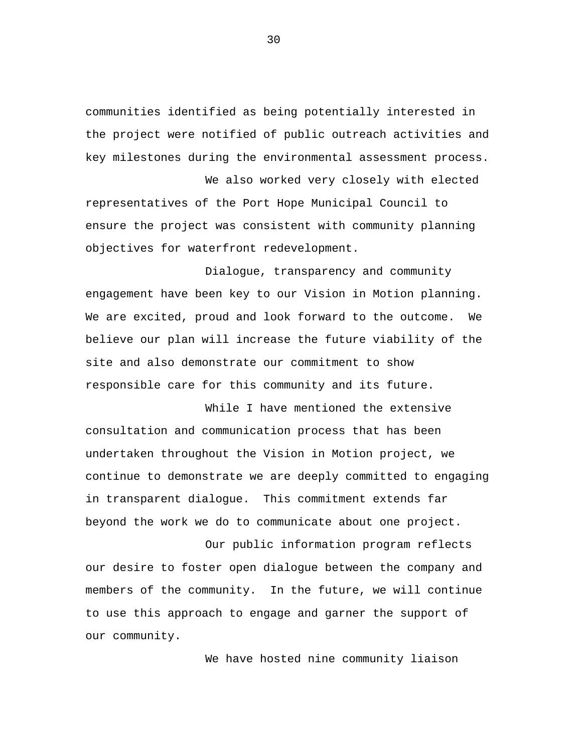communities identified as being potentially interested in the project were notified of public outreach activities and key milestones during the environmental assessment process.

We also worked very closely with elected representatives of the Port Hope Municipal Council to ensure the project was consistent with community planning objectives for waterfront redevelopment.

Dialogue, transparency and community engagement have been key to our Vision in Motion planning. We are excited, proud and look forward to the outcome. We believe our plan will increase the future viability of the site and also demonstrate our commitment to show responsible care for this community and its future.

While I have mentioned the extensive consultation and communication process that has been undertaken throughout the Vision in Motion project, we continue to demonstrate we are deeply committed to engaging in transparent dialogue. This commitment extends far beyond the work we do to communicate about one project.

Our public information program reflects our desire to foster open dialogue between the company and members of the community. In the future, we will continue to use this approach to engage and garner the support of our community.

We have hosted nine community liaison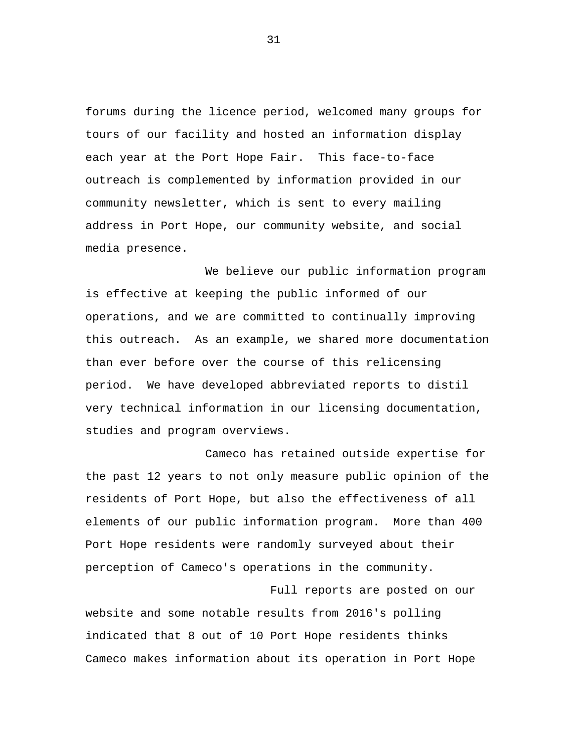forums during the licence period, welcomed many groups for tours of our facility and hosted an information display each year at the Port Hope Fair. This face-to-face outreach is complemented by information provided in our community newsletter, which is sent to every mailing address in Port Hope, our community website, and social media presence.

We believe our public information program is effective at keeping the public informed of our operations, and we are committed to continually improving this outreach. As an example, we shared more documentation than ever before over the course of this relicensing period. We have developed abbreviated reports to distil very technical information in our licensing documentation, studies and program overviews.

Cameco has retained outside expertise for the past 12 years to not only measure public opinion of the residents of Port Hope, but also the effectiveness of all elements of our public information program. More than 400 Port Hope residents were randomly surveyed about their perception of Cameco's operations in the community.

Full reports are posted on our website and some notable results from 2016's polling indicated that 8 out of 10 Port Hope residents thinks Cameco makes information about its operation in Port Hope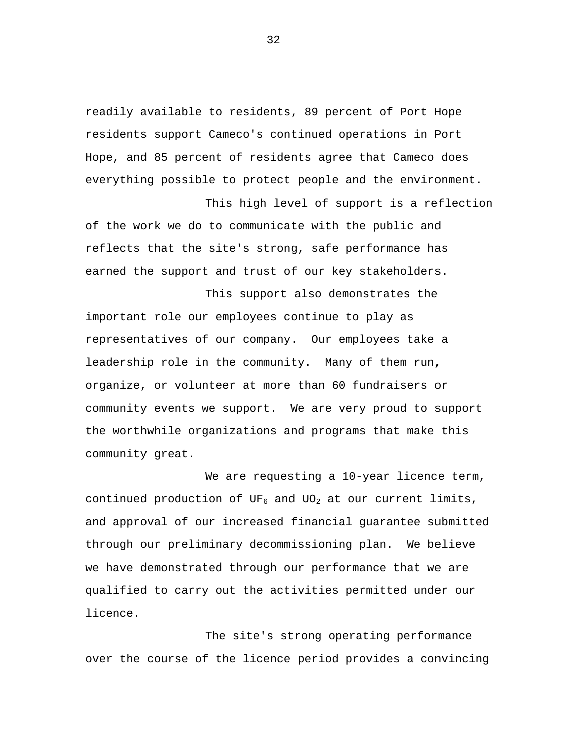readily available to residents, 89 percent of Port Hope residents support Cameco's continued operations in Port Hope, and 85 percent of residents agree that Cameco does everything possible to protect people and the environment.

This high level of support is a reflection of the work we do to communicate with the public and reflects that the site's strong, safe performance has earned the support and trust of our key stakeholders.

This support also demonstrates the important role our employees continue to play as representatives of our company. Our employees take a leadership role in the community. Many of them run, organize, or volunteer at more than 60 fundraisers or community events we support. We are very proud to support the worthwhile organizations and programs that make this community great.

We are requesting a 10-year licence term, continued production of UF<sub>6</sub> and UO<sub>2</sub> at our current limits, and approval of our increased financial guarantee submitted through our preliminary decommissioning plan. We believe we have demonstrated through our performance that we are qualified to carry out the activities permitted under our licence.

The site's strong operating performance over the course of the licence period provides a convincing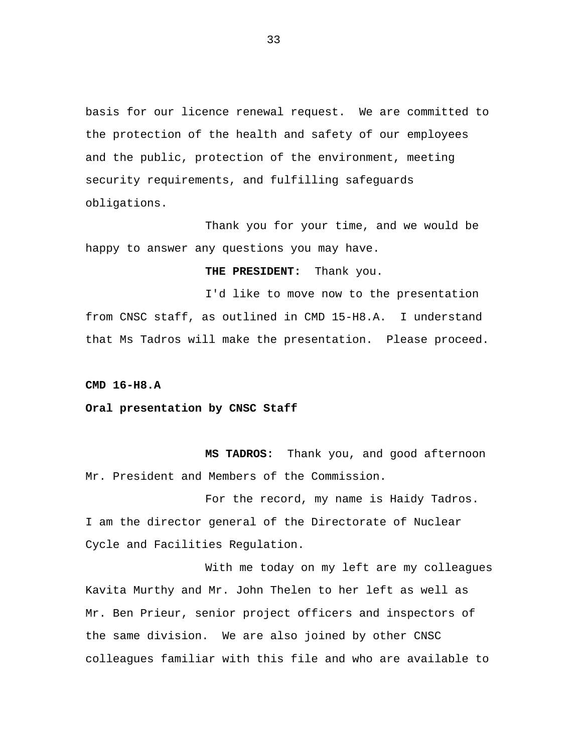basis for our licence renewal request. We are committed to the protection of the health and safety of our employees and the public, protection of the environment, meeting security requirements, and fulfilling safeguards obligations.

Thank you for your time, and we would be happy to answer any questions you may have.

**THE PRESIDENT:** Thank you.

I'd like to move now to the presentation from CNSC staff, as outlined in CMD 15-H8.A. I understand that Ms Tadros will make the presentation. Please proceed.

**CMD 16-H8.A** 

**Oral presentation by CNSC Staff** 

**MS TADROS:** Thank you, and good afternoon Mr. President and Members of the Commission.

For the record, my name is Haidy Tadros. I am the director general of the Directorate of Nuclear Cycle and Facilities Regulation.

With me today on my left are my colleagues Kavita Murthy and Mr. John Thelen to her left as well as Mr. Ben Prieur, senior project officers and inspectors of the same division. We are also joined by other CNSC colleagues familiar with this file and who are available to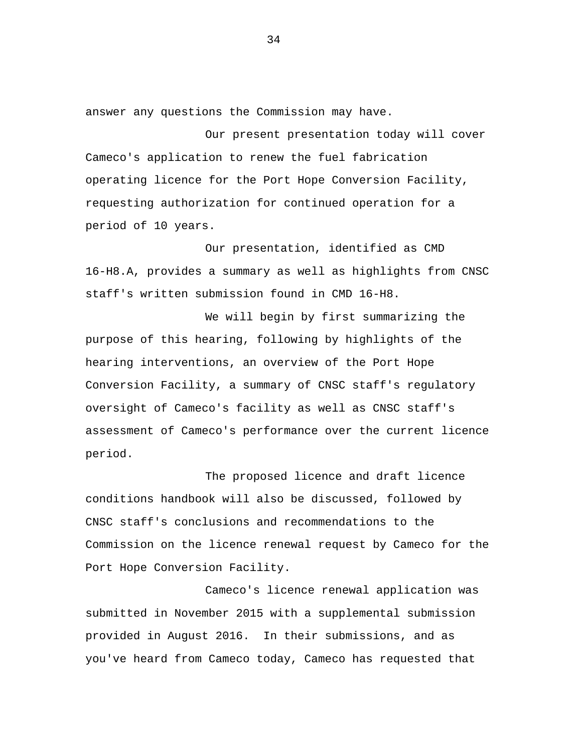answer any questions the Commission may have.

Our present presentation today will cover Cameco's application to renew the fuel fabrication operating licence for the Port Hope Conversion Facility, requesting authorization for continued operation for a period of 10 years.

Our presentation, identified as CMD 16-H8.A, provides a summary as well as highlights from CNSC staff's written submission found in CMD 16-H8.

We will begin by first summarizing the purpose of this hearing, following by highlights of the hearing interventions, an overview of the Port Hope Conversion Facility, a summary of CNSC staff's regulatory oversight of Cameco's facility as well as CNSC staff's assessment of Cameco's performance over the current licence period.

The proposed licence and draft licence conditions handbook will also be discussed, followed by CNSC staff's conclusions and recommendations to the Commission on the licence renewal request by Cameco for the Port Hope Conversion Facility.

Cameco's licence renewal application was submitted in November 2015 with a supplemental submission provided in August 2016. In their submissions, and as you've heard from Cameco today, Cameco has requested that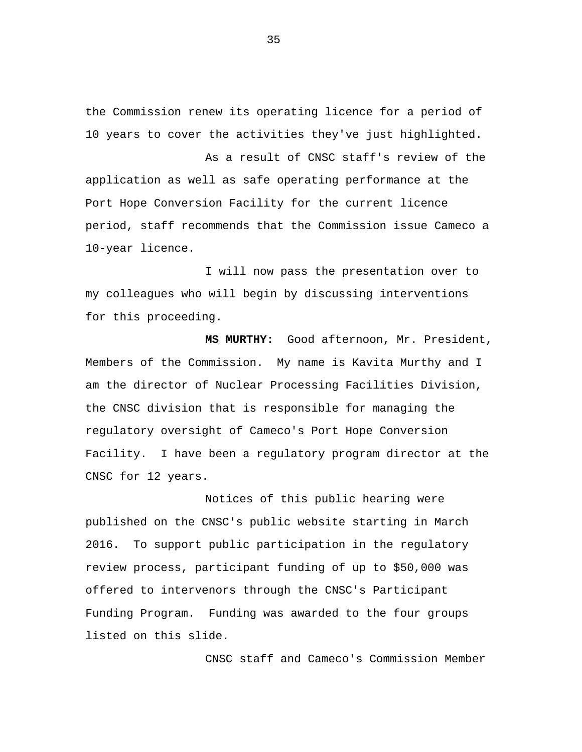the Commission renew its operating licence for a period of 10 years to cover the activities they've just highlighted.

As a result of CNSC staff's review of the application as well as safe operating performance at the Port Hope Conversion Facility for the current licence period, staff recommends that the Commission issue Cameco a 10-year licence.

I will now pass the presentation over to my colleagues who will begin by discussing interventions for this proceeding.

**MS MURTHY:** Good afternoon, Mr. President, Members of the Commission. My name is Kavita Murthy and I am the director of Nuclear Processing Facilities Division, the CNSC division that is responsible for managing the regulatory oversight of Cameco's Port Hope Conversion Facility. I have been a regulatory program director at the CNSC for 12 years.

Notices of this public hearing were published on the CNSC's public website starting in March 2016. To support public participation in the regulatory review process, participant funding of up to \$50,000 was offered to intervenors through the CNSC's Participant Funding Program. Funding was awarded to the four groups listed on this slide.

CNSC staff and Cameco's Commission Member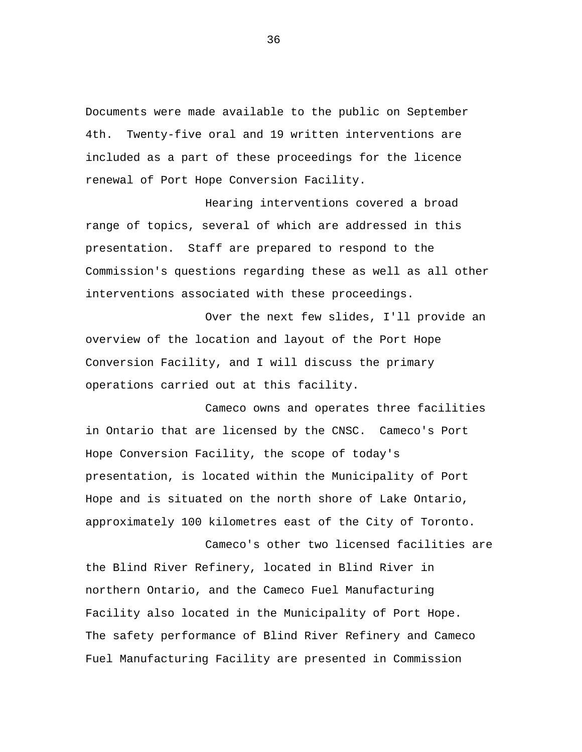Documents were made available to the public on September 4th. Twenty-five oral and 19 written interventions are included as a part of these proceedings for the licence renewal of Port Hope Conversion Facility.

Hearing interventions covered a broad range of topics, several of which are addressed in this presentation. Staff are prepared to respond to the Commission's questions regarding these as well as all other interventions associated with these proceedings.

Over the next few slides, I'll provide an overview of the location and layout of the Port Hope Conversion Facility, and I will discuss the primary operations carried out at this facility.

Cameco owns and operates three facilities in Ontario that are licensed by the CNSC. Cameco's Port Hope Conversion Facility, the scope of today's presentation, is located within the Municipality of Port Hope and is situated on the north shore of Lake Ontario, approximately 100 kilometres east of the City of Toronto.

Cameco's other two licensed facilities are the Blind River Refinery, located in Blind River in northern Ontario, and the Cameco Fuel Manufacturing Facility also located in the Municipality of Port Hope. The safety performance of Blind River Refinery and Cameco Fuel Manufacturing Facility are presented in Commission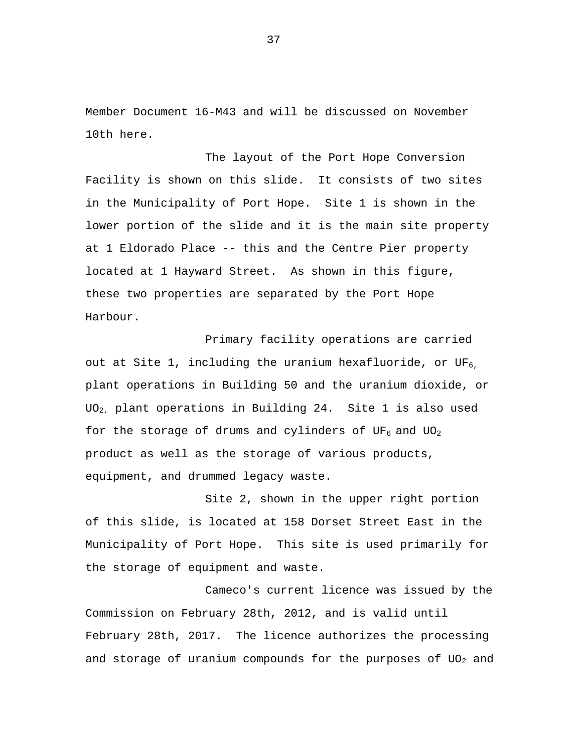Member Document 16-M43 and will be discussed on November 10th here.

The layout of the Port Hope Conversion Facility is shown on this slide. It consists of two sites in the Municipality of Port Hope. Site 1 is shown in the lower portion of the slide and it is the main site property at 1 Eldorado Place -- this and the Centre Pier property located at 1 Hayward Street. As shown in this figure, these two properties are separated by the Port Hope Harbour.

Primary facility operations are carried out at Site 1, including the uranium hexafluoride, or UF<sub>6</sub> plant operations in Building 50 and the uranium dioxide, or UO2, plant operations in Building 24. Site 1 is also used for the storage of drums and cylinders of UF<sub>6</sub> and UO<sub>2</sub> product as well as the storage of various products, equipment, and drummed legacy waste.

Site 2, shown in the upper right portion of this slide, is located at 158 Dorset Street East in the Municipality of Port Hope. This site is used primarily for the storage of equipment and waste.

Cameco's current licence was issued by the Commission on February 28th, 2012, and is valid until February 28th, 2017. The licence authorizes the processing and storage of uranium compounds for the purposes of  $UO<sub>2</sub>$  and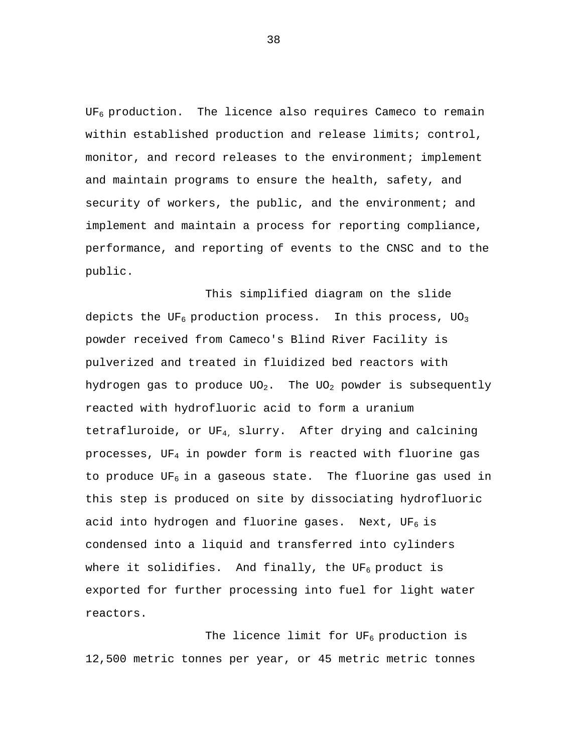$UF<sub>6</sub>$  production. The licence also requires Cameco to remain within established production and release limits; control, monitor, and record releases to the environment; implement and maintain programs to ensure the health, safety, and security of workers, the public, and the environment; and implement and maintain a process for reporting compliance, performance, and reporting of events to the CNSC and to the public.

This simplified diagram on the slide depicts the UF<sub>6</sub> production process. In this process, UO<sub>3</sub> powder received from Cameco's Blind River Facility is pulverized and treated in fluidized bed reactors with hydrogen gas to produce  $UO_2$ . The  $UO_2$  powder is subsequently reacted with hydrofluoric acid to form a uranium tetrafluroide, or  $UF_4$ , slurry. After drying and calcining processes, UF4 in powder form is reacted with fluorine gas to produce UF<sub>6</sub> in a gaseous state. The fluorine gas used in this step is produced on site by dissociating hydrofluoric acid into hydrogen and fluorine gases. Next, UF<sub>6</sub> is condensed into a liquid and transferred into cylinders where it solidifies. And finally, the UF<sub>6</sub> product is exported for further processing into fuel for light water reactors.

The licence limit for  $UF_6$  production is 12,500 metric tonnes per year, or 45 metric metric tonnes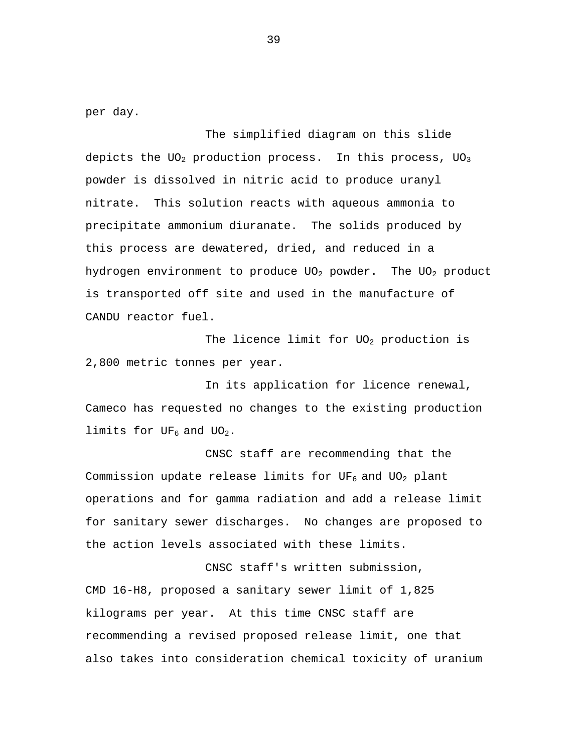per day.

The simplified diagram on this slide depicts the  $UO_2$  production process. In this process,  $UO_3$ powder is dissolved in nitric acid to produce uranyl nitrate. This solution reacts with aqueous ammonia to precipitate ammonium diuranate. The solids produced by this process are dewatered, dried, and reduced in a hydrogen environment to produce  $UO<sub>2</sub>$  powder. The  $UO<sub>2</sub>$  product is transported off site and used in the manufacture of CANDU reactor fuel.

The licence limit for  $UO<sub>2</sub>$  production is 2,800 metric tonnes per year.

In its application for licence renewal, Cameco has requested no changes to the existing production limits for UF<sub>6</sub> and UO<sub>2</sub>.

CNSC staff are recommending that the Commission update release limits for UF<sub>6</sub> and UO<sub>2</sub> plant operations and for gamma radiation and add a release limit for sanitary sewer discharges. No changes are proposed to the action levels associated with these limits.

CNSC staff's written submission, CMD 16-H8, proposed a sanitary sewer limit of 1,825 kilograms per year. At this time CNSC staff are recommending a revised proposed release limit, one that also takes into consideration chemical toxicity of uranium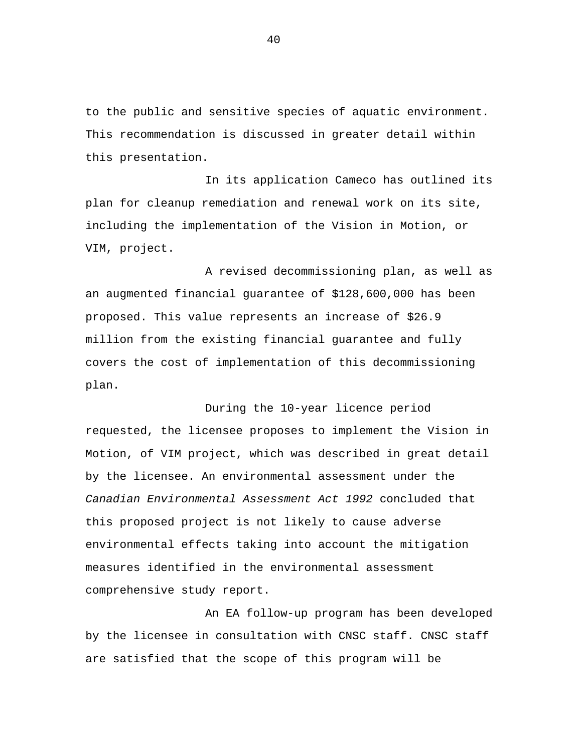to the public and sensitive species of aquatic environment. This recommendation is discussed in greater detail within this presentation.

In its application Cameco has outlined its plan for cleanup remediation and renewal work on its site, including the implementation of the Vision in Motion, or VIM, project.

A revised decommissioning plan, as well as an augmented financial guarantee of \$128,600,000 has been proposed. This value represents an increase of \$26.9 million from the existing financial guarantee and fully covers the cost of implementation of this decommissioning plan.

During the 10-year licence period requested, the licensee proposes to implement the Vision in Motion, of VIM project, which was described in great detail by the licensee. An environmental assessment under the *Canadian Environmental Assessment Act 1992* concluded that this proposed project is not likely to cause adverse environmental effects taking into account the mitigation measures identified in the environmental assessment comprehensive study report.

An EA follow-up program has been developed by the licensee in consultation with CNSC staff. CNSC staff are satisfied that the scope of this program will be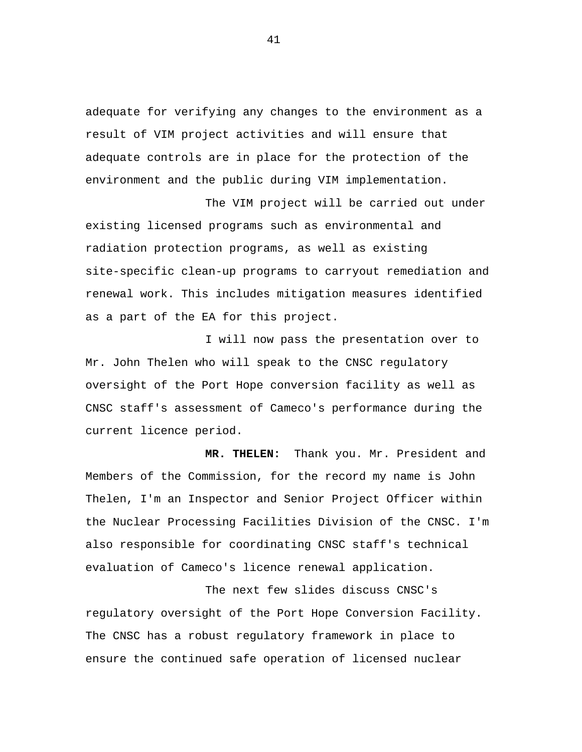adequate for verifying any changes to the environment as a result of VIM project activities and will ensure that adequate controls are in place for the protection of the environment and the public during VIM implementation.

The VIM project will be carried out under existing licensed programs such as environmental and radiation protection programs, as well as existing site-specific clean-up programs to carryout remediation and renewal work. This includes mitigation measures identified as a part of the EA for this project.

I will now pass the presentation over to Mr. John Thelen who will speak to the CNSC regulatory oversight of the Port Hope conversion facility as well as CNSC staff's assessment of Cameco's performance during the current licence period.

 **MR. THELEN:** Thank you. Mr. President and Members of the Commission, for the record my name is John Thelen, I'm an Inspector and Senior Project Officer within the Nuclear Processing Facilities Division of the CNSC. I'm also responsible for coordinating CNSC staff's technical evaluation of Cameco's licence renewal application.

The next few slides discuss CNSC's regulatory oversight of the Port Hope Conversion Facility. The CNSC has a robust regulatory framework in place to ensure the continued safe operation of licensed nuclear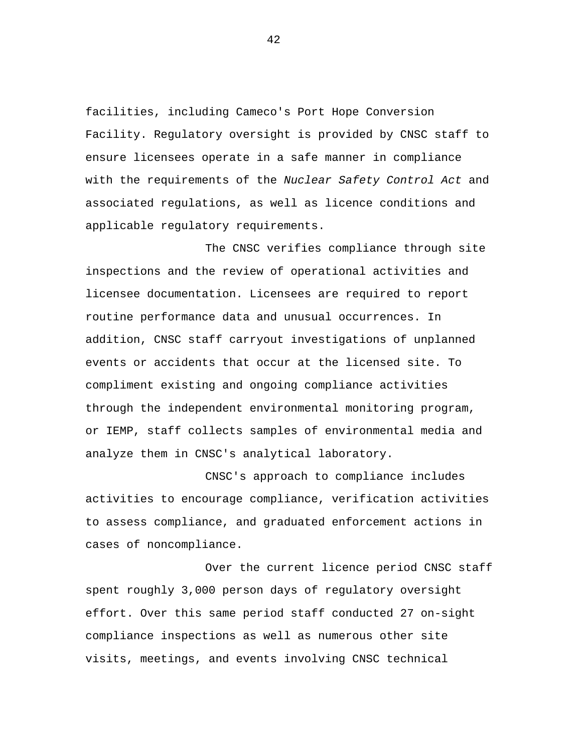facilities, including Cameco's Port Hope Conversion Facility. Regulatory oversight is provided by CNSC staff to ensure licensees operate in a safe manner in compliance with the requirements of the *Nuclear Safety Control Act* and associated regulations, as well as licence conditions and applicable regulatory requirements.

The CNSC verifies compliance through site inspections and the review of operational activities and licensee documentation. Licensees are required to report routine performance data and unusual occurrences. In addition, CNSC staff carryout investigations of unplanned events or accidents that occur at the licensed site. To compliment existing and ongoing compliance activities through the independent environmental monitoring program, or IEMP, staff collects samples of environmental media and analyze them in CNSC's analytical laboratory.

CNSC's approach to compliance includes activities to encourage compliance, verification activities to assess compliance, and graduated enforcement actions in cases of noncompliance.

Over the current licence period CNSC staff spent roughly 3,000 person days of regulatory oversight effort. Over this same period staff conducted 27 on-sight compliance inspections as well as numerous other site visits, meetings, and events involving CNSC technical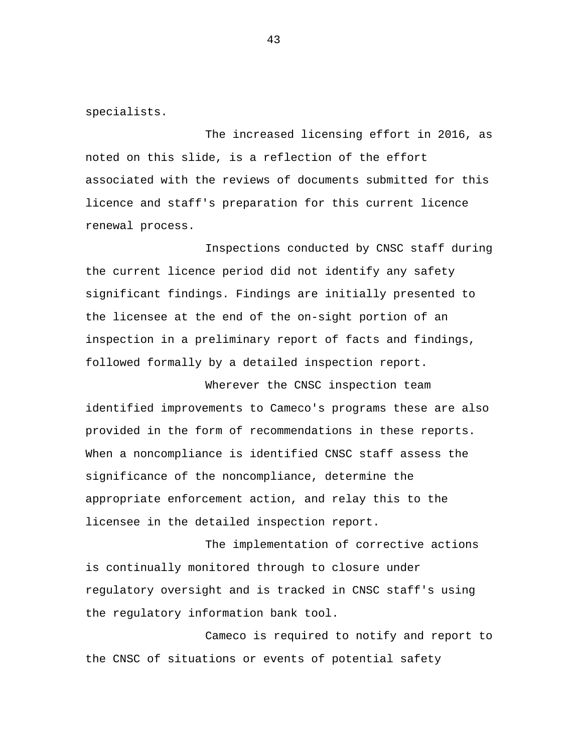specialists.

The increased licensing effort in 2016, as noted on this slide, is a reflection of the effort associated with the reviews of documents submitted for this licence and staff's preparation for this current licence renewal process.

Inspections conducted by CNSC staff during the current licence period did not identify any safety significant findings. Findings are initially presented to the licensee at the end of the on-sight portion of an inspection in a preliminary report of facts and findings, followed formally by a detailed inspection report.

Wherever the CNSC inspection team identified improvements to Cameco's programs these are also provided in the form of recommendations in these reports. When a noncompliance is identified CNSC staff assess the significance of the noncompliance, determine the appropriate enforcement action, and relay this to the licensee in the detailed inspection report.

The implementation of corrective actions is continually monitored through to closure under regulatory oversight and is tracked in CNSC staff's using the regulatory information bank tool.

Cameco is required to notify and report to the CNSC of situations or events of potential safety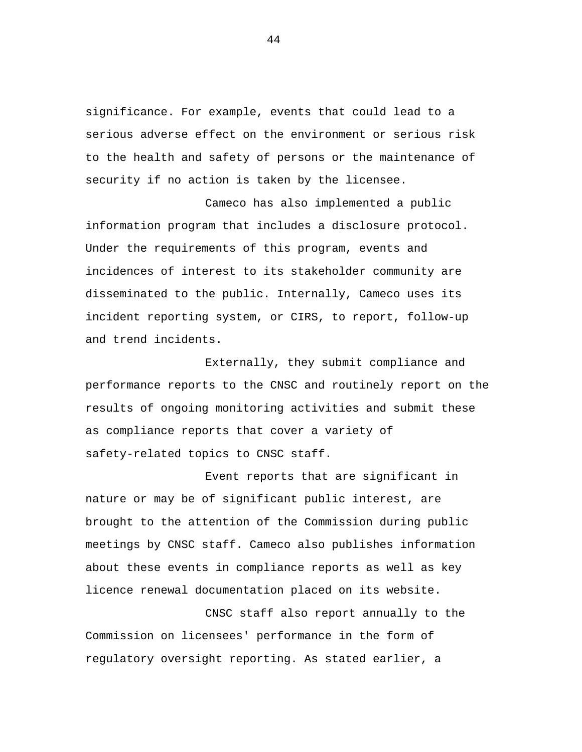significance. For example, events that could lead to a serious adverse effect on the environment or serious risk to the health and safety of persons or the maintenance of security if no action is taken by the licensee.

Cameco has also implemented a public information program that includes a disclosure protocol. Under the requirements of this program, events and incidences of interest to its stakeholder community are disseminated to the public. Internally, Cameco uses its incident reporting system, or CIRS, to report, follow-up and trend incidents.

Externally, they submit compliance and performance reports to the CNSC and routinely report on the results of ongoing monitoring activities and submit these as compliance reports that cover a variety of safety-related topics to CNSC staff.

Event reports that are significant in nature or may be of significant public interest, are brought to the attention of the Commission during public meetings by CNSC staff. Cameco also publishes information about these events in compliance reports as well as key licence renewal documentation placed on its website.

CNSC staff also report annually to the Commission on licensees' performance in the form of regulatory oversight reporting. As stated earlier, a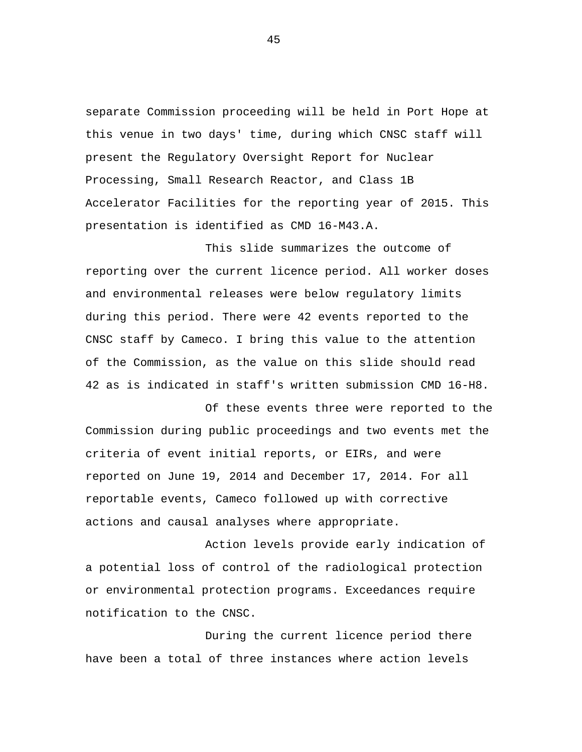separate Commission proceeding will be held in Port Hope at this venue in two days' time, during which CNSC staff will present the Regulatory Oversight Report for Nuclear Processing, Small Research Reactor, and Class 1B Accelerator Facilities for the reporting year of 2015. This presentation is identified as CMD 16-M43.A.

This slide summarizes the outcome of reporting over the current licence period. All worker doses and environmental releases were below regulatory limits during this period. There were 42 events reported to the CNSC staff by Cameco. I bring this value to the attention of the Commission, as the value on this slide should read 42 as is indicated in staff's written submission CMD 16-H8.

Of these events three were reported to the Commission during public proceedings and two events met the criteria of event initial reports, or EIRs, and were reported on June 19, 2014 and December 17, 2014. For all reportable events, Cameco followed up with corrective actions and causal analyses where appropriate.

Action levels provide early indication of a potential loss of control of the radiological protection or environmental protection programs. Exceedances require notification to the CNSC.

During the current licence period there have been a total of three instances where action levels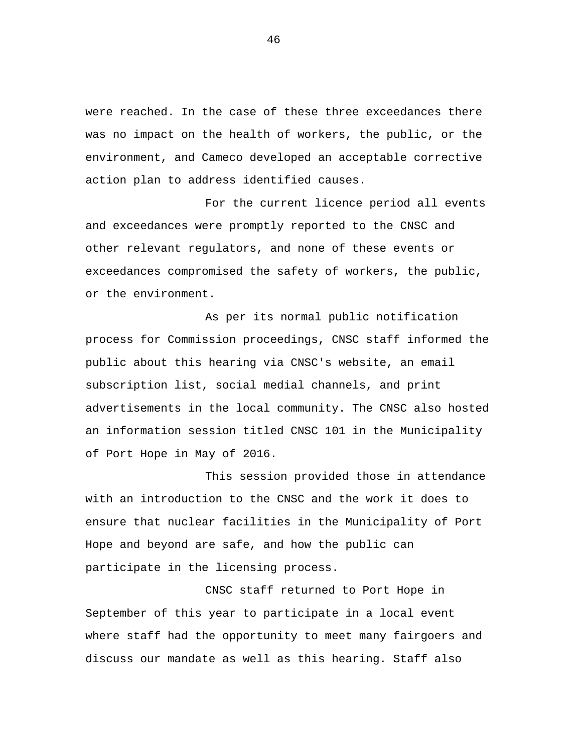were reached. In the case of these three exceedances there was no impact on the health of workers, the public, or the environment, and Cameco developed an acceptable corrective action plan to address identified causes.

For the current licence period all events and exceedances were promptly reported to the CNSC and other relevant regulators, and none of these events or exceedances compromised the safety of workers, the public, or the environment.

As per its normal public notification process for Commission proceedings, CNSC staff informed the public about this hearing via CNSC's website, an email subscription list, social medial channels, and print advertisements in the local community. The CNSC also hosted an information session titled CNSC 101 in the Municipality of Port Hope in May of 2016.

This session provided those in attendance with an introduction to the CNSC and the work it does to ensure that nuclear facilities in the Municipality of Port Hope and beyond are safe, and how the public can participate in the licensing process.

CNSC staff returned to Port Hope in September of this year to participate in a local event where staff had the opportunity to meet many fairgoers and discuss our mandate as well as this hearing. Staff also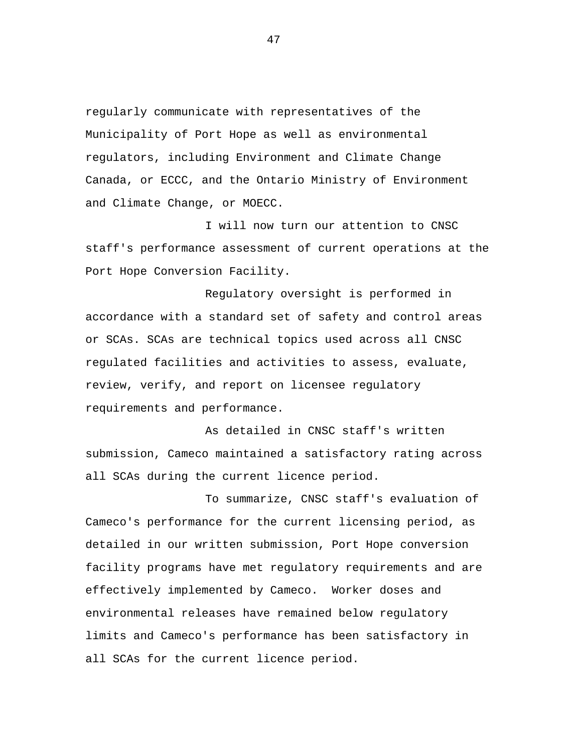regularly communicate with representatives of the Municipality of Port Hope as well as environmental regulators, including Environment and Climate Change Canada, or ECCC, and the Ontario Ministry of Environment and Climate Change, or MOECC.

I will now turn our attention to CNSC staff's performance assessment of current operations at the Port Hope Conversion Facility.

Regulatory oversight is performed in accordance with a standard set of safety and control areas or SCAs. SCAs are technical topics used across all CNSC regulated facilities and activities to assess, evaluate, review, verify, and report on licensee regulatory requirements and performance.

As detailed in CNSC staff's written submission, Cameco maintained a satisfactory rating across all SCAs during the current licence period.

To summarize, CNSC staff's evaluation of Cameco's performance for the current licensing period, as detailed in our written submission, Port Hope conversion facility programs have met regulatory requirements and are effectively implemented by Cameco. Worker doses and environmental releases have remained below regulatory limits and Cameco's performance has been satisfactory in all SCAs for the current licence period.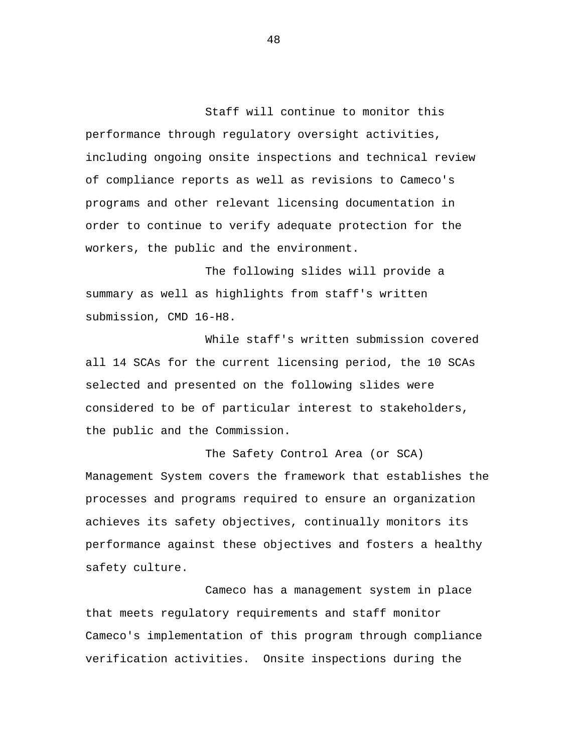Staff will continue to monitor this performance through regulatory oversight activities, including ongoing onsite inspections and technical review of compliance reports as well as revisions to Cameco's programs and other relevant licensing documentation in order to continue to verify adequate protection for the workers, the public and the environment.

The following slides will provide a summary as well as highlights from staff's written submission, CMD 16-H8.

While staff's written submission covered all 14 SCAs for the current licensing period, the 10 SCAs selected and presented on the following slides were considered to be of particular interest to stakeholders, the public and the Commission.

The Safety Control Area (or SCA) Management System covers the framework that establishes the processes and programs required to ensure an organization achieves its safety objectives, continually monitors its performance against these objectives and fosters a healthy safety culture.

Cameco has a management system in place that meets regulatory requirements and staff monitor Cameco's implementation of this program through compliance verification activities. Onsite inspections during the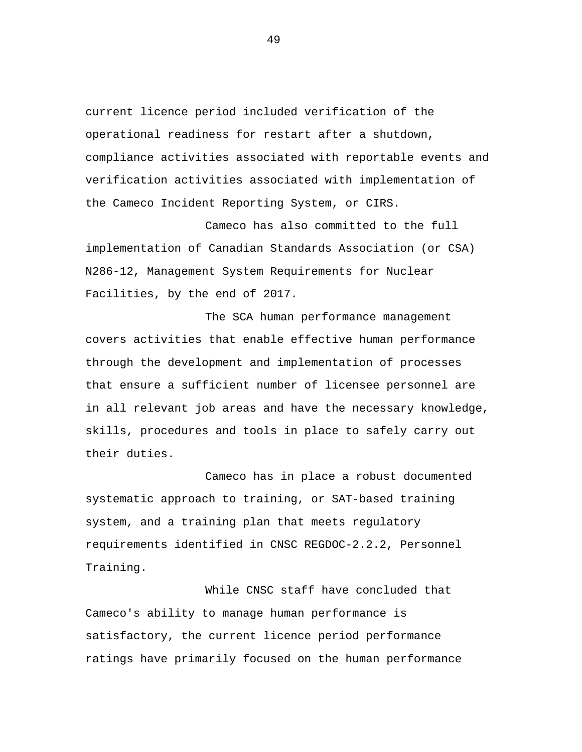current licence period included verification of the operational readiness for restart after a shutdown, compliance activities associated with reportable events and verification activities associated with implementation of the Cameco Incident Reporting System, or CIRS.

Cameco has also committed to the full implementation of Canadian Standards Association (or CSA) N286-12, Management System Requirements for Nuclear Facilities, by the end of 2017.

The SCA human performance management covers activities that enable effective human performance through the development and implementation of processes that ensure a sufficient number of licensee personnel are in all relevant job areas and have the necessary knowledge, skills, procedures and tools in place to safely carry out their duties.

Cameco has in place a robust documented systematic approach to training, or SAT-based training system, and a training plan that meets regulatory requirements identified in CNSC REGDOC-2.2.2, Personnel Training.

While CNSC staff have concluded that Cameco's ability to manage human performance is satisfactory, the current licence period performance ratings have primarily focused on the human performance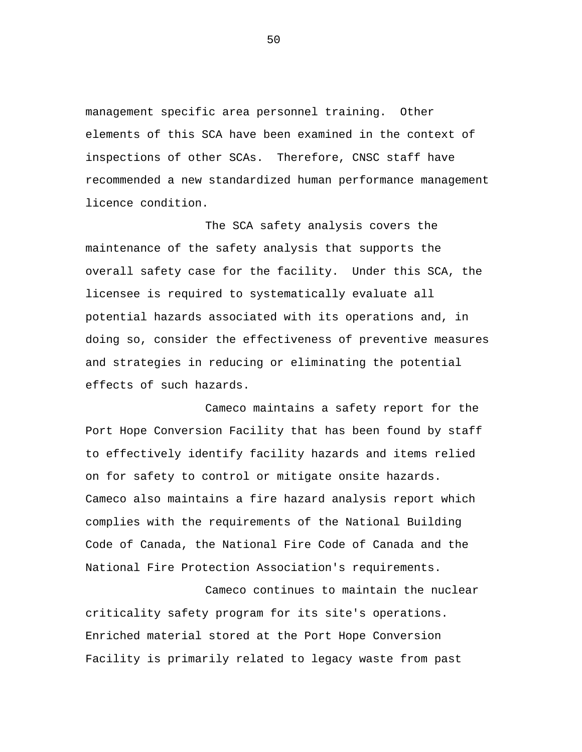management specific area personnel training. Other elements of this SCA have been examined in the context of inspections of other SCAs. Therefore, CNSC staff have recommended a new standardized human performance management licence condition.

The SCA safety analysis covers the maintenance of the safety analysis that supports the overall safety case for the facility. Under this SCA, the licensee is required to systematically evaluate all potential hazards associated with its operations and, in doing so, consider the effectiveness of preventive measures and strategies in reducing or eliminating the potential effects of such hazards.

Cameco maintains a safety report for the Port Hope Conversion Facility that has been found by staff to effectively identify facility hazards and items relied on for safety to control or mitigate onsite hazards. Cameco also maintains a fire hazard analysis report which complies with the requirements of the National Building Code of Canada, the National Fire Code of Canada and the National Fire Protection Association's requirements.

Cameco continues to maintain the nuclear criticality safety program for its site's operations. Enriched material stored at the Port Hope Conversion Facility is primarily related to legacy waste from past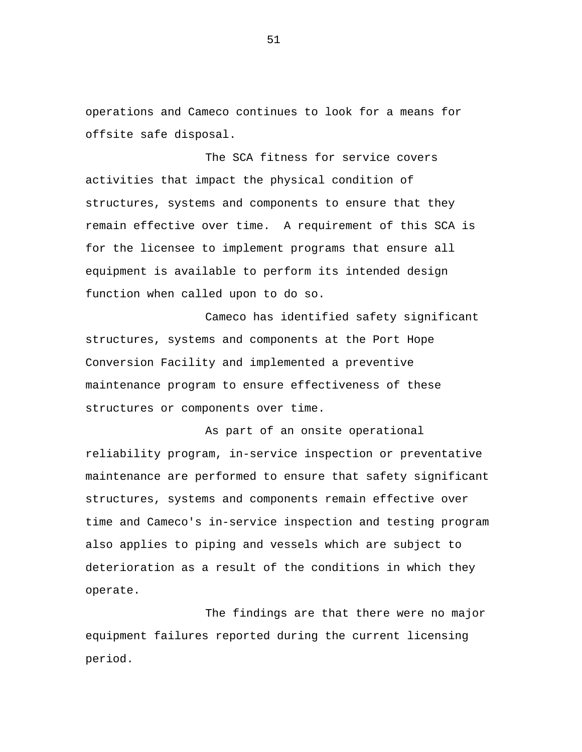operations and Cameco continues to look for a means for offsite safe disposal.

The SCA fitness for service covers activities that impact the physical condition of structures, systems and components to ensure that they remain effective over time. A requirement of this SCA is for the licensee to implement programs that ensure all equipment is available to perform its intended design function when called upon to do so.

Cameco has identified safety significant structures, systems and components at the Port Hope Conversion Facility and implemented a preventive maintenance program to ensure effectiveness of these structures or components over time.

As part of an onsite operational reliability program, in-service inspection or preventative maintenance are performed to ensure that safety significant structures, systems and components remain effective over time and Cameco's in-service inspection and testing program also applies to piping and vessels which are subject to deterioration as a result of the conditions in which they operate.

The findings are that there were no major equipment failures reported during the current licensing period.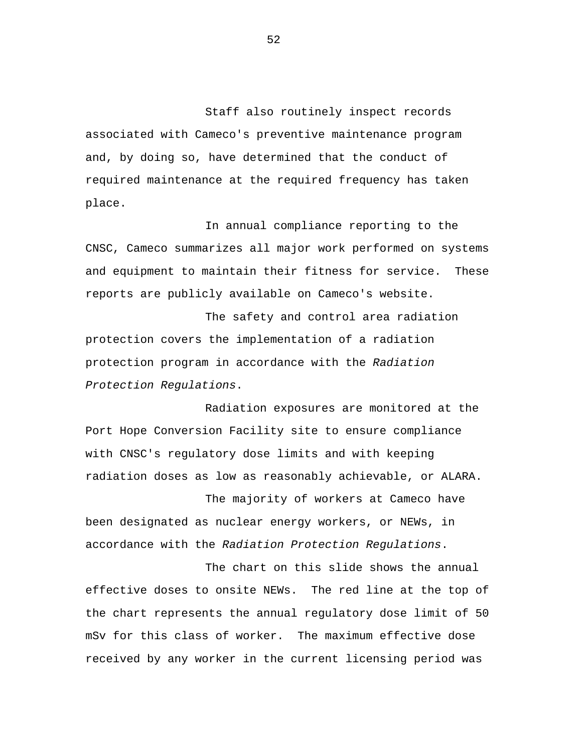Staff also routinely inspect records associated with Cameco's preventive maintenance program and, by doing so, have determined that the conduct of required maintenance at the required frequency has taken place.

In annual compliance reporting to the CNSC, Cameco summarizes all major work performed on systems and equipment to maintain their fitness for service. These reports are publicly available on Cameco's website.

The safety and control area radiation protection covers the implementation of a radiation protection program in accordance with the *Radiation Protection Regulations*.

Radiation exposures are monitored at the Port Hope Conversion Facility site to ensure compliance with CNSC's regulatory dose limits and with keeping radiation doses as low as reasonably achievable, or ALARA.

The majority of workers at Cameco have been designated as nuclear energy workers, or NEWs, in accordance with the *Radiation Protection Regulations*.

The chart on this slide shows the annual effective doses to onsite NEWs. The red line at the top of the chart represents the annual regulatory dose limit of 50 mSv for this class of worker. The maximum effective dose received by any worker in the current licensing period was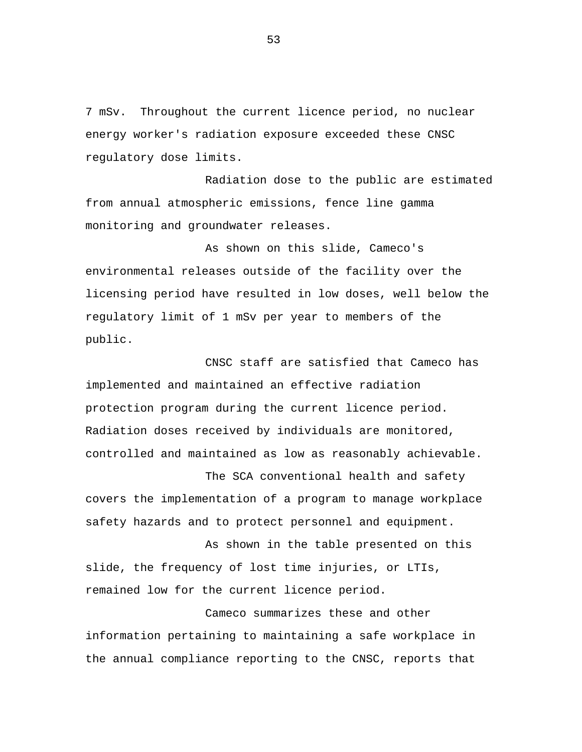7 mSv. Throughout the current licence period, no nuclear energy worker's radiation exposure exceeded these CNSC regulatory dose limits.

Radiation dose to the public are estimated from annual atmospheric emissions, fence line gamma monitoring and groundwater releases.

As shown on this slide, Cameco's environmental releases outside of the facility over the licensing period have resulted in low doses, well below the regulatory limit of 1 mSv per year to members of the public.

CNSC staff are satisfied that Cameco has implemented and maintained an effective radiation protection program during the current licence period. Radiation doses received by individuals are monitored, controlled and maintained as low as reasonably achievable.

The SCA conventional health and safety covers the implementation of a program to manage workplace safety hazards and to protect personnel and equipment.

As shown in the table presented on this slide, the frequency of lost time injuries, or LTIs, remained low for the current licence period.

Cameco summarizes these and other information pertaining to maintaining a safe workplace in the annual compliance reporting to the CNSC, reports that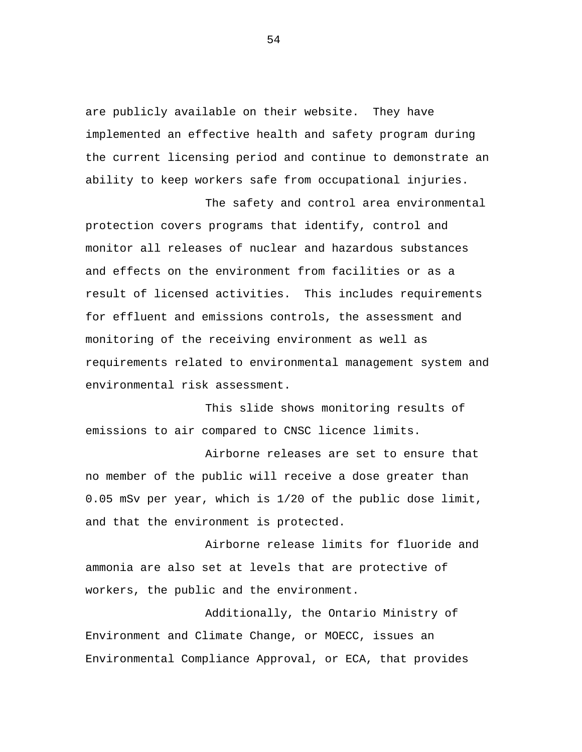are publicly available on their website. They have implemented an effective health and safety program during the current licensing period and continue to demonstrate an ability to keep workers safe from occupational injuries.

The safety and control area environmental protection covers programs that identify, control and monitor all releases of nuclear and hazardous substances and effects on the environment from facilities or as a result of licensed activities. This includes requirements for effluent and emissions controls, the assessment and monitoring of the receiving environment as well as requirements related to environmental management system and environmental risk assessment.

This slide shows monitoring results of emissions to air compared to CNSC licence limits.

Airborne releases are set to ensure that no member of the public will receive a dose greater than 0.05 mSv per year, which is 1/20 of the public dose limit, and that the environment is protected.

Airborne release limits for fluoride and ammonia are also set at levels that are protective of workers, the public and the environment.

Additionally, the Ontario Ministry of Environment and Climate Change, or MOECC, issues an Environmental Compliance Approval, or ECA, that provides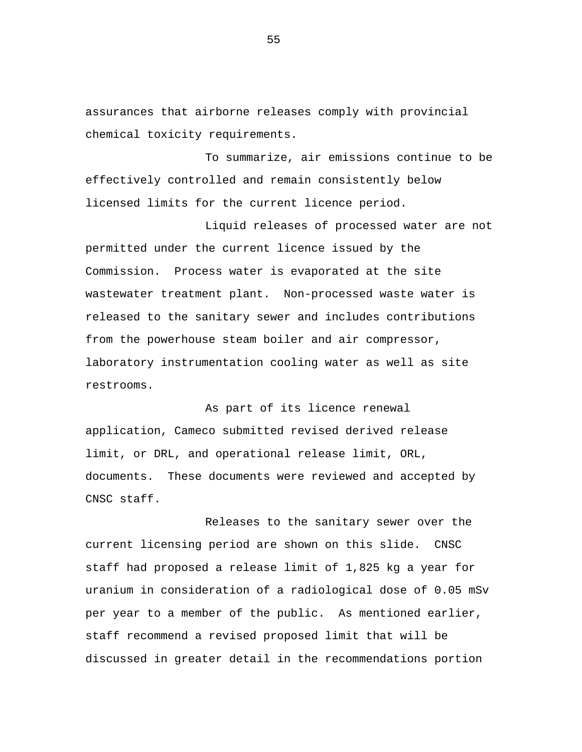assurances that airborne releases comply with provincial chemical toxicity requirements.

To summarize, air emissions continue to be effectively controlled and remain consistently below licensed limits for the current licence period.

Liquid releases of processed water are not permitted under the current licence issued by the Commission. Process water is evaporated at the site wastewater treatment plant. Non-processed waste water is released to the sanitary sewer and includes contributions from the powerhouse steam boiler and air compressor, laboratory instrumentation cooling water as well as site restrooms.

As part of its licence renewal application, Cameco submitted revised derived release limit, or DRL, and operational release limit, ORL, documents. These documents were reviewed and accepted by CNSC staff.

Releases to the sanitary sewer over the current licensing period are shown on this slide. CNSC staff had proposed a release limit of 1,825 kg a year for uranium in consideration of a radiological dose of 0.05 mSv per year to a member of the public. As mentioned earlier, staff recommend a revised proposed limit that will be discussed in greater detail in the recommendations portion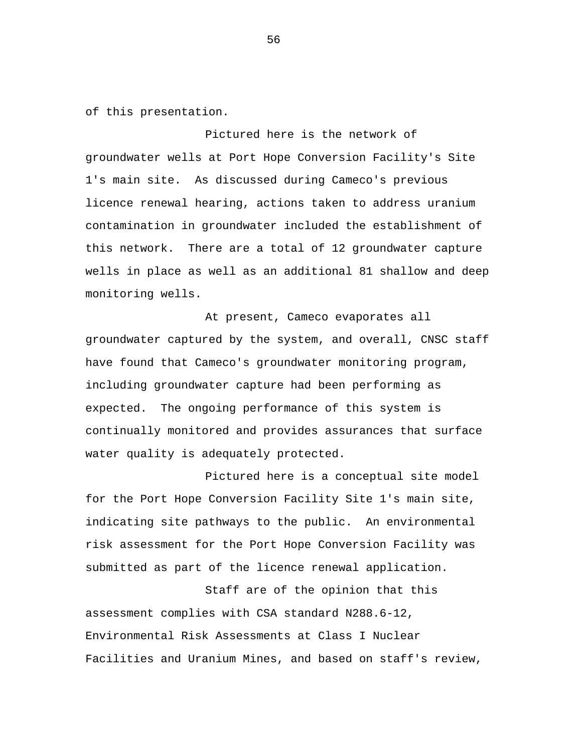of this presentation.

Pictured here is the network of groundwater wells at Port Hope Conversion Facility's Site 1's main site. As discussed during Cameco's previous licence renewal hearing, actions taken to address uranium contamination in groundwater included the establishment of this network. There are a total of 12 groundwater capture wells in place as well as an additional 81 shallow and deep monitoring wells.

At present, Cameco evaporates all groundwater captured by the system, and overall, CNSC staff have found that Cameco's groundwater monitoring program, including groundwater capture had been performing as expected. The ongoing performance of this system is continually monitored and provides assurances that surface water quality is adequately protected.

Pictured here is a conceptual site model for the Port Hope Conversion Facility Site 1's main site, indicating site pathways to the public. An environmental risk assessment for the Port Hope Conversion Facility was submitted as part of the licence renewal application.

Staff are of the opinion that this assessment complies with CSA standard N288.6-12, Environmental Risk Assessments at Class I Nuclear Facilities and Uranium Mines, and based on staff's review,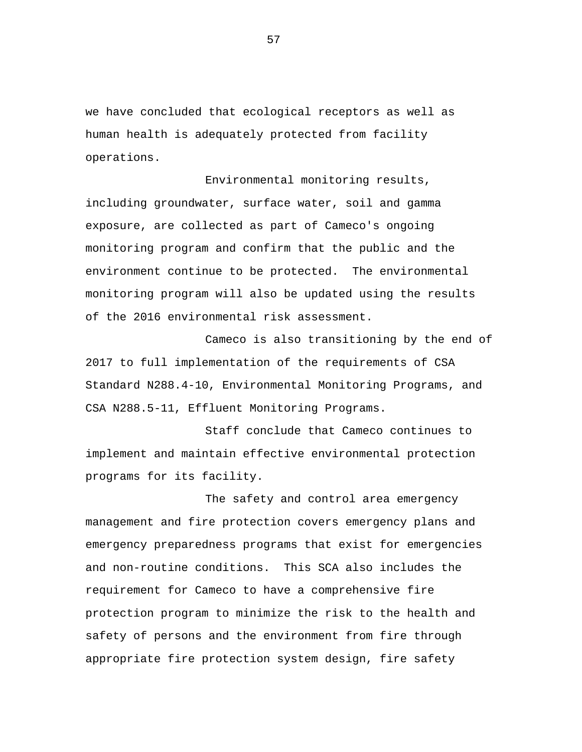we have concluded that ecological receptors as well as human health is adequately protected from facility operations.

Environmental monitoring results, including groundwater, surface water, soil and gamma exposure, are collected as part of Cameco's ongoing monitoring program and confirm that the public and the environment continue to be protected. The environmental monitoring program will also be updated using the results of the 2016 environmental risk assessment.

Cameco is also transitioning by the end of 2017 to full implementation of the requirements of CSA Standard N288.4-10, Environmental Monitoring Programs, and CSA N288.5-11, Effluent Monitoring Programs.

Staff conclude that Cameco continues to implement and maintain effective environmental protection programs for its facility.

The safety and control area emergency management and fire protection covers emergency plans and emergency preparedness programs that exist for emergencies and non-routine conditions. This SCA also includes the requirement for Cameco to have a comprehensive fire protection program to minimize the risk to the health and safety of persons and the environment from fire through appropriate fire protection system design, fire safety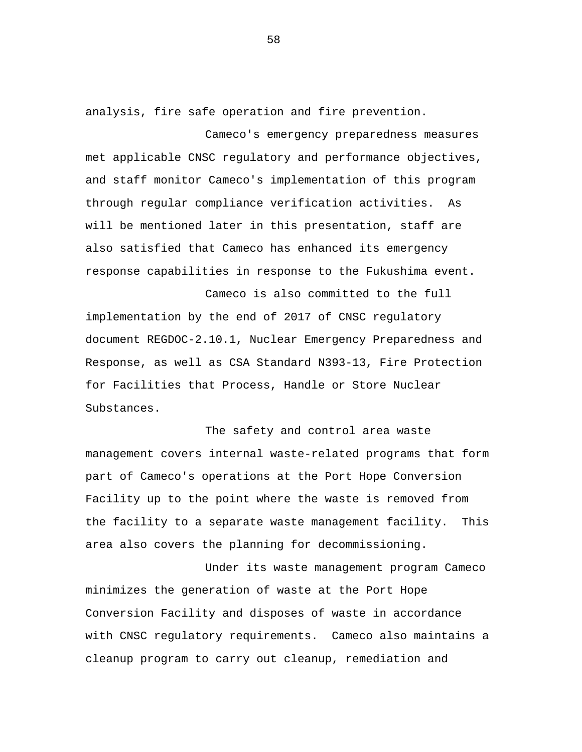analysis, fire safe operation and fire prevention.

Cameco's emergency preparedness measures met applicable CNSC regulatory and performance objectives, and staff monitor Cameco's implementation of this program through regular compliance verification activities. As will be mentioned later in this presentation, staff are also satisfied that Cameco has enhanced its emergency response capabilities in response to the Fukushima event.

Cameco is also committed to the full implementation by the end of 2017 of CNSC regulatory document REGDOC-2.10.1, Nuclear Emergency Preparedness and Response, as well as CSA Standard N393-13, Fire Protection for Facilities that Process, Handle or Store Nuclear Substances.

The safety and control area waste management covers internal waste-related programs that form part of Cameco's operations at the Port Hope Conversion Facility up to the point where the waste is removed from the facility to a separate waste management facility. This area also covers the planning for decommissioning.

Under its waste management program Cameco minimizes the generation of waste at the Port Hope Conversion Facility and disposes of waste in accordance with CNSC regulatory requirements. Cameco also maintains a cleanup program to carry out cleanup, remediation and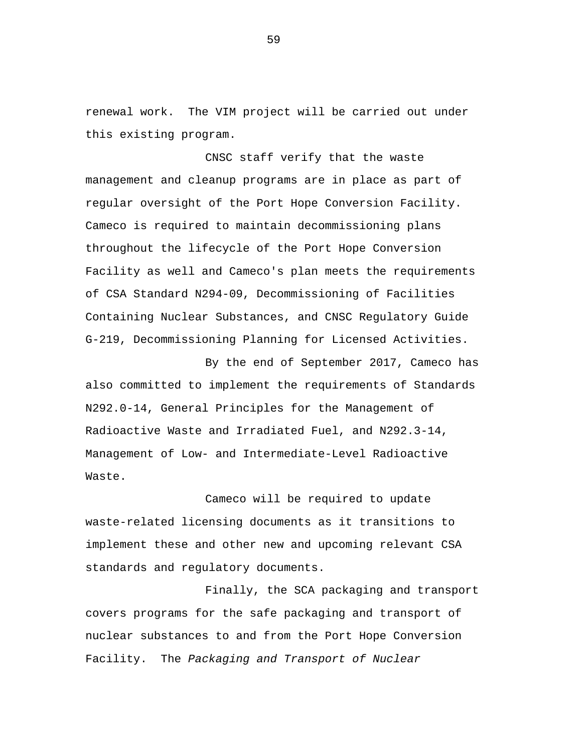renewal work. The VIM project will be carried out under this existing program.

CNSC staff verify that the waste management and cleanup programs are in place as part of regular oversight of the Port Hope Conversion Facility. Cameco is required to maintain decommissioning plans throughout the lifecycle of the Port Hope Conversion Facility as well and Cameco's plan meets the requirements of CSA Standard N294-09, Decommissioning of Facilities Containing Nuclear Substances, and CNSC Regulatory Guide G-219, Decommissioning Planning for Licensed Activities.

By the end of September 2017, Cameco has also committed to implement the requirements of Standards N292.0-14, General Principles for the Management of Radioactive Waste and Irradiated Fuel, and N292.3-14, Management of Low- and Intermediate-Level Radioactive Waste.

Cameco will be required to update waste-related licensing documents as it transitions to implement these and other new and upcoming relevant CSA standards and regulatory documents.

Finally, the SCA packaging and transport covers programs for the safe packaging and transport of nuclear substances to and from the Port Hope Conversion Facility. The *Packaging and Transport of Nuclear*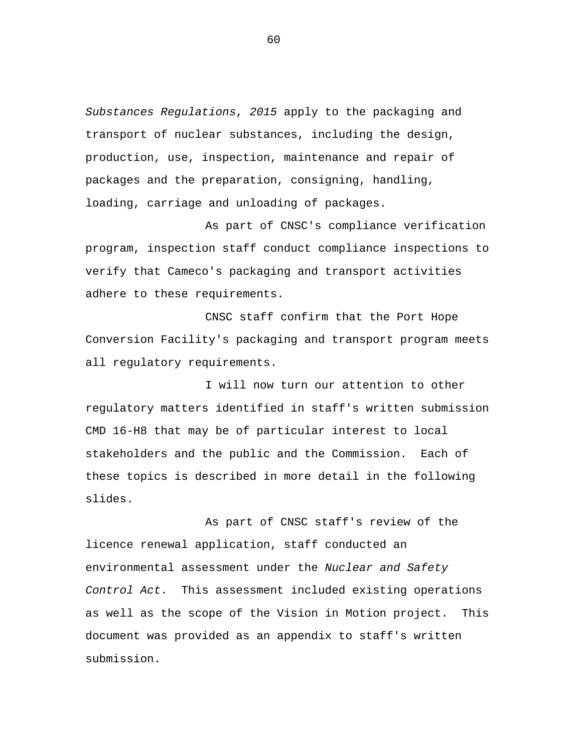*Substances Regulations*, *2015* apply to the packaging and transport of nuclear substances, including the design, production, use, inspection, maintenance and repair of packages and the preparation, consigning, handling, loading, carriage and unloading of packages.

As part of CNSC's compliance verification program, inspection staff conduct compliance inspections to verify that Cameco's packaging and transport activities adhere to these requirements.

CNSC staff confirm that the Port Hope Conversion Facility's packaging and transport program meets all regulatory requirements.

I will now turn our attention to other regulatory matters identified in staff's written submission CMD 16-H8 that may be of particular interest to local stakeholders and the public and the Commission. Each of these topics is described in more detail in the following slides.

As part of CNSC staff's review of the licence renewal application, staff conducted an environmental assessment under the *Nuclear and Safety Control Act*. This assessment included existing operations as well as the scope of the Vision in Motion project. This document was provided as an appendix to staff's written submission.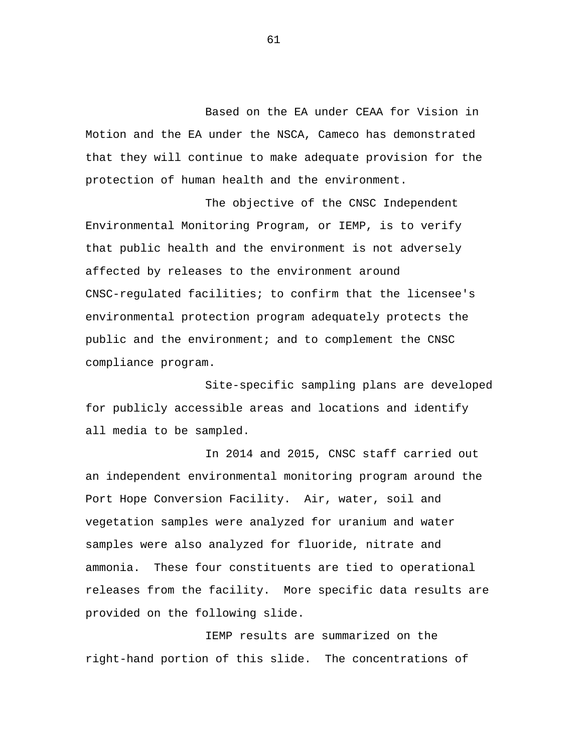Based on the EA under CEAA for Vision in Motion and the EA under the NSCA, Cameco has demonstrated that they will continue to make adequate provision for the protection of human health and the environment.

The objective of the CNSC Independent Environmental Monitoring Program, or IEMP, is to verify that public health and the environment is not adversely affected by releases to the environment around CNSC-regulated facilities; to confirm that the licensee's environmental protection program adequately protects the public and the environment; and to complement the CNSC compliance program.

Site-specific sampling plans are developed for publicly accessible areas and locations and identify all media to be sampled.

In 2014 and 2015, CNSC staff carried out an independent environmental monitoring program around the Port Hope Conversion Facility. Air, water, soil and vegetation samples were analyzed for uranium and water samples were also analyzed for fluoride, nitrate and ammonia. These four constituents are tied to operational releases from the facility. More specific data results are provided on the following slide.

IEMP results are summarized on the right-hand portion of this slide. The concentrations of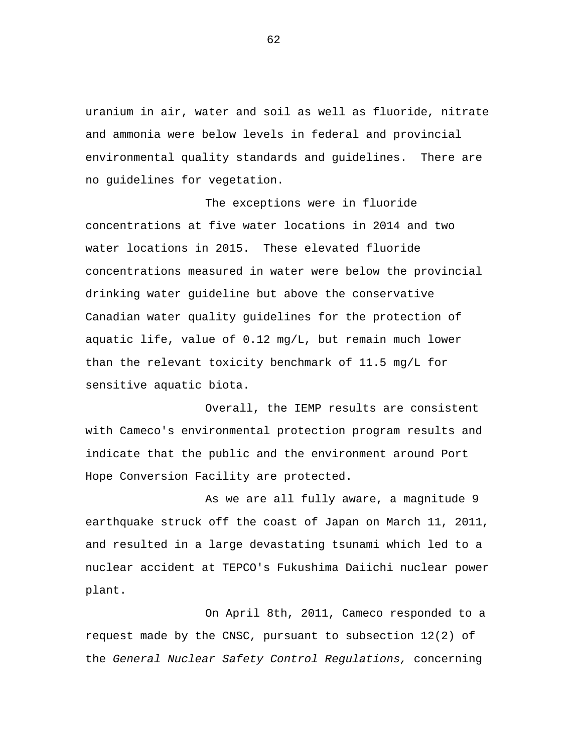uranium in air, water and soil as well as fluoride, nitrate and ammonia were below levels in federal and provincial environmental quality standards and guidelines. There are no guidelines for vegetation.

The exceptions were in fluoride concentrations at five water locations in 2014 and two water locations in 2015. These elevated fluoride concentrations measured in water were below the provincial drinking water guideline but above the conservative Canadian water quality guidelines for the protection of aquatic life, value of 0.12 mg/L, but remain much lower than the relevant toxicity benchmark of 11.5 mg/L for sensitive aquatic biota.

Overall, the IEMP results are consistent with Cameco's environmental protection program results and indicate that the public and the environment around Port Hope Conversion Facility are protected.

As we are all fully aware, a magnitude 9 earthquake struck off the coast of Japan on March 11, 2011, and resulted in a large devastating tsunami which led to a nuclear accident at TEPCO's Fukushima Daiichi nuclear power plant.

On April 8th, 2011, Cameco responded to a request made by the CNSC, pursuant to subsection 12(2) of the *General Nuclear Safety Control Regulations,* concerning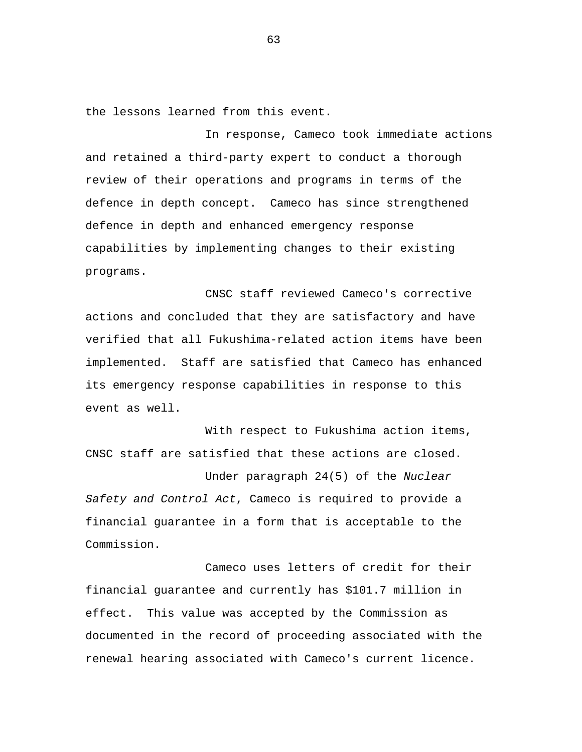the lessons learned from this event.

In response, Cameco took immediate actions and retained a third-party expert to conduct a thorough review of their operations and programs in terms of the defence in depth concept. Cameco has since strengthened defence in depth and enhanced emergency response capabilities by implementing changes to their existing programs.

CNSC staff reviewed Cameco's corrective actions and concluded that they are satisfactory and have verified that all Fukushima-related action items have been implemented. Staff are satisfied that Cameco has enhanced its emergency response capabilities in response to this event as well.

With respect to Fukushima action items, CNSC staff are satisfied that these actions are closed.

Under paragraph 24(5) of the *Nuclear Safety and Control Act*, Cameco is required to provide a financial guarantee in a form that is acceptable to the Commission.

Cameco uses letters of credit for their financial guarantee and currently has \$101.7 million in effect. This value was accepted by the Commission as documented in the record of proceeding associated with the renewal hearing associated with Cameco's current licence.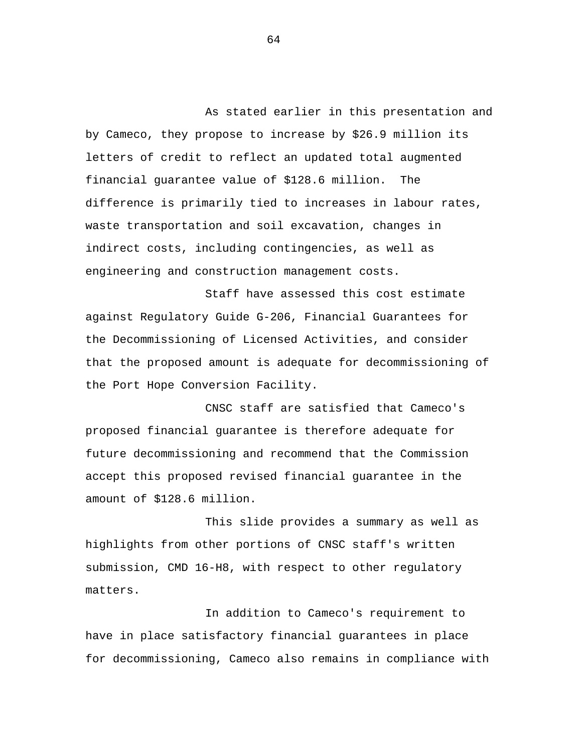As stated earlier in this presentation and by Cameco, they propose to increase by \$26.9 million its letters of credit to reflect an updated total augmented financial guarantee value of \$128.6 million. The difference is primarily tied to increases in labour rates, waste transportation and soil excavation, changes in indirect costs, including contingencies, as well as engineering and construction management costs.

Staff have assessed this cost estimate against Regulatory Guide G-206, Financial Guarantees for the Decommissioning of Licensed Activities, and consider that the proposed amount is adequate for decommissioning of the Port Hope Conversion Facility.

CNSC staff are satisfied that Cameco's proposed financial guarantee is therefore adequate for future decommissioning and recommend that the Commission accept this proposed revised financial guarantee in the amount of \$128.6 million.

This slide provides a summary as well as highlights from other portions of CNSC staff's written submission, CMD 16-H8, with respect to other regulatory matters.

In addition to Cameco's requirement to have in place satisfactory financial guarantees in place for decommissioning, Cameco also remains in compliance with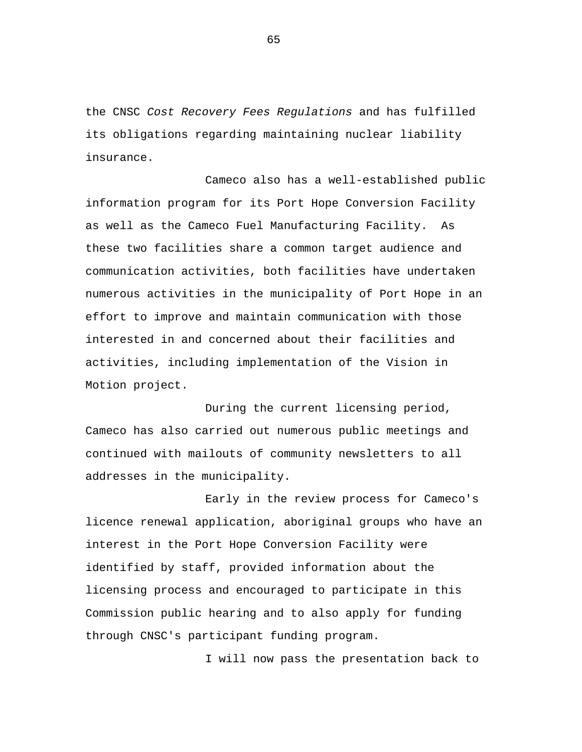the CNSC *Cost Recovery Fees Regulations* and has fulfilled its obligations regarding maintaining nuclear liability insurance.

Cameco also has a well-established public information program for its Port Hope Conversion Facility as well as the Cameco Fuel Manufacturing Facility. As these two facilities share a common target audience and communication activities, both facilities have undertaken numerous activities in the municipality of Port Hope in an effort to improve and maintain communication with those interested in and concerned about their facilities and activities, including implementation of the Vision in Motion project.

During the current licensing period, Cameco has also carried out numerous public meetings and continued with mailouts of community newsletters to all addresses in the municipality.

Early in the review process for Cameco's licence renewal application, aboriginal groups who have an interest in the Port Hope Conversion Facility were identified by staff, provided information about the licensing process and encouraged to participate in this Commission public hearing and to also apply for funding through CNSC's participant funding program.

I will now pass the presentation back to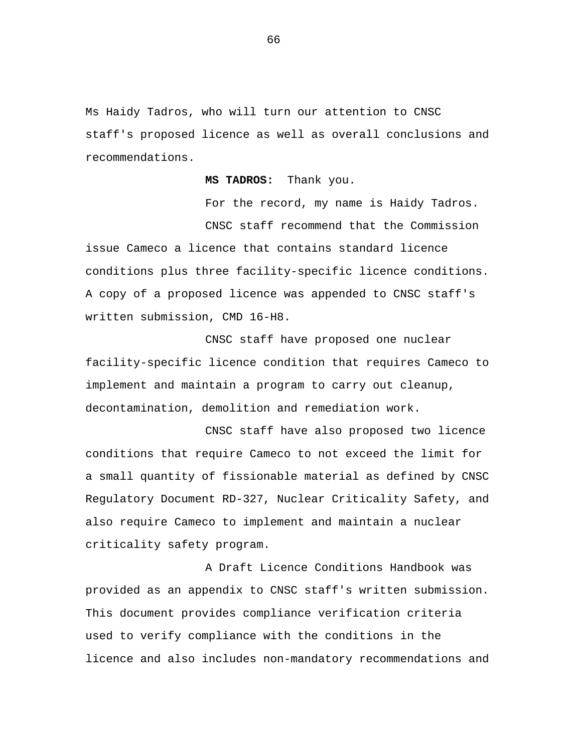Ms Haidy Tadros, who will turn our attention to CNSC staff's proposed licence as well as overall conclusions and recommendations.

**MS TADROS:** Thank you.

For the record, my name is Haidy Tadros. CNSC staff recommend that the Commission issue Cameco a licence that contains standard licence conditions plus three facility-specific licence conditions. A copy of a proposed licence was appended to CNSC staff's written submission, CMD 16-H8.

CNSC staff have proposed one nuclear facility-specific licence condition that requires Cameco to implement and maintain a program to carry out cleanup, decontamination, demolition and remediation work.

CNSC staff have also proposed two licence conditions that require Cameco to not exceed the limit for a small quantity of fissionable material as defined by CNSC Regulatory Document RD-327, Nuclear Criticality Safety, and also require Cameco to implement and maintain a nuclear criticality safety program.

A Draft Licence Conditions Handbook was provided as an appendix to CNSC staff's written submission. This document provides compliance verification criteria used to verify compliance with the conditions in the licence and also includes non-mandatory recommendations and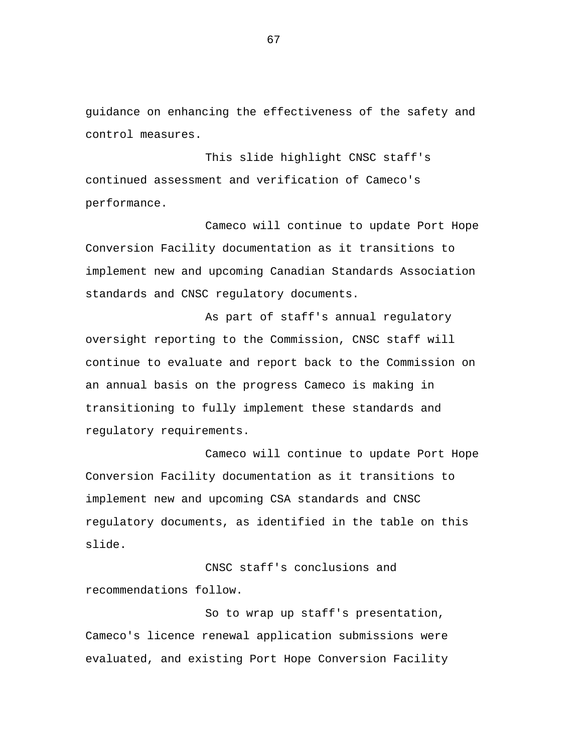guidance on enhancing the effectiveness of the safety and control measures.

This slide highlight CNSC staff's continued assessment and verification of Cameco's performance.

Cameco will continue to update Port Hope Conversion Facility documentation as it transitions to implement new and upcoming Canadian Standards Association standards and CNSC regulatory documents.

As part of staff's annual regulatory oversight reporting to the Commission, CNSC staff will continue to evaluate and report back to the Commission on an annual basis on the progress Cameco is making in transitioning to fully implement these standards and regulatory requirements.

Cameco will continue to update Port Hope Conversion Facility documentation as it transitions to implement new and upcoming CSA standards and CNSC regulatory documents, as identified in the table on this slide.

CNSC staff's conclusions and recommendations follow.

So to wrap up staff's presentation, Cameco's licence renewal application submissions were evaluated, and existing Port Hope Conversion Facility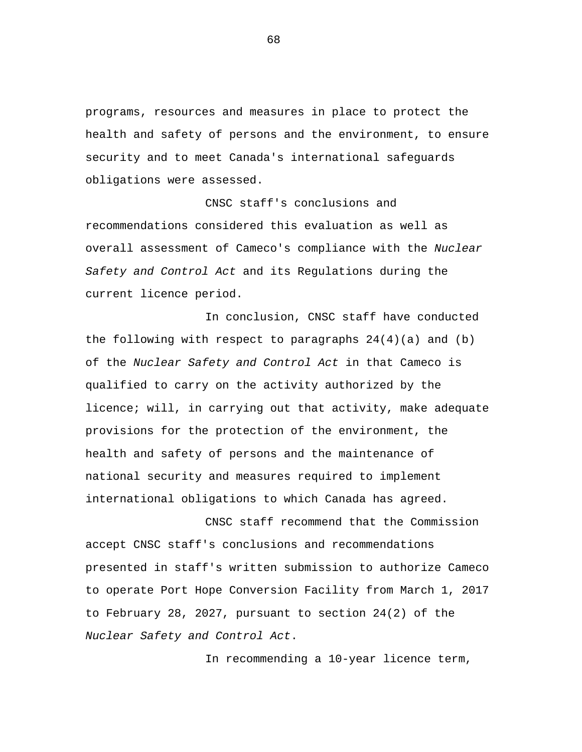programs, resources and measures in place to protect the health and safety of persons and the environment, to ensure security and to meet Canada's international safeguards obligations were assessed.

CNSC staff's conclusions and recommendations considered this evaluation as well as overall assessment of Cameco's compliance with the *Nuclear Safety and Control Act* and its Regulations during the current licence period.

In conclusion, CNSC staff have conducted the following with respect to paragraphs  $24(4)(a)$  and  $(b)$ of the *Nuclear Safety and Control Act* in that Cameco is qualified to carry on the activity authorized by the licence; will, in carrying out that activity, make adequate provisions for the protection of the environment, the health and safety of persons and the maintenance of national security and measures required to implement international obligations to which Canada has agreed.

CNSC staff recommend that the Commission accept CNSC staff's conclusions and recommendations presented in staff's written submission to authorize Cameco to operate Port Hope Conversion Facility from March 1, 2017 to February 28, 2027, pursuant to section 24(2) of the *Nuclear Safety and Control Act*.

In recommending a 10-year licence term,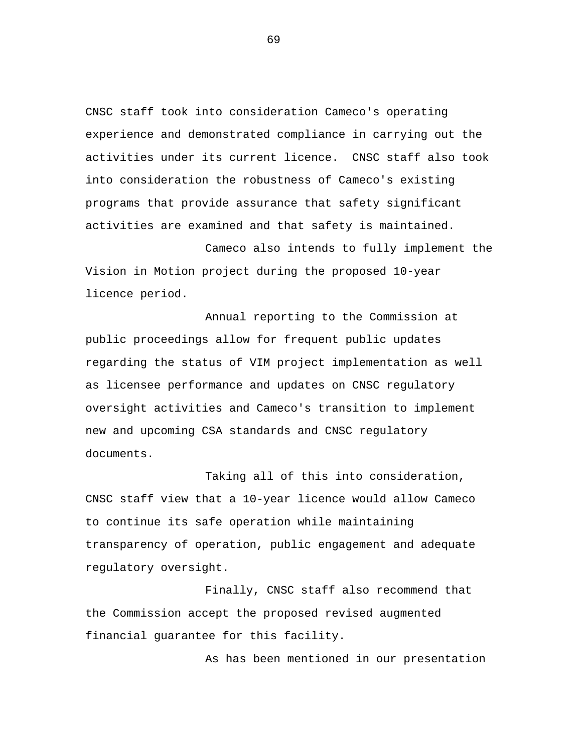CNSC staff took into consideration Cameco's operating experience and demonstrated compliance in carrying out the activities under its current licence. CNSC staff also took into consideration the robustness of Cameco's existing programs that provide assurance that safety significant activities are examined and that safety is maintained.

Cameco also intends to fully implement the Vision in Motion project during the proposed 10-year licence period.

Annual reporting to the Commission at public proceedings allow for frequent public updates regarding the status of VIM project implementation as well as licensee performance and updates on CNSC regulatory oversight activities and Cameco's transition to implement new and upcoming CSA standards and CNSC regulatory documents.

Taking all of this into consideration, CNSC staff view that a 10-year licence would allow Cameco to continue its safe operation while maintaining transparency of operation, public engagement and adequate regulatory oversight.

Finally, CNSC staff also recommend that the Commission accept the proposed revised augmented financial guarantee for this facility.

As has been mentioned in our presentation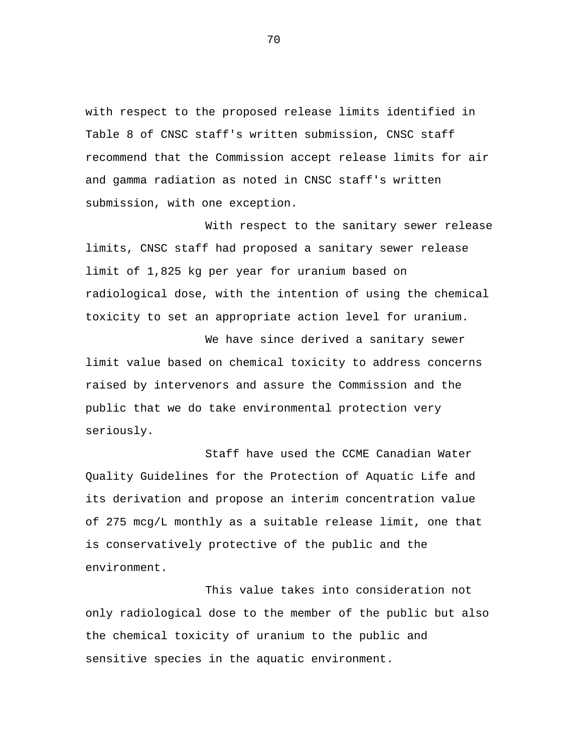with respect to the proposed release limits identified in Table 8 of CNSC staff's written submission, CNSC staff recommend that the Commission accept release limits for air and gamma radiation as noted in CNSC staff's written submission, with one exception.

With respect to the sanitary sewer release limits, CNSC staff had proposed a sanitary sewer release limit of 1,825 kg per year for uranium based on radiological dose, with the intention of using the chemical toxicity to set an appropriate action level for uranium.

We have since derived a sanitary sewer limit value based on chemical toxicity to address concerns raised by intervenors and assure the Commission and the public that we do take environmental protection very seriously.

Staff have used the CCME Canadian Water Quality Guidelines for the Protection of Aquatic Life and its derivation and propose an interim concentration value of 275 mcg/L monthly as a suitable release limit, one that is conservatively protective of the public and the environment.

This value takes into consideration not only radiological dose to the member of the public but also the chemical toxicity of uranium to the public and sensitive species in the aquatic environment.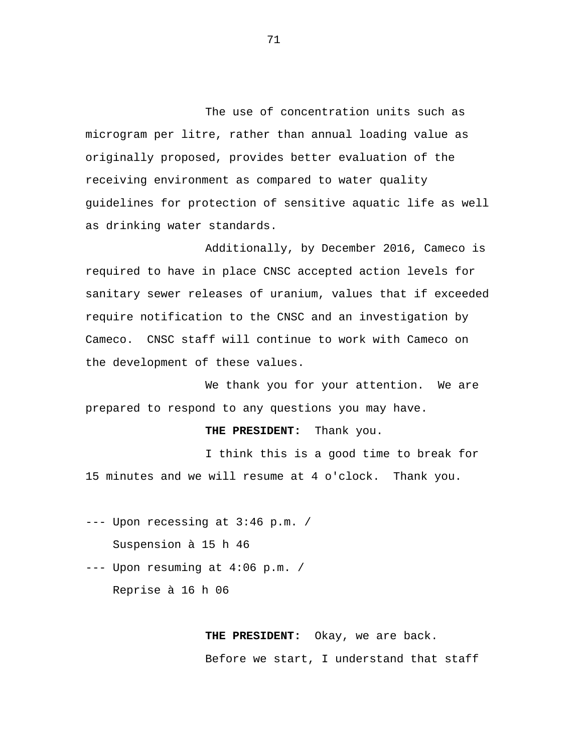The use of concentration units such as microgram per litre, rather than annual loading value as originally proposed, provides better evaluation of the receiving environment as compared to water quality guidelines for protection of sensitive aquatic life as well as drinking water standards.

Additionally, by December 2016, Cameco is required to have in place CNSC accepted action levels for sanitary sewer releases of uranium, values that if exceeded require notification to the CNSC and an investigation by Cameco. CNSC staff will continue to work with Cameco on the development of these values.

We thank you for your attention. We are prepared to respond to any questions you may have.

## **THE PRESIDENT:** Thank you.

I think this is a good time to break for 15 minutes and we will resume at 4 o'clock. Thank you.

- --- Upon recessing at 3:46 p.m. / Suspension à 15 h 46
- --- Upon resuming at 4:06 p.m. /

Reprise à 16 h 06

**THE PRESIDENT:** Okay, we are back. Before we start, I understand that staff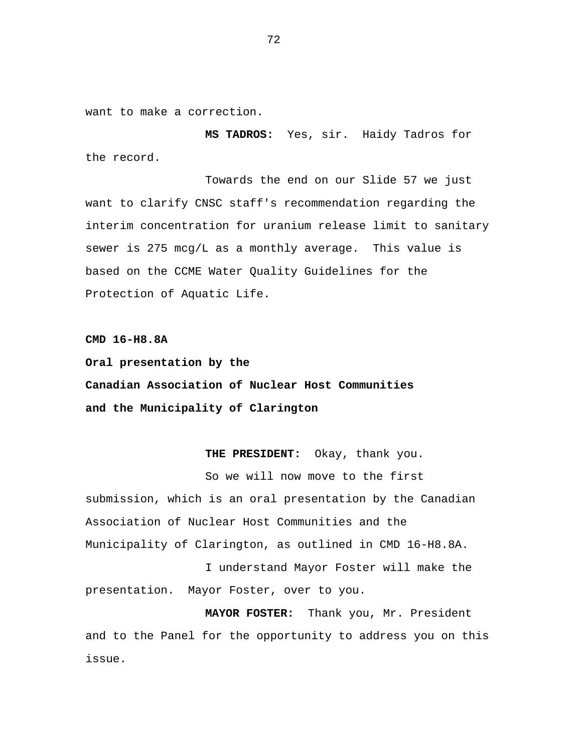want to make a correction.

**MS TADROS:** Yes, sir. Haidy Tadros for the record.

Towards the end on our Slide 57 we just want to clarify CNSC staff's recommendation regarding the interim concentration for uranium release limit to sanitary sewer is 275 mcg/L as a monthly average. This value is based on the CCME Water Quality Guidelines for the Protection of Aquatic Life.

**CMD 16-H8.8A** 

**Oral presentation by the** 

**Canadian Association of Nuclear Host Communities and the Municipality of Clarington** 

**THE PRESIDENT:** Okay, thank you.

So we will now move to the first submission, which is an oral presentation by the Canadian Association of Nuclear Host Communities and the Municipality of Clarington, as outlined in CMD 16-H8.8A.

I understand Mayor Foster will make the presentation. Mayor Foster, over to you.

**MAYOR FOSTER:** Thank you, Mr. President and to the Panel for the opportunity to address you on this issue.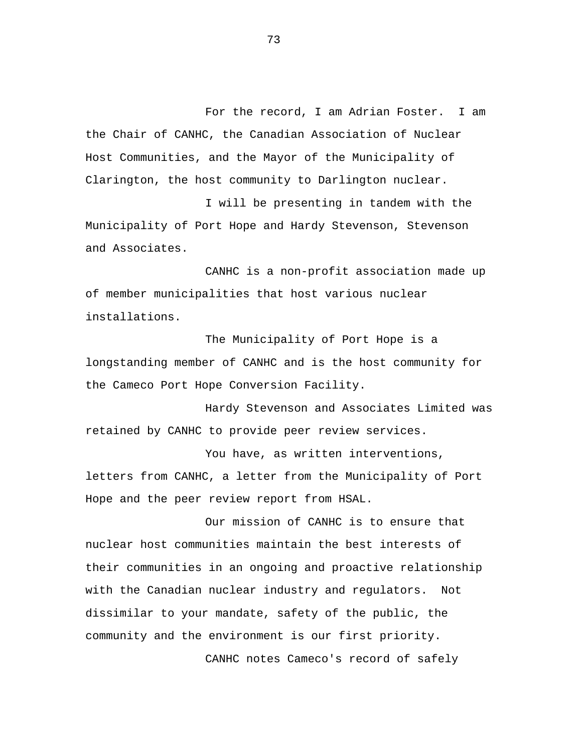For the record, I am Adrian Foster. I am the Chair of CANHC, the Canadian Association of Nuclear Host Communities, and the Mayor of the Municipality of Clarington, the host community to Darlington nuclear.

I will be presenting in tandem with the Municipality of Port Hope and Hardy Stevenson, Stevenson and Associates.

CANHC is a non-profit association made up of member municipalities that host various nuclear installations.

The Municipality of Port Hope is a longstanding member of CANHC and is the host community for the Cameco Port Hope Conversion Facility.

Hardy Stevenson and Associates Limited was retained by CANHC to provide peer review services.

You have, as written interventions, letters from CANHC, a letter from the Municipality of Port Hope and the peer review report from HSAL.

Our mission of CANHC is to ensure that nuclear host communities maintain the best interests of their communities in an ongoing and proactive relationship with the Canadian nuclear industry and regulators. Not dissimilar to your mandate, safety of the public, the community and the environment is our first priority.

CANHC notes Cameco's record of safely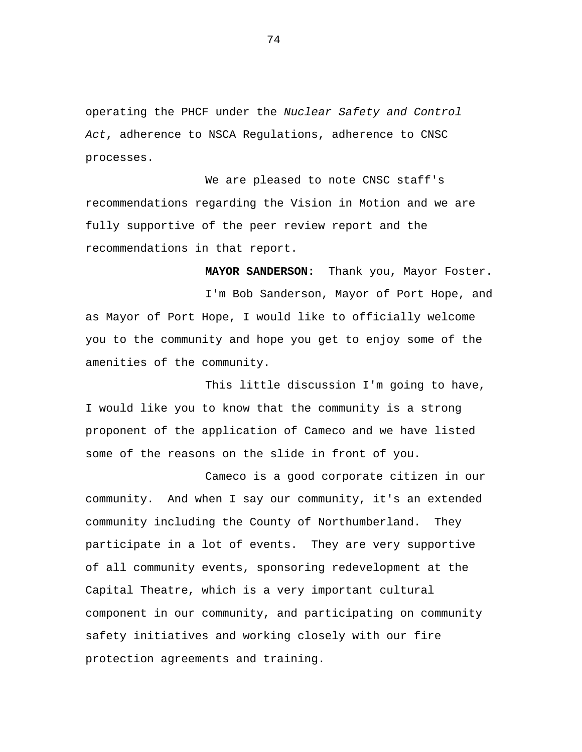operating the PHCF under the *Nuclear Safety and Control Act*, adherence to NSCA Regulations, adherence to CNSC processes.

We are pleased to note CNSC staff's recommendations regarding the Vision in Motion and we are fully supportive of the peer review report and the recommendations in that report.

**MAYOR SANDERSON:** Thank you, Mayor Foster. I'm Bob Sanderson, Mayor of Port Hope, and as Mayor of Port Hope, I would like to officially welcome you to the community and hope you get to enjoy some of the amenities of the community.

This little discussion I'm going to have, I would like you to know that the community is a strong proponent of the application of Cameco and we have listed some of the reasons on the slide in front of you.

Cameco is a good corporate citizen in our community. And when I say our community, it's an extended community including the County of Northumberland. They participate in a lot of events. They are very supportive of all community events, sponsoring redevelopment at the Capital Theatre, which is a very important cultural component in our community, and participating on community safety initiatives and working closely with our fire protection agreements and training.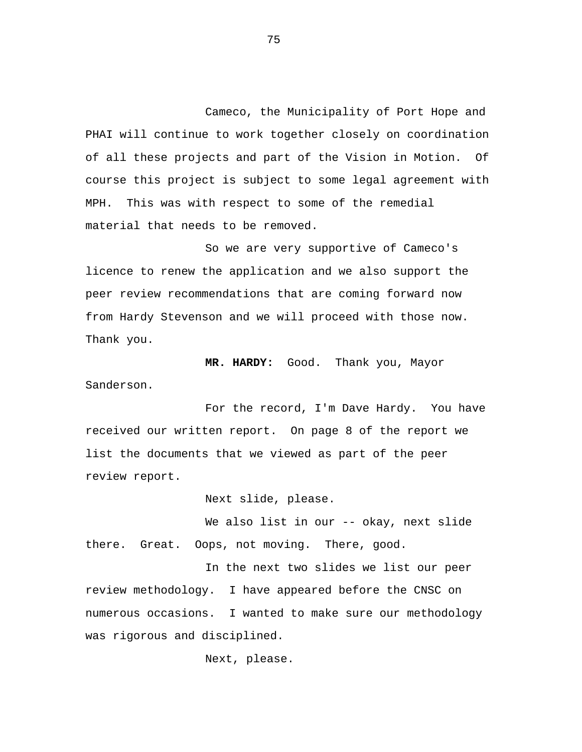Cameco, the Municipality of Port Hope and PHAI will continue to work together closely on coordination of all these projects and part of the Vision in Motion. Of course this project is subject to some legal agreement with MPH. This was with respect to some of the remedial material that needs to be removed.

So we are very supportive of Cameco's licence to renew the application and we also support the peer review recommendations that are coming forward now from Hardy Stevenson and we will proceed with those now. Thank you.

**MR. HARDY:** Good. Thank you, Mayor Sanderson.

For the record, I'm Dave Hardy. You have received our written report. On page 8 of the report we list the documents that we viewed as part of the peer review report.

Next slide, please.

We also list in our -- okay, next slide there. Great. Oops, not moving. There, good.

In the next two slides we list our peer review methodology. I have appeared before the CNSC on numerous occasions. I wanted to make sure our methodology was rigorous and disciplined.

Next, please.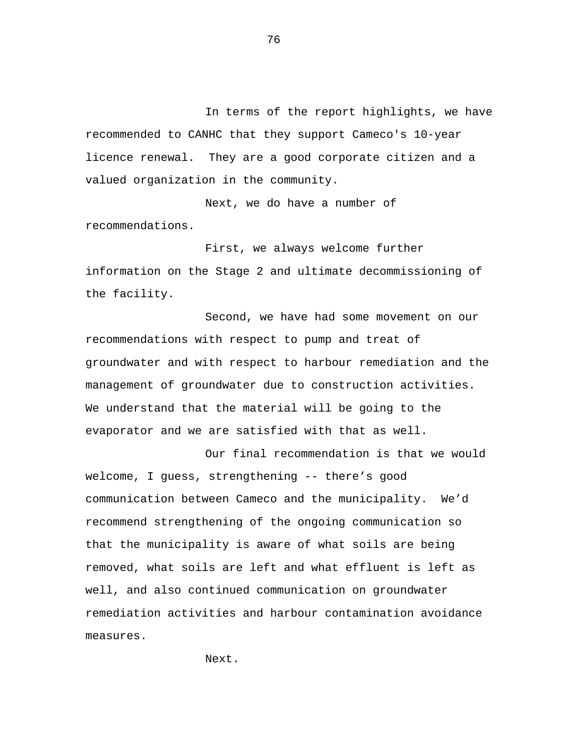In terms of the report highlights, we have recommended to CANHC that they support Cameco's 10-year licence renewal. They are a good corporate citizen and a valued organization in the community.

Next, we do have a number of recommendations.

First, we always welcome further information on the Stage 2 and ultimate decommissioning of the facility.

Second, we have had some movement on our recommendations with respect to pump and treat of groundwater and with respect to harbour remediation and the management of groundwater due to construction activities. We understand that the material will be going to the evaporator and we are satisfied with that as well.

Our final recommendation is that we would welcome, I guess, strengthening -- there's good communication between Cameco and the municipality. We'd recommend strengthening of the ongoing communication so that the municipality is aware of what soils are being removed, what soils are left and what effluent is left as well, and also continued communication on groundwater remediation activities and harbour contamination avoidance measures.

Next.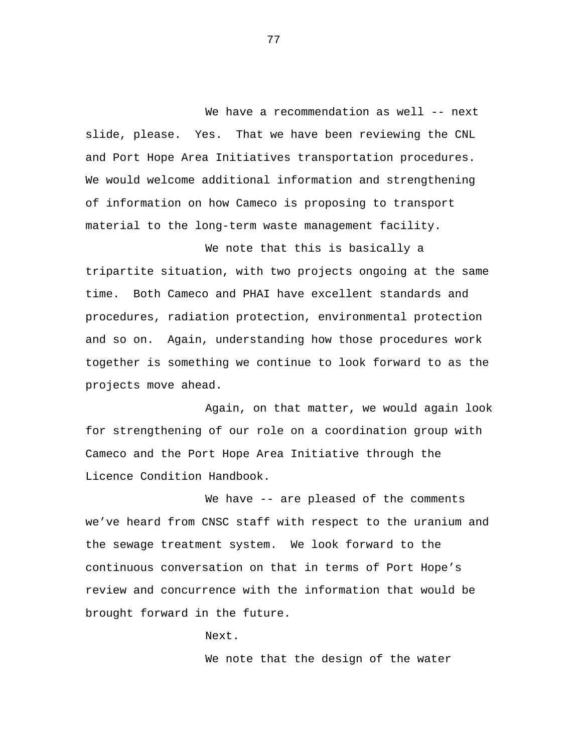We have a recommendation as well -- next slide, please. Yes. That we have been reviewing the CNL and Port Hope Area Initiatives transportation procedures. We would welcome additional information and strengthening of information on how Cameco is proposing to transport material to the long-term waste management facility.

We note that this is basically a tripartite situation, with two projects ongoing at the same time. Both Cameco and PHAI have excellent standards and procedures, radiation protection, environmental protection and so on. Again, understanding how those procedures work together is something we continue to look forward to as the projects move ahead.

Again, on that matter, we would again look for strengthening of our role on a coordination group with Cameco and the Port Hope Area Initiative through the Licence Condition Handbook.

We have -- are pleased of the comments we've heard from CNSC staff with respect to the uranium and the sewage treatment system. We look forward to the continuous conversation on that in terms of Port Hope's review and concurrence with the information that would be brought forward in the future.

Next.

We note that the design of the water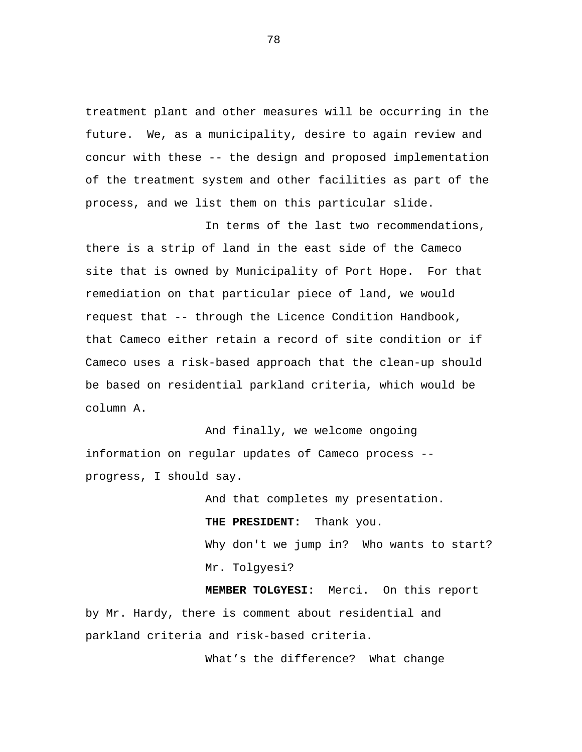treatment plant and other measures will be occurring in the future. We, as a municipality, desire to again review and concur with these -- the design and proposed implementation of the treatment system and other facilities as part of the process, and we list them on this particular slide.

In terms of the last two recommendations, there is a strip of land in the east side of the Cameco site that is owned by Municipality of Port Hope. For that remediation on that particular piece of land, we would request that -- through the Licence Condition Handbook, that Cameco either retain a record of site condition or if Cameco uses a risk-based approach that the clean-up should be based on residential parkland criteria, which would be column A.

And finally, we welcome ongoing information on regular updates of Cameco process - progress, I should say.

> And that completes my presentation. **THE PRESIDENT:** Thank you. Why don't we jump in? Who wants to start? Mr. Tolgyesi?

**MEMBER TOLGYESI:** Merci. On this report by Mr. Hardy, there is comment about residential and parkland criteria and risk-based criteria.

What's the difference? What change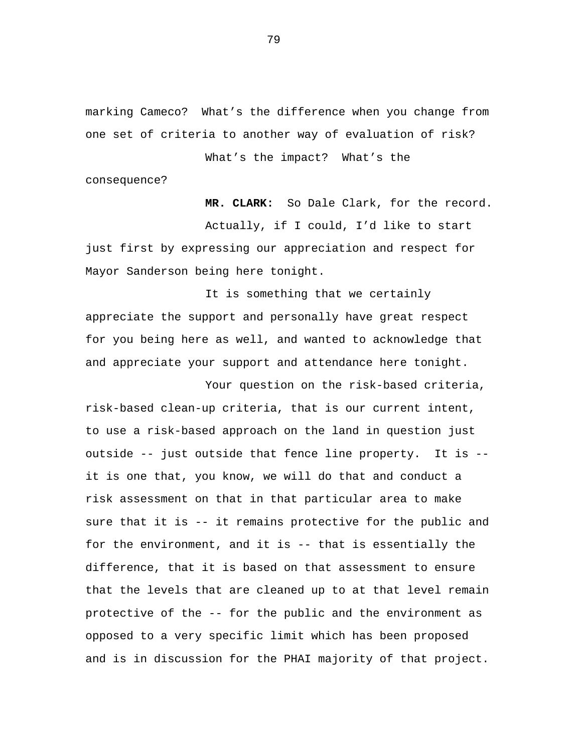marking Cameco? What's the difference when you change from one set of criteria to another way of evaluation of risk?

What's the impact? What's the consequence?

**MR. CLARK:** So Dale Clark, for the record. Actually, if I could, I'd like to start just first by expressing our appreciation and respect for Mayor Sanderson being here tonight.

It is something that we certainly appreciate the support and personally have great respect for you being here as well, and wanted to acknowledge that and appreciate your support and attendance here tonight.

Your question on the risk-based criteria, risk-based clean-up criteria, that is our current intent, to use a risk-based approach on the land in question just outside -- just outside that fence line property. It is - it is one that, you know, we will do that and conduct a risk assessment on that in that particular area to make sure that it is -- it remains protective for the public and for the environment, and it is -- that is essentially the difference, that it is based on that assessment to ensure that the levels that are cleaned up to at that level remain protective of the -- for the public and the environment as opposed to a very specific limit which has been proposed and is in discussion for the PHAI majority of that project.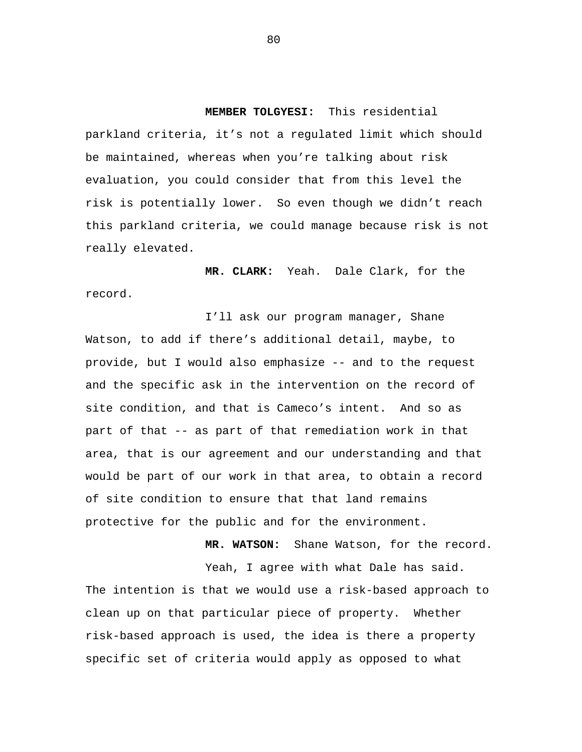**MEMBER TOLGYESI:** This residential parkland criteria, it's not a regulated limit which should be maintained, whereas when you're talking about risk evaluation, you could consider that from this level the risk is potentially lower. So even though we didn't reach this parkland criteria, we could manage because risk is not really elevated.

**MR. CLARK:** Yeah. Dale Clark, for the record.

I'll ask our program manager, Shane Watson, to add if there's additional detail, maybe, to provide, but I would also emphasize -- and to the request and the specific ask in the intervention on the record of site condition, and that is Cameco's intent. And so as part of that -- as part of that remediation work in that area, that is our agreement and our understanding and that would be part of our work in that area, to obtain a record of site condition to ensure that that land remains protective for the public and for the environment.

**MR. WATSON:** Shane Watson, for the record. Yeah, I agree with what Dale has said. The intention is that we would use a risk-based approach to clean up on that particular piece of property. Whether risk-based approach is used, the idea is there a property

specific set of criteria would apply as opposed to what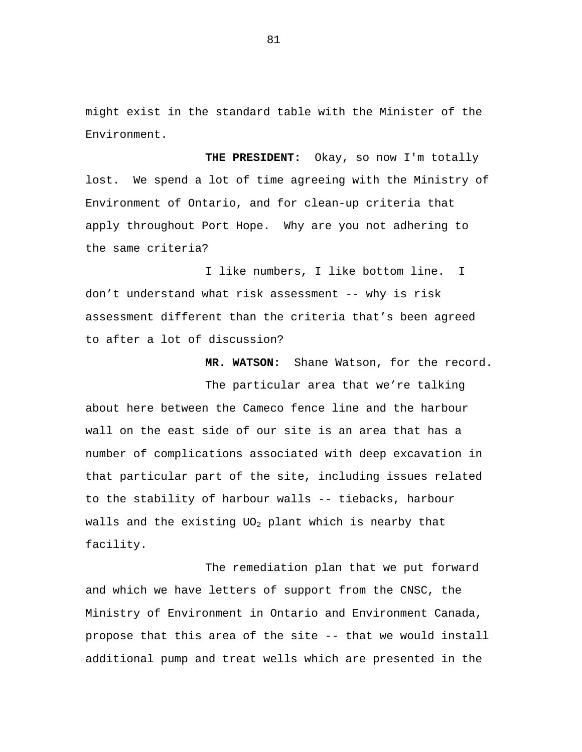might exist in the standard table with the Minister of the Environment.

**THE PRESIDENT:** Okay, so now I'm totally lost. We spend a lot of time agreeing with the Ministry of Environment of Ontario, and for clean-up criteria that apply throughout Port Hope. Why are you not adhering to the same criteria?

I like numbers, I like bottom line. I don't understand what risk assessment -- why is risk assessment different than the criteria that's been agreed to after a lot of discussion?

**MR. WATSON:** Shane Watson, for the record.

The particular area that we're talking about here between the Cameco fence line and the harbour wall on the east side of our site is an area that has a number of complications associated with deep excavation in that particular part of the site, including issues related to the stability of harbour walls -- tiebacks, harbour walls and the existing  $UO_2$  plant which is nearby that facility.

The remediation plan that we put forward and which we have letters of support from the CNSC, the Ministry of Environment in Ontario and Environment Canada, propose that this area of the site -- that we would install additional pump and treat wells which are presented in the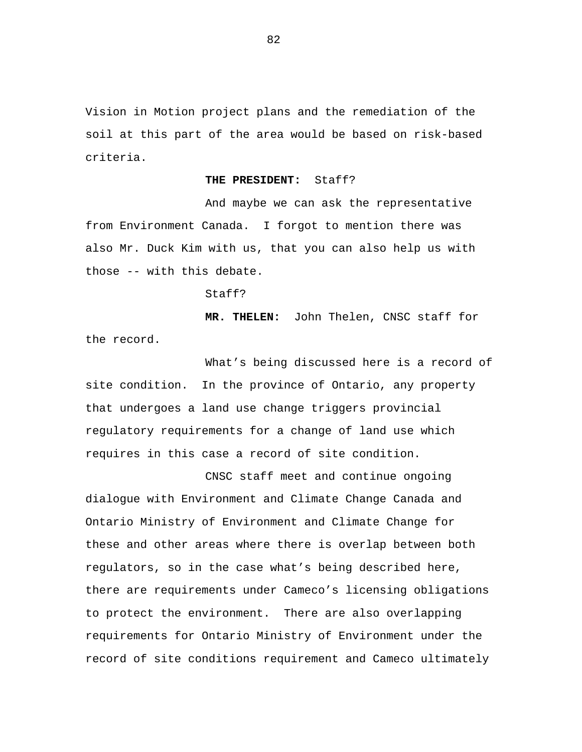Vision in Motion project plans and the remediation of the soil at this part of the area would be based on risk-based criteria.

# **THE PRESIDENT:** Staff?

And maybe we can ask the representative from Environment Canada. I forgot to mention there was also Mr. Duck Kim with us, that you can also help us with those -- with this debate.

Staff?

**MR. THELEN:** John Thelen, CNSC staff for the record.

What's being discussed here is a record of site condition. In the province of Ontario, any property that undergoes a land use change triggers provincial regulatory requirements for a change of land use which requires in this case a record of site condition.

CNSC staff meet and continue ongoing dialogue with Environment and Climate Change Canada and Ontario Ministry of Environment and Climate Change for these and other areas where there is overlap between both regulators, so in the case what's being described here, there are requirements under Cameco's licensing obligations to protect the environment. There are also overlapping requirements for Ontario Ministry of Environment under the record of site conditions requirement and Cameco ultimately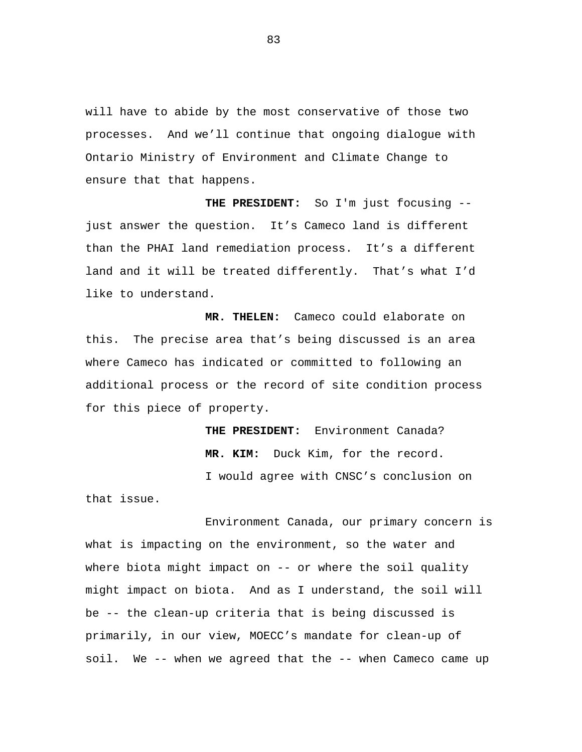will have to abide by the most conservative of those two processes. And we'll continue that ongoing dialogue with Ontario Ministry of Environment and Climate Change to ensure that that happens.

**THE PRESIDENT:** So I'm just focusing - just answer the question. It's Cameco land is different than the PHAI land remediation process. It's a different land and it will be treated differently. That's what I'd like to understand.

**MR. THELEN:** Cameco could elaborate on this. The precise area that's being discussed is an area where Cameco has indicated or committed to following an additional process or the record of site condition process for this piece of property.

> **THE PRESIDENT:** Environment Canada? **MR. KIM:** Duck Kim, for the record. I would agree with CNSC's conclusion on

Environment Canada, our primary concern is what is impacting on the environment, so the water and where biota might impact on -- or where the soil quality might impact on biota. And as I understand, the soil will be -- the clean-up criteria that is being discussed is primarily, in our view, MOECC's mandate for clean-up of soil. We -- when we agreed that the -- when Cameco came up

that issue.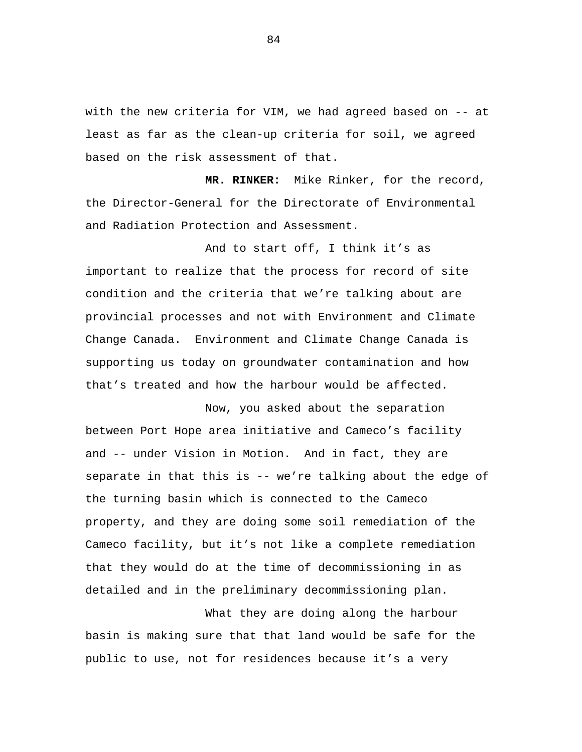with the new criteria for VIM, we had agreed based on -- at least as far as the clean-up criteria for soil, we agreed based on the risk assessment of that.

**MR. RINKER:** Mike Rinker, for the record, the Director-General for the Directorate of Environmental and Radiation Protection and Assessment.

And to start off, I think it's as important to realize that the process for record of site condition and the criteria that we're talking about are provincial processes and not with Environment and Climate Change Canada. Environment and Climate Change Canada is supporting us today on groundwater contamination and how that's treated and how the harbour would be affected.

Now, you asked about the separation between Port Hope area initiative and Cameco's facility and -- under Vision in Motion. And in fact, they are separate in that this is -- we're talking about the edge of the turning basin which is connected to the Cameco property, and they are doing some soil remediation of the Cameco facility, but it's not like a complete remediation that they would do at the time of decommissioning in as detailed and in the preliminary decommissioning plan.

What they are doing along the harbour basin is making sure that that land would be safe for the public to use, not for residences because it's a very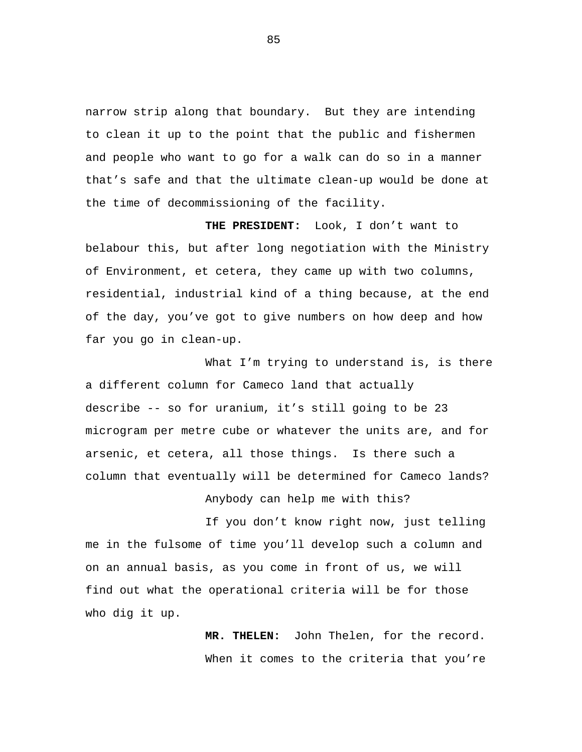narrow strip along that boundary. But they are intending to clean it up to the point that the public and fishermen and people who want to go for a walk can do so in a manner that's safe and that the ultimate clean-up would be done at the time of decommissioning of the facility.

**THE PRESIDENT:** Look, I don't want to belabour this, but after long negotiation with the Ministry of Environment, et cetera, they came up with two columns, residential, industrial kind of a thing because, at the end of the day, you've got to give numbers on how deep and how far you go in clean-up.

What I'm trying to understand is, is there a different column for Cameco land that actually describe -- so for uranium, it's still going to be 23 microgram per metre cube or whatever the units are, and for arsenic, et cetera, all those things. Is there such a column that eventually will be determined for Cameco lands?

Anybody can help me with this?

If you don't know right now, just telling me in the fulsome of time you'll develop such a column and on an annual basis, as you come in front of us, we will find out what the operational criteria will be for those who dig it up.

> **MR. THELEN:** John Thelen, for the record. When it comes to the criteria that you're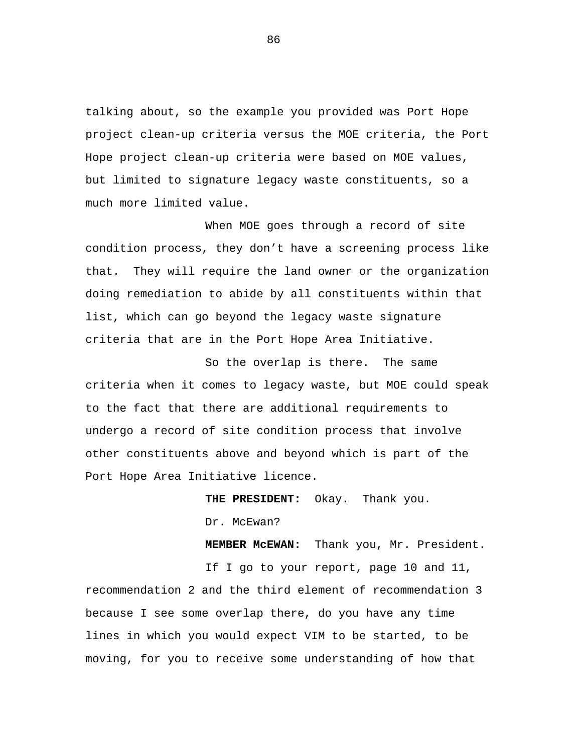talking about, so the example you provided was Port Hope project clean-up criteria versus the MOE criteria, the Port Hope project clean-up criteria were based on MOE values, but limited to signature legacy waste constituents, so a much more limited value.

When MOE goes through a record of site condition process, they don't have a screening process like that. They will require the land owner or the organization doing remediation to abide by all constituents within that list, which can go beyond the legacy waste signature criteria that are in the Port Hope Area Initiative.

So the overlap is there. The same criteria when it comes to legacy waste, but MOE could speak to the fact that there are additional requirements to undergo a record of site condition process that involve other constituents above and beyond which is part of the Port Hope Area Initiative licence.

> **THE PRESIDENT:** Okay. Thank you. Dr. McEwan?

**MEMBER McEWAN:** Thank you, Mr. President.

If I go to your report, page 10 and 11, recommendation 2 and the third element of recommendation 3 because I see some overlap there, do you have any time lines in which you would expect VIM to be started, to be moving, for you to receive some understanding of how that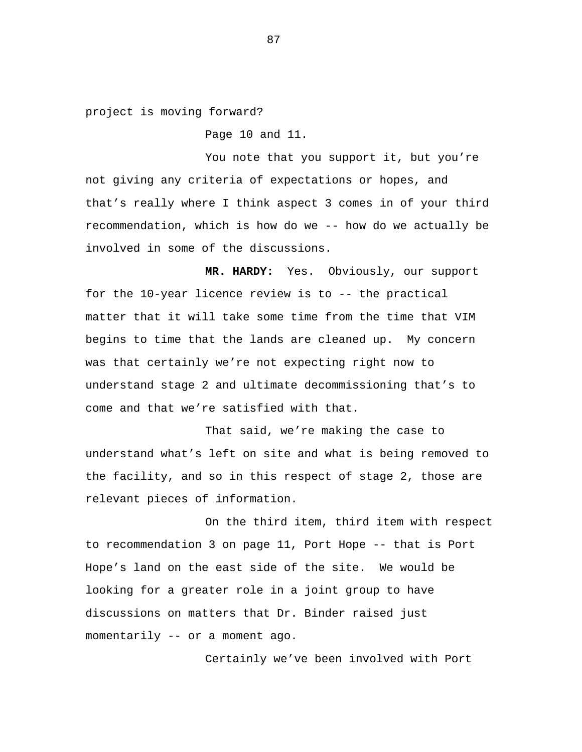project is moving forward?

Page 10 and 11.

You note that you support it, but you're not giving any criteria of expectations or hopes, and that's really where I think aspect 3 comes in of your third recommendation, which is how do we -- how do we actually be involved in some of the discussions.

**MR. HARDY:** Yes. Obviously, our support for the 10-year licence review is to -- the practical matter that it will take some time from the time that VIM begins to time that the lands are cleaned up. My concern was that certainly we're not expecting right now to understand stage 2 and ultimate decommissioning that's to come and that we're satisfied with that.

That said, we're making the case to understand what's left on site and what is being removed to the facility, and so in this respect of stage 2, those are relevant pieces of information.

On the third item, third item with respect to recommendation 3 on page 11, Port Hope -- that is Port Hope's land on the east side of the site. We would be looking for a greater role in a joint group to have discussions on matters that Dr. Binder raised just momentarily -- or a moment ago.

Certainly we've been involved with Port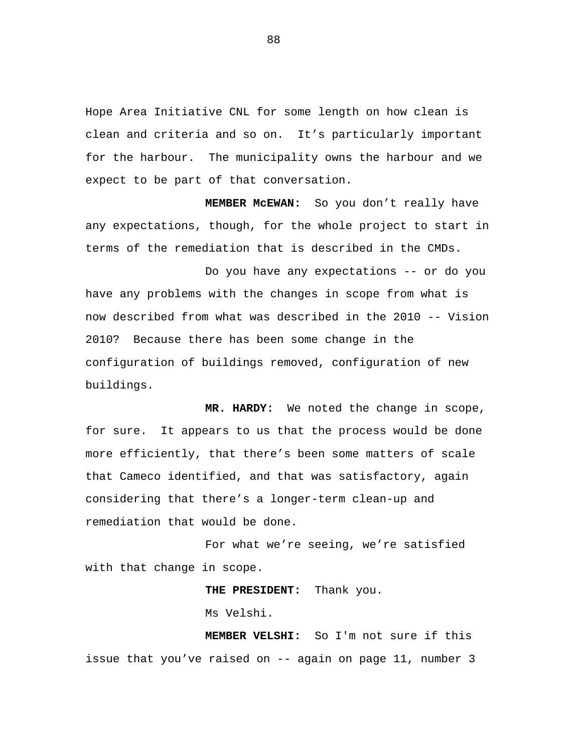Hope Area Initiative CNL for some length on how clean is clean and criteria and so on. It's particularly important for the harbour. The municipality owns the harbour and we expect to be part of that conversation.

**MEMBER McEWAN:** So you don't really have any expectations, though, for the whole project to start in terms of the remediation that is described in the CMDs.

Do you have any expectations -- or do you have any problems with the changes in scope from what is now described from what was described in the 2010 -- Vision 2010? Because there has been some change in the configuration of buildings removed, configuration of new buildings.

**MR. HARDY:** We noted the change in scope, for sure. It appears to us that the process would be done more efficiently, that there's been some matters of scale that Cameco identified, and that was satisfactory, again considering that there's a longer-term clean-up and remediation that would be done.

For what we're seeing, we're satisfied with that change in scope.

**THE PRESIDENT:** Thank you.

Ms Velshi.

**MEMBER VELSHI:** So I'm not sure if this issue that you've raised on -- again on page 11, number 3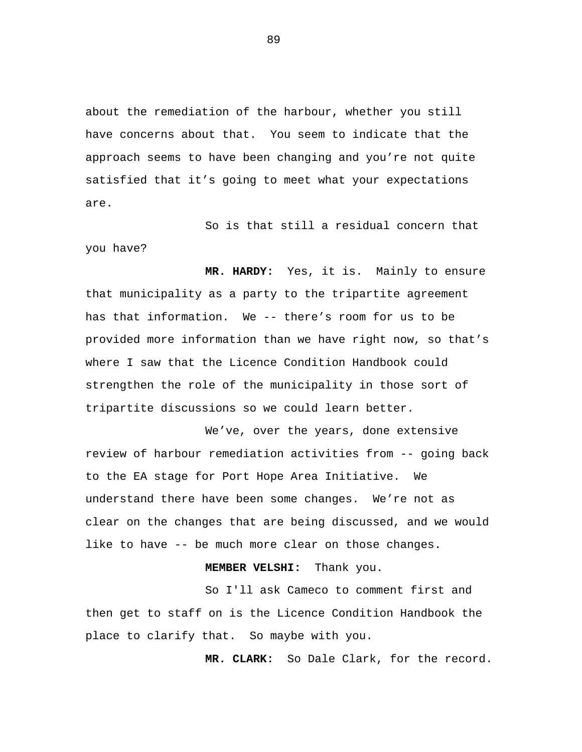about the remediation of the harbour, whether you still have concerns about that. You seem to indicate that the approach seems to have been changing and you're not quite satisfied that it's going to meet what your expectations are.

So is that still a residual concern that you have?

**MR. HARDY:** Yes, it is. Mainly to ensure that municipality as a party to the tripartite agreement has that information. We -- there's room for us to be provided more information than we have right now, so that's where I saw that the Licence Condition Handbook could strengthen the role of the municipality in those sort of tripartite discussions so we could learn better.

We've, over the years, done extensive review of harbour remediation activities from -- going back to the EA stage for Port Hope Area Initiative. We understand there have been some changes. We're not as clear on the changes that are being discussed, and we would like to have -- be much more clear on those changes.

#### **MEMBER VELSHI:** Thank you.

So I'll ask Cameco to comment first and then get to staff on is the Licence Condition Handbook the place to clarify that. So maybe with you.

**MR. CLARK:** So Dale Clark, for the record.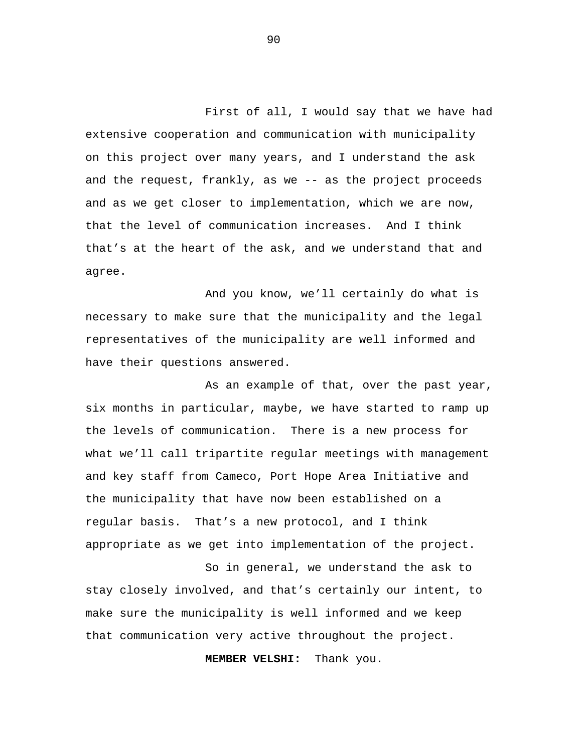First of all, I would say that we have had extensive cooperation and communication with municipality on this project over many years, and I understand the ask and the request, frankly, as we -- as the project proceeds and as we get closer to implementation, which we are now, that the level of communication increases. And I think that's at the heart of the ask, and we understand that and agree.

And you know, we'll certainly do what is necessary to make sure that the municipality and the legal representatives of the municipality are well informed and have their questions answered.

As an example of that, over the past year, six months in particular, maybe, we have started to ramp up the levels of communication. There is a new process for what we'll call tripartite regular meetings with management and key staff from Cameco, Port Hope Area Initiative and the municipality that have now been established on a regular basis. That's a new protocol, and I think appropriate as we get into implementation of the project.

So in general, we understand the ask to stay closely involved, and that's certainly our intent, to make sure the municipality is well informed and we keep that communication very active throughout the project.

**MEMBER VELSHI:** Thank you.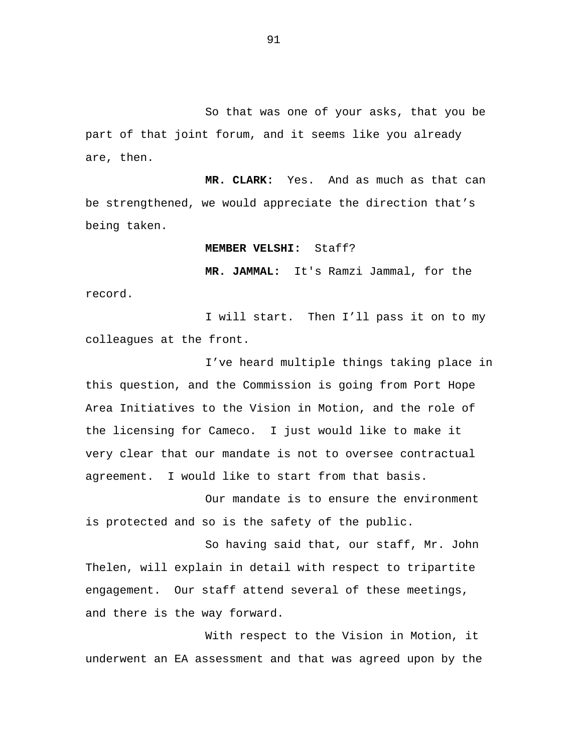So that was one of your asks, that you be part of that joint forum, and it seems like you already are, then.

**MR. CLARK:** Yes. And as much as that can be strengthened, we would appreciate the direction that's being taken.

**MEMBER VELSHI:** Staff?

**MR. JAMMAL:** It's Ramzi Jammal, for the record.

I will start. Then I'll pass it on to my colleagues at the front.

I've heard multiple things taking place in this question, and the Commission is going from Port Hope Area Initiatives to the Vision in Motion, and the role of the licensing for Cameco. I just would like to make it very clear that our mandate is not to oversee contractual agreement. I would like to start from that basis.

Our mandate is to ensure the environment is protected and so is the safety of the public.

So having said that, our staff, Mr. John Thelen, will explain in detail with respect to tripartite engagement. Our staff attend several of these meetings, and there is the way forward.

With respect to the Vision in Motion, it underwent an EA assessment and that was agreed upon by the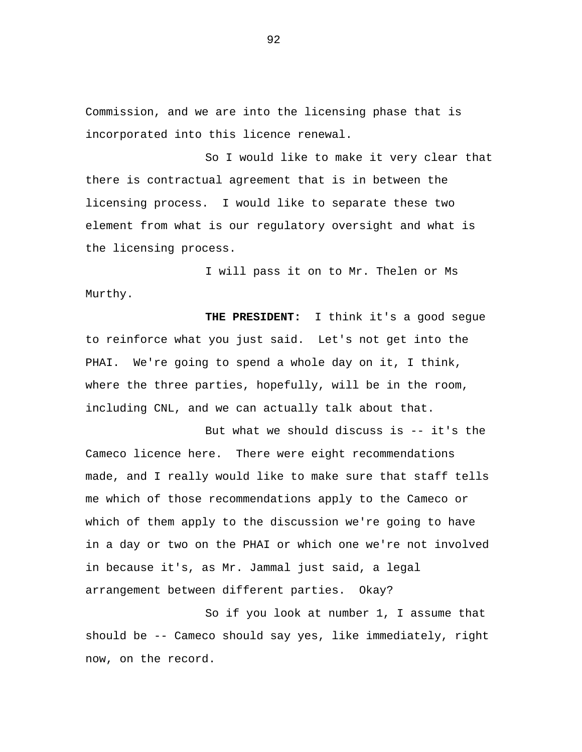Commission, and we are into the licensing phase that is incorporated into this licence renewal.

So I would like to make it very clear that there is contractual agreement that is in between the licensing process. I would like to separate these two element from what is our regulatory oversight and what is the licensing process.

I will pass it on to Mr. Thelen or Ms Murthy.

**THE PRESIDENT:** I think it's a good segue to reinforce what you just said. Let's not get into the PHAI. We're going to spend a whole day on it, I think, where the three parties, hopefully, will be in the room, including CNL, and we can actually talk about that.

But what we should discuss is -- it's the Cameco licence here. There were eight recommendations made, and I really would like to make sure that staff tells me which of those recommendations apply to the Cameco or which of them apply to the discussion we're going to have in a day or two on the PHAI or which one we're not involved in because it's, as Mr. Jammal just said, a legal arrangement between different parties. Okay?

So if you look at number 1, I assume that should be -- Cameco should say yes, like immediately, right now, on the record.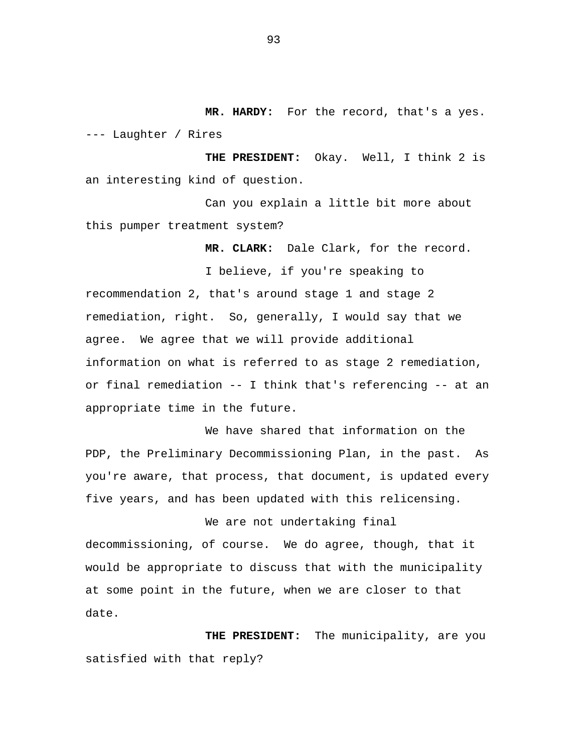**MR. HARDY:** For the record, that's a yes. --- Laughter / Rires

**THE PRESIDENT:** Okay. Well, I think 2 is an interesting kind of question.

Can you explain a little bit more about this pumper treatment system?

**MR. CLARK:** Dale Clark, for the record.

I believe, if you're speaking to

recommendation 2, that's around stage 1 and stage 2 remediation, right. So, generally, I would say that we agree. We agree that we will provide additional information on what is referred to as stage 2 remediation, or final remediation -- I think that's referencing -- at an appropriate time in the future.

We have shared that information on the PDP, the Preliminary Decommissioning Plan, in the past. As you're aware, that process, that document, is updated every five years, and has been updated with this relicensing.

We are not undertaking final decommissioning, of course. We do agree, though, that it would be appropriate to discuss that with the municipality at some point in the future, when we are closer to that date.

**THE PRESIDENT:** The municipality, are you satisfied with that reply?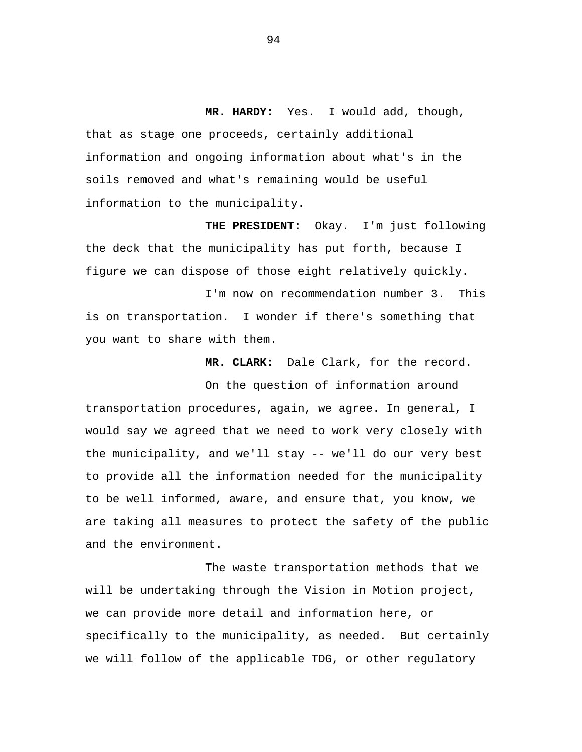**MR. HARDY:** Yes. I would add, though, that as stage one proceeds, certainly additional information and ongoing information about what's in the soils removed and what's remaining would be useful information to the municipality.

**THE PRESIDENT:** Okay. I'm just following the deck that the municipality has put forth, because I figure we can dispose of those eight relatively quickly.

I'm now on recommendation number 3. This is on transportation. I wonder if there's something that you want to share with them.

**MR. CLARK:** Dale Clark, for the record.

On the question of information around transportation procedures, again, we agree. In general, I would say we agreed that we need to work very closely with the municipality, and we'll stay -- we'll do our very best to provide all the information needed for the municipality to be well informed, aware, and ensure that, you know, we are taking all measures to protect the safety of the public and the environment.

The waste transportation methods that we will be undertaking through the Vision in Motion project, we can provide more detail and information here, or specifically to the municipality, as needed. But certainly we will follow of the applicable TDG, or other regulatory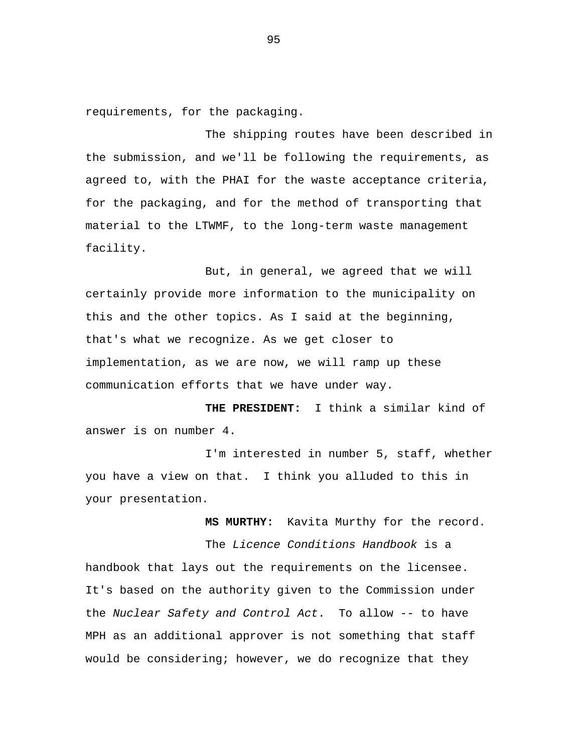requirements, for the packaging.

The shipping routes have been described in the submission, and we'll be following the requirements, as agreed to, with the PHAI for the waste acceptance criteria, for the packaging, and for the method of transporting that material to the LTWMF, to the long-term waste management facility.

But, in general, we agreed that we will certainly provide more information to the municipality on this and the other topics. As I said at the beginning, that's what we recognize. As we get closer to implementation, as we are now, we will ramp up these communication efforts that we have under way.

**THE PRESIDENT:** I think a similar kind of answer is on number 4.

I'm interested in number 5, staff, whether you have a view on that. I think you alluded to this in your presentation.

**MS MURTHY:** Kavita Murthy for the record.

The *Licence Conditions Handbook* is a handbook that lays out the requirements on the licensee. It's based on the authority given to the Commission under the *Nuclear Safety and Control Act*. To allow -- to have MPH as an additional approver is not something that staff would be considering; however, we do recognize that they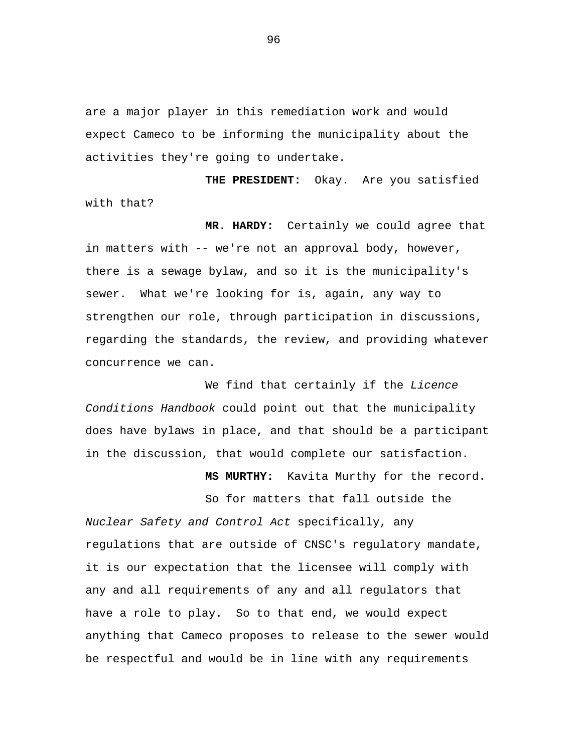are a major player in this remediation work and would expect Cameco to be informing the municipality about the activities they're going to undertake.

**THE PRESIDENT:** Okay. Are you satisfied with that?

**MR. HARDY:** Certainly we could agree that in matters with -- we're not an approval body, however, there is a sewage bylaw, and so it is the municipality's sewer. What we're looking for is, again, any way to strengthen our role, through participation in discussions, regarding the standards, the review, and providing whatever concurrence we can.

We find that certainly if the *Licence Conditions Handbook* could point out that the municipality does have bylaws in place, and that should be a participant in the discussion, that would complete our satisfaction.

**MS MURTHY:** Kavita Murthy for the record.

So for matters that fall outside the *Nuclear Safety and Control Act* specifically, any regulations that are outside of CNSC's regulatory mandate, it is our expectation that the licensee will comply with any and all requirements of any and all regulators that have a role to play. So to that end, we would expect anything that Cameco proposes to release to the sewer would be respectful and would be in line with any requirements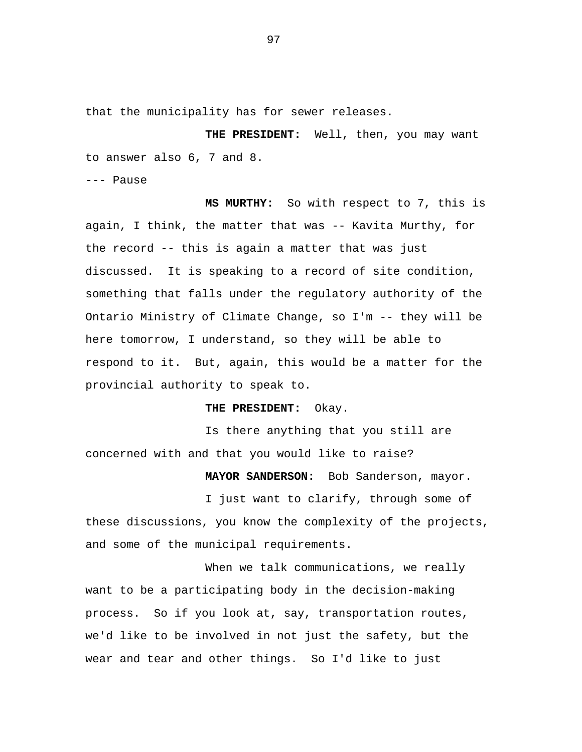that the municipality has for sewer releases.

**THE PRESIDENT:** Well, then, you may want to answer also 6, 7 and 8.

--- Pause

**MS MURTHY:** So with respect to 7, this is again, I think, the matter that was -- Kavita Murthy, for the record -- this is again a matter that was just discussed. It is speaking to a record of site condition, something that falls under the regulatory authority of the Ontario Ministry of Climate Change, so I'm -- they will be here tomorrow, I understand, so they will be able to respond to it. But, again, this would be a matter for the provincial authority to speak to.

## **THE PRESIDENT:** Okay.

Is there anything that you still are concerned with and that you would like to raise?

**MAYOR SANDERSON:** Bob Sanderson, mayor.

I just want to clarify, through some of these discussions, you know the complexity of the projects, and some of the municipal requirements.

When we talk communications, we really want to be a participating body in the decision-making process. So if you look at, say, transportation routes, we'd like to be involved in not just the safety, but the wear and tear and other things. So I'd like to just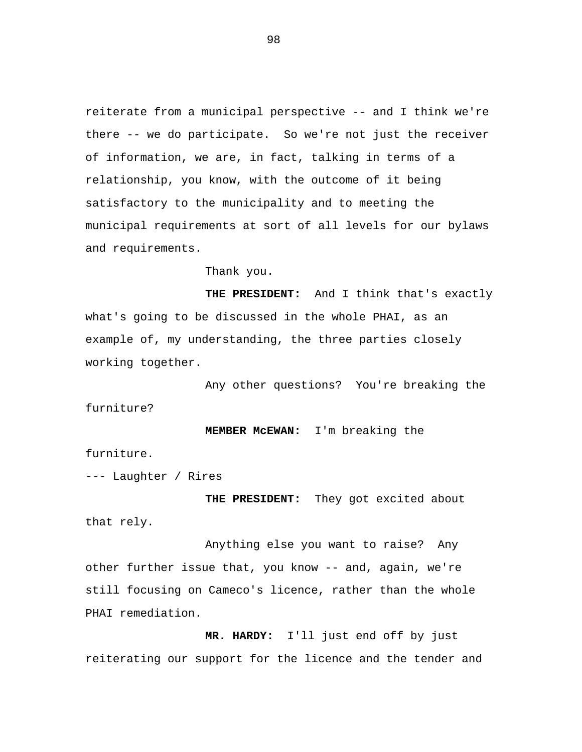reiterate from a municipal perspective -- and I think we're there -- we do participate. So we're not just the receiver of information, we are, in fact, talking in terms of a relationship, you know, with the outcome of it being satisfactory to the municipality and to meeting the municipal requirements at sort of all levels for our bylaws and requirements.

Thank you.

**THE PRESIDENT:** And I think that's exactly what's going to be discussed in the whole PHAI, as an example of, my understanding, the three parties closely working together.

Any other questions? You're breaking the furniture?

**MEMBER McEWAN:** I'm breaking the

furniture.

 --- Laughter / Rires

**THE PRESIDENT:** They got excited about that rely.

Anything else you want to raise? Any other further issue that, you know -- and, again, we're still focusing on Cameco's licence, rather than the whole PHAI remediation.

**MR. HARDY:** I'll just end off by just reiterating our support for the licence and the tender and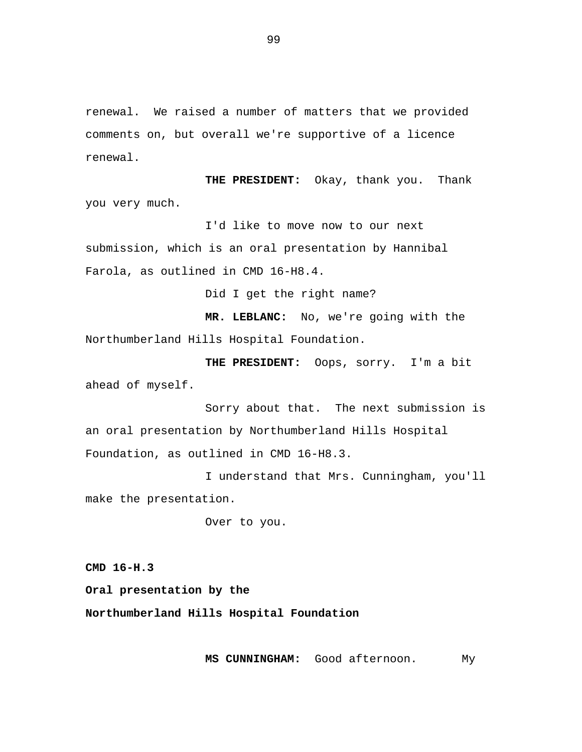renewal. We raised a number of matters that we provided comments on, but overall we're supportive of a licence renewal.

**THE PRESIDENT:** Okay, thank you. Thank you very much.

I'd like to move now to our next submission, which is an oral presentation by Hannibal Farola, as outlined in CMD 16-H8.4.

Did I get the right name?

**MR. LEBLANC:** No, we're going with the Northumberland Hills Hospital Foundation.

**THE PRESIDENT:** Oops, sorry. I'm a bit ahead of myself.

Sorry about that. The next submission is an oral presentation by Northumberland Hills Hospital Foundation, as outlined in CMD 16-H8.3.

I understand that Mrs. Cunningham, you'll make the presentation.

Over to you.

**CMD 16-H.3** 

**Oral presentation by the** 

**Northumberland Hills Hospital Foundation** 

**MS CUNNINGHAM:** Good afternoon. My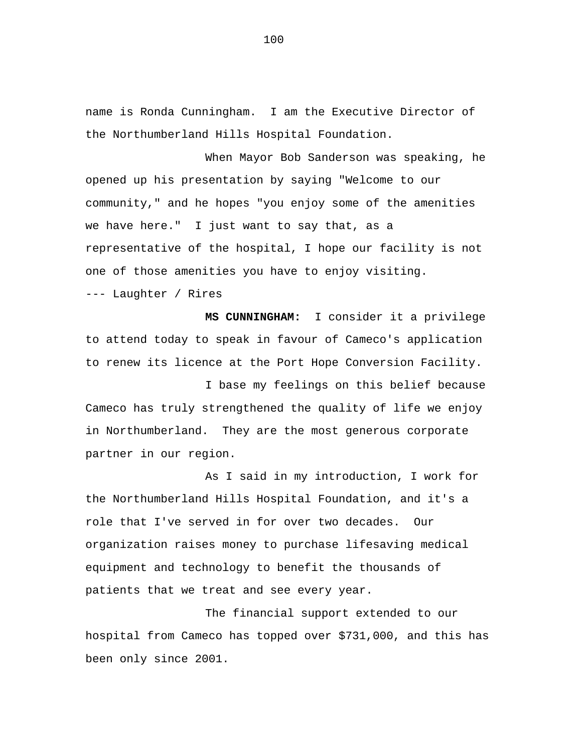name is Ronda Cunningham. I am the Executive Director of the Northumberland Hills Hospital Foundation.

When Mayor Bob Sanderson was speaking, he opened up his presentation by saying "Welcome to our community," and he hopes "you enjoy some of the amenities we have here." I just want to say that, as a representative of the hospital, I hope our facility is not one of those amenities you have to enjoy visiting. --- Laughter / Rires

**MS CUNNINGHAM:** I consider it a privilege to attend today to speak in favour of Cameco's application to renew its licence at the Port Hope Conversion Facility.

I base my feelings on this belief because Cameco has truly strengthened the quality of life we enjoy in Northumberland. They are the most generous corporate partner in our region.

As I said in my introduction, I work for the Northumberland Hills Hospital Foundation, and it's a role that I've served in for over two decades. Our organization raises money to purchase lifesaving medical equipment and technology to benefit the thousands of patients that we treat and see every year.

The financial support extended to our hospital from Cameco has topped over \$731,000, and this has been only since 2001.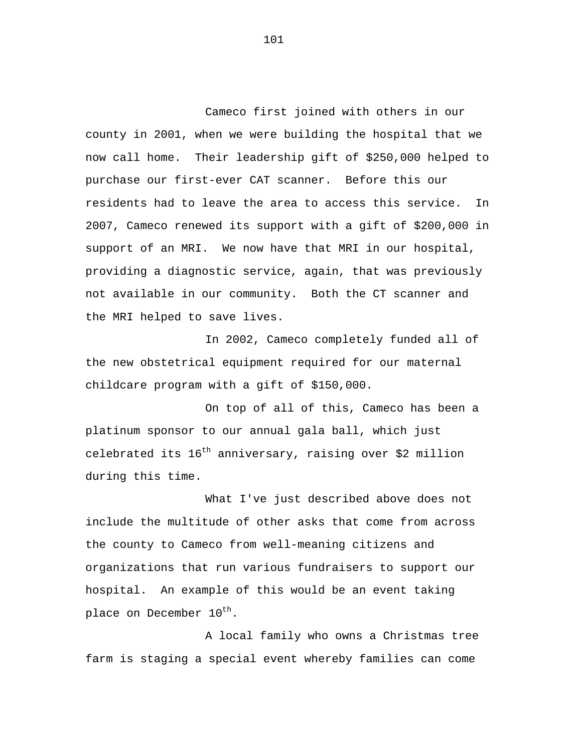Cameco first joined with others in our county in 2001, when we were building the hospital that we now call home. Their leadership gift of \$250,000 helped to purchase our first-ever CAT scanner. Before this our residents had to leave the area to access this service. In 2007, Cameco renewed its support with a gift of \$200,000 in support of an MRI. We now have that MRI in our hospital, providing a diagnostic service, again, that was previously not available in our community. Both the CT scanner and the MRI helped to save lives.

In 2002, Cameco completely funded all of the new obstetrical equipment required for our maternal childcare program with a gift of \$150,000.

On top of all of this, Cameco has been a platinum sponsor to our annual gala ball, which just celebrated its 16<sup>th</sup> anniversary, raising over \$2 million during this time.

What I've just described above does not include the multitude of other asks that come from across the county to Cameco from well-meaning citizens and organizations that run various fundraisers to support our hospital. An example of this would be an event taking place on December 10<sup>th</sup>.

A local family who owns a Christmas tree farm is staging a special event whereby families can come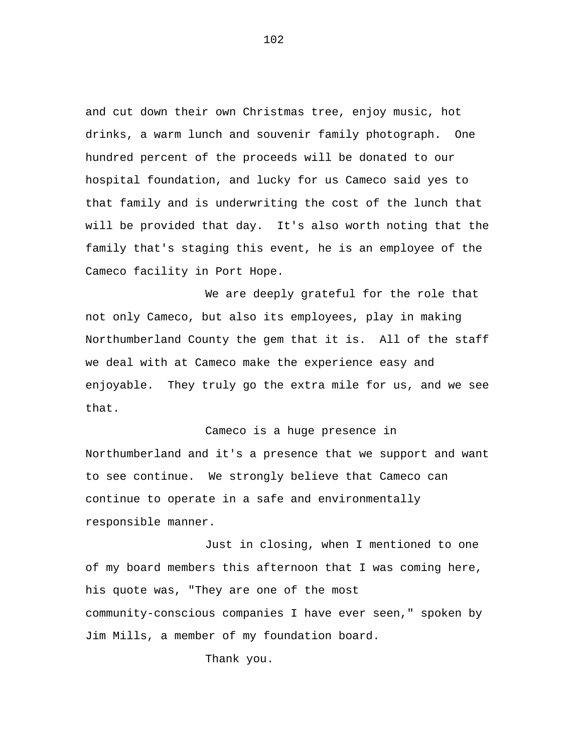and cut down their own Christmas tree, enjoy music, hot drinks, a warm lunch and souvenir family photograph. One hundred percent of the proceeds will be donated to our hospital foundation, and lucky for us Cameco said yes to that family and is underwriting the cost of the lunch that will be provided that day. It's also worth noting that the family that's staging this event, he is an employee of the Cameco facility in Port Hope.

We are deeply grateful for the role that not only Cameco, but also its employees, play in making Northumberland County the gem that it is. All of the staff we deal with at Cameco make the experience easy and enjoyable. They truly go the extra mile for us, and we see that.

Cameco is a huge presence in Northumberland and it's a presence that we support and want to see continue. We strongly believe that Cameco can continue to operate in a safe and environmentally responsible manner.

Just in closing, when I mentioned to one of my board members this afternoon that I was coming here, his quote was, "They are one of the most community-conscious companies I have ever seen," spoken by Jim Mills, a member of my foundation board.

Thank you.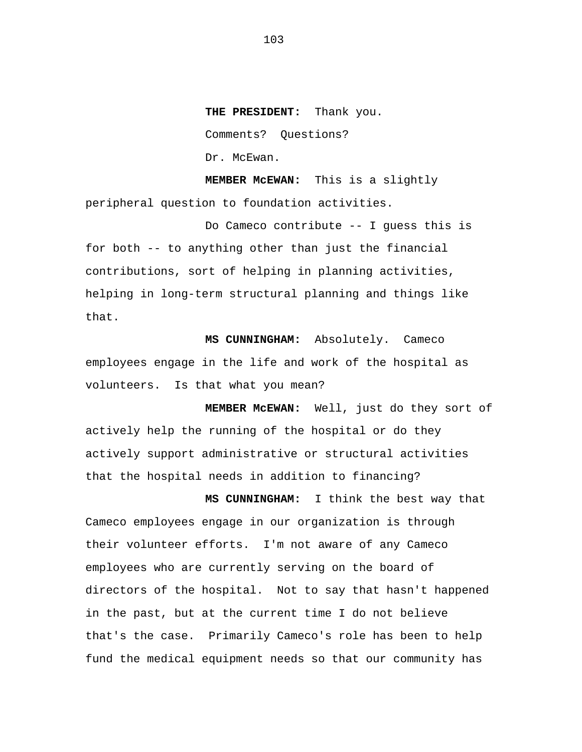**THE PRESIDENT:** Thank you. Comments? Questions? Dr. McEwan.

**MEMBER McEWAN:** This is a slightly peripheral question to foundation activities.

Do Cameco contribute -- I guess this is for both -- to anything other than just the financial contributions, sort of helping in planning activities, helping in long-term structural planning and things like that.

**MS CUNNINGHAM:** Absolutely. Cameco employees engage in the life and work of the hospital as volunteers. Is that what you mean?

**MEMBER McEWAN:** Well, just do they sort of actively help the running of the hospital or do they actively support administrative or structural activities that the hospital needs in addition to financing?

**MS CUNNINGHAM:** I think the best way that Cameco employees engage in our organization is through their volunteer efforts. I'm not aware of any Cameco employees who are currently serving on the board of directors of the hospital. Not to say that hasn't happened in the past, but at the current time I do not believe that's the case. Primarily Cameco's role has been to help fund the medical equipment needs so that our community has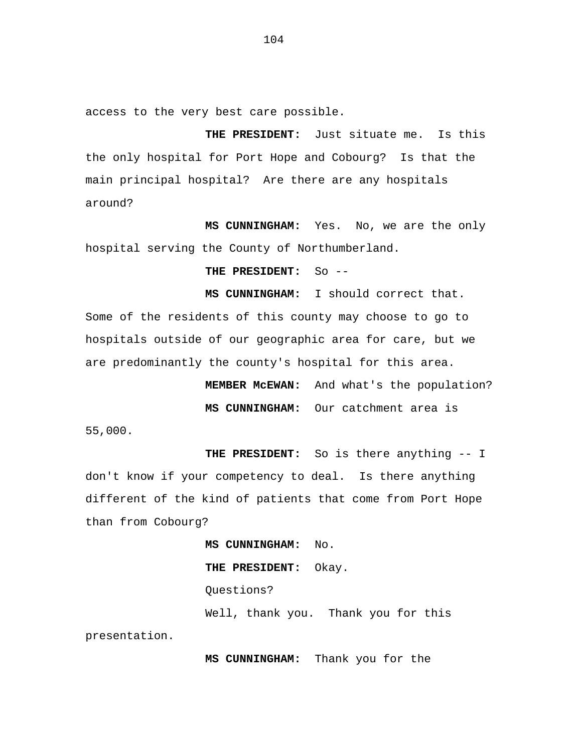access to the very best care possible.

**THE PRESIDENT:** Just situate me. Is this the only hospital for Port Hope and Cobourg? Is that the main principal hospital? Are there are any hospitals around?

**MS CUNNINGHAM:** Yes. No, we are the only hospital serving the County of Northumberland.

# **THE PRESIDENT:** So --

**MS CUNNINGHAM:** I should correct that. Some of the residents of this county may choose to go to hospitals outside of our geographic area for care, but we are predominantly the county's hospital for this area.

**MEMBER McEWAN:** And what's the population?

**MS CUNNINGHAM:** Our catchment area is

55,000.

**THE PRESIDENT:** So is there anything -- I don't know if your competency to deal. Is there anything different of the kind of patients that come from Port Hope than from Cobourg?

> **MS CUNNINGHAM:** No. **THE PRESIDENT:** Okay. Questions? Well, thank you. Thank you for this

presentation.

**MS CUNNINGHAM:** Thank you for the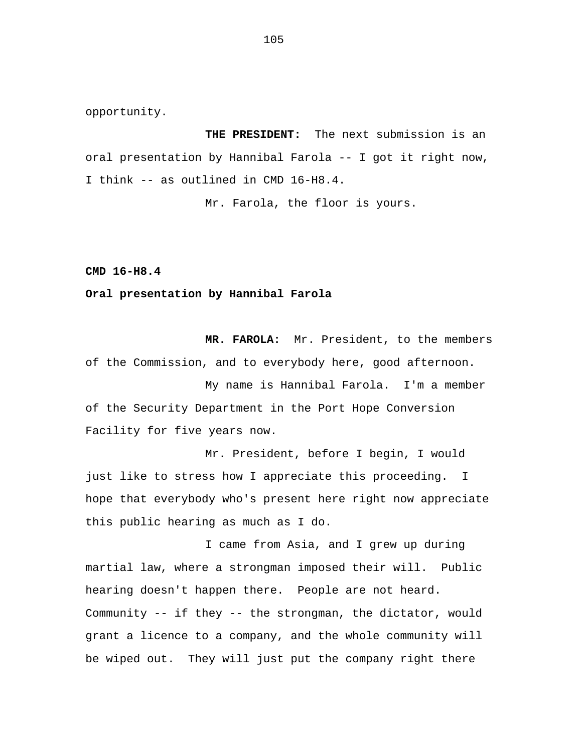opportunity.

**THE PRESIDENT:** The next submission is an oral presentation by Hannibal Farola -- I got it right now, I think -- as outlined in CMD 16-H8.4.

Mr. Farola, the floor is yours.

**CMD 16-H8.4** 

## **Oral presentation by Hannibal Farola**

**MR. FAROLA:** Mr. President, to the members of the Commission, and to everybody here, good afternoon.

My name is Hannibal Farola. I'm a member of the Security Department in the Port Hope Conversion Facility for five years now.

Mr. President, before I begin, I would just like to stress how I appreciate this proceeding. I hope that everybody who's present here right now appreciate this public hearing as much as I do.

I came from Asia, and I grew up during martial law, where a strongman imposed their will. Public hearing doesn't happen there. People are not heard. Community -- if they -- the strongman, the dictator, would grant a licence to a company, and the whole community will be wiped out. They will just put the company right there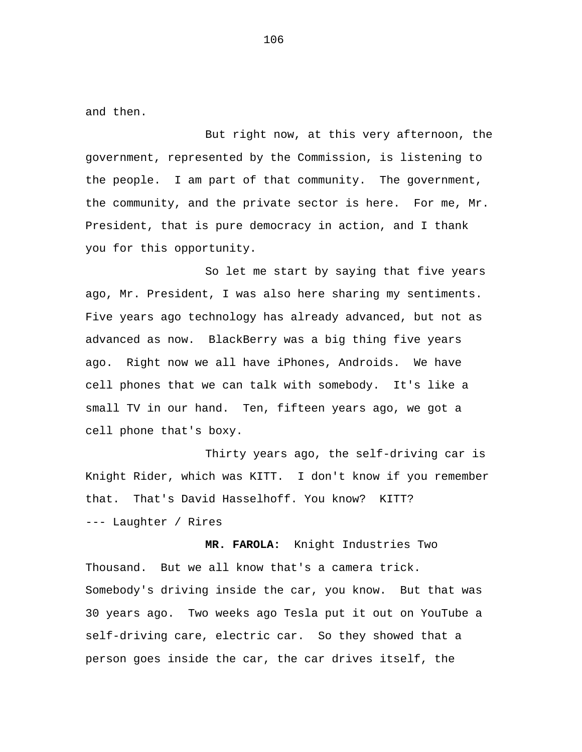and then.

But right now, at this very afternoon, the government, represented by the Commission, is listening to the people. I am part of that community. The government, the community, and the private sector is here. For me, Mr. President, that is pure democracy in action, and I thank you for this opportunity.

So let me start by saying that five years ago, Mr. President, I was also here sharing my sentiments. Five years ago technology has already advanced, but not as advanced as now. BlackBerry was a big thing five years ago. Right now we all have iPhones, Androids. We have cell phones that we can talk with somebody. It's like a small TV in our hand. Ten, fifteen years ago, we got a cell phone that's boxy.

Thirty years ago, the self-driving car is Knight Rider, which was KITT. I don't know if you remember that. That's David Hasselhoff. You know? KITT? --- Laughter / Rires

**MR. FAROLA:** Knight Industries Two Thousand. But we all know that's a camera trick. Somebody's driving inside the car, you know. But that was 30 years ago. Two weeks ago Tesla put it out on YouTube a self-driving care, electric car. So they showed that a person goes inside the car, the car drives itself, the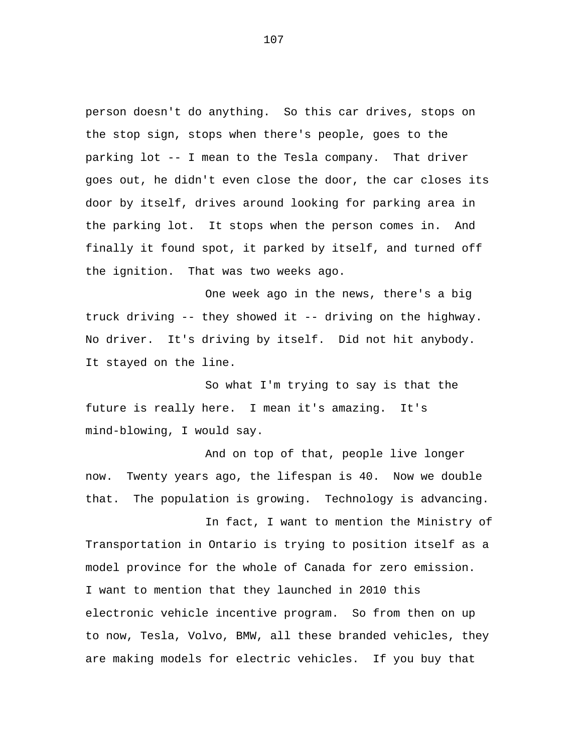person doesn't do anything. So this car drives, stops on the stop sign, stops when there's people, goes to the parking lot -- I mean to the Tesla company. That driver goes out, he didn't even close the door, the car closes its door by itself, drives around looking for parking area in the parking lot. It stops when the person comes in. And finally it found spot, it parked by itself, and turned off the ignition. That was two weeks ago.

One week ago in the news, there's a big truck driving -- they showed it -- driving on the highway. No driver. It's driving by itself. Did not hit anybody. It stayed on the line.

So what I'm trying to say is that the future is really here. I mean it's amazing. It's mind-blowing, I would say.

And on top of that, people live longer now. Twenty years ago, the lifespan is 40. Now we double that. The population is growing. Technology is advancing.

In fact, I want to mention the Ministry of Transportation in Ontario is trying to position itself as a model province for the whole of Canada for zero emission. I want to mention that they launched in 2010 this electronic vehicle incentive program. So from then on up to now, Tesla, Volvo, BMW, all these branded vehicles, they are making models for electric vehicles. If you buy that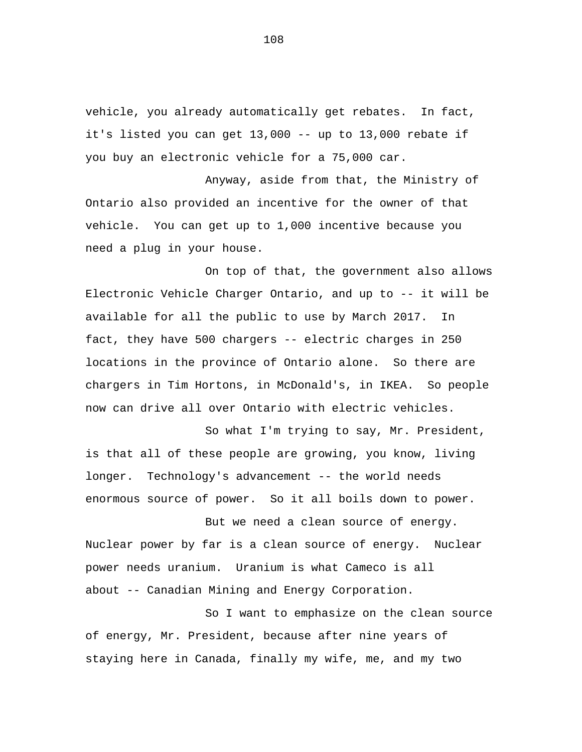vehicle, you already automatically get rebates. In fact, it's listed you can get 13,000 -- up to 13,000 rebate if you buy an electronic vehicle for a 75,000 car.

Anyway, aside from that, the Ministry of Ontario also provided an incentive for the owner of that vehicle. You can get up to 1,000 incentive because you need a plug in your house.

On top of that, the government also allows Electronic Vehicle Charger Ontario, and up to -- it will be available for all the public to use by March 2017. In fact, they have 500 chargers -- electric charges in 250 locations in the province of Ontario alone. So there are chargers in Tim Hortons, in McDonald's, in IKEA. So people now can drive all over Ontario with electric vehicles.

So what I'm trying to say, Mr. President, is that all of these people are growing, you know, living longer. Technology's advancement -- the world needs enormous source of power. So it all boils down to power.

But we need a clean source of energy. Nuclear power by far is a clean source of energy. Nuclear power needs uranium. Uranium is what Cameco is all about -- Canadian Mining and Energy Corporation.

So I want to emphasize on the clean source of energy, Mr. President, because after nine years of staying here in Canada, finally my wife, me, and my two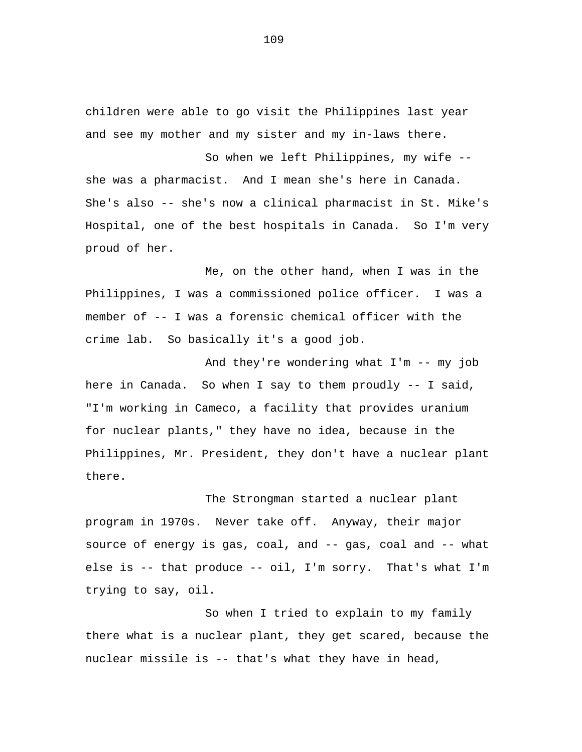children were able to go visit the Philippines last year and see my mother and my sister and my in-laws there.

So when we left Philippines, my wife - she was a pharmacist. And I mean she's here in Canada. She's also -- she's now a clinical pharmacist in St. Mike's Hospital, one of the best hospitals in Canada. So I'm very proud of her.

Me, on the other hand, when I was in the Philippines, I was a commissioned police officer. I was a member of -- I was a forensic chemical officer with the crime lab. So basically it's a good job.

And they're wondering what I'm -- my job here in Canada. So when I say to them proudly -- I said, "I'm working in Cameco, a facility that provides uranium for nuclear plants," they have no idea, because in the Philippines, Mr. President, they don't have a nuclear plant there.

The Strongman started a nuclear plant program in 1970s. Never take off. Anyway, their major source of energy is gas, coal, and -- gas, coal and -- what else is -- that produce -- oil, I'm sorry. That's what I'm trying to say, oil.

So when I tried to explain to my family there what is a nuclear plant, they get scared, because the nuclear missile is -- that's what they have in head,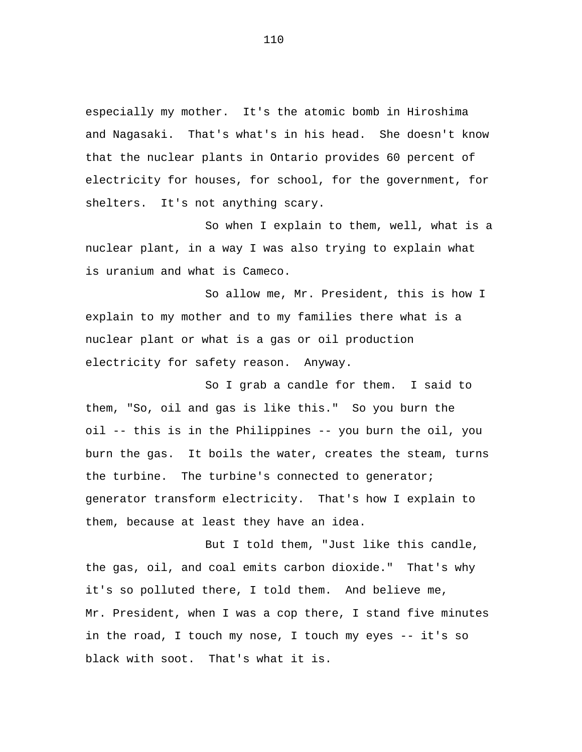especially my mother. It's the atomic bomb in Hiroshima and Nagasaki. That's what's in his head. She doesn't know that the nuclear plants in Ontario provides 60 percent of electricity for houses, for school, for the government, for shelters. It's not anything scary.

So when I explain to them, well, what is a nuclear plant, in a way I was also trying to explain what is uranium and what is Cameco.

So allow me, Mr. President, this is how I explain to my mother and to my families there what is a nuclear plant or what is a gas or oil production electricity for safety reason. Anyway.

So I grab a candle for them. I said to them, "So, oil and gas is like this." So you burn the oil -- this is in the Philippines -- you burn the oil, you burn the gas. It boils the water, creates the steam, turns the turbine. The turbine's connected to generator; generator transform electricity. That's how I explain to them, because at least they have an idea.

But I told them, "Just like this candle, the gas, oil, and coal emits carbon dioxide." That's why it's so polluted there, I told them. And believe me, Mr. President, when I was a cop there, I stand five minutes in the road, I touch my nose, I touch my eyes -- it's so black with soot. That's what it is.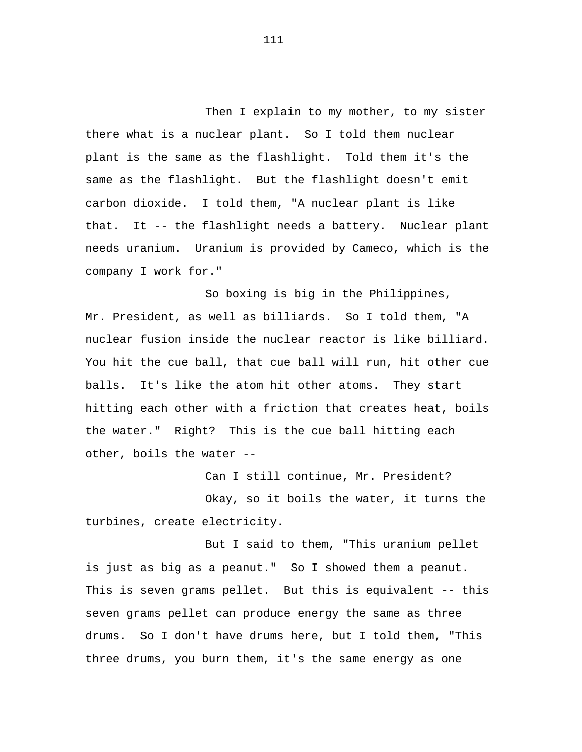Then I explain to my mother, to my sister there what is a nuclear plant. So I told them nuclear plant is the same as the flashlight. Told them it's the same as the flashlight. But the flashlight doesn't emit carbon dioxide. I told them, "A nuclear plant is like that. It -- the flashlight needs a battery. Nuclear plant needs uranium. Uranium is provided by Cameco, which is the company I work for."

So boxing is big in the Philippines, Mr. President, as well as billiards. So I told them, "A nuclear fusion inside the nuclear reactor is like billiard. You hit the cue ball, that cue ball will run, hit other cue balls. It's like the atom hit other atoms. They start hitting each other with a friction that creates heat, boils the water." Right? This is the cue ball hitting each other, boils the water --

Can I still continue, Mr. President? Okay, so it boils the water, it turns the turbines, create electricity.

But I said to them, "This uranium pellet is just as big as a peanut." So I showed them a peanut. This is seven grams pellet. But this is equivalent -- this seven grams pellet can produce energy the same as three drums. So I don't have drums here, but I told them, "This three drums, you burn them, it's the same energy as one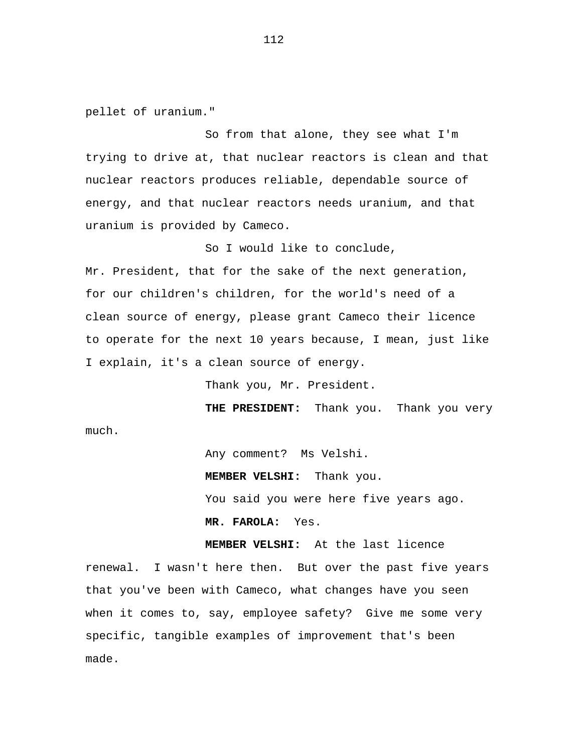pellet of uranium."

So from that alone, they see what I'm trying to drive at, that nuclear reactors is clean and that nuclear reactors produces reliable, dependable source of energy, and that nuclear reactors needs uranium, and that uranium is provided by Cameco.

So I would like to conclude,

Mr. President, that for the sake of the next generation, for our children's children, for the world's need of a clean source of energy, please grant Cameco their licence to operate for the next 10 years because, I mean, just like I explain, it's a clean source of energy.

Thank you, Mr. President.

**THE PRESIDENT:** Thank you. Thank you very much.

> Any comment? Ms Velshi. **MEMBER VELSHI:** Thank you. You said you were here five years ago. **MR. FAROLA:** Yes. **MEMBER VELSHI:** At the last licence

renewal. I wasn't here then. But over the past five years that you've been with Cameco, what changes have you seen when it comes to, say, employee safety? Give me some very specific, tangible examples of improvement that's been made.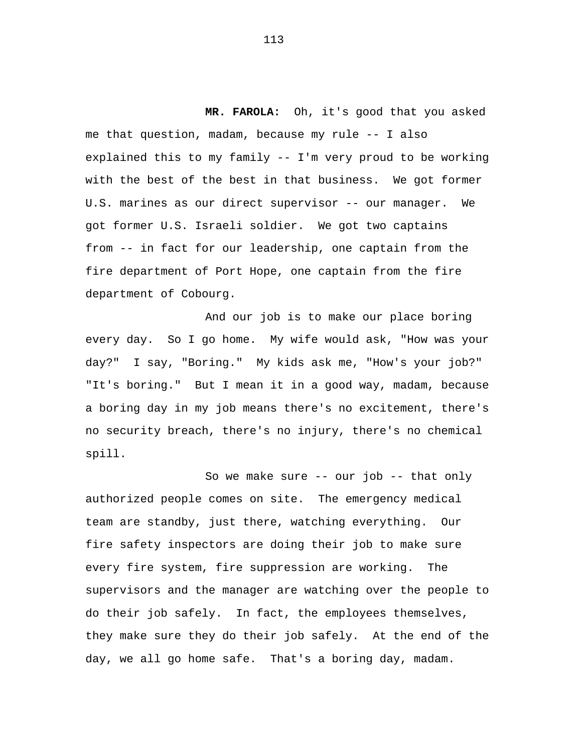**MR. FAROLA:** Oh, it's good that you asked me that question, madam, because my rule -- I also explained this to my family -- I'm very proud to be working with the best of the best in that business. We got former U.S. marines as our direct supervisor -- our manager. We got former U.S. Israeli soldier. We got two captains from -- in fact for our leadership, one captain from the fire department of Port Hope, one captain from the fire department of Cobourg.

And our job is to make our place boring every day. So I go home. My wife would ask, "How was your day?" I say, "Boring." My kids ask me, "How's your job?" "It's boring." But I mean it in a good way, madam, because a boring day in my job means there's no excitement, there's no security breach, there's no injury, there's no chemical spill.

So we make sure -- our job -- that only authorized people comes on site. The emergency medical team are standby, just there, watching everything. Our fire safety inspectors are doing their job to make sure every fire system, fire suppression are working. The supervisors and the manager are watching over the people to do their job safely. In fact, the employees themselves, they make sure they do their job safely. At the end of the day, we all go home safe. That's a boring day, madam.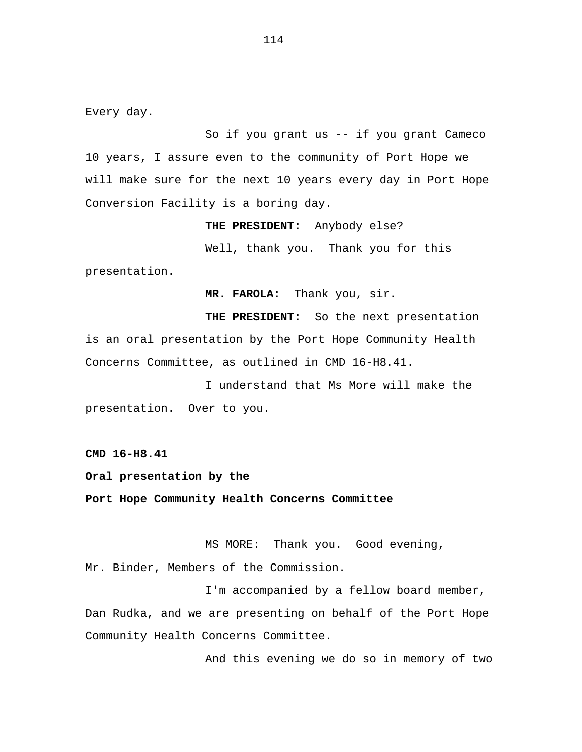Every day.

So if you grant us -- if you grant Cameco 10 years, I assure even to the community of Port Hope we will make sure for the next 10 years every day in Port Hope Conversion Facility is a boring day.

**THE PRESIDENT:** Anybody else?

Well, thank you. Thank you for this

presentation.

**MR. FAROLA:** Thank you, sir.

**THE PRESIDENT:** So the next presentation is an oral presentation by the Port Hope Community Health Concerns Committee, as outlined in CMD 16-H8.41.

I understand that Ms More will make the presentation. Over to you.

**CMD 16-H8.41** 

**Oral presentation by the** 

**Port Hope Community Health Concerns Committee** 

MS MORE: Thank you. Good evening,

Mr. Binder, Members of the Commission.

I'm accompanied by a fellow board member, Dan Rudka, and we are presenting on behalf of the Port Hope Community Health Concerns Committee.

And this evening we do so in memory of two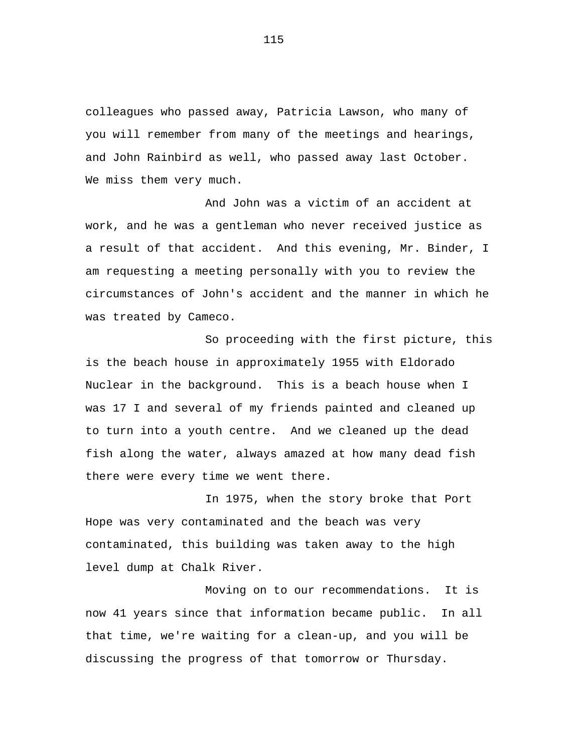colleagues who passed away, Patricia Lawson, who many of you will remember from many of the meetings and hearings, and John Rainbird as well, who passed away last October. We miss them very much.

And John was a victim of an accident at work, and he was a gentleman who never received justice as a result of that accident. And this evening, Mr. Binder, I am requesting a meeting personally with you to review the circumstances of John's accident and the manner in which he was treated by Cameco.

So proceeding with the first picture, this is the beach house in approximately 1955 with Eldorado Nuclear in the background. This is a beach house when I was 17 I and several of my friends painted and cleaned up to turn into a youth centre. And we cleaned up the dead fish along the water, always amazed at how many dead fish there were every time we went there.

In 1975, when the story broke that Port Hope was very contaminated and the beach was very contaminated, this building was taken away to the high level dump at Chalk River.

Moving on to our recommendations. It is now 41 years since that information became public. In all that time, we're waiting for a clean-up, and you will be discussing the progress of that tomorrow or Thursday.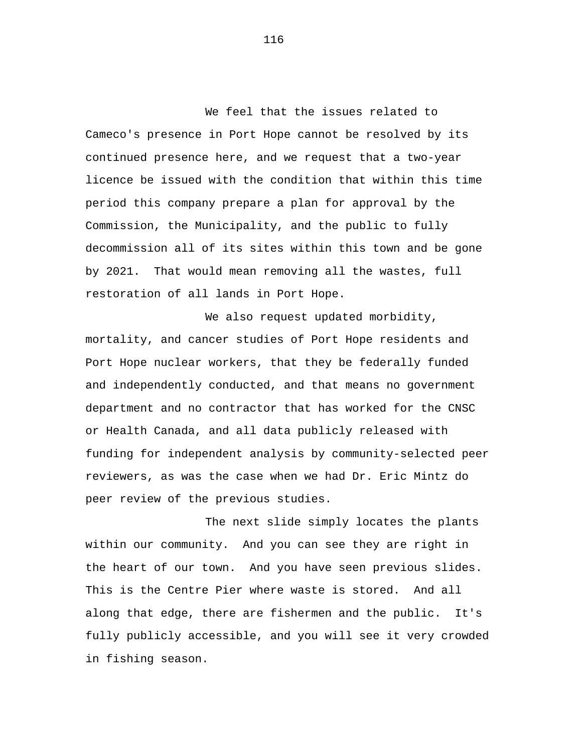We feel that the issues related to Cameco's presence in Port Hope cannot be resolved by its continued presence here, and we request that a two-year licence be issued with the condition that within this time period this company prepare a plan for approval by the Commission, the Municipality, and the public to fully decommission all of its sites within this town and be gone by 2021. That would mean removing all the wastes, full restoration of all lands in Port Hope.

We also request updated morbidity, mortality, and cancer studies of Port Hope residents and Port Hope nuclear workers, that they be federally funded and independently conducted, and that means no government department and no contractor that has worked for the CNSC or Health Canada, and all data publicly released with funding for independent analysis by community-selected peer reviewers, as was the case when we had Dr. Eric Mintz do peer review of the previous studies.

The next slide simply locates the plants within our community. And you can see they are right in the heart of our town. And you have seen previous slides. This is the Centre Pier where waste is stored. And all along that edge, there are fishermen and the public. It's fully publicly accessible, and you will see it very crowded in fishing season.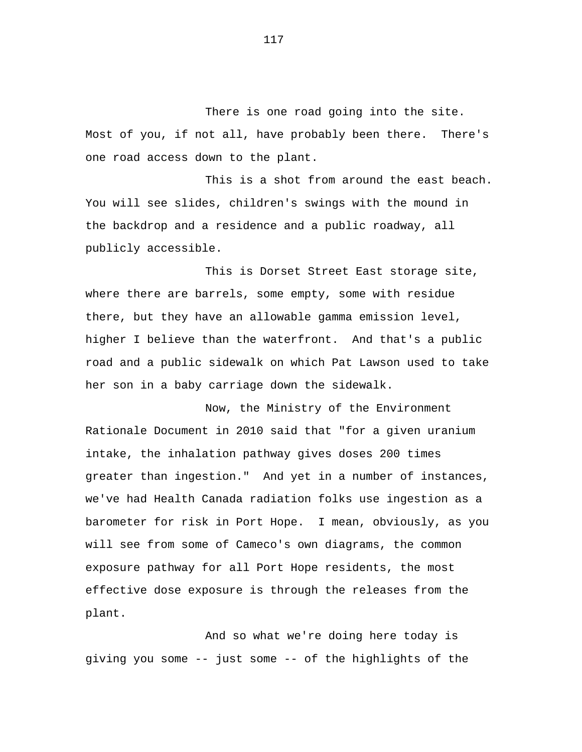There is one road going into the site. Most of you, if not all, have probably been there. There's one road access down to the plant.

This is a shot from around the east beach. You will see slides, children's swings with the mound in the backdrop and a residence and a public roadway, all publicly accessible.

This is Dorset Street East storage site, where there are barrels, some empty, some with residue there, but they have an allowable gamma emission level, higher I believe than the waterfront. And that's a public road and a public sidewalk on which Pat Lawson used to take her son in a baby carriage down the sidewalk.

Now, the Ministry of the Environment Rationale Document in 2010 said that "for a given uranium intake, the inhalation pathway gives doses 200 times greater than ingestion." And yet in a number of instances, we've had Health Canada radiation folks use ingestion as a barometer for risk in Port Hope. I mean, obviously, as you will see from some of Cameco's own diagrams, the common exposure pathway for all Port Hope residents, the most effective dose exposure is through the releases from the plant.

And so what we're doing here today is giving you some -- just some -- of the highlights of the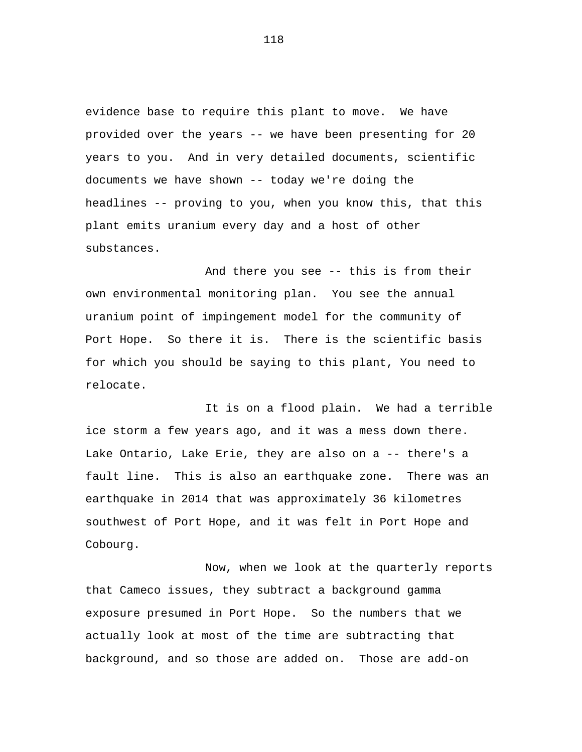evidence base to require this plant to move. We have provided over the years -- we have been presenting for 20 years to you. And in very detailed documents, scientific documents we have shown -- today we're doing the headlines -- proving to you, when you know this, that this plant emits uranium every day and a host of other substances.

And there you see -- this is from their own environmental monitoring plan. You see the annual uranium point of impingement model for the community of Port Hope. So there it is. There is the scientific basis for which you should be saying to this plant, You need to relocate.

It is on a flood plain. We had a terrible ice storm a few years ago, and it was a mess down there. Lake Ontario, Lake Erie, they are also on a -- there's a fault line. This is also an earthquake zone. There was an earthquake in 2014 that was approximately 36 kilometres southwest of Port Hope, and it was felt in Port Hope and Cobourg.

Now, when we look at the quarterly reports that Cameco issues, they subtract a background gamma exposure presumed in Port Hope. So the numbers that we actually look at most of the time are subtracting that background, and so those are added on. Those are add-on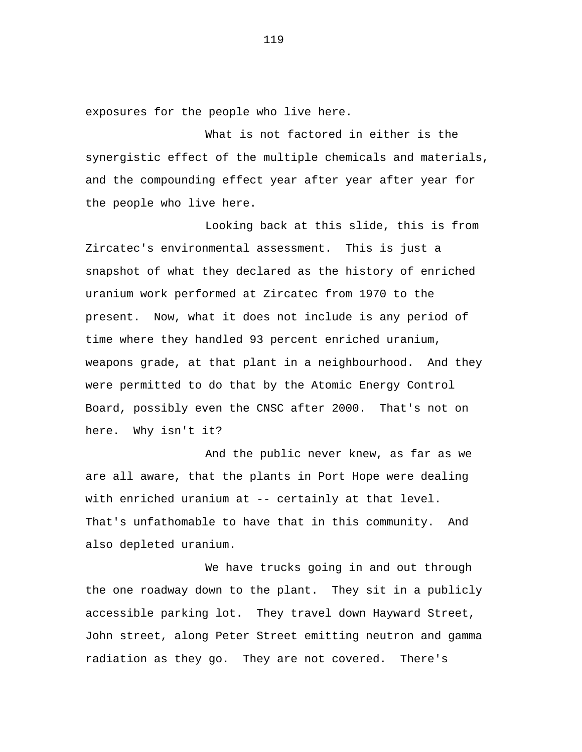exposures for the people who live here.

What is not factored in either is the synergistic effect of the multiple chemicals and materials, and the compounding effect year after year after year for the people who live here.

Looking back at this slide, this is from Zircatec's environmental assessment. This is just a snapshot of what they declared as the history of enriched uranium work performed at Zircatec from 1970 to the present. Now, what it does not include is any period of time where they handled 93 percent enriched uranium, weapons grade, at that plant in a neighbourhood. And they were permitted to do that by the Atomic Energy Control Board, possibly even the CNSC after 2000. That's not on here. Why isn't it?

And the public never knew, as far as we are all aware, that the plants in Port Hope were dealing with enriched uranium at -- certainly at that level. That's unfathomable to have that in this community. And also depleted uranium.

We have trucks going in and out through the one roadway down to the plant. They sit in a publicly accessible parking lot. They travel down Hayward Street, John street, along Peter Street emitting neutron and gamma radiation as they go. They are not covered. There's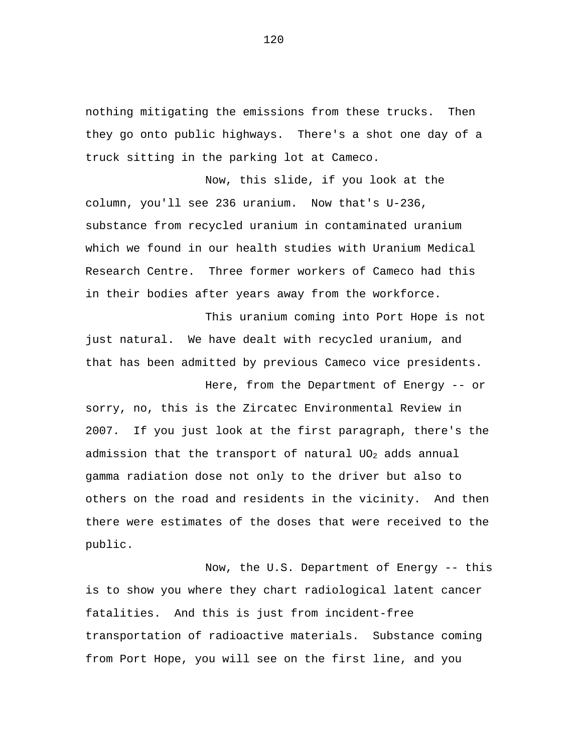nothing mitigating the emissions from these trucks. Then they go onto public highways. There's a shot one day of a truck sitting in the parking lot at Cameco.

Now, this slide, if you look at the column, you'll see 236 uranium. Now that's U-236, substance from recycled uranium in contaminated uranium which we found in our health studies with Uranium Medical Research Centre. Three former workers of Cameco had this in their bodies after years away from the workforce.

This uranium coming into Port Hope is not just natural. We have dealt with recycled uranium, and that has been admitted by previous Cameco vice presidents.

Here, from the Department of Energy -- or sorry, no, this is the Zircatec Environmental Review in 2007. If you just look at the first paragraph, there's the admission that the transport of natural  $UO<sub>2</sub>$  adds annual gamma radiation dose not only to the driver but also to others on the road and residents in the vicinity. And then there were estimates of the doses that were received to the public.

Now, the U.S. Department of Energy -- this is to show you where they chart radiological latent cancer fatalities. And this is just from incident-free transportation of radioactive materials. Substance coming from Port Hope, you will see on the first line, and you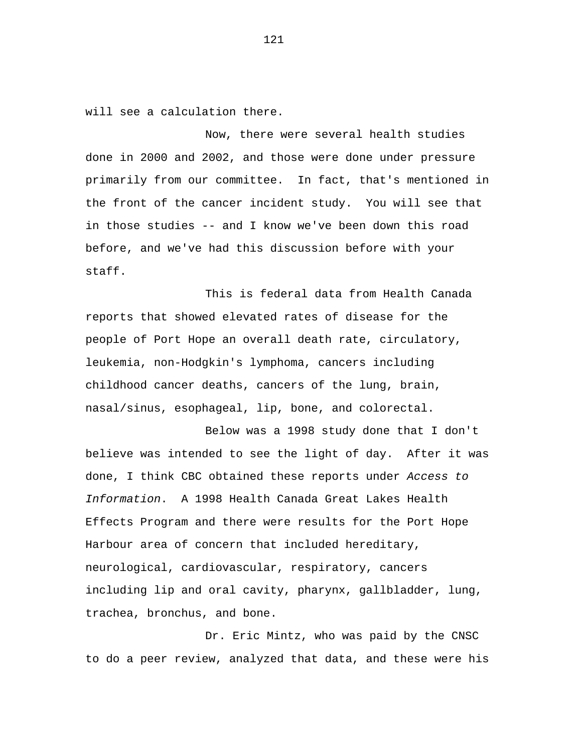will see a calculation there.

Now, there were several health studies done in 2000 and 2002, and those were done under pressure primarily from our committee. In fact, that's mentioned in the front of the cancer incident study. You will see that in those studies -- and I know we've been down this road before, and we've had this discussion before with your staff.

This is federal data from Health Canada reports that showed elevated rates of disease for the people of Port Hope an overall death rate, circulatory, leukemia, non-Hodgkin's lymphoma, cancers including childhood cancer deaths, cancers of the lung, brain, nasal/sinus, esophageal, lip, bone, and colorectal.

Below was a 1998 study done that I don't believe was intended to see the light of day. After it was done, I think CBC obtained these reports under *Access to Information*. A 1998 Health Canada Great Lakes Health Effects Program and there were results for the Port Hope Harbour area of concern that included hereditary, neurological, cardiovascular, respiratory, cancers including lip and oral cavity, pharynx, gallbladder, lung, trachea, bronchus, and bone.

Dr. Eric Mintz, who was paid by the CNSC to do a peer review, analyzed that data, and these were his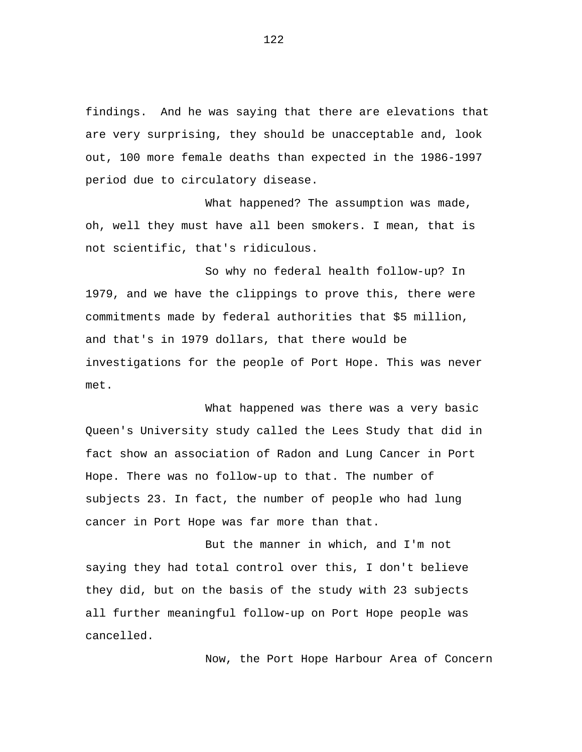findings. And he was saying that there are elevations that are very surprising, they should be unacceptable and, look out, 100 more female deaths than expected in the 1986-1997 period due to circulatory disease.

What happened? The assumption was made, oh, well they must have all been smokers. I mean, that is not scientific, that's ridiculous.

So why no federal health follow-up? In 1979, and we have the clippings to prove this, there were commitments made by federal authorities that \$5 million, and that's in 1979 dollars, that there would be investigations for the people of Port Hope. This was never met.

What happened was there was a very basic Queen's University study called the Lees Study that did in fact show an association of Radon and Lung Cancer in Port Hope. There was no follow-up to that. The number of subjects 23. In fact, the number of people who had lung cancer in Port Hope was far more than that.

But the manner in which, and I'm not saying they had total control over this, I don't believe they did, but on the basis of the study with 23 subjects all further meaningful follow-up on Port Hope people was cancelled.

Now, the Port Hope Harbour Area of Concern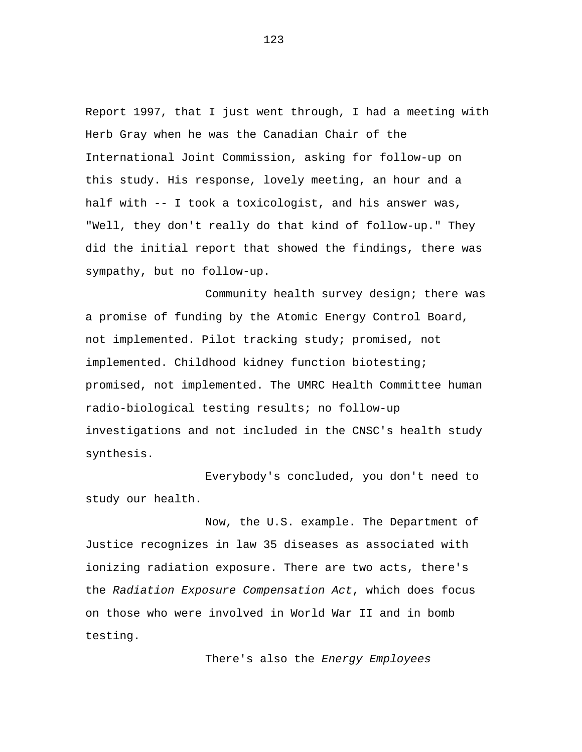Report 1997, that I just went through, I had a meeting with Herb Gray when he was the Canadian Chair of the International Joint Commission, asking for follow-up on this study. His response, lovely meeting, an hour and a half with -- I took a toxicologist, and his answer was, "Well, they don't really do that kind of follow-up." They did the initial report that showed the findings, there was sympathy, but no follow-up.

Community health survey design; there was a promise of funding by the Atomic Energy Control Board, not implemented. Pilot tracking study; promised, not implemented. Childhood kidney function biotesting; promised, not implemented. The UMRC Health Committee human radio-biological testing results; no follow-up investigations and not included in the CNSC's health study synthesis.

Everybody's concluded, you don't need to study our health.

Now, the U.S. example. The Department of Justice recognizes in law 35 diseases as associated with ionizing radiation exposure. There are two acts, there's the *Radiation Exposure Compensation Act*, which does focus on those who were involved in World War II and in bomb testing.

There's also the *Energy Employees*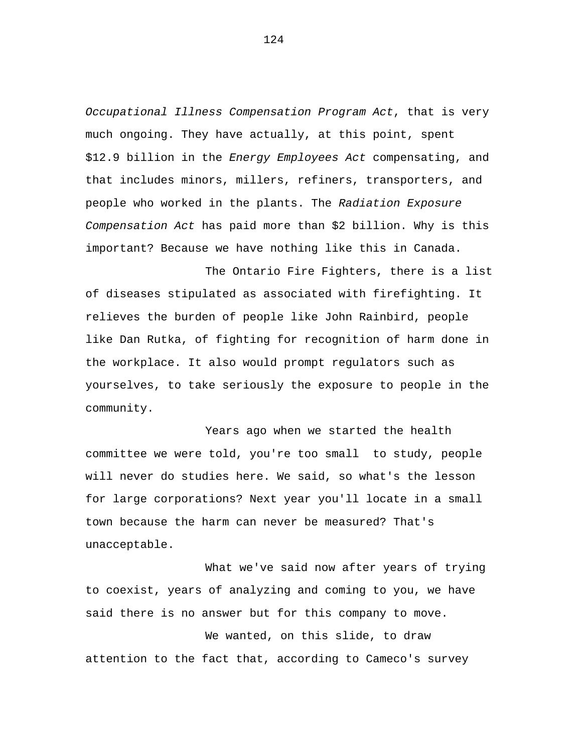*Occupational Illness Compensation Program Act*, that is very much ongoing. They have actually, at this point, spent \$12.9 billion in the *Energy Employees Act* compensating, and that includes minors, millers, refiners, transporters, and people who worked in the plants. The *Radiation Exposure Compensation Act* has paid more than \$2 billion. Why is this important? Because we have nothing like this in Canada.

The Ontario Fire Fighters, there is a list of diseases stipulated as associated with firefighting. It relieves the burden of people like John Rainbird, people like Dan Rutka, of fighting for recognition of harm done in the workplace. It also would prompt regulators such as yourselves, to take seriously the exposure to people in the community.

Years ago when we started the health committee we were told, you're too small to study, people will never do studies here. We said, so what's the lesson for large corporations? Next year you'll locate in a small town because the harm can never be measured? That's unacceptable.

What we've said now after years of trying to coexist, years of analyzing and coming to you, we have said there is no answer but for this company to move.

We wanted, on this slide, to draw attention to the fact that, according to Cameco's survey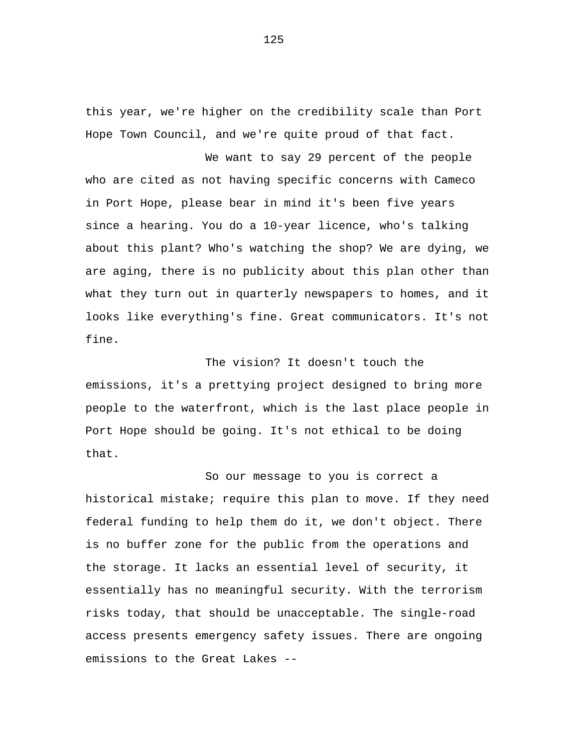this year, we're higher on the credibility scale than Port Hope Town Council, and we're quite proud of that fact.

We want to say 29 percent of the people who are cited as not having specific concerns with Cameco in Port Hope, please bear in mind it's been five years since a hearing. You do a 10-year licence, who's talking about this plant? Who's watching the shop? We are dying, we are aging, there is no publicity about this plan other than what they turn out in quarterly newspapers to homes, and it looks like everything's fine. Great communicators. It's not fine.

The vision? It doesn't touch the emissions, it's a prettying project designed to bring more people to the waterfront, which is the last place people in Port Hope should be going. It's not ethical to be doing that.

So our message to you is correct a historical mistake; require this plan to move. If they need federal funding to help them do it, we don't object. There is no buffer zone for the public from the operations and the storage. It lacks an essential level of security, it essentially has no meaningful security. With the terrorism risks today, that should be unacceptable. The single-road access presents emergency safety issues. There are ongoing emissions to the Great Lakes --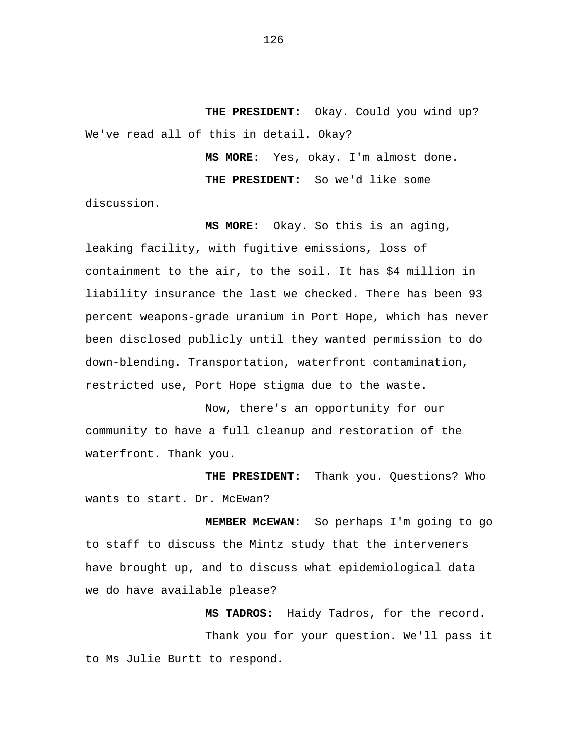**THE PRESIDENT:** Okay. Could you wind up? We've read all of this in detail. Okay?

**MS MORE:** Yes, okay. I'm almost done.

 **THE PRESIDENT:** So we'd like some

discussion.

**MS MORE:** Okay. So this is an aging,

leaking facility, with fugitive emissions, loss of containment to the air, to the soil. It has \$4 million in liability insurance the last we checked. There has been 93 percent weapons-grade uranium in Port Hope, which has never been disclosed publicly until they wanted permission to do down-blending. Transportation, waterfront contamination, restricted use, Port Hope stigma due to the waste.

Now, there's an opportunity for our community to have a full cleanup and restoration of the waterfront. Thank you.

 **THE PRESIDENT:** Thank you. Questions? Who wants to start. Dr. McEwan?

**MEMBER McEWAN**: So perhaps I'm going to go to staff to discuss the Mintz study that the interveners have brought up, and to discuss what epidemiological data we do have available please?

 **MS TADROS:** Haidy Tadros, for the record. Thank you for your question. We'll pass it to Ms Julie Burtt to respond.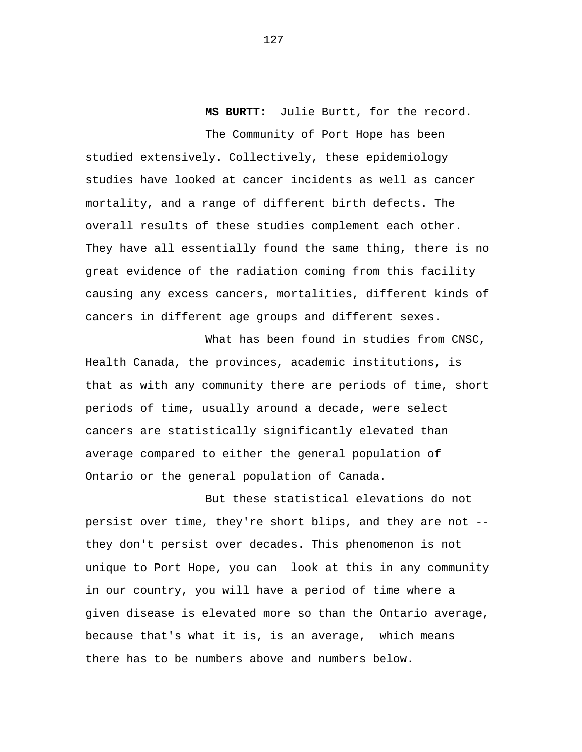**MS BURTT:** Julie Burtt, for the record.

The Community of Port Hope has been studied extensively. Collectively, these epidemiology studies have looked at cancer incidents as well as cancer mortality, and a range of different birth defects. The overall results of these studies complement each other. They have all essentially found the same thing, there is no great evidence of the radiation coming from this facility causing any excess cancers, mortalities, different kinds of cancers in different age groups and different sexes.

What has been found in studies from CNSC, Health Canada, the provinces, academic institutions, is that as with any community there are periods of time, short periods of time, usually around a decade, were select cancers are statistically significantly elevated than average compared to either the general population of Ontario or the general population of Canada.

But these statistical elevations do not persist over time, they're short blips, and they are not - they don't persist over decades. This phenomenon is not unique to Port Hope, you can look at this in any community in our country, you will have a period of time where a given disease is elevated more so than the Ontario average, because that's what it is, is an average, which means there has to be numbers above and numbers below.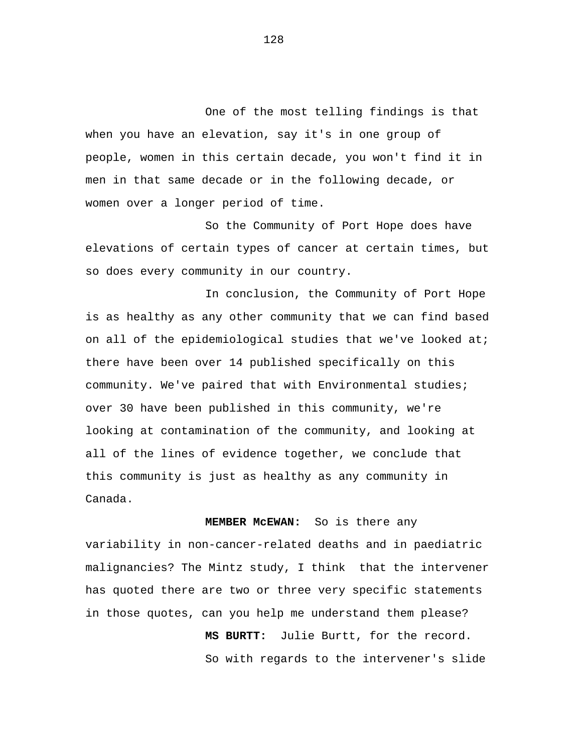One of the most telling findings is that when you have an elevation, say it's in one group of people, women in this certain decade, you won't find it in men in that same decade or in the following decade, or women over a longer period of time.

So the Community of Port Hope does have elevations of certain types of cancer at certain times, but so does every community in our country.

In conclusion, the Community of Port Hope is as healthy as any other community that we can find based on all of the epidemiological studies that we've looked at; there have been over 14 published specifically on this community. We've paired that with Environmental studies; over 30 have been published in this community, we're looking at contamination of the community, and looking at all of the lines of evidence together, we conclude that this community is just as healthy as any community in Canada.

## **MEMBER McEWAN:** So is there any

variability in non-cancer-related deaths and in paediatric malignancies? The Mintz study, I think that the intervener has quoted there are two or three very specific statements in those quotes, can you help me understand them please?

> **MS BURTT:** Julie Burtt, for the record. So with regards to the intervener's slide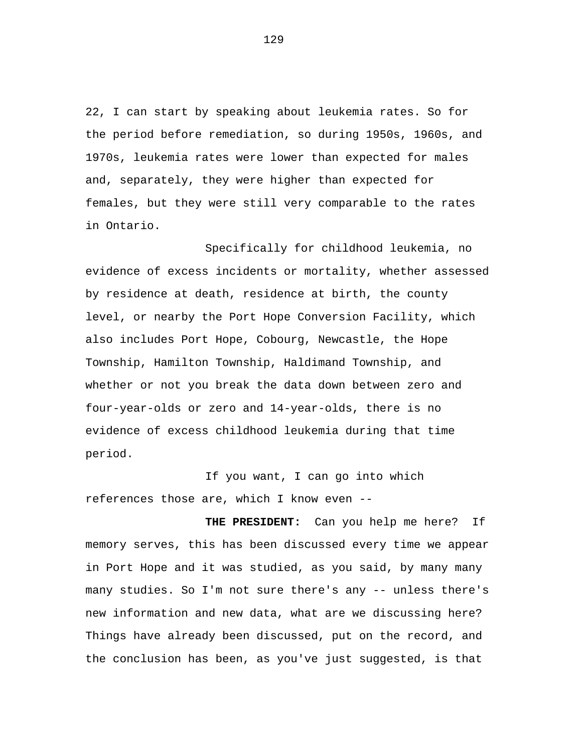22, I can start by speaking about leukemia rates. So for the period before remediation, so during 1950s, 1960s, and 1970s, leukemia rates were lower than expected for males and, separately, they were higher than expected for females, but they were still very comparable to the rates in Ontario.

Specifically for childhood leukemia, no evidence of excess incidents or mortality, whether assessed by residence at death, residence at birth, the county level, or nearby the Port Hope Conversion Facility, which also includes Port Hope, Cobourg, Newcastle, the Hope Township, Hamilton Township, Haldimand Township, and whether or not you break the data down between zero and four-year-olds or zero and 14-year-olds, there is no evidence of excess childhood leukemia during that time period.

If you want, I can go into which references those are, which I know even --

**THE PRESIDENT:** Can you help me here? If memory serves, this has been discussed every time we appear in Port Hope and it was studied, as you said, by many many many studies. So I'm not sure there's any -- unless there's new information and new data, what are we discussing here? Things have already been discussed, put on the record, and the conclusion has been, as you've just suggested, is that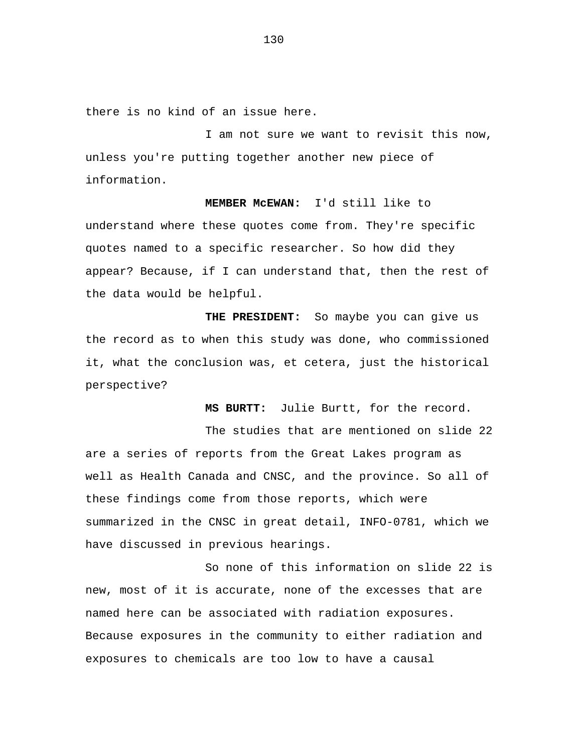there is no kind of an issue here.

I am not sure we want to revisit this now, unless you're putting together another new piece of information.

 **MEMBER McEWAN:** I'd still like to understand where these quotes come from. They're specific quotes named to a specific researcher. So how did they appear? Because, if I can understand that, then the rest of the data would be helpful.

 **THE PRESIDENT:** So maybe you can give us the record as to when this study was done, who commissioned it, what the conclusion was, et cetera, just the historical perspective?

**MS BURTT:** Julie Burtt, for the record.

The studies that are mentioned on slide 22 are a series of reports from the Great Lakes program as well as Health Canada and CNSC, and the province. So all of these findings come from those reports, which were summarized in the CNSC in great detail, INFO-0781, which we have discussed in previous hearings.

So none of this information on slide 22 is new, most of it is accurate, none of the excesses that are named here can be associated with radiation exposures. Because exposures in the community to either radiation and exposures to chemicals are too low to have a causal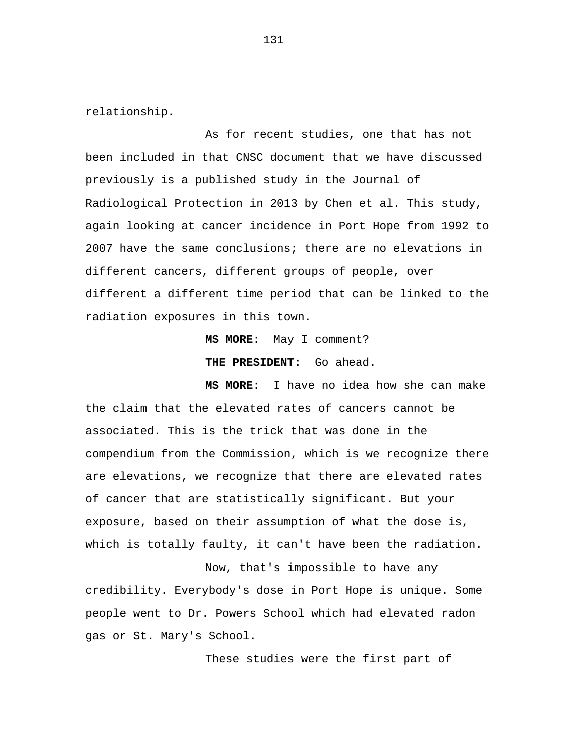relationship.

As for recent studies, one that has not been included in that CNSC document that we have discussed previously is a published study in the Journal of Radiological Protection in 2013 by Chen et al. This study, again looking at cancer incidence in Port Hope from 1992 to 2007 have the same conclusions; there are no elevations in different cancers, different groups of people, over different a different time period that can be linked to the radiation exposures in this town.

**MS MORE:** May I comment?

**THE PRESIDENT:** Go ahead.

**MS MORE:** I have no idea how she can make the claim that the elevated rates of cancers cannot be associated. This is the trick that was done in the compendium from the Commission, which is we recognize there are elevations, we recognize that there are elevated rates of cancer that are statistically significant. But your exposure, based on their assumption of what the dose is, which is totally faulty, it can't have been the radiation.

Now, that's impossible to have any credibility. Everybody's dose in Port Hope is unique. Some people went to Dr. Powers School which had elevated radon gas or St. Mary's School.

These studies were the first part of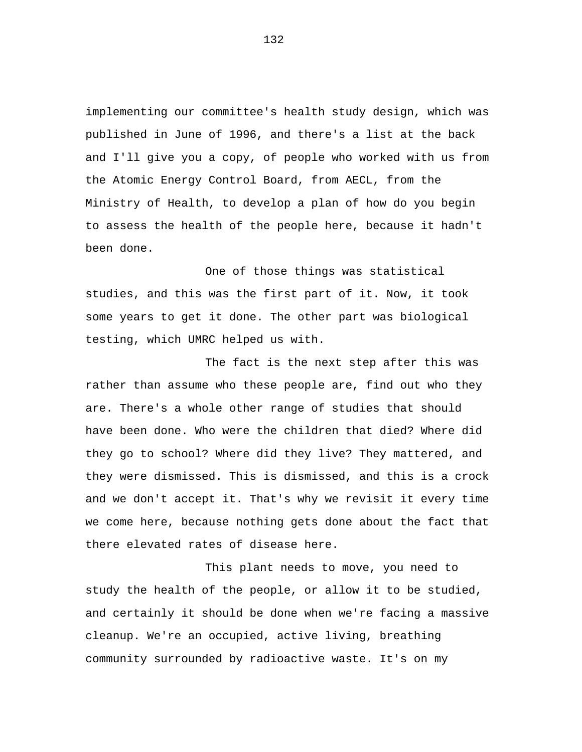implementing our committee's health study design, which was published in June of 1996, and there's a list at the back and I'll give you a copy, of people who worked with us from the Atomic Energy Control Board, from AECL, from the Ministry of Health, to develop a plan of how do you begin to assess the health of the people here, because it hadn't been done.

One of those things was statistical studies, and this was the first part of it. Now, it took some years to get it done. The other part was biological testing, which UMRC helped us with.

The fact is the next step after this was rather than assume who these people are, find out who they are. There's a whole other range of studies that should have been done. Who were the children that died? Where did they go to school? Where did they live? They mattered, and they were dismissed. This is dismissed, and this is a crock and we don't accept it. That's why we revisit it every time we come here, because nothing gets done about the fact that there elevated rates of disease here.

This plant needs to move, you need to study the health of the people, or allow it to be studied, and certainly it should be done when we're facing a massive cleanup. We're an occupied, active living, breathing community surrounded by radioactive waste. It's on my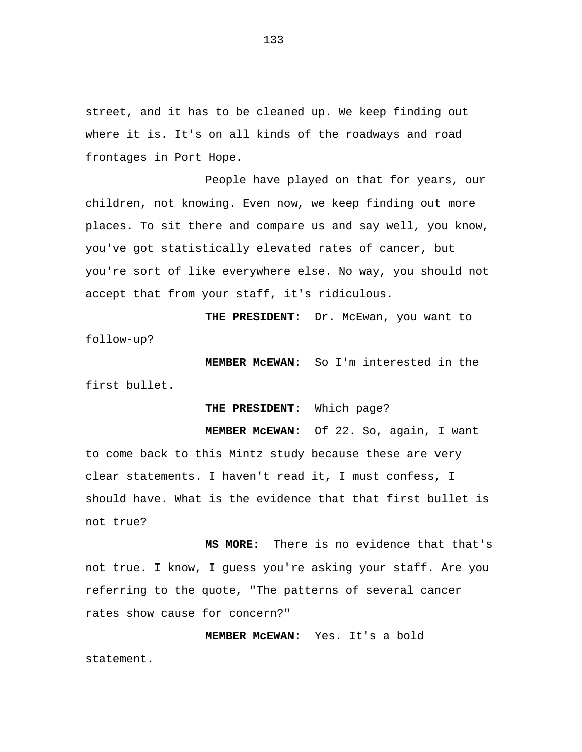street, and it has to be cleaned up. We keep finding out where it is. It's on all kinds of the roadways and road frontages in Port Hope.

People have played on that for years, our children, not knowing. Even now, we keep finding out more places. To sit there and compare us and say well, you know, you've got statistically elevated rates of cancer, but you're sort of like everywhere else. No way, you should not accept that from your staff, it's ridiculous.

 **THE PRESIDENT:** Dr. McEwan, you want to follow-up?

 **MEMBER McEWAN:** So I'm interested in the first bullet.

 **THE PRESIDENT:** Which page?

 **MEMBER McEWAN:** Of 22. So, again, I want to come back to this Mintz study because these are very clear statements. I haven't read it, I must confess, I should have. What is the evidence that that first bullet is not true?

 **MS MORE:** There is no evidence that that's not true. I know, I guess you're asking your staff. Are you referring to the quote, "The patterns of several cancer rates show cause for concern?"

**MEMBER McEWAN:** Yes. It's a bold

statement.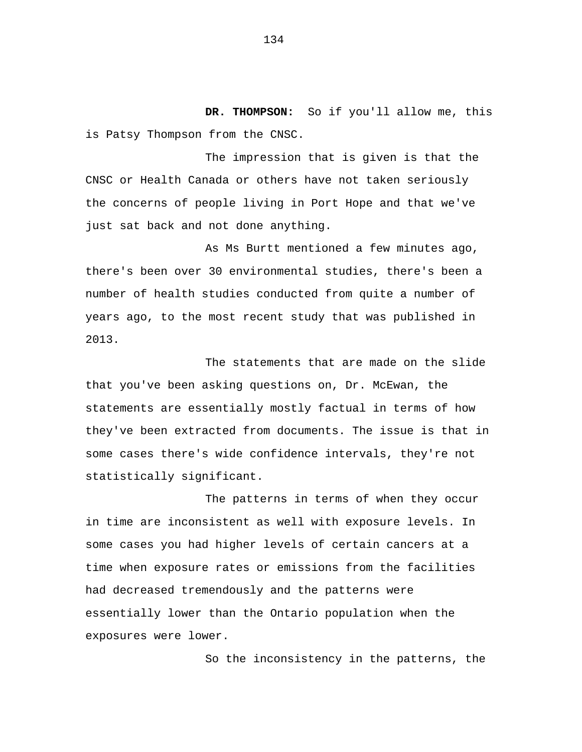**DR. THOMPSON:** So if you'll allow me, this is Patsy Thompson from the CNSC.

The impression that is given is that the CNSC or Health Canada or others have not taken seriously the concerns of people living in Port Hope and that we've just sat back and not done anything.

As Ms Burtt mentioned a few minutes ago, there's been over 30 environmental studies, there's been a number of health studies conducted from quite a number of years ago, to the most recent study that was published in 2013.

The statements that are made on the slide that you've been asking questions on, Dr. McEwan, the statements are essentially mostly factual in terms of how they've been extracted from documents. The issue is that in some cases there's wide confidence intervals, they're not statistically significant.

The patterns in terms of when they occur in time are inconsistent as well with exposure levels. In some cases you had higher levels of certain cancers at a time when exposure rates or emissions from the facilities had decreased tremendously and the patterns were essentially lower than the Ontario population when the exposures were lower.

So the inconsistency in the patterns, the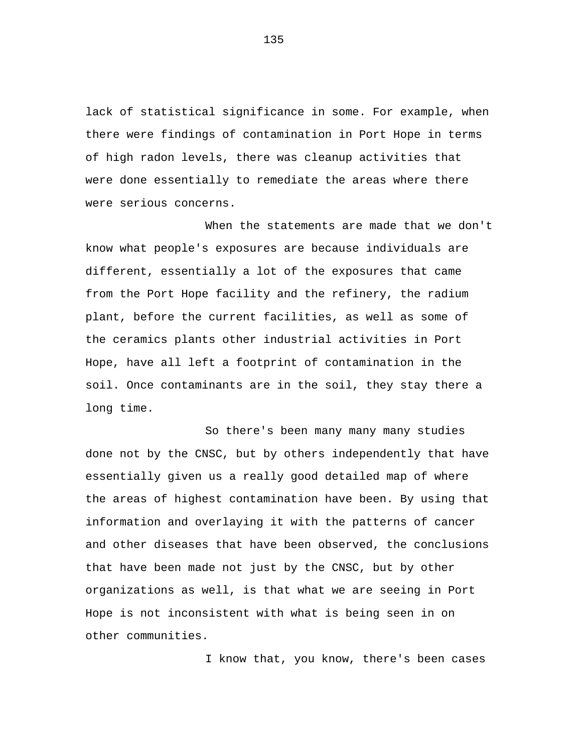lack of statistical significance in some. For example, when there were findings of contamination in Port Hope in terms of high radon levels, there was cleanup activities that were done essentially to remediate the areas where there were serious concerns.

When the statements are made that we don't know what people's exposures are because individuals are different, essentially a lot of the exposures that came from the Port Hope facility and the refinery, the radium plant, before the current facilities, as well as some of the ceramics plants other industrial activities in Port Hope, have all left a footprint of contamination in the soil. Once contaminants are in the soil, they stay there a long time.

So there's been many many many studies done not by the CNSC, but by others independently that have essentially given us a really good detailed map of where the areas of highest contamination have been. By using that information and overlaying it with the patterns of cancer and other diseases that have been observed, the conclusions that have been made not just by the CNSC, but by other organizations as well, is that what we are seeing in Port Hope is not inconsistent with what is being seen in on other communities.

I know that, you know, there's been cases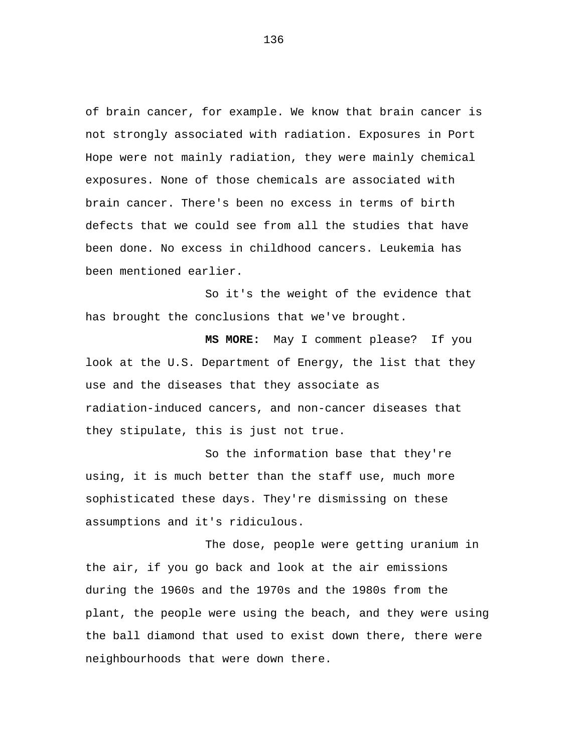of brain cancer, for example. We know that brain cancer is not strongly associated with radiation. Exposures in Port Hope were not mainly radiation, they were mainly chemical exposures. None of those chemicals are associated with brain cancer. There's been no excess in terms of birth defects that we could see from all the studies that have been done. No excess in childhood cancers. Leukemia has been mentioned earlier.

So it's the weight of the evidence that has brought the conclusions that we've brought.

 **MS MORE:** May I comment please? If you look at the U.S. Department of Energy, the list that they use and the diseases that they associate as radiation-induced cancers, and non-cancer diseases that they stipulate, this is just not true.

So the information base that they're using, it is much better than the staff use, much more sophisticated these days. They're dismissing on these assumptions and it's ridiculous.

The dose, people were getting uranium in the air, if you go back and look at the air emissions during the 1960s and the 1970s and the 1980s from the plant, the people were using the beach, and they were using the ball diamond that used to exist down there, there were neighbourhoods that were down there.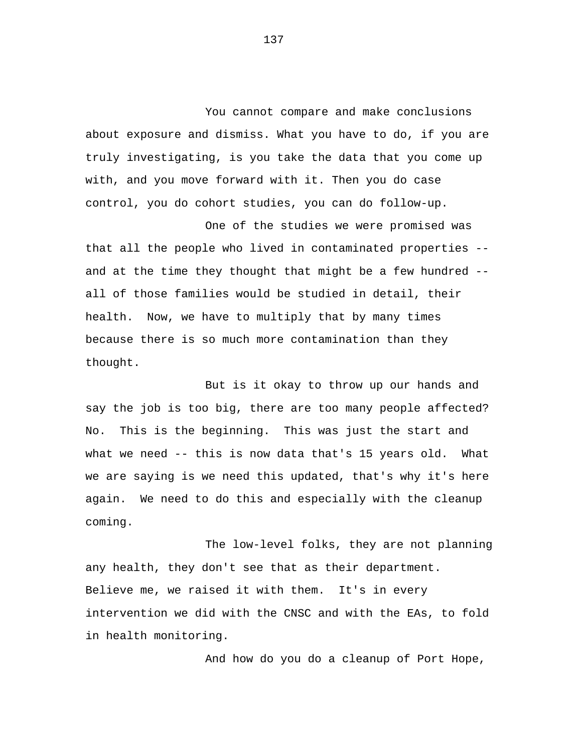You cannot compare and make conclusions about exposure and dismiss. What you have to do, if you are truly investigating, is you take the data that you come up with, and you move forward with it. Then you do case control, you do cohort studies, you can do follow-up.

One of the studies we were promised was that all the people who lived in contaminated properties - and at the time they thought that might be a few hundred - all of those families would be studied in detail, their health. Now, we have to multiply that by many times because there is so much more contamination than they thought.

But is it okay to throw up our hands and say the job is too big, there are too many people affected? No. This is the beginning. This was just the start and what we need -- this is now data that's 15 years old. What we are saying is we need this updated, that's why it's here again. We need to do this and especially with the cleanup coming.

The low-level folks, they are not planning any health, they don't see that as their department. Believe me, we raised it with them. It's in every intervention we did with the CNSC and with the EAs, to fold in health monitoring.

And how do you do a cleanup of Port Hope,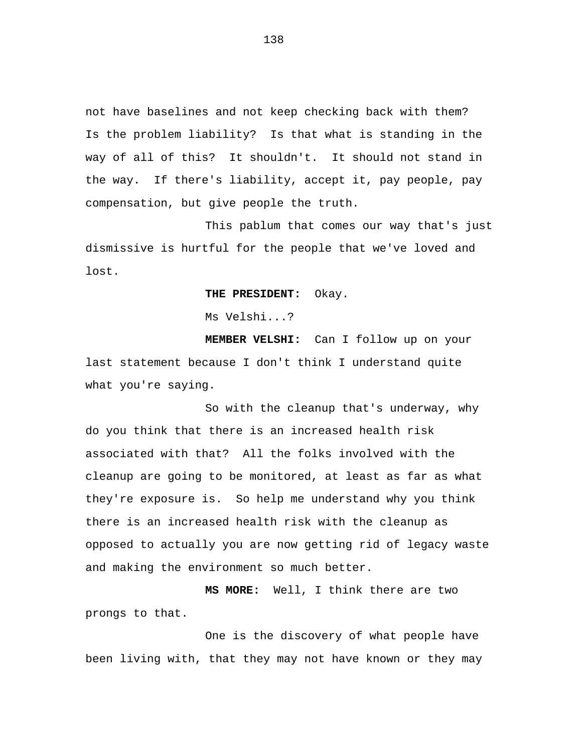not have baselines and not keep checking back with them? Is the problem liability? Is that what is standing in the way of all of this? It shouldn't. It should not stand in the way. If there's liability, accept it, pay people, pay compensation, but give people the truth.

This pablum that comes our way that's just dismissive is hurtful for the people that we've loved and lost.

**THE PRESIDENT:** Okay.

Ms Velshi...?

**MEMBER VELSHI:** Can I follow up on your last statement because I don't think I understand quite what you're saying.

So with the cleanup that's underway, why do you think that there is an increased health risk associated with that? All the folks involved with the cleanup are going to be monitored, at least as far as what they're exposure is. So help me understand why you think there is an increased health risk with the cleanup as opposed to actually you are now getting rid of legacy waste and making the environment so much better.

**MS MORE:** Well, I think there are two prongs to that.

One is the discovery of what people have been living with, that they may not have known or they may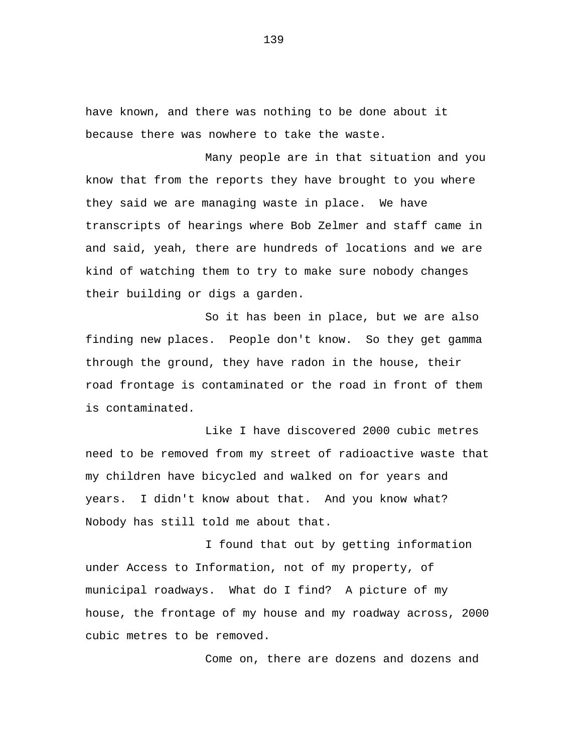have known, and there was nothing to be done about it because there was nowhere to take the waste.

Many people are in that situation and you know that from the reports they have brought to you where they said we are managing waste in place. We have transcripts of hearings where Bob Zelmer and staff came in and said, yeah, there are hundreds of locations and we are kind of watching them to try to make sure nobody changes their building or digs a garden.

So it has been in place, but we are also finding new places. People don't know. So they get gamma through the ground, they have radon in the house, their road frontage is contaminated or the road in front of them is contaminated.

Like I have discovered 2000 cubic metres need to be removed from my street of radioactive waste that my children have bicycled and walked on for years and years. I didn't know about that. And you know what? Nobody has still told me about that.

I found that out by getting information under Access to Information, not of my property, of municipal roadways. What do I find? A picture of my house, the frontage of my house and my roadway across, 2000 cubic metres to be removed.

Come on, there are dozens and dozens and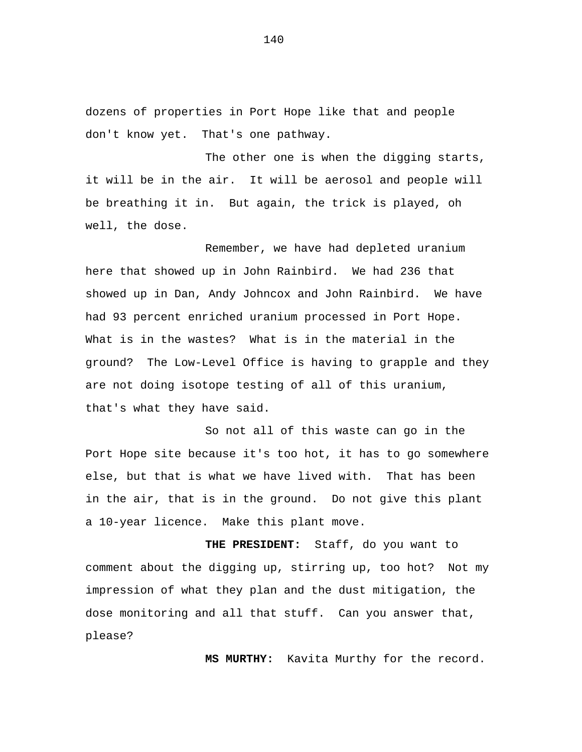dozens of properties in Port Hope like that and people don't know yet. That's one pathway.

The other one is when the digging starts, it will be in the air. It will be aerosol and people will be breathing it in. But again, the trick is played, oh well, the dose.

Remember, we have had depleted uranium here that showed up in John Rainbird. We had 236 that showed up in Dan, Andy Johncox and John Rainbird. We have had 93 percent enriched uranium processed in Port Hope. What is in the wastes? What is in the material in the ground? The Low-Level Office is having to grapple and they are not doing isotope testing of all of this uranium, that's what they have said.

So not all of this waste can go in the Port Hope site because it's too hot, it has to go somewhere else, but that is what we have lived with. That has been in the air, that is in the ground. Do not give this plant a 10-year licence. Make this plant move.

**THE PRESIDENT:** Staff, do you want to comment about the digging up, stirring up, too hot? Not my impression of what they plan and the dust mitigation, the dose monitoring and all that stuff. Can you answer that, please?

**MS MURTHY:** Kavita Murthy for the record.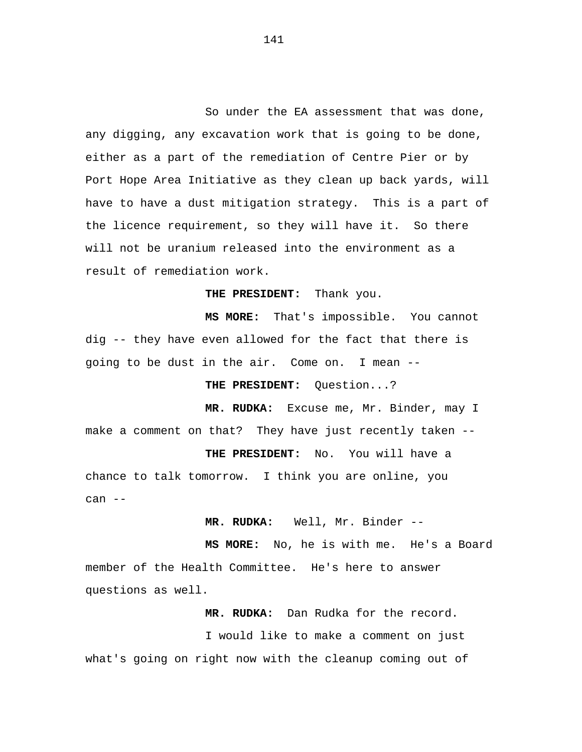So under the EA assessment that was done, any digging, any excavation work that is going to be done, either as a part of the remediation of Centre Pier or by Port Hope Area Initiative as they clean up back yards, will have to have a dust mitigation strategy. This is a part of the licence requirement, so they will have it. So there will not be uranium released into the environment as a result of remediation work.

**THE PRESIDENT:** Thank you.

**MS MORE:** That's impossible. You cannot dig -- they have even allowed for the fact that there is going to be dust in the air. Come on. I mean --

**THE PRESIDENT:** Question...?

**MR. RUDKA:** Excuse me, Mr. Binder, may I make a comment on that? They have just recently taken --

**THE PRESIDENT:** No. You will have a chance to talk tomorrow. I think you are online, you can  $--$ 

**MR. RUDKA:** Well, Mr. Binder --

**MS MORE:** No, he is with me. He's a Board member of the Health Committee. He's here to answer questions as well.

**MR. RUDKA:** Dan Rudka for the record.

I would like to make a comment on just what's going on right now with the cleanup coming out of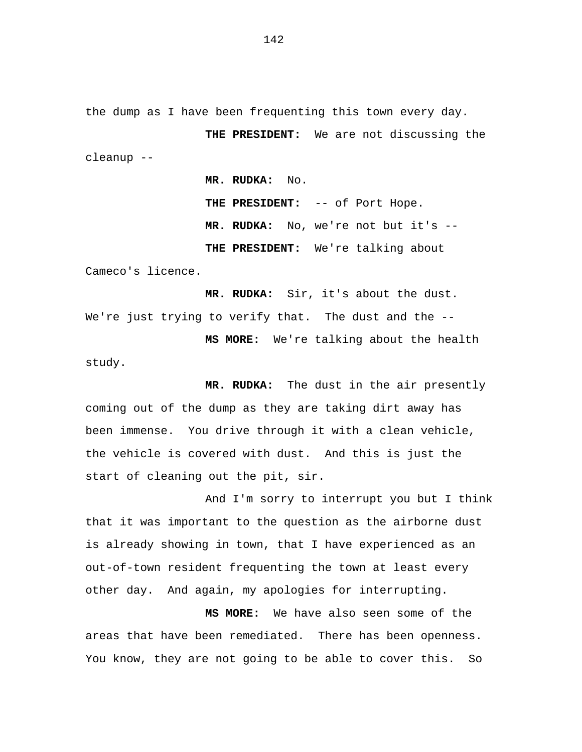the dump as I have been frequenting this town every day.

**THE PRESIDENT:** We are not discussing the cleanup --

> **MR. RUDKA:** No. **THE PRESIDENT:** -- of Port Hope. **MR. RUDKA:** No, we're not but it's -- **THE PRESIDENT:** We're talking about

Cameco's licence.

**MR. RUDKA:** Sir, it's about the dust. We're just trying to verify that. The dust and the -- **MS MORE:** We're talking about the health study.

**MR. RUDKA:** The dust in the air presently coming out of the dump as they are taking dirt away has been immense. You drive through it with a clean vehicle, the vehicle is covered with dust. And this is just the start of cleaning out the pit, sir.

And I'm sorry to interrupt you but I think that it was important to the question as the airborne dust is already showing in town, that I have experienced as an out-of-town resident frequenting the town at least every other day. And again, my apologies for interrupting.

**MS MORE:** We have also seen some of the areas that have been remediated. There has been openness. You know, they are not going to be able to cover this. So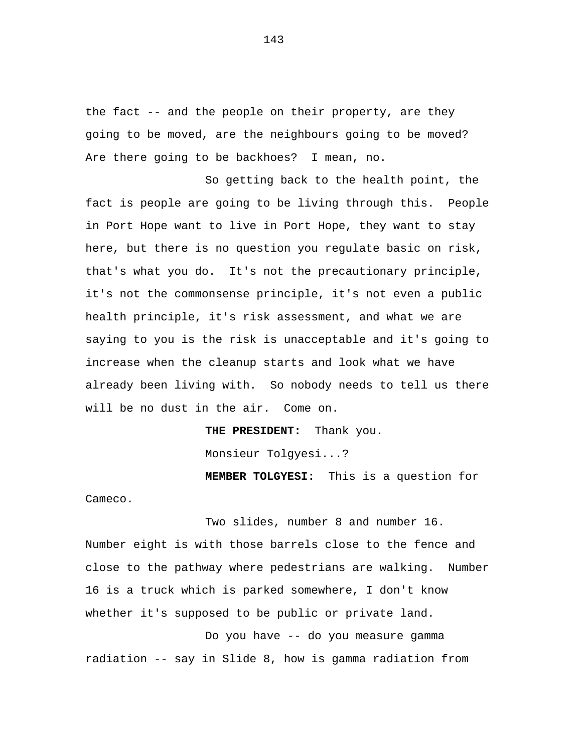the fact -- and the people on their property, are they going to be moved, are the neighbours going to be moved? Are there going to be backhoes? I mean, no.

So getting back to the health point, the fact is people are going to be living through this. People in Port Hope want to live in Port Hope, they want to stay here, but there is no question you regulate basic on risk, that's what you do. It's not the precautionary principle, it's not the commonsense principle, it's not even a public health principle, it's risk assessment, and what we are saying to you is the risk is unacceptable and it's going to increase when the cleanup starts and look what we have already been living with. So nobody needs to tell us there will be no dust in the air. Come on.

**THE PRESIDENT:** Thank you.

Monsieur Tolgyesi...?

**MEMBER TOLGYESI:** This is a question for

Cameco.

Two slides, number 8 and number 16. Number eight is with those barrels close to the fence and close to the pathway where pedestrians are walking. Number 16 is a truck which is parked somewhere, I don't know whether it's supposed to be public or private land.

Do you have -- do you measure gamma radiation -- say in Slide 8, how is gamma radiation from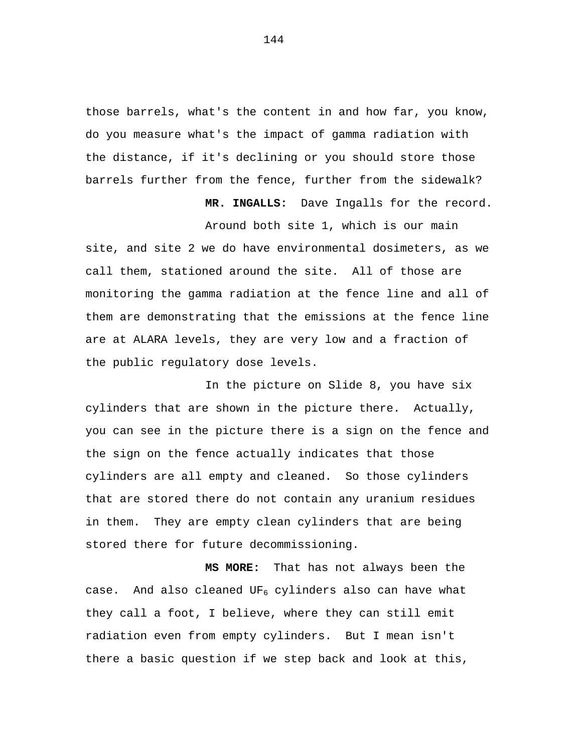those barrels, what's the content in and how far, you know, do you measure what's the impact of gamma radiation with the distance, if it's declining or you should store those barrels further from the fence, further from the sidewalk?

**MR. INGALLS:** Dave Ingalls for the record.

Around both site 1, which is our main site, and site 2 we do have environmental dosimeters, as we call them, stationed around the site. All of those are monitoring the gamma radiation at the fence line and all of them are demonstrating that the emissions at the fence line are at ALARA levels, they are very low and a fraction of the public regulatory dose levels.

In the picture on Slide 8, you have six cylinders that are shown in the picture there. Actually, you can see in the picture there is a sign on the fence and the sign on the fence actually indicates that those cylinders are all empty and cleaned. So those cylinders that are stored there do not contain any uranium residues in them. They are empty clean cylinders that are being stored there for future decommissioning.

**MS MORE:** That has not always been the case. And also cleaned UF<sub>6</sub> cylinders also can have what they call a foot, I believe, where they can still emit radiation even from empty cylinders. But I mean isn't there a basic question if we step back and look at this,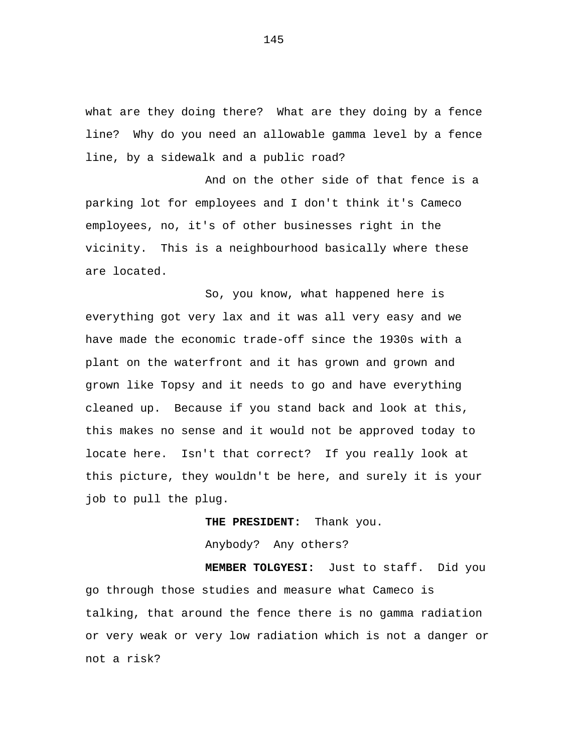what are they doing there? What are they doing by a fence line? Why do you need an allowable gamma level by a fence line, by a sidewalk and a public road?

And on the other side of that fence is a parking lot for employees and I don't think it's Cameco employees, no, it's of other businesses right in the vicinity. This is a neighbourhood basically where these are located.

So, you know, what happened here is everything got very lax and it was all very easy and we have made the economic trade-off since the 1930s with a plant on the waterfront and it has grown and grown and grown like Topsy and it needs to go and have everything cleaned up. Because if you stand back and look at this, this makes no sense and it would not be approved today to locate here. Isn't that correct? If you really look at this picture, they wouldn't be here, and surely it is your job to pull the plug.

**THE PRESIDENT:** Thank you.

Anybody? Any others?

**MEMBER TOLGYESI:** Just to staff. Did you go through those studies and measure what Cameco is talking, that around the fence there is no gamma radiation or very weak or very low radiation which is not a danger or not a risk?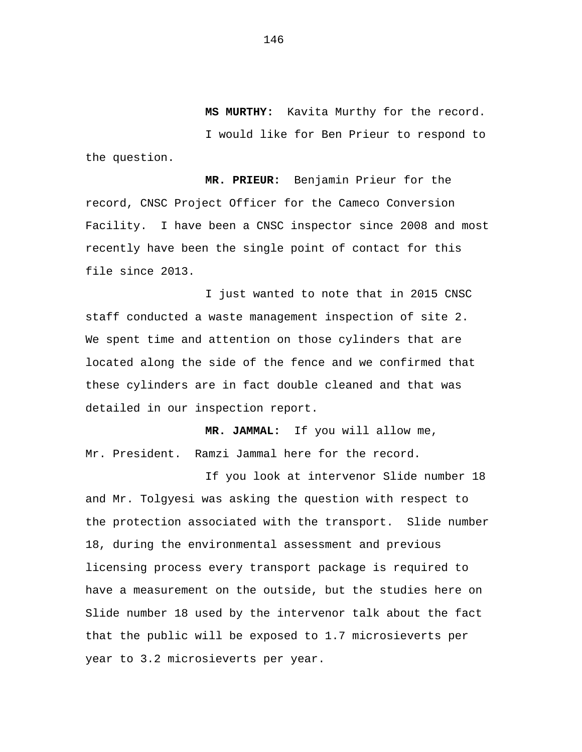**MS MURTHY:** Kavita Murthy for the record. I would like for Ben Prieur to respond to the question.

**MR. PRIEUR:** Benjamin Prieur for the record, CNSC Project Officer for the Cameco Conversion Facility. I have been a CNSC inspector since 2008 and most recently have been the single point of contact for this file since 2013.

I just wanted to note that in 2015 CNSC staff conducted a waste management inspection of site 2. We spent time and attention on those cylinders that are located along the side of the fence and we confirmed that these cylinders are in fact double cleaned and that was detailed in our inspection report.

**MR. JAMMAL:** If you will allow me, Mr. President. Ramzi Jammal here for the record.

If you look at intervenor Slide number 18 and Mr. Tolgyesi was asking the question with respect to the protection associated with the transport. Slide number 18, during the environmental assessment and previous licensing process every transport package is required to have a measurement on the outside, but the studies here on Slide number 18 used by the intervenor talk about the fact that the public will be exposed to 1.7 microsieverts per year to 3.2 microsieverts per year.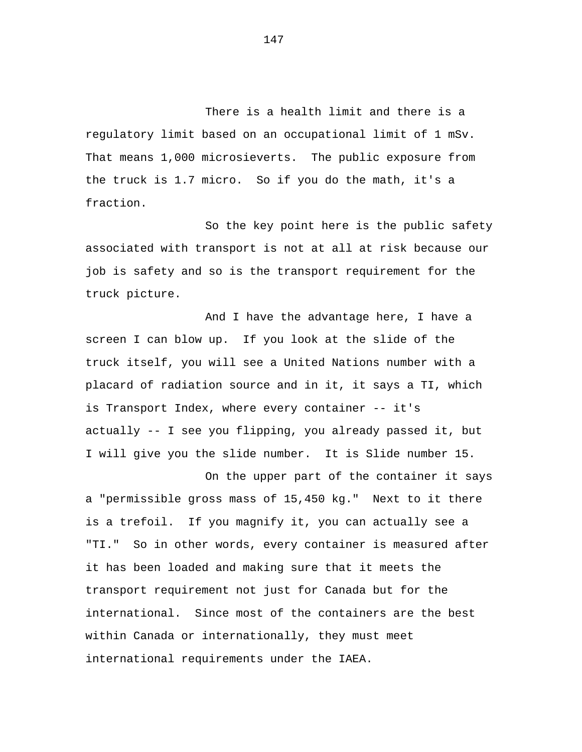There is a health limit and there is a regulatory limit based on an occupational limit of 1 mSv. That means 1,000 microsieverts. The public exposure from the truck is 1.7 micro. So if you do the math, it's a fraction.

So the key point here is the public safety associated with transport is not at all at risk because our job is safety and so is the transport requirement for the truck picture.

And I have the advantage here, I have a screen I can blow up. If you look at the slide of the truck itself, you will see a United Nations number with a placard of radiation source and in it, it says a TI, which is Transport Index, where every container -- it's actually -- I see you flipping, you already passed it, but I will give you the slide number. It is Slide number 15.

On the upper part of the container it says a "permissible gross mass of 15,450 kg." Next to it there is a trefoil. If you magnify it, you can actually see a "TI." So in other words, every container is measured after it has been loaded and making sure that it meets the transport requirement not just for Canada but for the international. Since most of the containers are the best within Canada or internationally, they must meet international requirements under the IAEA.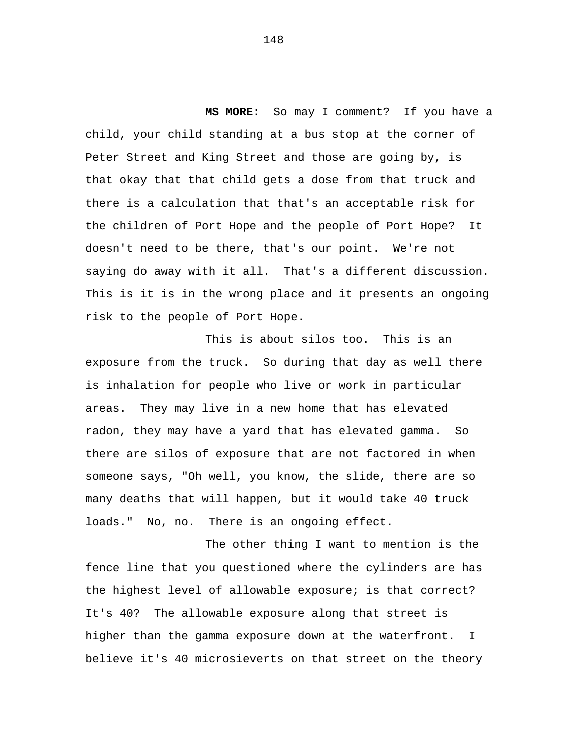**MS MORE:** So may I comment? If you have a child, your child standing at a bus stop at the corner of Peter Street and King Street and those are going by, is that okay that that child gets a dose from that truck and there is a calculation that that's an acceptable risk for the children of Port Hope and the people of Port Hope? It doesn't need to be there, that's our point. We're not saying do away with it all. That's a different discussion. This is it is in the wrong place and it presents an ongoing risk to the people of Port Hope.

This is about silos too. This is an exposure from the truck. So during that day as well there is inhalation for people who live or work in particular areas. They may live in a new home that has elevated radon, they may have a yard that has elevated gamma. So there are silos of exposure that are not factored in when someone says, "Oh well, you know, the slide, there are so many deaths that will happen, but it would take 40 truck loads." No, no. There is an ongoing effect.

The other thing I want to mention is the fence line that you questioned where the cylinders are has the highest level of allowable exposure; is that correct? It's 40? The allowable exposure along that street is higher than the gamma exposure down at the waterfront. I believe it's 40 microsieverts on that street on the theory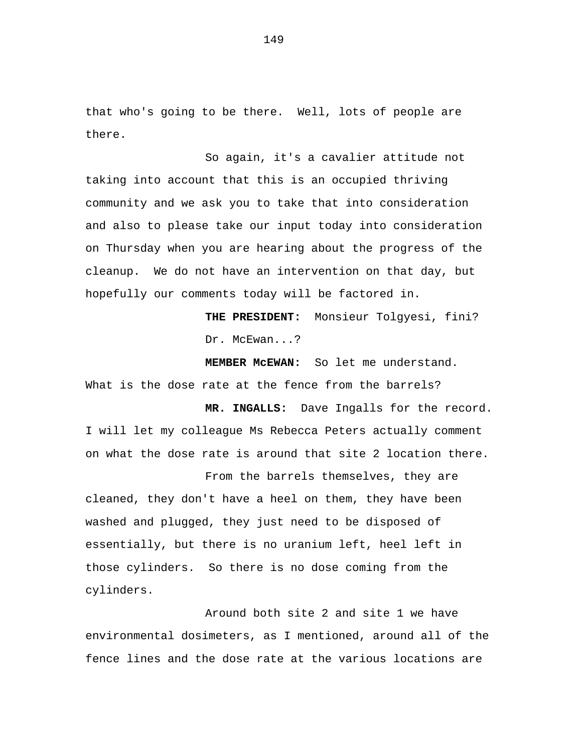that who's going to be there. Well, lots of people are there.

So again, it's a cavalier attitude not taking into account that this is an occupied thriving community and we ask you to take that into consideration and also to please take our input today into consideration on Thursday when you are hearing about the progress of the cleanup. We do not have an intervention on that day, but hopefully our comments today will be factored in.

> **THE PRESIDENT:** Monsieur Tolgyesi, fini? Dr. McEwan...?

**MEMBER McEWAN:** So let me understand. What is the dose rate at the fence from the barrels?

**MR. INGALLS:** Dave Ingalls for the record. I will let my colleague Ms Rebecca Peters actually comment on what the dose rate is around that site 2 location there.

From the barrels themselves, they are cleaned, they don't have a heel on them, they have been washed and plugged, they just need to be disposed of essentially, but there is no uranium left, heel left in those cylinders. So there is no dose coming from the cylinders.

Around both site 2 and site 1 we have environmental dosimeters, as I mentioned, around all of the fence lines and the dose rate at the various locations are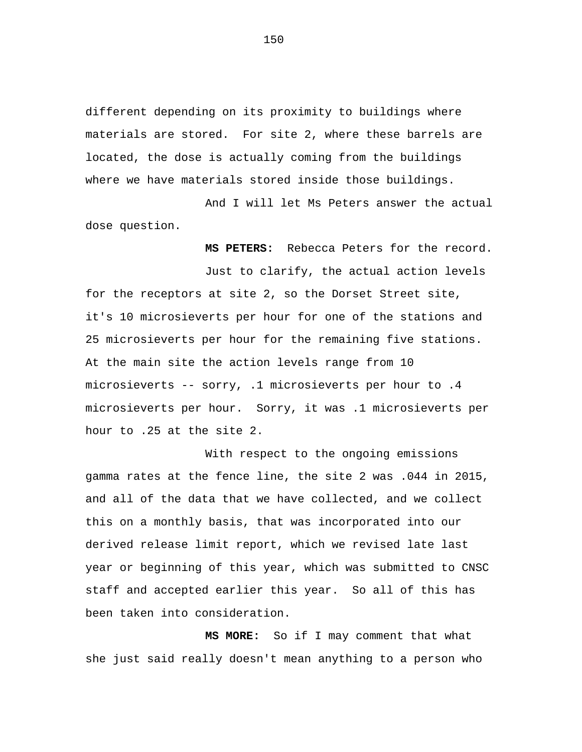different depending on its proximity to buildings where materials are stored. For site 2, where these barrels are located, the dose is actually coming from the buildings where we have materials stored inside those buildings.

And I will let Ms Peters answer the actual dose question.

**MS PETERS:** Rebecca Peters for the record. Just to clarify, the actual action levels for the receptors at site 2, so the Dorset Street site, it's 10 microsieverts per hour for one of the stations and 25 microsieverts per hour for the remaining five stations. At the main site the action levels range from 10 microsieverts -- sorry, .1 microsieverts per hour to .4 microsieverts per hour. Sorry, it was .1 microsieverts per hour to .25 at the site 2.

With respect to the ongoing emissions gamma rates at the fence line, the site 2 was .044 in 2015, and all of the data that we have collected, and we collect this on a monthly basis, that was incorporated into our derived release limit report, which we revised late last year or beginning of this year, which was submitted to CNSC staff and accepted earlier this year. So all of this has been taken into consideration.

**MS MORE:** So if I may comment that what she just said really doesn't mean anything to a person who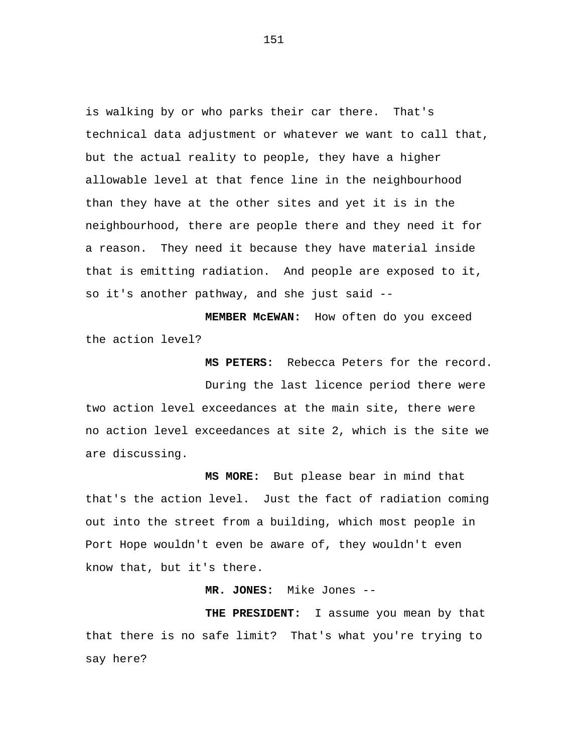is walking by or who parks their car there. That's technical data adjustment or whatever we want to call that, but the actual reality to people, they have a higher allowable level at that fence line in the neighbourhood than they have at the other sites and yet it is in the neighbourhood, there are people there and they need it for a reason. They need it because they have material inside that is emitting radiation. And people are exposed to it, so it's another pathway, and she just said --

**MEMBER McEWAN:** How often do you exceed the action level?

**MS PETERS:** Rebecca Peters for the record.

During the last licence period there were two action level exceedances at the main site, there were no action level exceedances at site 2, which is the site we are discussing.

**MS MORE:** But please bear in mind that that's the action level. Just the fact of radiation coming out into the street from a building, which most people in Port Hope wouldn't even be aware of, they wouldn't even know that, but it's there.

**MR. JONES:** Mike Jones --

**THE PRESIDENT:** I assume you mean by that that there is no safe limit? That's what you're trying to say here?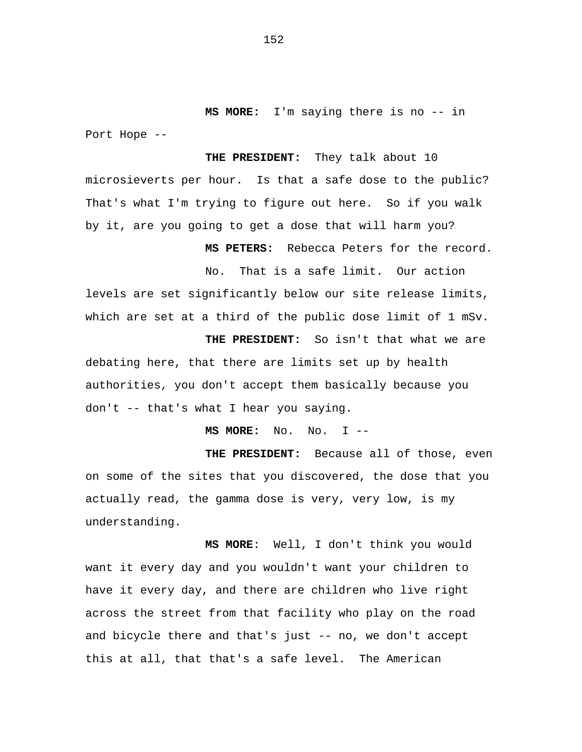**MS MORE:** I'm saying there is no -- in Port Hope --

**THE PRESIDENT:** They talk about 10 microsieverts per hour. Is that a safe dose to the public? That's what I'm trying to figure out here. So if you walk by it, are you going to get a dose that will harm you?

**MS PETERS:** Rebecca Peters for the record.

No. That is a safe limit. Our action

levels are set significantly below our site release limits, which are set at a third of the public dose limit of 1 mSv.

**THE PRESIDENT:** So isn't that what we are debating here, that there are limits set up by health authorities, you don't accept them basically because you don't -- that's what I hear you saying.

**MS MORE:** No. No. I --

**THE PRESIDENT:** Because all of those, even on some of the sites that you discovered, the dose that you actually read, the gamma dose is very, very low, is my understanding.

**MS MORE**: Well, I don't think you would want it every day and you wouldn't want your children to have it every day, and there are children who live right across the street from that facility who play on the road and bicycle there and that's just -- no, we don't accept this at all, that that's a safe level. The American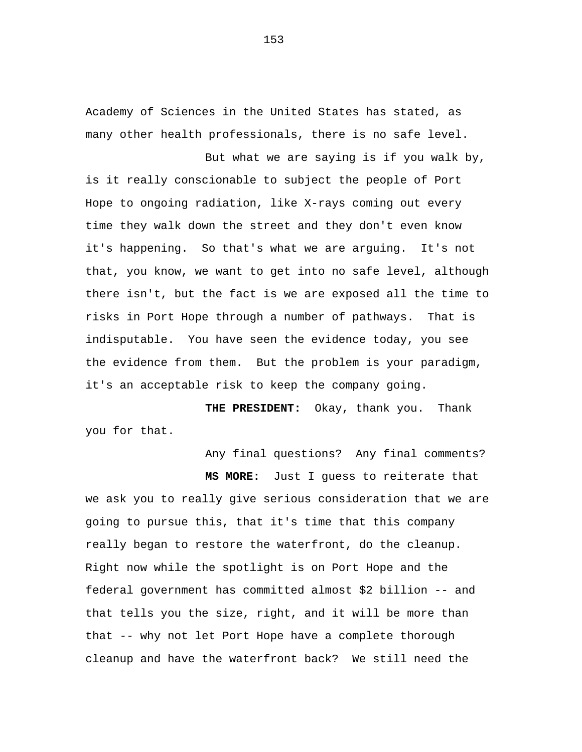Academy of Sciences in the United States has stated, as many other health professionals, there is no safe level.

But what we are saying is if you walk by, is it really conscionable to subject the people of Port Hope to ongoing radiation, like X-rays coming out every time they walk down the street and they don't even know it's happening. So that's what we are arguing. It's not that, you know, we want to get into no safe level, although there isn't, but the fact is we are exposed all the time to risks in Port Hope through a number of pathways. That is indisputable. You have seen the evidence today, you see the evidence from them. But the problem is your paradigm, it's an acceptable risk to keep the company going.

**THE PRESIDENT:** Okay, thank you. Thank you for that.

Any final questions? Any final comments?

**MS MORE:** Just I guess to reiterate that we ask you to really give serious consideration that we are going to pursue this, that it's time that this company really began to restore the waterfront, do the cleanup. Right now while the spotlight is on Port Hope and the federal government has committed almost \$2 billion -- and that tells you the size, right, and it will be more than that -- why not let Port Hope have a complete thorough cleanup and have the waterfront back? We still need the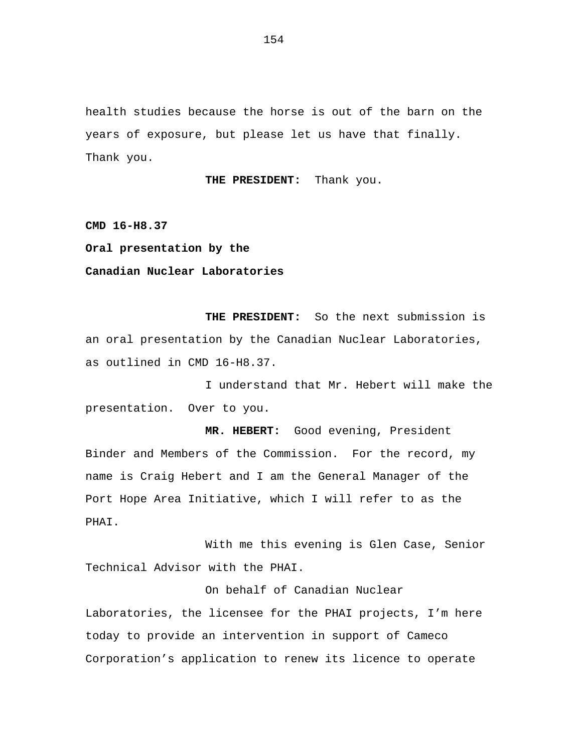health studies because the horse is out of the barn on the years of exposure, but please let us have that finally. Thank you.

**THE PRESIDENT:** Thank you.

**CMD 16-H8.37** 

**Oral presentation by the** 

**Canadian Nuclear Laboratories** 

**THE PRESIDENT:** So the next submission is an oral presentation by the Canadian Nuclear Laboratories, as outlined in CMD 16-H8.37.

I understand that Mr. Hebert will make the presentation. Over to you.

**MR. HEBERT:** Good evening, President Binder and Members of the Commission. For the record, my name is Craig Hebert and I am the General Manager of the Port Hope Area Initiative, which I will refer to as the PHAI.

With me this evening is Glen Case, Senior Technical Advisor with the PHAI.

On behalf of Canadian Nuclear Laboratories, the licensee for the PHAI projects, I'm here today to provide an intervention in support of Cameco Corporation's application to renew its licence to operate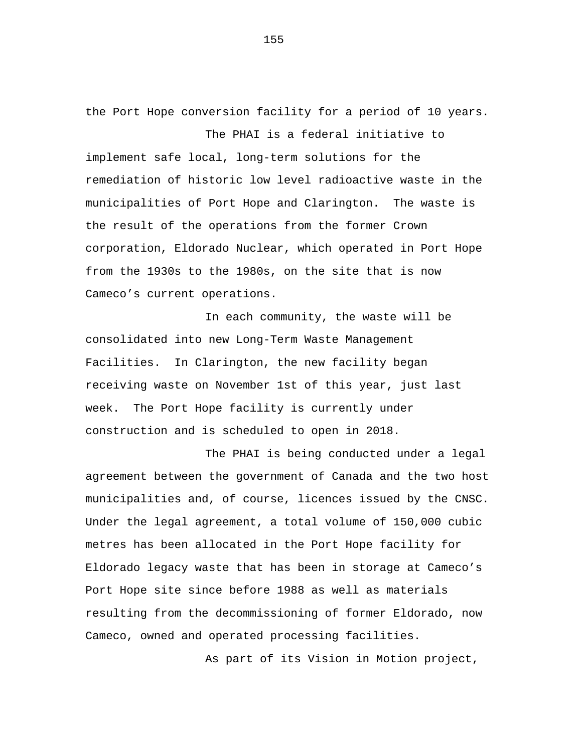the Port Hope conversion facility for a period of 10 years. The PHAI is a federal initiative to

implement safe local, long-term solutions for the remediation of historic low level radioactive waste in the municipalities of Port Hope and Clarington. The waste is the result of the operations from the former Crown corporation, Eldorado Nuclear, which operated in Port Hope from the 1930s to the 1980s, on the site that is now Cameco's current operations.

In each community, the waste will be consolidated into new Long-Term Waste Management Facilities. In Clarington, the new facility began receiving waste on November 1st of this year, just last week. The Port Hope facility is currently under construction and is scheduled to open in 2018.

The PHAI is being conducted under a legal agreement between the government of Canada and the two host municipalities and, of course, licences issued by the CNSC. Under the legal agreement, a total volume of 150,000 cubic metres has been allocated in the Port Hope facility for Eldorado legacy waste that has been in storage at Cameco's Port Hope site since before 1988 as well as materials resulting from the decommissioning of former Eldorado, now Cameco, owned and operated processing facilities.

As part of its Vision in Motion project,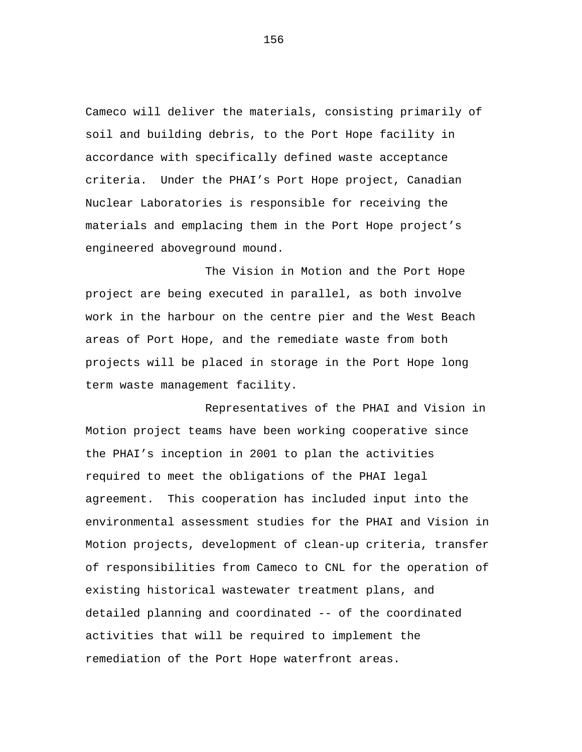Cameco will deliver the materials, consisting primarily of soil and building debris, to the Port Hope facility in accordance with specifically defined waste acceptance criteria. Under the PHAI's Port Hope project, Canadian Nuclear Laboratories is responsible for receiving the materials and emplacing them in the Port Hope project's engineered aboveground mound.

The Vision in Motion and the Port Hope project are being executed in parallel, as both involve work in the harbour on the centre pier and the West Beach areas of Port Hope, and the remediate waste from both projects will be placed in storage in the Port Hope long term waste management facility.

Representatives of the PHAI and Vision in Motion project teams have been working cooperative since the PHAI's inception in 2001 to plan the activities required to meet the obligations of the PHAI legal agreement. This cooperation has included input into the environmental assessment studies for the PHAI and Vision in Motion projects, development of clean-up criteria, transfer of responsibilities from Cameco to CNL for the operation of existing historical wastewater treatment plans, and detailed planning and coordinated -- of the coordinated activities that will be required to implement the remediation of the Port Hope waterfront areas.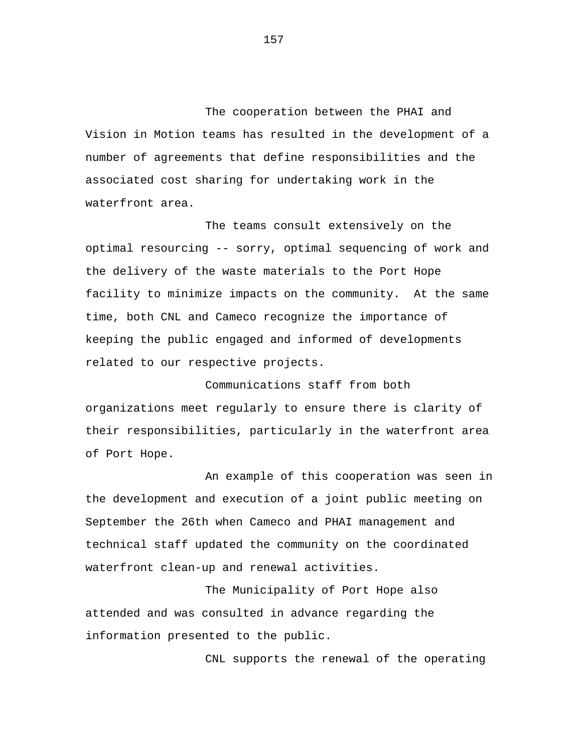The cooperation between the PHAI and Vision in Motion teams has resulted in the development of a number of agreements that define responsibilities and the associated cost sharing for undertaking work in the waterfront area.

The teams consult extensively on the optimal resourcing -- sorry, optimal sequencing of work and the delivery of the waste materials to the Port Hope facility to minimize impacts on the community. At the same time, both CNL and Cameco recognize the importance of keeping the public engaged and informed of developments related to our respective projects.

Communications staff from both organizations meet regularly to ensure there is clarity of their responsibilities, particularly in the waterfront area of Port Hope.

An example of this cooperation was seen in the development and execution of a joint public meeting on September the 26th when Cameco and PHAI management and technical staff updated the community on the coordinated waterfront clean-up and renewal activities.

The Municipality of Port Hope also attended and was consulted in advance regarding the information presented to the public.

CNL supports the renewal of the operating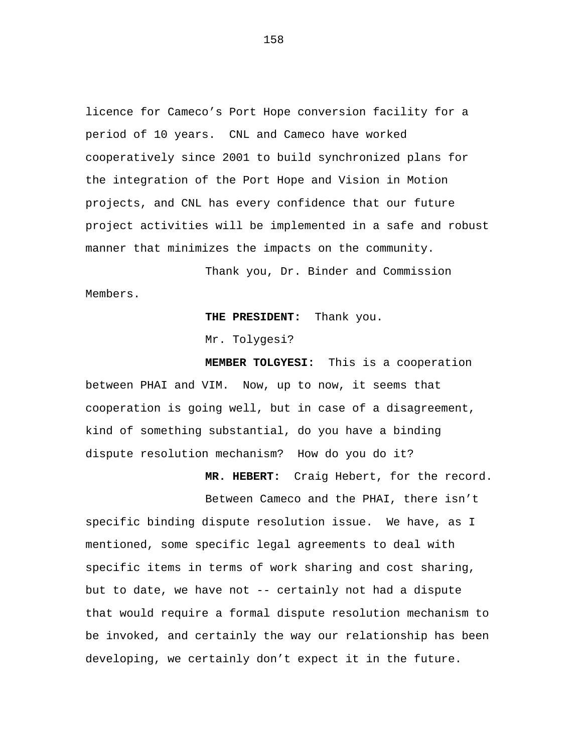licence for Cameco's Port Hope conversion facility for a period of 10 years. CNL and Cameco have worked cooperatively since 2001 to build synchronized plans for the integration of the Port Hope and Vision in Motion projects, and CNL has every confidence that our future project activities will be implemented in a safe and robust manner that minimizes the impacts on the community.

Thank you, Dr. Binder and Commission Members.

**THE PRESIDENT:** Thank you.

Mr. Tolygesi?

**MEMBER TOLGYESI:** This is a cooperation between PHAI and VIM. Now, up to now, it seems that cooperation is going well, but in case of a disagreement, kind of something substantial, do you have a binding dispute resolution mechanism? How do you do it?

**MR. HEBERT:** Craig Hebert, for the record.

Between Cameco and the PHAI, there isn't specific binding dispute resolution issue. We have, as I mentioned, some specific legal agreements to deal with specific items in terms of work sharing and cost sharing, but to date, we have not -- certainly not had a dispute that would require a formal dispute resolution mechanism to be invoked, and certainly the way our relationship has been developing, we certainly don't expect it in the future.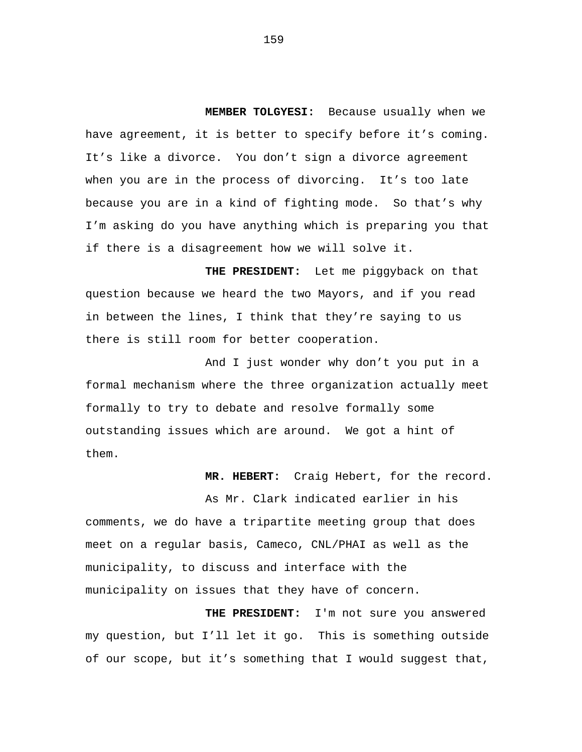**MEMBER TOLGYESI:** Because usually when we have agreement, it is better to specify before it's coming. It's like a divorce. You don't sign a divorce agreement when you are in the process of divorcing. It's too late because you are in a kind of fighting mode. So that's why I'm asking do you have anything which is preparing you that if there is a disagreement how we will solve it.

**THE PRESIDENT:** Let me piggyback on that question because we heard the two Mayors, and if you read in between the lines, I think that they're saying to us there is still room for better cooperation.

And I just wonder why don't you put in a formal mechanism where the three organization actually meet formally to try to debate and resolve formally some outstanding issues which are around. We got a hint of them.

**MR. HEBERT:** Craig Hebert, for the record.

As Mr. Clark indicated earlier in his comments, we do have a tripartite meeting group that does meet on a regular basis, Cameco, CNL/PHAI as well as the municipality, to discuss and interface with the municipality on issues that they have of concern.

**THE PRESIDENT:** I'm not sure you answered my question, but I'll let it go. This is something outside of our scope, but it's something that I would suggest that,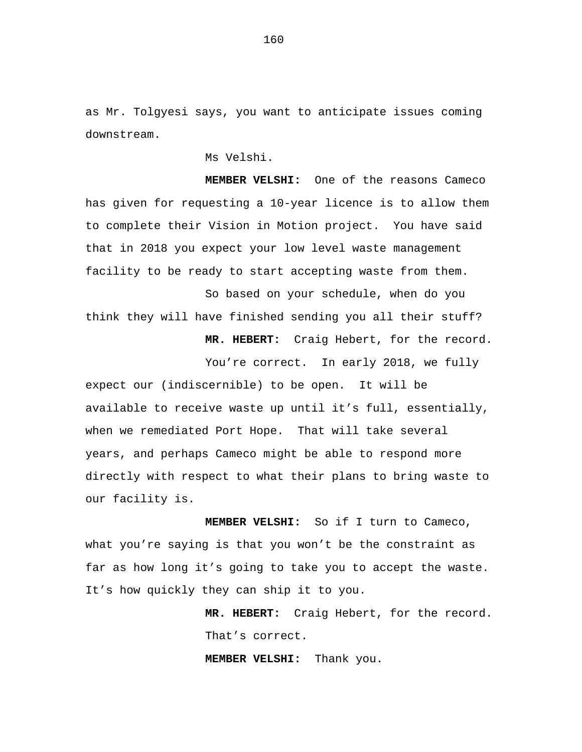as Mr. Tolgyesi says, you want to anticipate issues coming downstream.

Ms Velshi.

**MEMBER VELSHI:** One of the reasons Cameco has given for requesting a 10-year licence is to allow them to complete their Vision in Motion project. You have said that in 2018 you expect your low level waste management facility to be ready to start accepting waste from them.

So based on your schedule, when do you think they will have finished sending you all their stuff?

**MR. HEBERT:** Craig Hebert, for the record.

You're correct. In early 2018, we fully expect our (indiscernible) to be open. It will be available to receive waste up until it's full, essentially, when we remediated Port Hope. That will take several years, and perhaps Cameco might be able to respond more directly with respect to what their plans to bring waste to our facility is.

 **MEMBER VELSHI:** So if I turn to Cameco, what you're saying is that you won't be the constraint as far as how long it's going to take you to accept the waste. It's how quickly they can ship it to you.

> **MR. HEBERT:** Craig Hebert, for the record. That's correct.

**MEMBER VELSHI:** Thank you.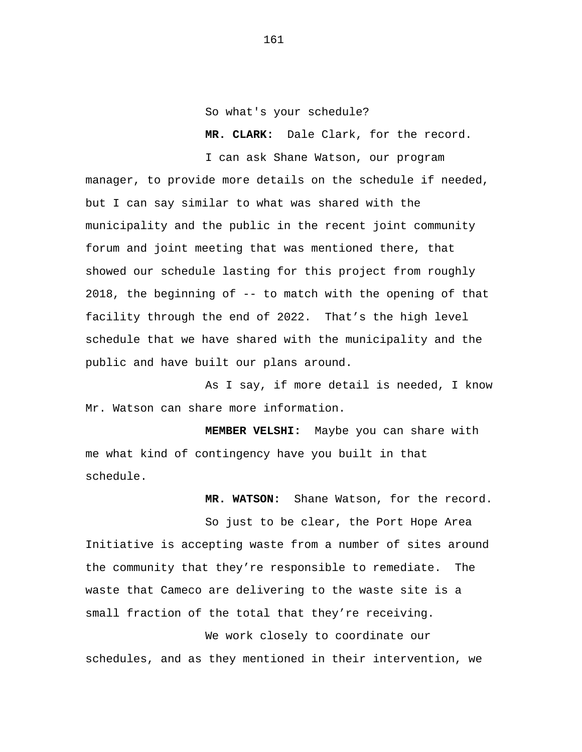So what's your schedule?

**MR. CLARK:** Dale Clark, for the record.

I can ask Shane Watson, our program manager, to provide more details on the schedule if needed, but I can say similar to what was shared with the municipality and the public in the recent joint community forum and joint meeting that was mentioned there, that showed our schedule lasting for this project from roughly 2018, the beginning of -- to match with the opening of that facility through the end of 2022. That's the high level schedule that we have shared with the municipality and the public and have built our plans around.

As I say, if more detail is needed, I know Mr. Watson can share more information.

**MEMBER VELSHI:** Maybe you can share with me what kind of contingency have you built in that schedule.

**MR. WATSON:** Shane Watson, for the record.

So just to be clear, the Port Hope Area Initiative is accepting waste from a number of sites around the community that they're responsible to remediate. The waste that Cameco are delivering to the waste site is a small fraction of the total that they're receiving.

We work closely to coordinate our schedules, and as they mentioned in their intervention, we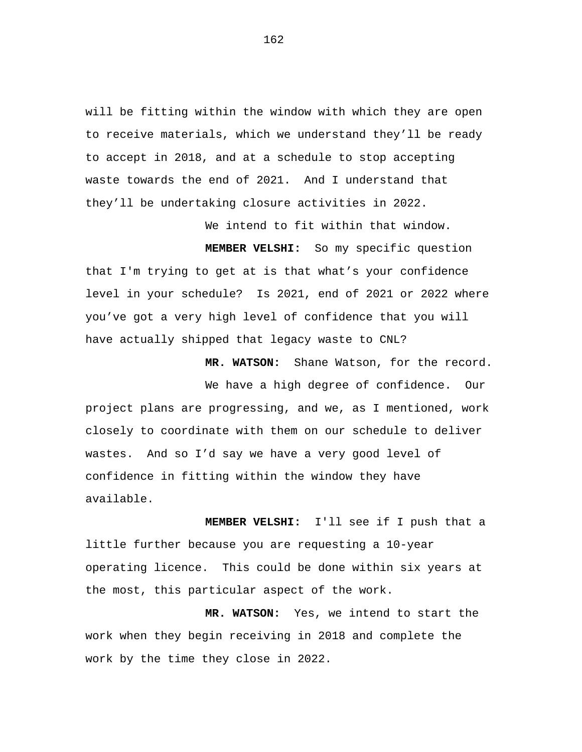will be fitting within the window with which they are open to receive materials, which we understand they'll be ready to accept in 2018, and at a schedule to stop accepting waste towards the end of 2021. And I understand that they'll be undertaking closure activities in 2022.

We intend to fit within that window.

**MEMBER VELSHI:** So my specific question that I'm trying to get at is that what's your confidence level in your schedule? Is 2021, end of 2021 or 2022 where you've got a very high level of confidence that you will have actually shipped that legacy waste to CNL?

**MR. WATSON:** Shane Watson, for the record.

We have a high degree of confidence. Our project plans are progressing, and we, as I mentioned, work closely to coordinate with them on our schedule to deliver wastes. And so I'd say we have a very good level of confidence in fitting within the window they have available.

**MEMBER VELSHI:** I'll see if I push that a little further because you are requesting a 10-year operating licence. This could be done within six years at the most, this particular aspect of the work.

**MR. WATSON:** Yes, we intend to start the work when they begin receiving in 2018 and complete the work by the time they close in 2022.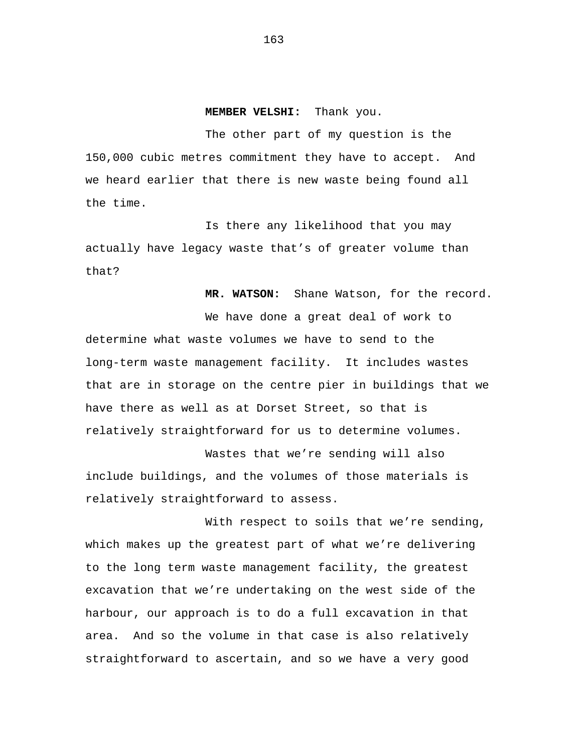## **MEMBER VELSHI:** Thank you.

The other part of my question is the 150,000 cubic metres commitment they have to accept. And we heard earlier that there is new waste being found all the time.

Is there any likelihood that you may actually have legacy waste that's of greater volume than that?

**MR. WATSON:** Shane Watson, for the record.

We have done a great deal of work to determine what waste volumes we have to send to the long-term waste management facility. It includes wastes that are in storage on the centre pier in buildings that we have there as well as at Dorset Street, so that is relatively straightforward for us to determine volumes.

Wastes that we're sending will also include buildings, and the volumes of those materials is relatively straightforward to assess.

With respect to soils that we're sending, which makes up the greatest part of what we're delivering to the long term waste management facility, the greatest excavation that we're undertaking on the west side of the harbour, our approach is to do a full excavation in that area. And so the volume in that case is also relatively straightforward to ascertain, and so we have a very good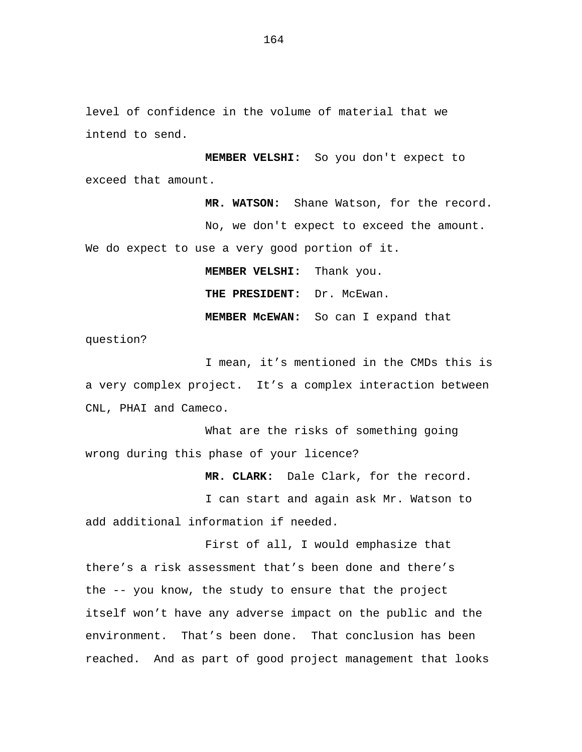level of confidence in the volume of material that we intend to send.

**MEMBER VELSHI:** So you don't expect to exceed that amount.

**MR. WATSON:** Shane Watson, for the record. No, we don't expect to exceed the amount. We do expect to use a very good portion of it.

> **MEMBER VELSHI:** Thank you. **THE PRESIDENT:** Dr. McEwan. **MEMBER McEWAN:** So can I expand that

question?

I mean, it's mentioned in the CMDs this is a very complex project. It's a complex interaction between CNL, PHAI and Cameco.

What are the risks of something going wrong during this phase of your licence?

**MR. CLARK:** Dale Clark, for the record.

I can start and again ask Mr. Watson to add additional information if needed.

First of all, I would emphasize that there's a risk assessment that's been done and there's the -- you know, the study to ensure that the project itself won't have any adverse impact on the public and the environment. That's been done. That conclusion has been reached. And as part of good project management that looks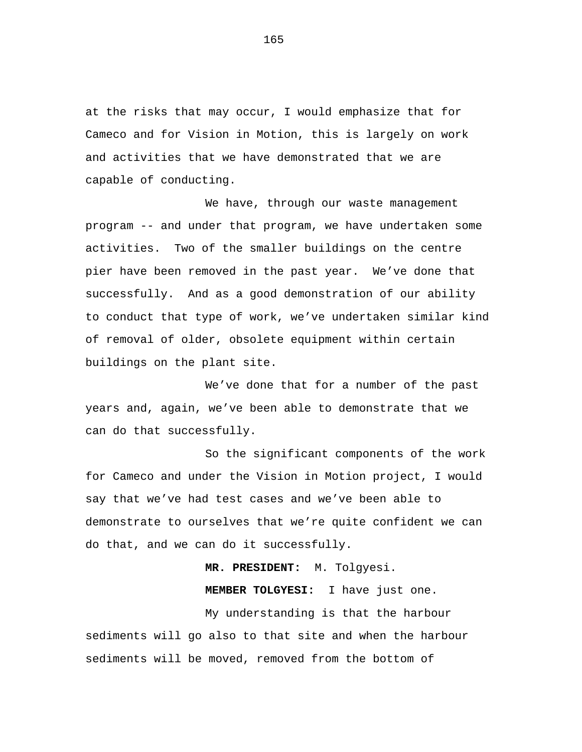at the risks that may occur, I would emphasize that for Cameco and for Vision in Motion, this is largely on work and activities that we have demonstrated that we are capable of conducting.

We have, through our waste management program -- and under that program, we have undertaken some activities. Two of the smaller buildings on the centre pier have been removed in the past year. We've done that successfully. And as a good demonstration of our ability to conduct that type of work, we've undertaken similar kind of removal of older, obsolete equipment within certain buildings on the plant site.

We've done that for a number of the past years and, again, we've been able to demonstrate that we can do that successfully.

So the significant components of the work for Cameco and under the Vision in Motion project, I would say that we've had test cases and we've been able to demonstrate to ourselves that we're quite confident we can do that, and we can do it successfully.

**MR. PRESIDENT:** M. Tolgyesi.

**MEMBER TOLGYESI:** I have just one.

My understanding is that the harbour sediments will go also to that site and when the harbour sediments will be moved, removed from the bottom of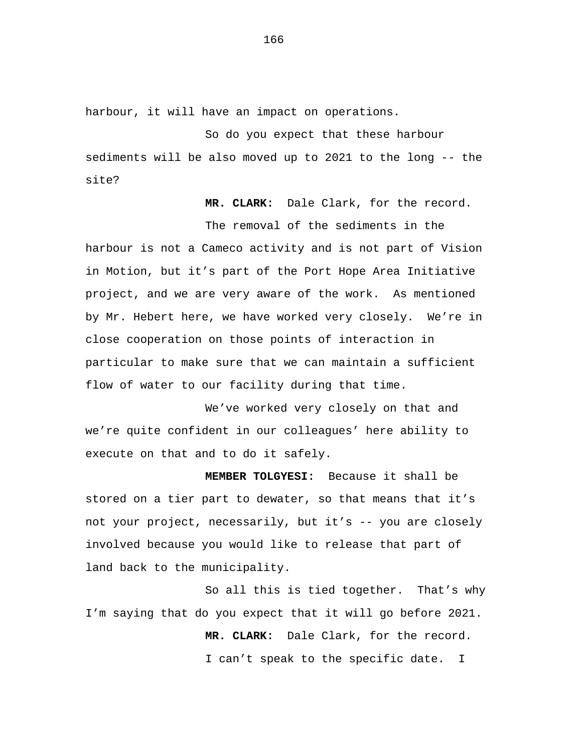harbour, it will have an impact on operations.

So do you expect that these harbour sediments will be also moved up to 2021 to the long -- the site?

**MR. CLARK:** Dale Clark, for the record.

The removal of the sediments in the harbour is not a Cameco activity and is not part of Vision in Motion, but it's part of the Port Hope Area Initiative project, and we are very aware of the work. As mentioned by Mr. Hebert here, we have worked very closely. We're in close cooperation on those points of interaction in particular to make sure that we can maintain a sufficient flow of water to our facility during that time.

We've worked very closely on that and we're quite confident in our colleagues' here ability to execute on that and to do it safely.

**MEMBER TOLGYESI:** Because it shall be stored on a tier part to dewater, so that means that it's not your project, necessarily, but it's -- you are closely involved because you would like to release that part of land back to the municipality.

So all this is tied together. That's why I'm saying that do you expect that it will go before 2021.

> **MR. CLARK:** Dale Clark, for the record. I can't speak to the specific date. I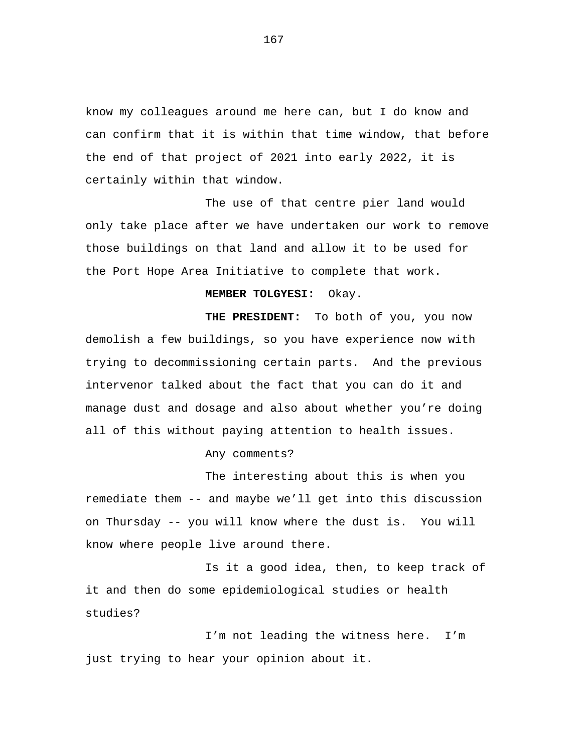know my colleagues around me here can, but I do know and can confirm that it is within that time window, that before the end of that project of 2021 into early 2022, it is certainly within that window.

The use of that centre pier land would only take place after we have undertaken our work to remove those buildings on that land and allow it to be used for the Port Hope Area Initiative to complete that work.

## **MEMBER TOLGYESI:** Okay.

**THE PRESIDENT:** To both of you, you now demolish a few buildings, so you have experience now with trying to decommissioning certain parts. And the previous intervenor talked about the fact that you can do it and manage dust and dosage and also about whether you're doing all of this without paying attention to health issues.

Any comments?

The interesting about this is when you remediate them -- and maybe we'll get into this discussion on Thursday -- you will know where the dust is. You will know where people live around there.

Is it a good idea, then, to keep track of it and then do some epidemiological studies or health studies?

I'm not leading the witness here. I'm just trying to hear your opinion about it.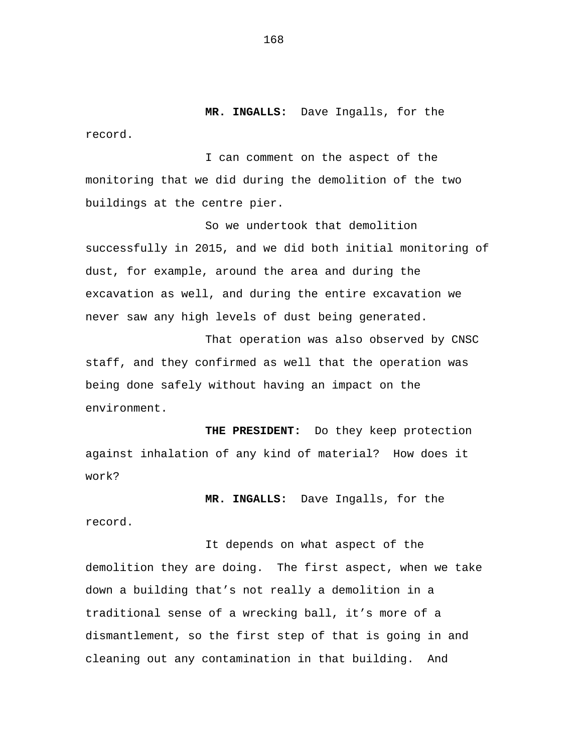**MR. INGALLS:** Dave Ingalls, for the record.

I can comment on the aspect of the monitoring that we did during the demolition of the two buildings at the centre pier.

So we undertook that demolition successfully in 2015, and we did both initial monitoring of dust, for example, around the area and during the excavation as well, and during the entire excavation we never saw any high levels of dust being generated.

That operation was also observed by CNSC staff, and they confirmed as well that the operation was being done safely without having an impact on the environment.

**THE PRESIDENT:** Do they keep protection against inhalation of any kind of material? How does it work?

record.

**MR. INGALLS:** Dave Ingalls, for the

It depends on what aspect of the demolition they are doing. The first aspect, when we take down a building that's not really a demolition in a traditional sense of a wrecking ball, it's more of a dismantlement, so the first step of that is going in and cleaning out any contamination in that building. And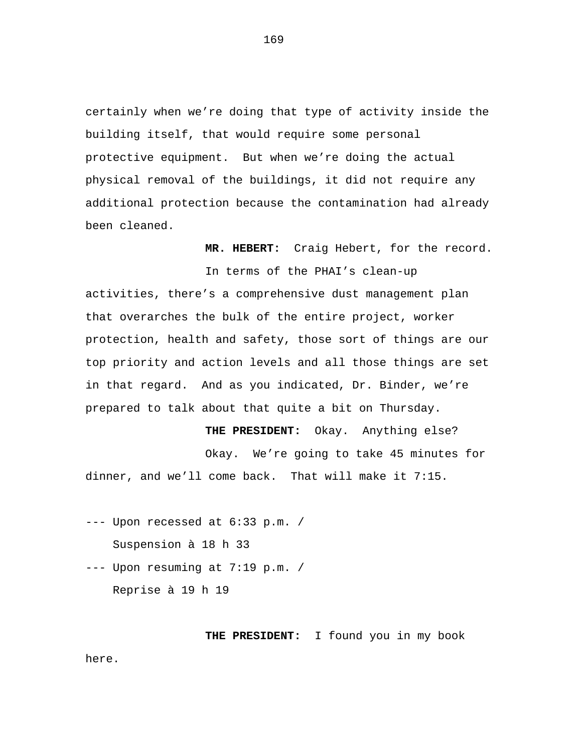certainly when we're doing that type of activity inside the building itself, that would require some personal protective equipment. But when we're doing the actual physical removal of the buildings, it did not require any additional protection because the contamination had already been cleaned.

> **MR. HEBERT:** Craig Hebert, for the record. In terms of the PHAI's clean-up

activities, there's a comprehensive dust management plan that overarches the bulk of the entire project, worker protection, health and safety, those sort of things are our top priority and action levels and all those things are set in that regard. And as you indicated, Dr. Binder, we're prepared to talk about that quite a bit on Thursday.

**THE PRESIDENT:** Okay. Anything else? Okay. We're going to take 45 minutes for dinner, and we'll come back. That will make it 7:15.

- --- Upon recessed at 6:33 p.m. / Suspension à 18 h 33
- --- Upon resuming at 7:19 p.m. / Reprise à 19 h 19

**THE PRESIDENT:** I found you in my book here.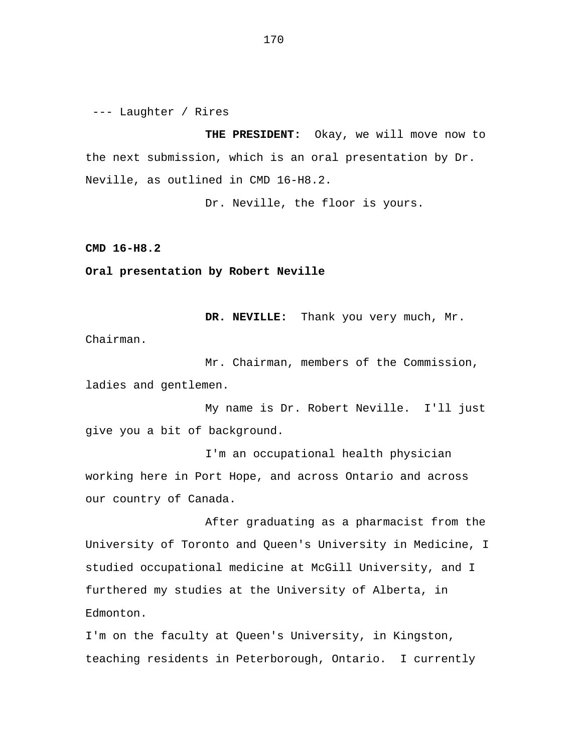--- Laughter / Rires

**THE PRESIDENT:** Okay, we will move now to the next submission, which is an oral presentation by Dr. Neville, as outlined in CMD 16-H8.2.

Dr. Neville, the floor is yours.

**CMD 16-H8.2** 

**Oral presentation by Robert Neville** 

**DR. NEVILLE:** Thank you very much, Mr.

Chairman.

Mr. Chairman, members of the Commission, ladies and gentlemen.

My name is Dr. Robert Neville. I'll just give you a bit of background.

I'm an occupational health physician working here in Port Hope, and across Ontario and across our country of Canada.

After graduating as a pharmacist from the University of Toronto and Queen's University in Medicine, I studied occupational medicine at McGill University, and I furthered my studies at the University of Alberta, in Edmonton.

I'm on the faculty at Queen's University, in Kingston, teaching residents in Peterborough, Ontario. I currently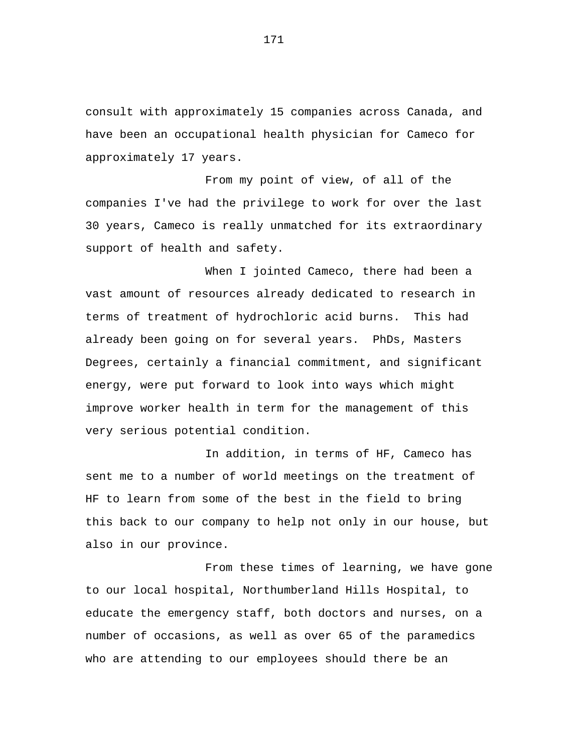consult with approximately 15 companies across Canada, and have been an occupational health physician for Cameco for approximately 17 years.

From my point of view, of all of the companies I've had the privilege to work for over the last 30 years, Cameco is really unmatched for its extraordinary support of health and safety.

When I jointed Cameco, there had been a vast amount of resources already dedicated to research in terms of treatment of hydrochloric acid burns. This had already been going on for several years. PhDs, Masters Degrees, certainly a financial commitment, and significant energy, were put forward to look into ways which might improve worker health in term for the management of this very serious potential condition.

In addition, in terms of HF, Cameco has sent me to a number of world meetings on the treatment of HF to learn from some of the best in the field to bring this back to our company to help not only in our house, but also in our province.

From these times of learning, we have gone to our local hospital, Northumberland Hills Hospital, to educate the emergency staff, both doctors and nurses, on a number of occasions, as well as over 65 of the paramedics who are attending to our employees should there be an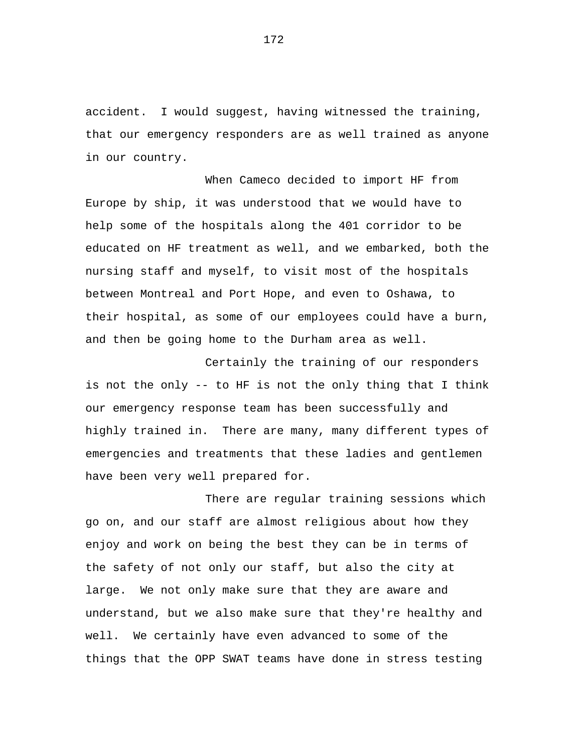accident. I would suggest, having witnessed the training, that our emergency responders are as well trained as anyone in our country.

When Cameco decided to import HF from Europe by ship, it was understood that we would have to help some of the hospitals along the 401 corridor to be educated on HF treatment as well, and we embarked, both the nursing staff and myself, to visit most of the hospitals between Montreal and Port Hope, and even to Oshawa, to their hospital, as some of our employees could have a burn, and then be going home to the Durham area as well.

Certainly the training of our responders is not the only -- to HF is not the only thing that I think our emergency response team has been successfully and highly trained in. There are many, many different types of emergencies and treatments that these ladies and gentlemen have been very well prepared for.

There are regular training sessions which go on, and our staff are almost religious about how they enjoy and work on being the best they can be in terms of the safety of not only our staff, but also the city at large. We not only make sure that they are aware and understand, but we also make sure that they're healthy and well. We certainly have even advanced to some of the things that the OPP SWAT teams have done in stress testing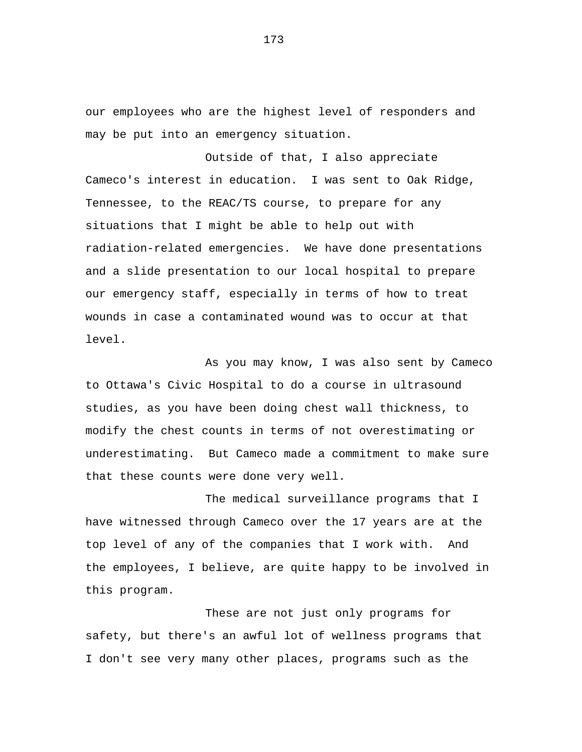our employees who are the highest level of responders and may be put into an emergency situation.

Outside of that, I also appreciate Cameco's interest in education. I was sent to Oak Ridge, Tennessee, to the REAC/TS course, to prepare for any situations that I might be able to help out with radiation-related emergencies. We have done presentations and a slide presentation to our local hospital to prepare our emergency staff, especially in terms of how to treat wounds in case a contaminated wound was to occur at that level.

As you may know, I was also sent by Cameco to Ottawa's Civic Hospital to do a course in ultrasound studies, as you have been doing chest wall thickness, to modify the chest counts in terms of not overestimating or underestimating. But Cameco made a commitment to make sure that these counts were done very well.

The medical surveillance programs that I have witnessed through Cameco over the 17 years are at the top level of any of the companies that I work with. And the employees, I believe, are quite happy to be involved in this program.

These are not just only programs for safety, but there's an awful lot of wellness programs that I don't see very many other places, programs such as the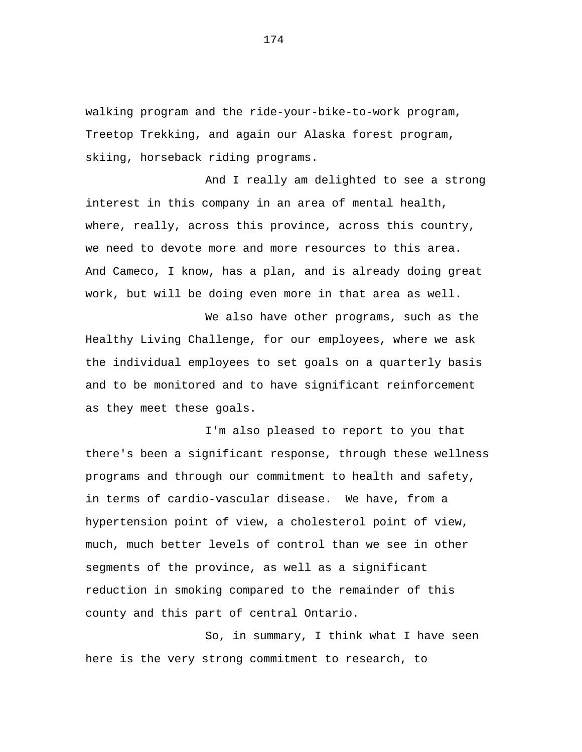walking program and the ride-your-bike-to-work program, Treetop Trekking, and again our Alaska forest program, skiing, horseback riding programs.

And I really am delighted to see a strong interest in this company in an area of mental health, where, really, across this province, across this country, we need to devote more and more resources to this area. And Cameco, I know, has a plan, and is already doing great work, but will be doing even more in that area as well.

We also have other programs, such as the Healthy Living Challenge, for our employees, where we ask the individual employees to set goals on a quarterly basis and to be monitored and to have significant reinforcement as they meet these goals.

I'm also pleased to report to you that there's been a significant response, through these wellness programs and through our commitment to health and safety, in terms of cardio-vascular disease. We have, from a hypertension point of view, a cholesterol point of view, much, much better levels of control than we see in other segments of the province, as well as a significant reduction in smoking compared to the remainder of this county and this part of central Ontario.

So, in summary, I think what I have seen here is the very strong commitment to research, to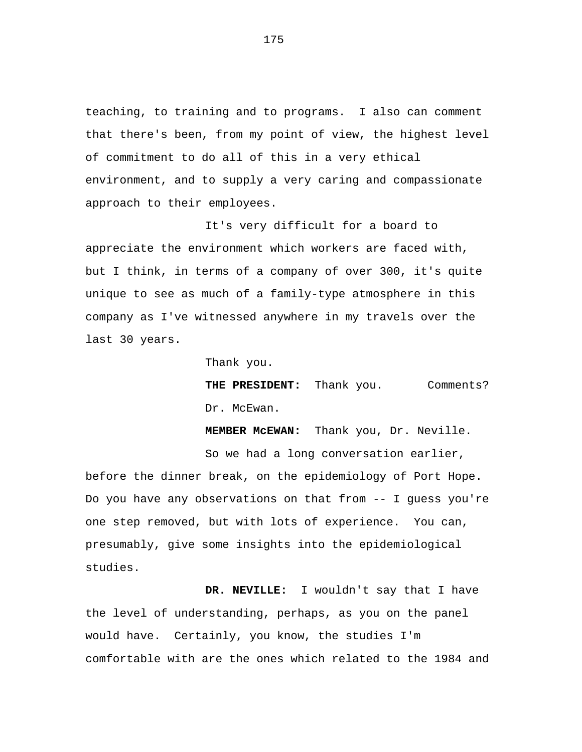teaching, to training and to programs. I also can comment that there's been, from my point of view, the highest level of commitment to do all of this in a very ethical environment, and to supply a very caring and compassionate approach to their employees.

It's very difficult for a board to appreciate the environment which workers are faced with, but I think, in terms of a company of over 300, it's quite unique to see as much of a family-type atmosphere in this company as I've witnessed anywhere in my travels over the last 30 years.

Thank you.

**THE PRESIDENT:** Thank you. Comments? Dr. McEwan.

**MEMBER McEWAN:** Thank you, Dr. Neville. So we had a long conversation earlier,

before the dinner break, on the epidemiology of Port Hope. Do you have any observations on that from -- I guess you're one step removed, but with lots of experience. You can, presumably, give some insights into the epidemiological studies.

**DR. NEVILLE:** I wouldn't say that I have the level of understanding, perhaps, as you on the panel would have. Certainly, you know, the studies I'm comfortable with are the ones which related to the 1984 and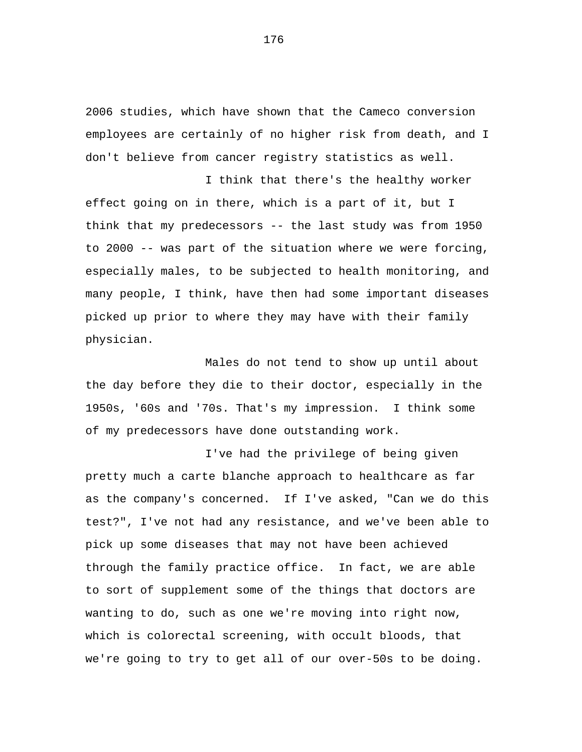2006 studies, which have shown that the Cameco conversion employees are certainly of no higher risk from death, and I don't believe from cancer registry statistics as well.

I think that there's the healthy worker effect going on in there, which is a part of it, but I think that my predecessors -- the last study was from 1950 to 2000 -- was part of the situation where we were forcing, especially males, to be subjected to health monitoring, and many people, I think, have then had some important diseases picked up prior to where they may have with their family physician.

Males do not tend to show up until about the day before they die to their doctor, especially in the 1950s, '60s and '70s. That's my impression. I think some of my predecessors have done outstanding work.

I've had the privilege of being given pretty much a carte blanche approach to healthcare as far as the company's concerned. If I've asked, "Can we do this test?", I've not had any resistance, and we've been able to pick up some diseases that may not have been achieved through the family practice office. In fact, we are able to sort of supplement some of the things that doctors are wanting to do, such as one we're moving into right now, which is colorectal screening, with occult bloods, that we're going to try to get all of our over-50s to be doing.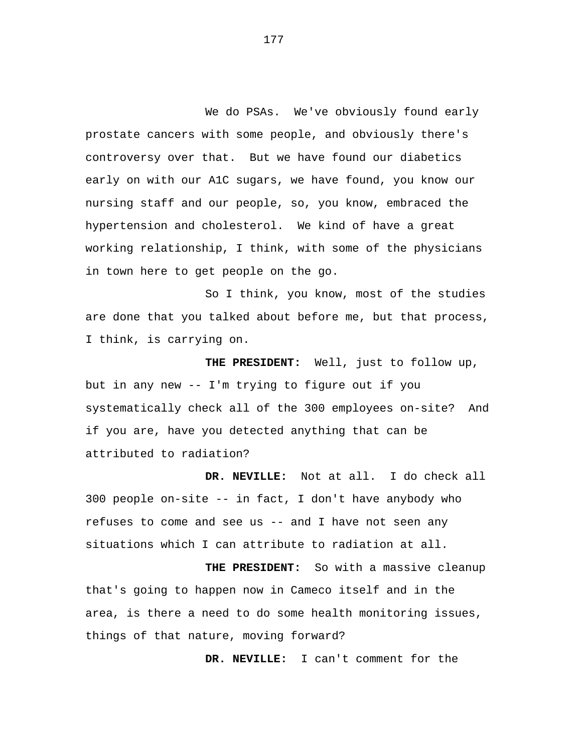We do PSAs. We've obviously found early prostate cancers with some people, and obviously there's controversy over that. But we have found our diabetics early on with our A1C sugars, we have found, you know our nursing staff and our people, so, you know, embraced the hypertension and cholesterol. We kind of have a great working relationship, I think, with some of the physicians in town here to get people on the go.

So I think, you know, most of the studies are done that you talked about before me, but that process, I think, is carrying on.

**THE PRESIDENT:** Well, just to follow up, but in any new -- I'm trying to figure out if you systematically check all of the 300 employees on-site? And if you are, have you detected anything that can be attributed to radiation?

**DR. NEVILLE:** Not at all. I do check all 300 people on-site -- in fact, I don't have anybody who refuses to come and see us -- and I have not seen any situations which I can attribute to radiation at all.

**THE PRESIDENT:** So with a massive cleanup that's going to happen now in Cameco itself and in the area, is there a need to do some health monitoring issues, things of that nature, moving forward?

**DR. NEVILLE:** I can't comment for the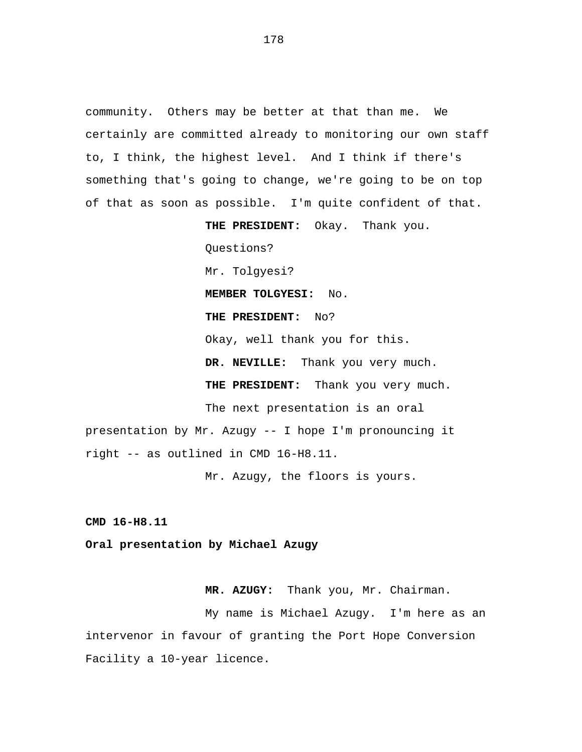community. Others may be better at that than me. We certainly are committed already to monitoring our own staff to, I think, the highest level. And I think if there's something that's going to change, we're going to be on top of that as soon as possible. I'm quite confident of that.

**THE PRESIDENT:** Okay. Thank you.

Questions?

Mr. Tolgyesi?

**MEMBER TOLGYESI:** No.

**THE PRESIDENT:** No?

Okay, well thank you for this.

**DR. NEVILLE:** Thank you very much. **THE PRESIDENT:** Thank you very much.

The next presentation is an oral

presentation by Mr. Azugy -- I hope I'm pronouncing it right -- as outlined in CMD 16-H8.11.

Mr. Azugy, the floors is yours.

**CMD 16-H8.11** 

**Oral presentation by Michael Azugy** 

**MR. AZUGY:** Thank you, Mr. Chairman. My name is Michael Azugy. I'm here as an intervenor in favour of granting the Port Hope Conversion Facility a 10-year licence.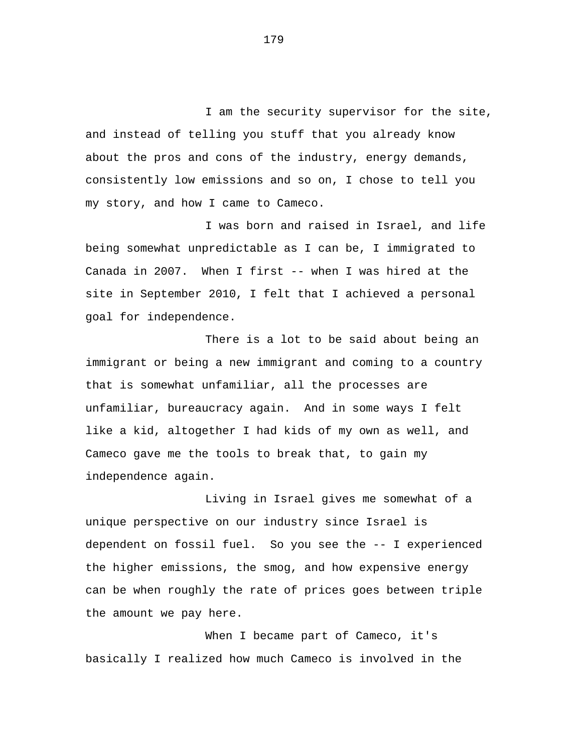I am the security supervisor for the site, and instead of telling you stuff that you already know about the pros and cons of the industry, energy demands, consistently low emissions and so on, I chose to tell you my story, and how I came to Cameco.

I was born and raised in Israel, and life being somewhat unpredictable as I can be, I immigrated to Canada in 2007. When I first -- when I was hired at the site in September 2010, I felt that I achieved a personal goal for independence.

There is a lot to be said about being an immigrant or being a new immigrant and coming to a country that is somewhat unfamiliar, all the processes are unfamiliar, bureaucracy again. And in some ways I felt like a kid, altogether I had kids of my own as well, and Cameco gave me the tools to break that, to gain my independence again.

Living in Israel gives me somewhat of a unique perspective on our industry since Israel is dependent on fossil fuel. So you see the -- I experienced the higher emissions, the smog, and how expensive energy can be when roughly the rate of prices goes between triple the amount we pay here.

When I became part of Cameco, it's basically I realized how much Cameco is involved in the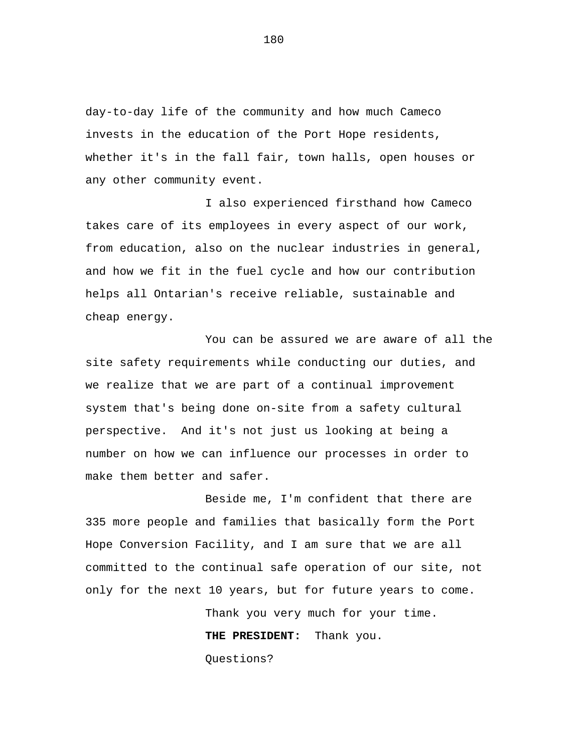day-to-day life of the community and how much Cameco invests in the education of the Port Hope residents, whether it's in the fall fair, town halls, open houses or any other community event.

I also experienced firsthand how Cameco takes care of its employees in every aspect of our work, from education, also on the nuclear industries in general, and how we fit in the fuel cycle and how our contribution helps all Ontarian's receive reliable, sustainable and cheap energy.

You can be assured we are aware of all the site safety requirements while conducting our duties, and we realize that we are part of a continual improvement system that's being done on-site from a safety cultural perspective. And it's not just us looking at being a number on how we can influence our processes in order to make them better and safer.

Beside me, I'm confident that there are 335 more people and families that basically form the Port Hope Conversion Facility, and I am sure that we are all committed to the continual safe operation of our site, not only for the next 10 years, but for future years to come.

> Thank you very much for your time. **THE PRESIDENT:** Thank you. Questions?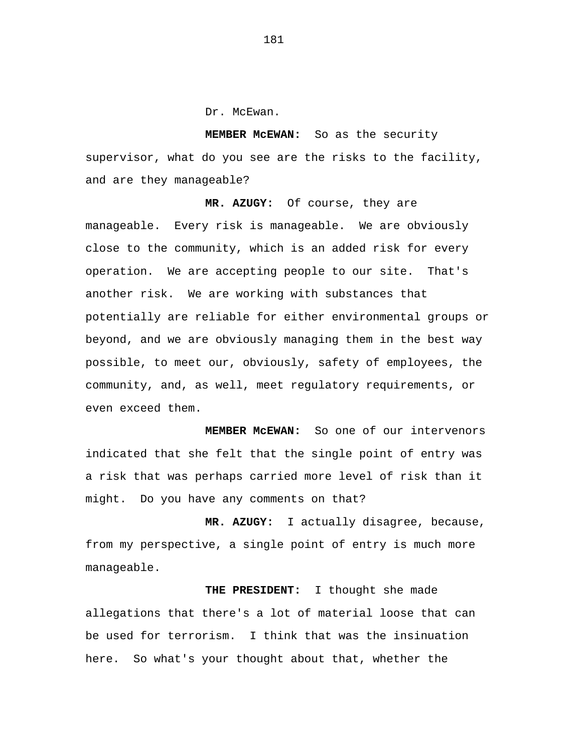Dr. McEwan.

**MEMBER McEWAN:** So as the security supervisor, what do you see are the risks to the facility, and are they manageable?

**MR. AZUGY:** Of course, they are manageable. Every risk is manageable. We are obviously close to the community, which is an added risk for every operation. We are accepting people to our site. That's another risk. We are working with substances that potentially are reliable for either environmental groups or beyond, and we are obviously managing them in the best way possible, to meet our, obviously, safety of employees, the community, and, as well, meet regulatory requirements, or even exceed them.

**MEMBER McEWAN:** So one of our intervenors indicated that she felt that the single point of entry was a risk that was perhaps carried more level of risk than it might. Do you have any comments on that?

**MR. AZUGY:** I actually disagree, because, from my perspective, a single point of entry is much more manageable.

**THE PRESIDENT:** I thought she made allegations that there's a lot of material loose that can be used for terrorism. I think that was the insinuation here. So what's your thought about that, whether the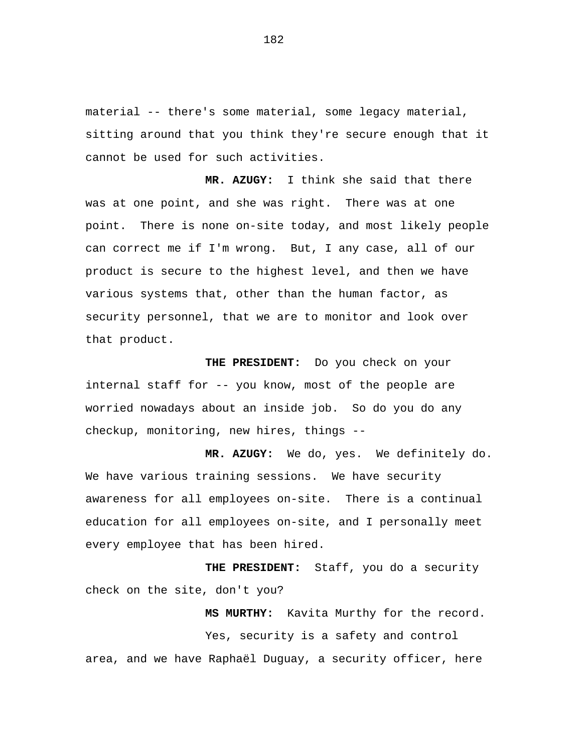material -- there's some material, some legacy material, sitting around that you think they're secure enough that it cannot be used for such activities.

**MR. AZUGY:** I think she said that there was at one point, and she was right. There was at one point. There is none on-site today, and most likely people can correct me if I'm wrong. But, I any case, all of our product is secure to the highest level, and then we have various systems that, other than the human factor, as security personnel, that we are to monitor and look over that product.

**THE PRESIDENT:** Do you check on your internal staff for -- you know, most of the people are worried nowadays about an inside job. So do you do any checkup, monitoring, new hires, things --

**MR. AZUGY:** We do, yes. We definitely do. We have various training sessions. We have security awareness for all employees on-site. There is a continual education for all employees on-site, and I personally meet every employee that has been hired.

**THE PRESIDENT:** Staff, you do a security check on the site, don't you?

**MS MURTHY:** Kavita Murthy for the record. Yes, security is a safety and control area, and we have Raphaël Duguay, a security officer, here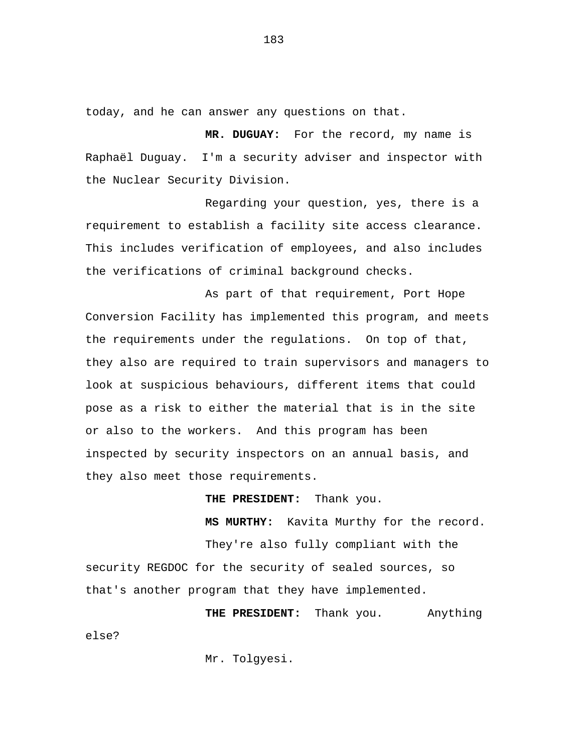today, and he can answer any questions on that.

**MR. DUGUAY:** For the record, my name is Raphaël Duguay. I'm a security adviser and inspector with the Nuclear Security Division.

Regarding your question, yes, there is a requirement to establish a facility site access clearance. This includes verification of employees, and also includes the verifications of criminal background checks.

As part of that requirement, Port Hope Conversion Facility has implemented this program, and meets the requirements under the regulations. On top of that, they also are required to train supervisors and managers to look at suspicious behaviours, different items that could pose as a risk to either the material that is in the site or also to the workers. And this program has been inspected by security inspectors on an annual basis, and they also meet those requirements.

**THE PRESIDENT:** Thank you.

**MS MURTHY:** Kavita Murthy for the record. They're also fully compliant with the security REGDOC for the security of sealed sources, so that's another program that they have implemented.

THE PRESIDENT: Thank you. Anything else?

Mr. Tolgyesi.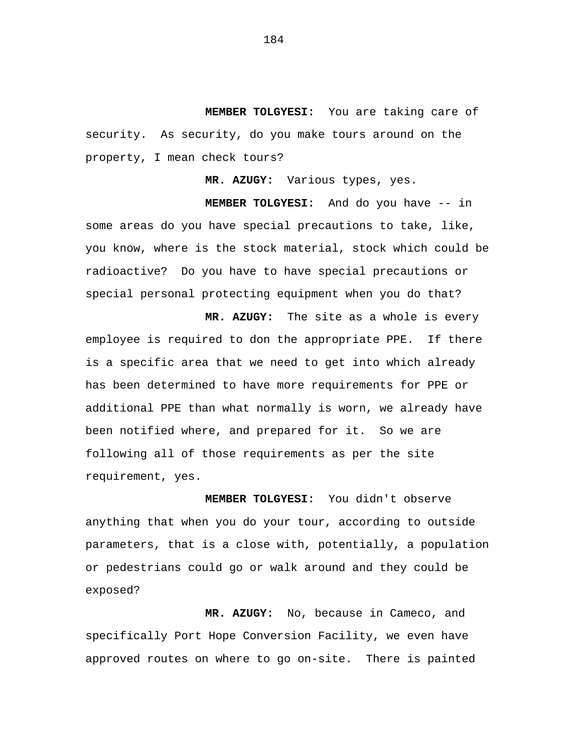**MEMBER TOLGYESI:** You are taking care of security. As security, do you make tours around on the property, I mean check tours?

**MR. AZUGY:** Various types, yes.

**MEMBER TOLGYESI:** And do you have -- in some areas do you have special precautions to take, like, you know, where is the stock material, stock which could be radioactive? Do you have to have special precautions or special personal protecting equipment when you do that?

**MR. AZUGY:** The site as a whole is every employee is required to don the appropriate PPE. If there is a specific area that we need to get into which already has been determined to have more requirements for PPE or additional PPE than what normally is worn, we already have been notified where, and prepared for it. So we are following all of those requirements as per the site requirement, yes.

**MEMBER TOLGYESI:** You didn't observe anything that when you do your tour, according to outside parameters, that is a close with, potentially, a population or pedestrians could go or walk around and they could be exposed?

**MR. AZUGY:** No, because in Cameco, and specifically Port Hope Conversion Facility, we even have approved routes on where to go on-site. There is painted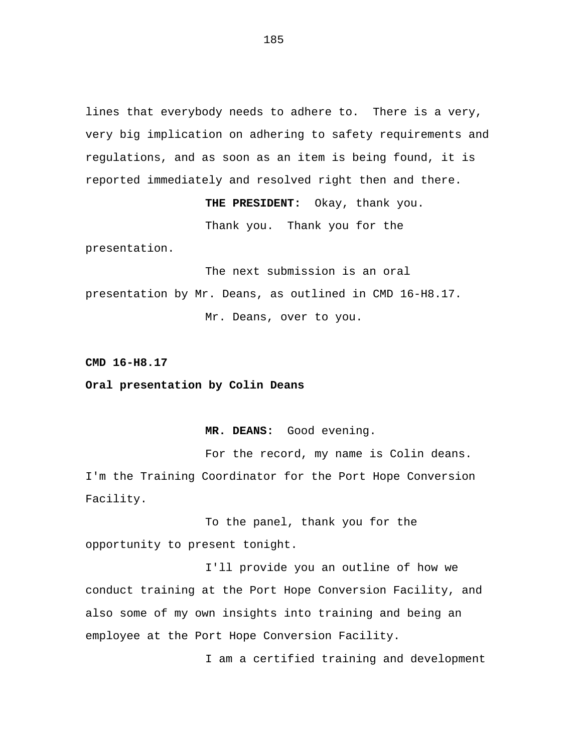lines that everybody needs to adhere to. There is a very, very big implication on adhering to safety requirements and regulations, and as soon as an item is being found, it is reported immediately and resolved right then and there.

**THE PRESIDENT:** Okay, thank you.

Thank you. Thank you for the

presentation.

The next submission is an oral presentation by Mr. Deans, as outlined in CMD 16-H8.17. Mr. Deans, over to you.

**CMD 16-H8.17** 

**Oral presentation by Colin Deans** 

**MR. DEANS:** Good evening.

For the record, my name is Colin deans. I'm the Training Coordinator for the Port Hope Conversion Facility.

To the panel, thank you for the opportunity to present tonight.

I'll provide you an outline of how we conduct training at the Port Hope Conversion Facility, and also some of my own insights into training and being an employee at the Port Hope Conversion Facility.

I am a certified training and development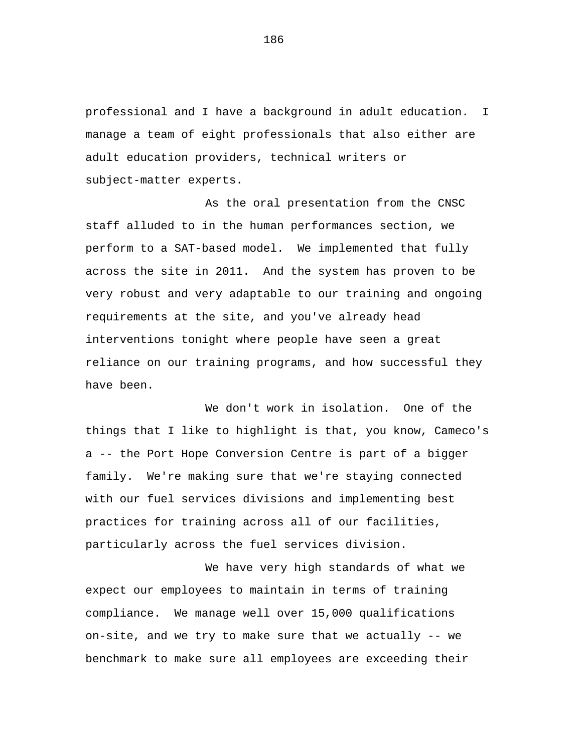professional and I have a background in adult education. I manage a team of eight professionals that also either are adult education providers, technical writers or subject-matter experts.

As the oral presentation from the CNSC staff alluded to in the human performances section, we perform to a SAT-based model. We implemented that fully across the site in 2011. And the system has proven to be very robust and very adaptable to our training and ongoing requirements at the site, and you've already head interventions tonight where people have seen a great reliance on our training programs, and how successful they have been.

We don't work in isolation. One of the things that I like to highlight is that, you know, Cameco's a -- the Port Hope Conversion Centre is part of a bigger family. We're making sure that we're staying connected with our fuel services divisions and implementing best practices for training across all of our facilities, particularly across the fuel services division.

We have very high standards of what we expect our employees to maintain in terms of training compliance. We manage well over 15,000 qualifications on-site, and we try to make sure that we actually -- we benchmark to make sure all employees are exceeding their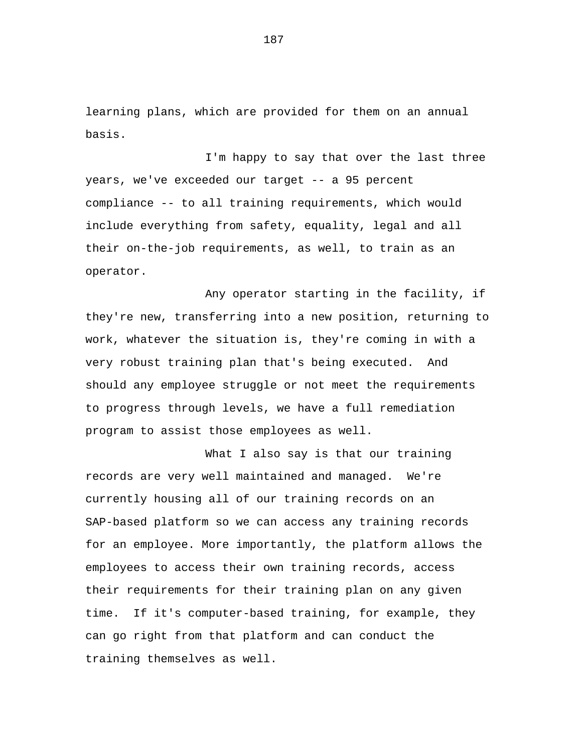learning plans, which are provided for them on an annual basis.

I'm happy to say that over the last three years, we've exceeded our target -- a 95 percent compliance -- to all training requirements, which would include everything from safety, equality, legal and all their on-the-job requirements, as well, to train as an operator.

Any operator starting in the facility, if they're new, transferring into a new position, returning to work, whatever the situation is, they're coming in with a very robust training plan that's being executed. And should any employee struggle or not meet the requirements to progress through levels, we have a full remediation program to assist those employees as well.

What I also say is that our training records are very well maintained and managed. We're currently housing all of our training records on an SAP-based platform so we can access any training records for an employee. More importantly, the platform allows the employees to access their own training records, access their requirements for their training plan on any given time. If it's computer-based training, for example, they can go right from that platform and can conduct the training themselves as well.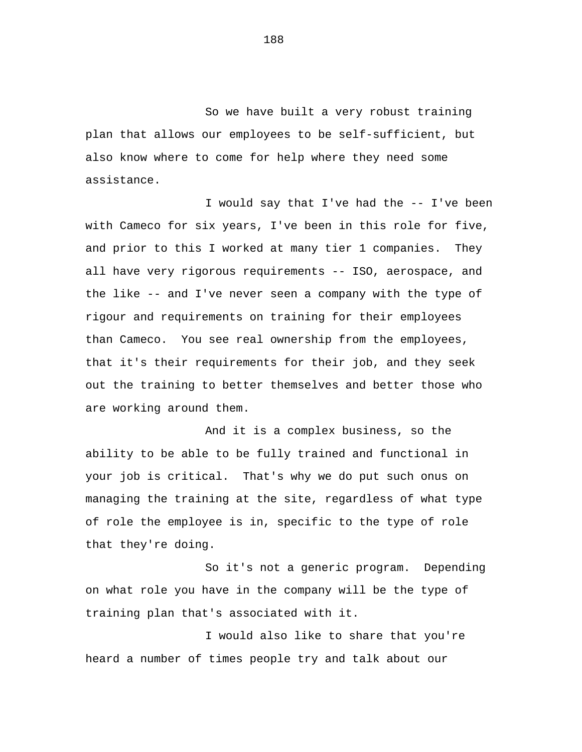So we have built a very robust training plan that allows our employees to be self-sufficient, but also know where to come for help where they need some assistance.

I would say that I've had the -- I've been with Cameco for six years, I've been in this role for five, and prior to this I worked at many tier 1 companies. They all have very rigorous requirements -- ISO, aerospace, and the like -- and I've never seen a company with the type of rigour and requirements on training for their employees than Cameco. You see real ownership from the employees, that it's their requirements for their job, and they seek out the training to better themselves and better those who are working around them.

And it is a complex business, so the ability to be able to be fully trained and functional in your job is critical. That's why we do put such onus on managing the training at the site, regardless of what type of role the employee is in, specific to the type of role that they're doing.

So it's not a generic program. Depending on what role you have in the company will be the type of training plan that's associated with it.

I would also like to share that you're heard a number of times people try and talk about our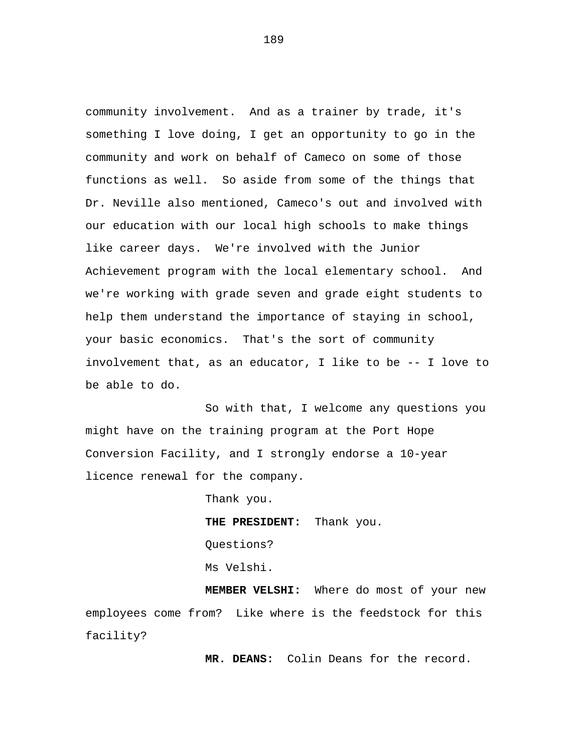community involvement. And as a trainer by trade, it's something I love doing, I get an opportunity to go in the community and work on behalf of Cameco on some of those functions as well. So aside from some of the things that Dr. Neville also mentioned, Cameco's out and involved with our education with our local high schools to make things like career days. We're involved with the Junior Achievement program with the local elementary school. And we're working with grade seven and grade eight students to help them understand the importance of staying in school, your basic economics. That's the sort of community involvement that, as an educator, I like to be -- I love to be able to do.

So with that, I welcome any questions you might have on the training program at the Port Hope Conversion Facility, and I strongly endorse a 10-year licence renewal for the company.

> Thank you. **THE PRESIDENT:** Thank you. Questions? Ms Velshi.

**MEMBER VELSHI:** Where do most of your new employees come from? Like where is the feedstock for this facility?

**MR. DEANS:** Colin Deans for the record.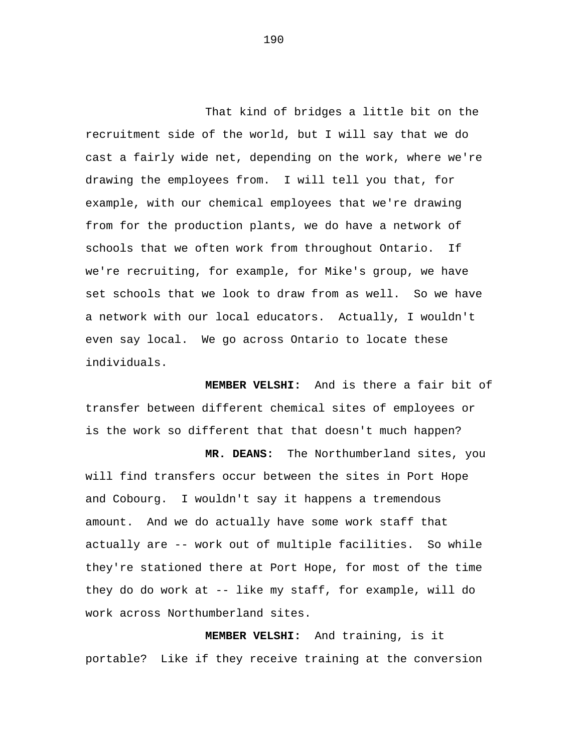That kind of bridges a little bit on the recruitment side of the world, but I will say that we do cast a fairly wide net, depending on the work, where we're drawing the employees from. I will tell you that, for example, with our chemical employees that we're drawing from for the production plants, we do have a network of schools that we often work from throughout Ontario. If we're recruiting, for example, for Mike's group, we have set schools that we look to draw from as well. So we have a network with our local educators. Actually, I wouldn't even say local. We go across Ontario to locate these individuals.

**MEMBER VELSHI:** And is there a fair bit of transfer between different chemical sites of employees or is the work so different that that doesn't much happen?

**MR. DEANS:** The Northumberland sites, you will find transfers occur between the sites in Port Hope and Cobourg. I wouldn't say it happens a tremendous amount. And we do actually have some work staff that actually are -- work out of multiple facilities. So while they're stationed there at Port Hope, for most of the time they do do work at -- like my staff, for example, will do work across Northumberland sites.

**MEMBER VELSHI:** And training, is it portable? Like if they receive training at the conversion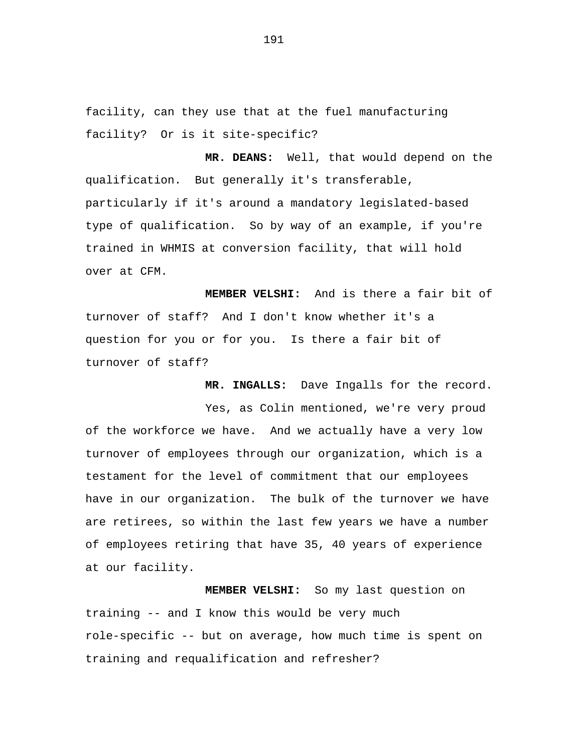facility, can they use that at the fuel manufacturing facility? Or is it site-specific?

**MR. DEANS:** Well, that would depend on the qualification. But generally it's transferable, particularly if it's around a mandatory legislated-based type of qualification. So by way of an example, if you're trained in WHMIS at conversion facility, that will hold over at CFM.

**MEMBER VELSHI:** And is there a fair bit of turnover of staff? And I don't know whether it's a question for you or for you. Is there a fair bit of turnover of staff?

**MR. INGALLS:** Dave Ingalls for the record.

Yes, as Colin mentioned, we're very proud of the workforce we have. And we actually have a very low turnover of employees through our organization, which is a testament for the level of commitment that our employees have in our organization. The bulk of the turnover we have are retirees, so within the last few years we have a number of employees retiring that have 35, 40 years of experience at our facility.

**MEMBER VELSHI:** So my last question on training -- and I know this would be very much role-specific -- but on average, how much time is spent on training and requalification and refresher?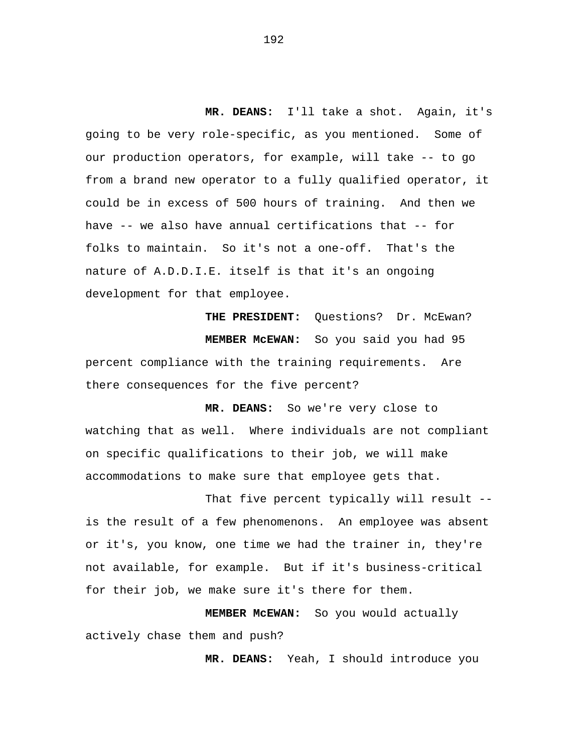**MR. DEANS:** I'll take a shot. Again, it's going to be very role-specific, as you mentioned. Some of our production operators, for example, will take -- to go from a brand new operator to a fully qualified operator, it could be in excess of 500 hours of training. And then we have -- we also have annual certifications that -- for folks to maintain. So it's not a one-off. That's the nature of A.D.D.I.E. itself is that it's an ongoing development for that employee.

**THE PRESIDENT:** Questions? Dr. McEwan? **MEMBER McEWAN:** So you said you had 95 percent compliance with the training requirements. Are there consequences for the five percent?

**MR. DEANS:** So we're very close to watching that as well. Where individuals are not compliant on specific qualifications to their job, we will make accommodations to make sure that employee gets that.

That five percent typically will result - is the result of a few phenomenons. An employee was absent or it's, you know, one time we had the trainer in, they're not available, for example. But if it's business-critical for their job, we make sure it's there for them.

**MEMBER McEWAN:** So you would actually actively chase them and push?

**MR. DEANS:** Yeah, I should introduce you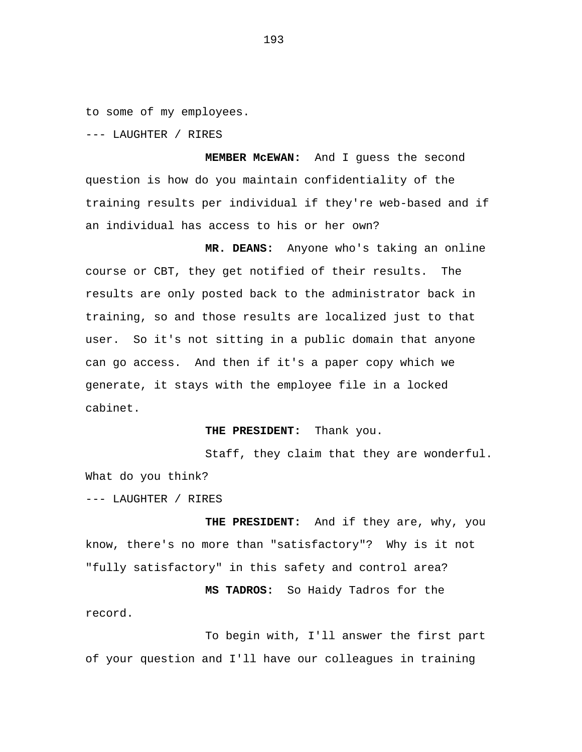to some of my employees.

--- LAUGHTER / RIRES

**MEMBER McEWAN:** And I guess the second question is how do you maintain confidentiality of the training results per individual if they're web-based and if an individual has access to his or her own?

**MR. DEANS:** Anyone who's taking an online course or CBT, they get notified of their results. The results are only posted back to the administrator back in training, so and those results are localized just to that user. So it's not sitting in a public domain that anyone can go access. And then if it's a paper copy which we generate, it stays with the employee file in a locked cabinet.

### **THE PRESIDENT:** Thank you.

Staff, they claim that they are wonderful. What do you think?

--- LAUGHTER / RIRES

**THE PRESIDENT:** And if they are, why, you know, there's no more than "satisfactory"? Why is it not "fully satisfactory" in this safety and control area?

**MS TADROS:** So Haidy Tadros for the record.

To begin with, I'll answer the first part of your question and I'll have our colleagues in training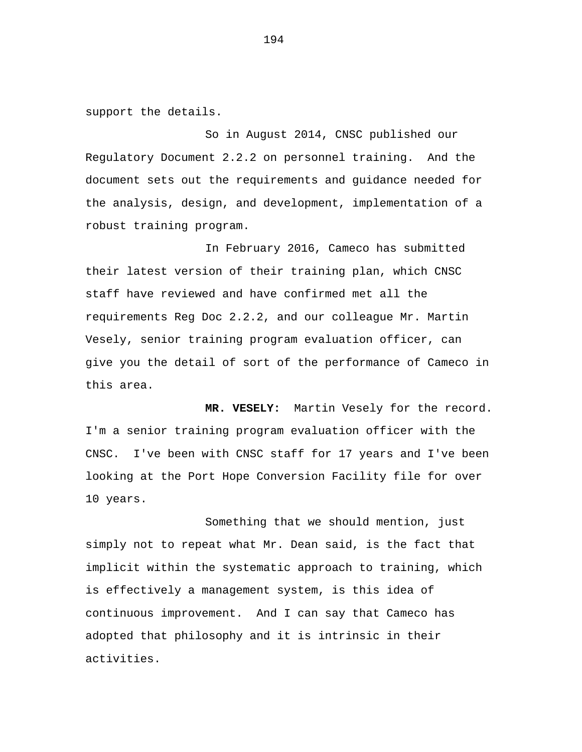support the details.

So in August 2014, CNSC published our Regulatory Document 2.2.2 on personnel training. And the document sets out the requirements and guidance needed for the analysis, design, and development, implementation of a robust training program.

In February 2016, Cameco has submitted their latest version of their training plan, which CNSC staff have reviewed and have confirmed met all the requirements Reg Doc 2.2.2, and our colleague Mr. Martin Vesely, senior training program evaluation officer, can give you the detail of sort of the performance of Cameco in this area.

**MR. VESELY:** Martin Vesely for the record. I'm a senior training program evaluation officer with the CNSC. I've been with CNSC staff for 17 years and I've been looking at the Port Hope Conversion Facility file for over 10 years.

Something that we should mention, just simply not to repeat what Mr. Dean said, is the fact that implicit within the systematic approach to training, which is effectively a management system, is this idea of continuous improvement. And I can say that Cameco has adopted that philosophy and it is intrinsic in their activities.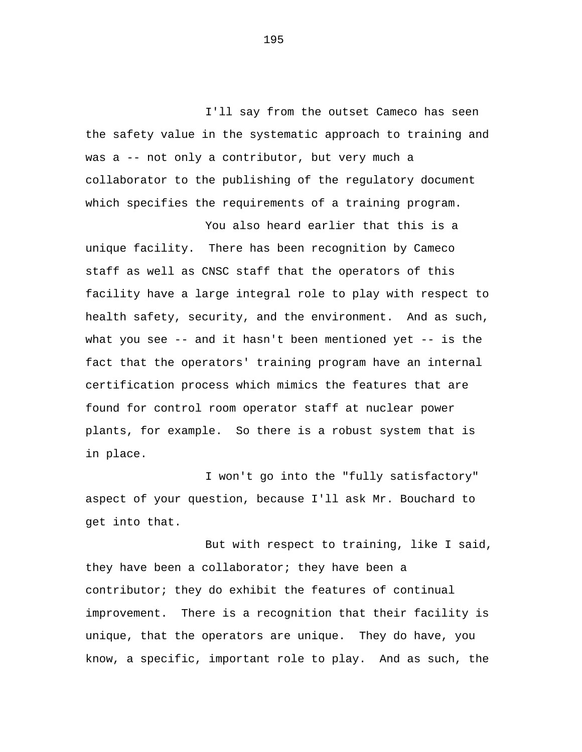I'll say from the outset Cameco has seen the safety value in the systematic approach to training and was a -- not only a contributor, but very much a collaborator to the publishing of the regulatory document which specifies the requirements of a training program.

You also heard earlier that this is a unique facility. There has been recognition by Cameco staff as well as CNSC staff that the operators of this facility have a large integral role to play with respect to health safety, security, and the environment. And as such, what you see -- and it hasn't been mentioned yet -- is the fact that the operators' training program have an internal certification process which mimics the features that are found for control room operator staff at nuclear power plants, for example. So there is a robust system that is in place.

I won't go into the "fully satisfactory" aspect of your question, because I'll ask Mr. Bouchard to get into that.

But with respect to training, like I said, they have been a collaborator; they have been a contributor; they do exhibit the features of continual improvement. There is a recognition that their facility is unique, that the operators are unique. They do have, you know, a specific, important role to play. And as such, the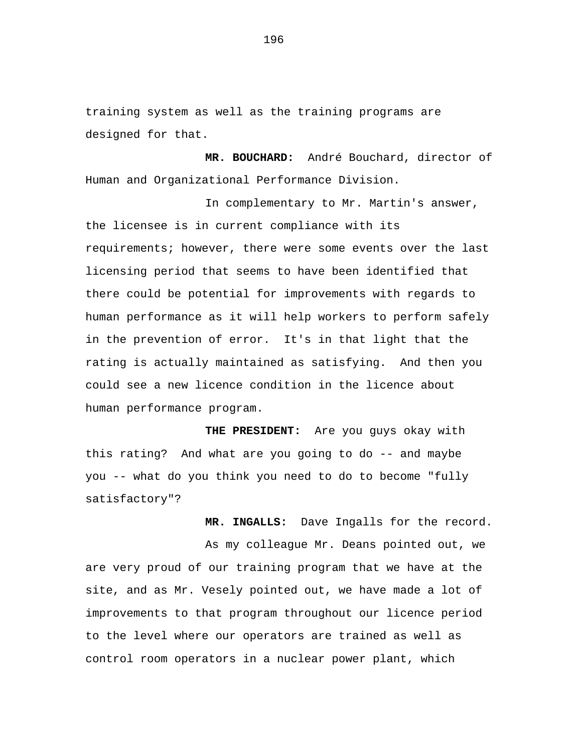training system as well as the training programs are designed for that.

**MR. BOUCHARD:** André Bouchard, director of Human and Organizational Performance Division.

In complementary to Mr. Martin's answer, the licensee is in current compliance with its requirements; however, there were some events over the last licensing period that seems to have been identified that there could be potential for improvements with regards to human performance as it will help workers to perform safely in the prevention of error. It's in that light that the rating is actually maintained as satisfying. And then you could see a new licence condition in the licence about human performance program.

**THE PRESIDENT:** Are you guys okay with this rating? And what are you going to do -- and maybe you -- what do you think you need to do to become "fully satisfactory"?

**MR. INGALLS:** Dave Ingalls for the record.

As my colleague Mr. Deans pointed out, we are very proud of our training program that we have at the site, and as Mr. Vesely pointed out, we have made a lot of improvements to that program throughout our licence period to the level where our operators are trained as well as control room operators in a nuclear power plant, which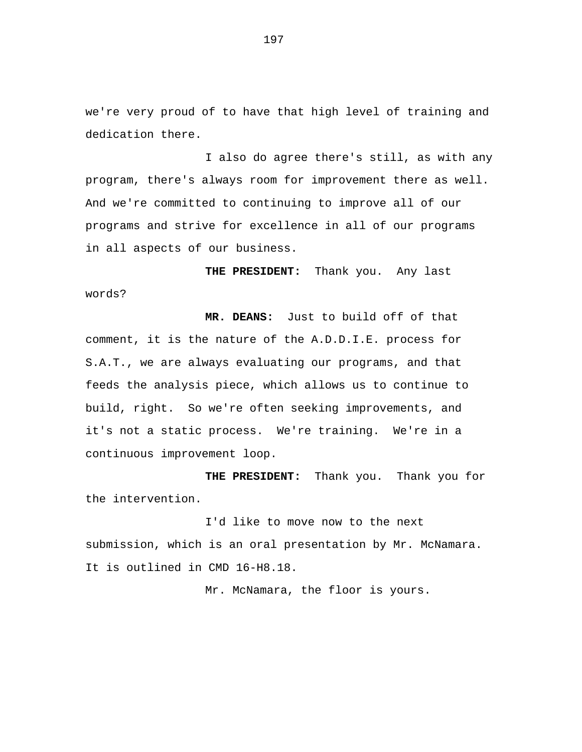we're very proud of to have that high level of training and dedication there.

I also do agree there's still, as with any program, there's always room for improvement there as well. And we're committed to continuing to improve all of our programs and strive for excellence in all of our programs in all aspects of our business.

**THE PRESIDENT:** Thank you. Any last words?

**MR. DEANS:** Just to build off of that comment, it is the nature of the A.D.D.I.E. process for S.A.T., we are always evaluating our programs, and that feeds the analysis piece, which allows us to continue to build, right. So we're often seeking improvements, and it's not a static process. We're training. We're in a continuous improvement loop.

 **THE PRESIDENT:** Thank you. Thank you for the intervention.

I'd like to move now to the next submission, which is an oral presentation by Mr. McNamara. It is outlined in CMD 16-H8.18.

Mr. McNamara, the floor is yours.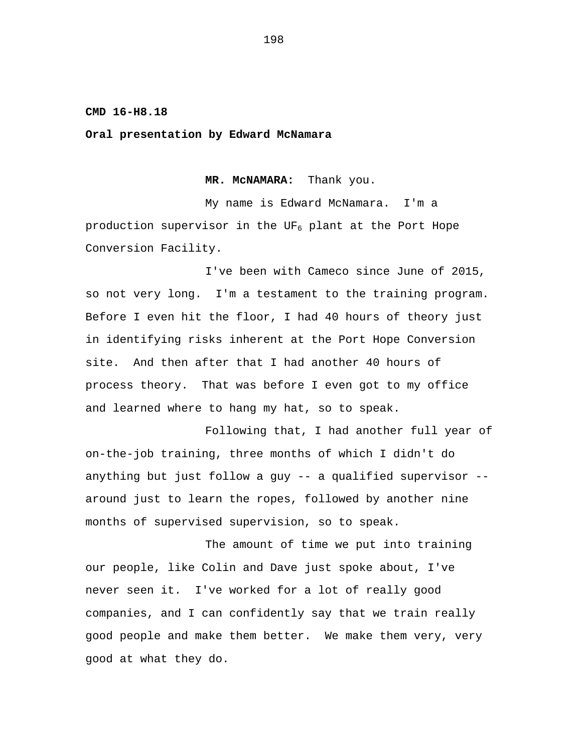## **CMD 16-H8.18**

**Oral presentation by Edward McNamara** 

**MR. McNAMARA:** Thank you.

My name is Edward McNamara. I'm a production supervisor in the UF<sub>6</sub> plant at the Port Hope Conversion Facility.

I've been with Cameco since June of 2015, so not very long. I'm a testament to the training program. Before I even hit the floor, I had 40 hours of theory just in identifying risks inherent at the Port Hope Conversion site. And then after that I had another 40 hours of process theory. That was before I even got to my office and learned where to hang my hat, so to speak.

Following that, I had another full year of on-the-job training, three months of which I didn't do anything but just follow a guy -- a qualified supervisor - around just to learn the ropes, followed by another nine months of supervised supervision, so to speak.

The amount of time we put into training our people, like Colin and Dave just spoke about, I've never seen it. I've worked for a lot of really good companies, and I can confidently say that we train really good people and make them better. We make them very, very good at what they do.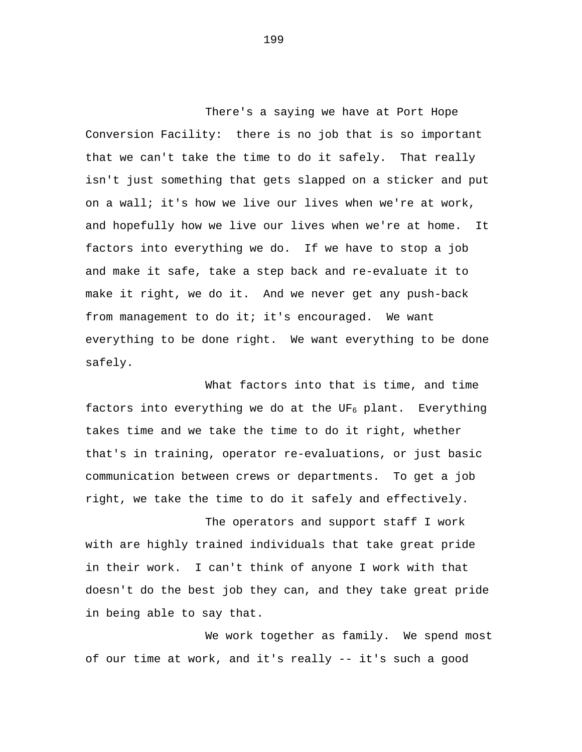There's a saying we have at Port Hope Conversion Facility: there is no job that is so important that we can't take the time to do it safely. That really isn't just something that gets slapped on a sticker and put on a wall; it's how we live our lives when we're at work, and hopefully how we live our lives when we're at home. It factors into everything we do. If we have to stop a job and make it safe, take a step back and re-evaluate it to make it right, we do it. And we never get any push-back from management to do it; it's encouraged. We want everything to be done right. We want everything to be done safely.

What factors into that is time, and time factors into everything we do at the UF<sub>6</sub> plant. Everything takes time and we take the time to do it right, whether that's in training, operator re-evaluations, or just basic communication between crews or departments. To get a job right, we take the time to do it safely and effectively.

The operators and support staff I work with are highly trained individuals that take great pride in their work. I can't think of anyone I work with that doesn't do the best job they can, and they take great pride in being able to say that.

We work together as family. We spend most of our time at work, and it's really -- it's such a good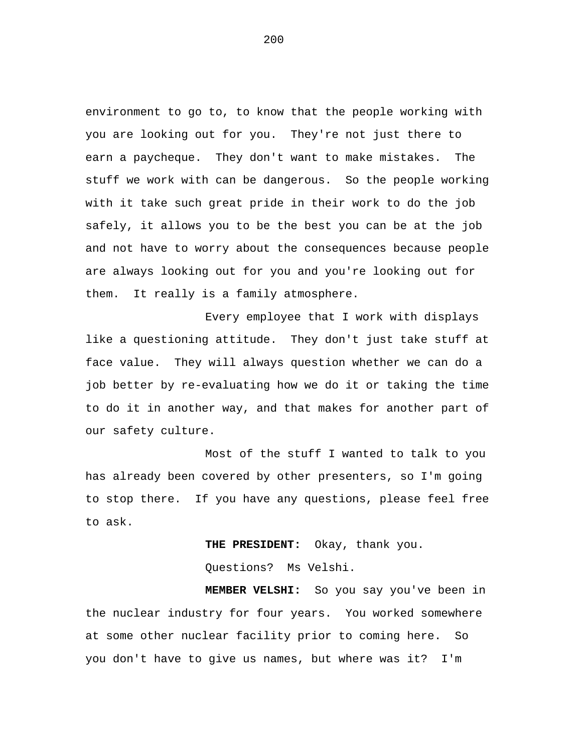environment to go to, to know that the people working with you are looking out for you. They're not just there to earn a paycheque. They don't want to make mistakes. The stuff we work with can be dangerous. So the people working with it take such great pride in their work to do the job safely, it allows you to be the best you can be at the job and not have to worry about the consequences because people are always looking out for you and you're looking out for them. It really is a family atmosphere.

Every employee that I work with displays like a questioning attitude. They don't just take stuff at face value. They will always question whether we can do a job better by re-evaluating how we do it or taking the time to do it in another way, and that makes for another part of our safety culture.

Most of the stuff I wanted to talk to you has already been covered by other presenters, so I'm going to stop there. If you have any questions, please feel free to ask.

**THE PRESIDENT:** Okay, thank you.

Questions? Ms Velshi.

**MEMBER VELSHI:** So you say you've been in the nuclear industry for four years. You worked somewhere at some other nuclear facility prior to coming here. So you don't have to give us names, but where was it? I'm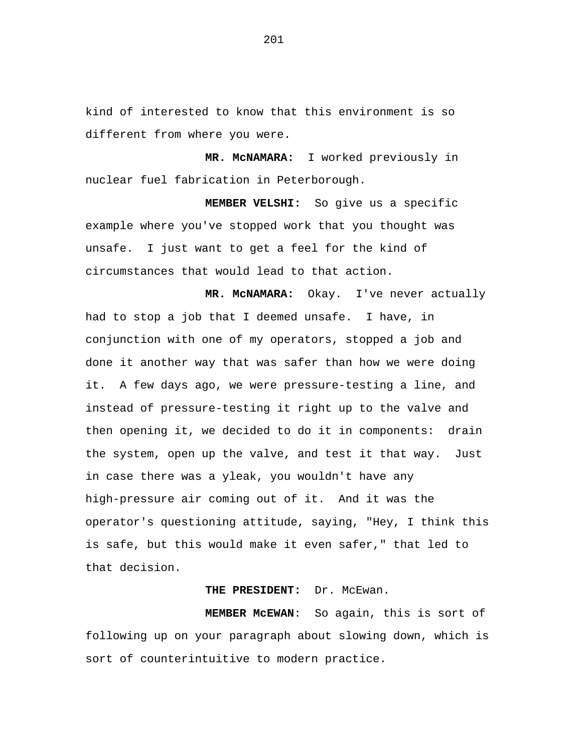kind of interested to know that this environment is so different from where you were.

**MR. McNAMARA:** I worked previously in nuclear fuel fabrication in Peterborough.

**MEMBER VELSHI:** So give us a specific example where you've stopped work that you thought was unsafe. I just want to get a feel for the kind of circumstances that would lead to that action.

**MR. McNAMARA:** Okay. I've never actually had to stop a job that I deemed unsafe. I have, in conjunction with one of my operators, stopped a job and done it another way that was safer than how we were doing it. A few days ago, we were pressure-testing a line, and instead of pressure-testing it right up to the valve and then opening it, we decided to do it in components: drain the system, open up the valve, and test it that way. Just in case there was a yleak, you wouldn't have any high-pressure air coming out of it. And it was the operator's questioning attitude, saying, "Hey, I think this is safe, but this would make it even safer," that led to that decision.

# **THE PRESIDENT:** Dr. McEwan.

**MEMBER McEWAN**: So again, this is sort of following up on your paragraph about slowing down, which is sort of counterintuitive to modern practice.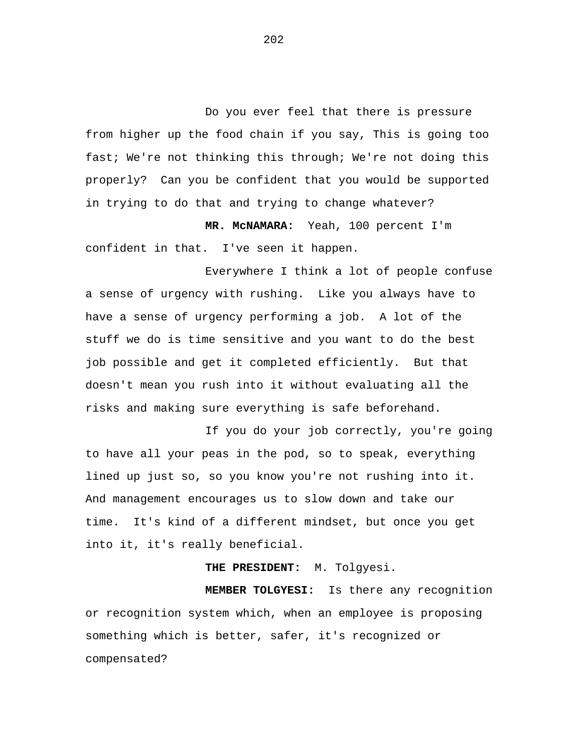Do you ever feel that there is pressure from higher up the food chain if you say, This is going too fast; We're not thinking this through; We're not doing this properly? Can you be confident that you would be supported in trying to do that and trying to change whatever?

**MR. McNAMARA:** Yeah, 100 percent I'm confident in that. I've seen it happen.

Everywhere I think a lot of people confuse a sense of urgency with rushing. Like you always have to have a sense of urgency performing a job. A lot of the stuff we do is time sensitive and you want to do the best job possible and get it completed efficiently. But that doesn't mean you rush into it without evaluating all the risks and making sure everything is safe beforehand.

If you do your job correctly, you're going to have all your peas in the pod, so to speak, everything lined up just so, so you know you're not rushing into it. And management encourages us to slow down and take our time. It's kind of a different mindset, but once you get into it, it's really beneficial.

**THE PRESIDENT:** M. Tolgyesi.

**MEMBER TOLGYESI:** Is there any recognition or recognition system which, when an employee is proposing something which is better, safer, it's recognized or compensated?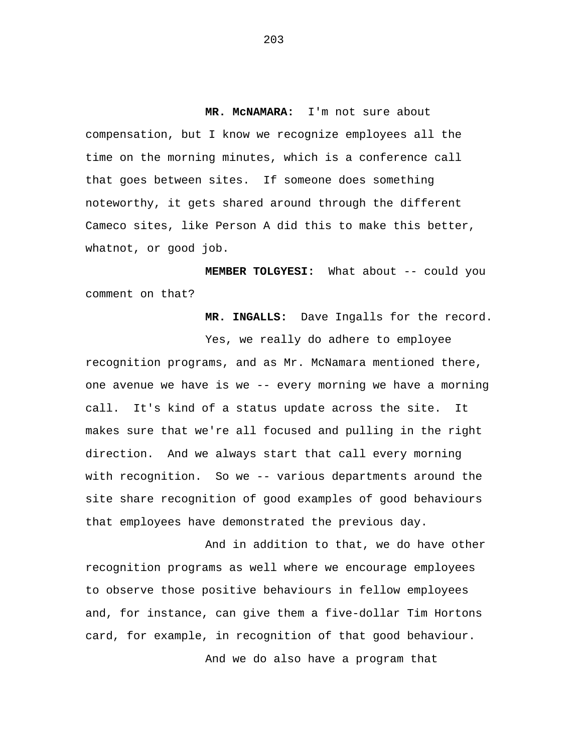**MR. McNAMARA:** I'm not sure about compensation, but I know we recognize employees all the time on the morning minutes, which is a conference call that goes between sites. If someone does something noteworthy, it gets shared around through the different Cameco sites, like Person A did this to make this better, whatnot, or good job.

**MEMBER TOLGYESI:** What about -- could you comment on that?

**MR. INGALLS:** Dave Ingalls for the record. Yes, we really do adhere to employee recognition programs, and as Mr. McNamara mentioned there, one avenue we have is we -- every morning we have a morning call. It's kind of a status update across the site. It makes sure that we're all focused and pulling in the right direction. And we always start that call every morning with recognition. So we -- various departments around the site share recognition of good examples of good behaviours that employees have demonstrated the previous day.

And in addition to that, we do have other recognition programs as well where we encourage employees to observe those positive behaviours in fellow employees and, for instance, can give them a five-dollar Tim Hortons card, for example, in recognition of that good behaviour.

And we do also have a program that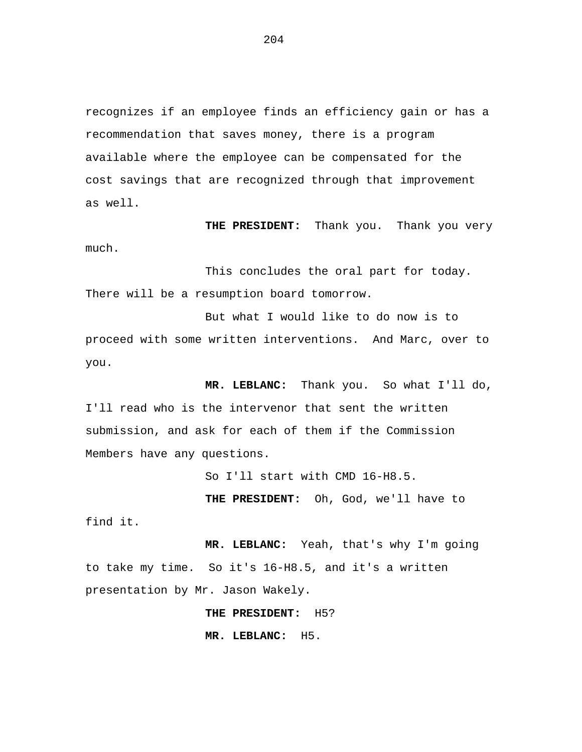recognizes if an employee finds an efficiency gain or has a recommendation that saves money, there is a program available where the employee can be compensated for the cost savings that are recognized through that improvement as well.

**THE PRESIDENT:** Thank you. Thank you very much.

This concludes the oral part for today. There will be a resumption board tomorrow.

But what I would like to do now is to proceed with some written interventions. And Marc, over to you.

**MR. LEBLANC:** Thank you. So what I'll do, I'll read who is the intervenor that sent the written submission, and ask for each of them if the Commission Members have any questions.

So I'll start with CMD 16-H8.5.

**THE PRESIDENT:** Oh, God, we'll have to

find it.

**MR. LEBLANC:** Yeah, that's why I'm going to take my time. So it's 16-H8.5, and it's a written presentation by Mr. Jason Wakely.

**THE PRESIDENT:** H5?

**MR. LEBLANC:** H5.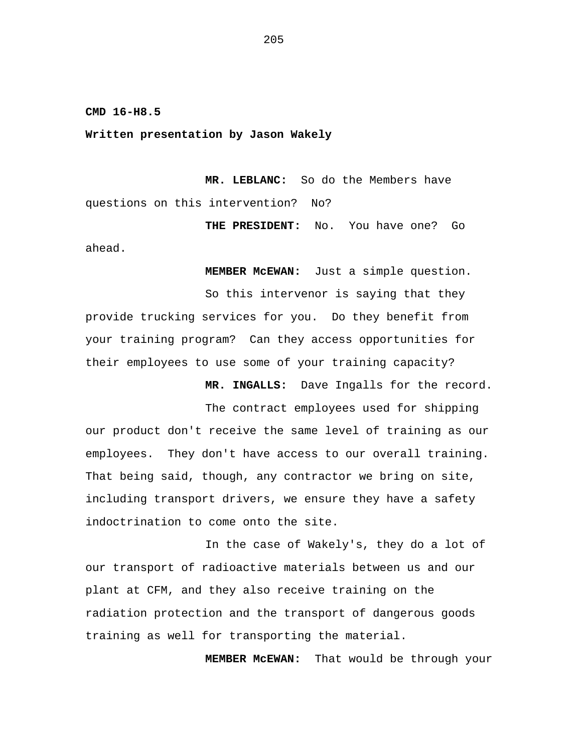**CMD 16-H8.5** 

**Written presentation by Jason Wakely** 

**MR. LEBLANC:** So do the Members have questions on this intervention? No?

**THE PRESIDENT:** No. You have one? Go ahead.

**MEMBER McEWAN:** Just a simple question.

So this intervenor is saying that they provide trucking services for you. Do they benefit from your training program? Can they access opportunities for their employees to use some of your training capacity?

**MR. INGALLS:** Dave Ingalls for the record.

The contract employees used for shipping our product don't receive the same level of training as our employees. They don't have access to our overall training. That being said, though, any contractor we bring on site, including transport drivers, we ensure they have a safety indoctrination to come onto the site.

In the case of Wakely's, they do a lot of our transport of radioactive materials between us and our plant at CFM, and they also receive training on the radiation protection and the transport of dangerous goods training as well for transporting the material.

**MEMBER McEWAN:** That would be through your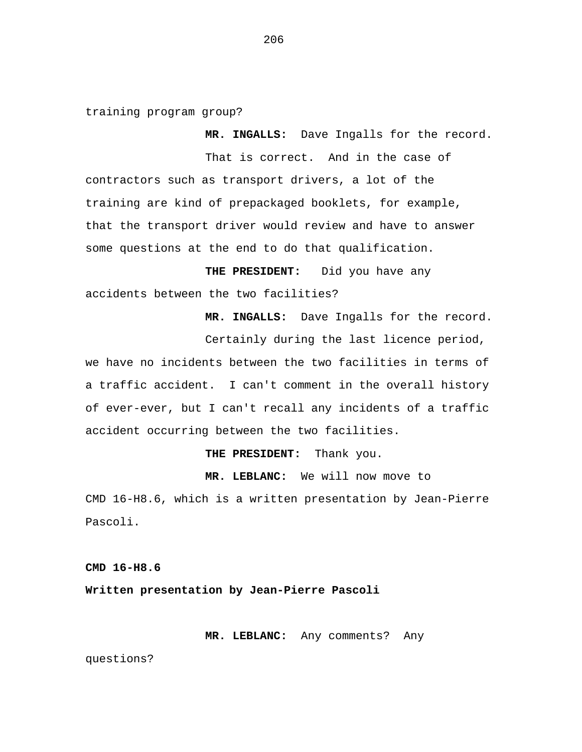training program group?

That is correct. And in the case of contractors such as transport drivers, a lot of the training are kind of prepackaged booklets, for example, that the transport driver would review and have to answer some questions at the end to do that qualification.

**THE PRESIDENT:** Did you have any accidents between the two facilities?

**MR. INGALLS:** Dave Ingalls for the record.

**MR. INGALLS:** Dave Ingalls for the record.

Certainly during the last licence period,

we have no incidents between the two facilities in terms of a traffic accident. I can't comment in the overall history of ever-ever, but I can't recall any incidents of a traffic accident occurring between the two facilities.

**THE PRESIDENT:** Thank you.

**MR. LEBLANC:** We will now move to

CMD 16-H8.6, which is a written presentation by Jean-Pierre Pascoli.

# **CMD 16-H8.6**

**Written presentation by Jean-Pierre Pascoli** 

**MR. LEBLANC:** Any comments? Any

questions?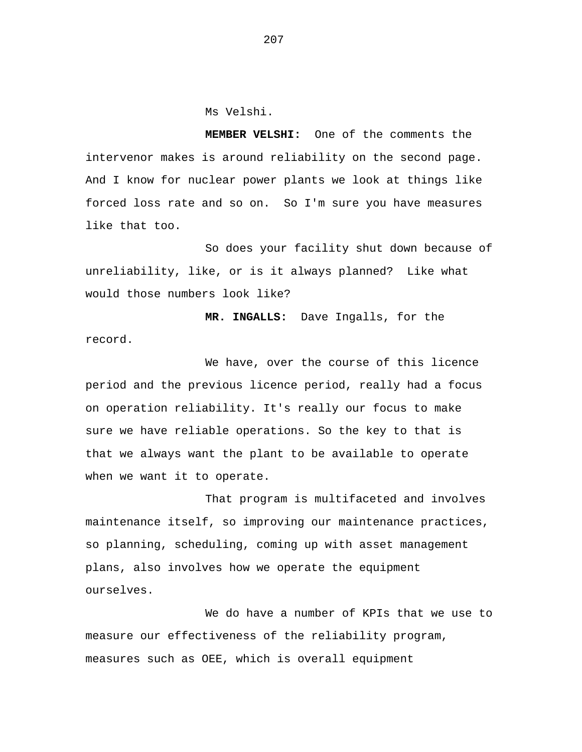Ms Velshi.

**MEMBER VELSHI:** One of the comments the intervenor makes is around reliability on the second page. And I know for nuclear power plants we look at things like forced loss rate and so on. So I'm sure you have measures like that too.

So does your facility shut down because of unreliability, like, or is it always planned? Like what would those numbers look like?

**MR. INGALLS:** Dave Ingalls, for the record.

We have, over the course of this licence period and the previous licence period, really had a focus on operation reliability. It's really our focus to make sure we have reliable operations. So the key to that is that we always want the plant to be available to operate when we want it to operate.

That program is multifaceted and involves maintenance itself, so improving our maintenance practices, so planning, scheduling, coming up with asset management plans, also involves how we operate the equipment ourselves.

We do have a number of KPIs that we use to measure our effectiveness of the reliability program, measures such as OEE, which is overall equipment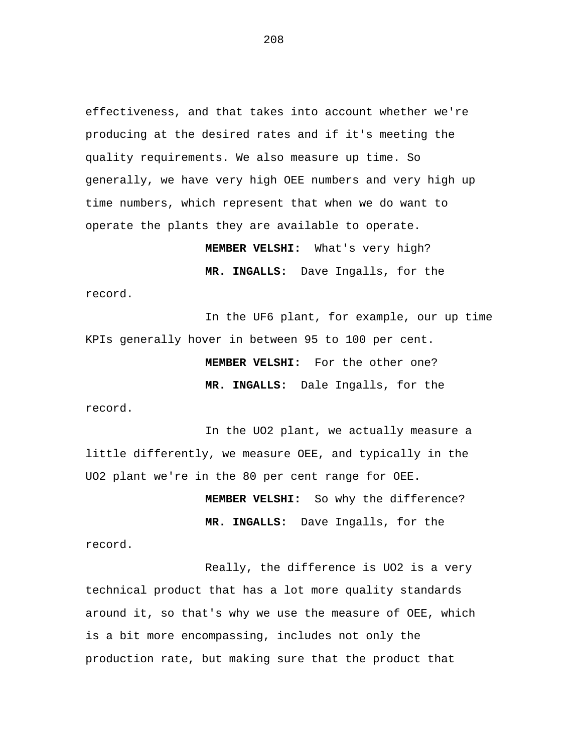effectiveness, and that takes into account whether we're producing at the desired rates and if it's meeting the quality requirements. We also measure up time. So generally, we have very high OEE numbers and very high up time numbers, which represent that when we do want to operate the plants they are available to operate.

> **MEMBER VELSHI:** What's very high?  **MR. INGALLS:** Dave Ingalls, for the

In the UF6 plant, for example, our up time KPIs generally hover in between 95 to 100 per cent.

> **MEMBER VELSHI:** For the other one?  **MR. INGALLS:** Dale Ingalls, for the

record.

record.

In the UO2 plant, we actually measure a little differently, we measure OEE, and typically in the UO2 plant we're in the 80 per cent range for OEE.

> **MEMBER VELSHI:** So why the difference?  **MR. INGALLS:** Dave Ingalls, for the

record.

Really, the difference is UO2 is a very technical product that has a lot more quality standards around it, so that's why we use the measure of OEE, which is a bit more encompassing, includes not only the production rate, but making sure that the product that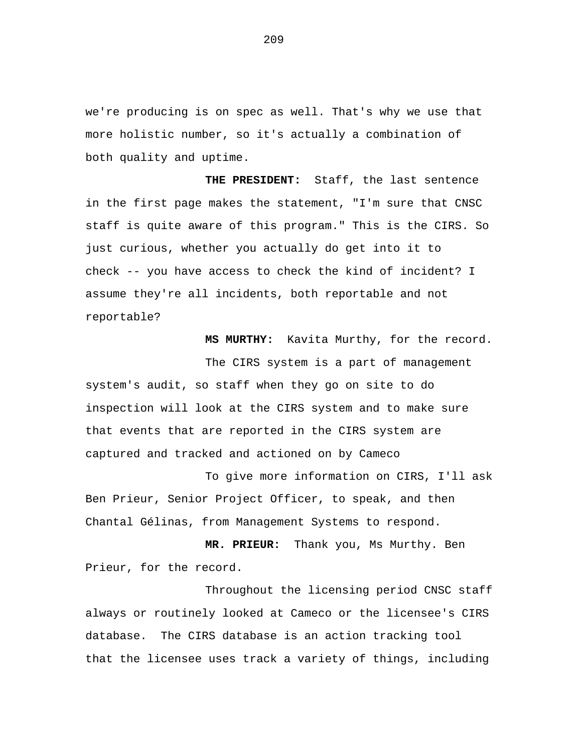we're producing is on spec as well. That's why we use that more holistic number, so it's actually a combination of both quality and uptime.

 **THE PRESIDENT:** Staff, the last sentence in the first page makes the statement, "I'm sure that CNSC staff is quite aware of this program." This is the CIRS. So just curious, whether you actually do get into it to check -- you have access to check the kind of incident? I assume they're all incidents, both reportable and not reportable?

 **MS MURTHY:** Kavita Murthy, for the record.

The CIRS system is a part of management system's audit, so staff when they go on site to do inspection will look at the CIRS system and to make sure that events that are reported in the CIRS system are captured and tracked and actioned on by Cameco

To give more information on CIRS, I'll ask Ben Prieur, Senior Project Officer, to speak, and then Chantal Gélinas, from Management Systems to respond.

 **MR. PRIEUR:** Thank you, Ms Murthy. Ben Prieur, for the record.

Throughout the licensing period CNSC staff always or routinely looked at Cameco or the licensee's CIRS database. The CIRS database is an action tracking tool that the licensee uses track a variety of things, including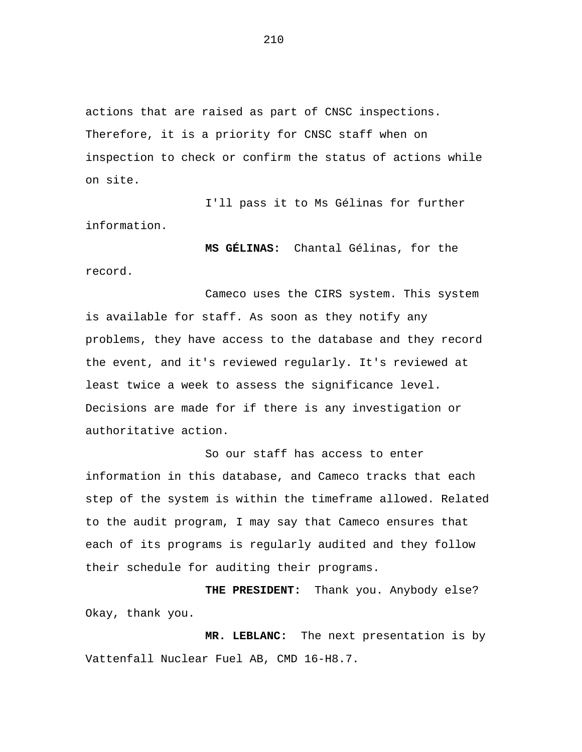actions that are raised as part of CNSC inspections. Therefore, it is a priority for CNSC staff when on inspection to check or confirm the status of actions while on site.

I'll pass it to Ms Gélinas for further information.

 **MS GÉLINAS:** Chantal Gélinas, for the record.

Cameco uses the CIRS system. This system is available for staff. As soon as they notify any problems, they have access to the database and they record the event, and it's reviewed regularly. It's reviewed at least twice a week to assess the significance level. Decisions are made for if there is any investigation or authoritative action.

So our staff has access to enter information in this database, and Cameco tracks that each step of the system is within the timeframe allowed. Related to the audit program, I may say that Cameco ensures that each of its programs is regularly audited and they follow their schedule for auditing their programs.

 **THE PRESIDENT:** Thank you. Anybody else? Okay, thank you.

 **MR. LEBLANC:** The next presentation is by Vattenfall Nuclear Fuel AB, CMD 16-H8.7.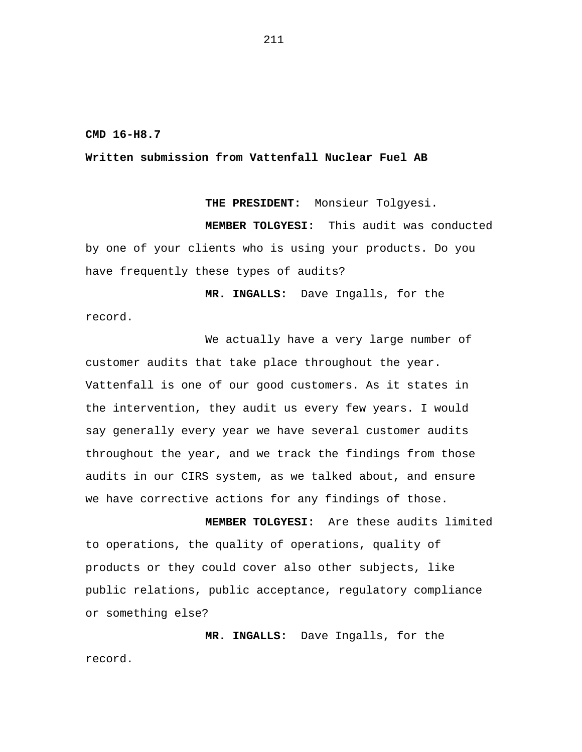#### **CMD 16-H8.7**

**Written submission from Vattenfall Nuclear Fuel AB** 

 **THE PRESIDENT:** Monsieur Tolgyesi.

 **MEMBER TOLGYESI:** This audit was conducted by one of your clients who is using your products. Do you have frequently these types of audits?

 **MR. INGALLS:** Dave Ingalls, for the record.

We actually have a very large number of customer audits that take place throughout the year. Vattenfall is one of our good customers. As it states in the intervention, they audit us every few years. I would say generally every year we have several customer audits throughout the year, and we track the findings from those audits in our CIRS system, as we talked about, and ensure we have corrective actions for any findings of those.

 **MEMBER TOLGYESI:** Are these audits limited to operations, the quality of operations, quality of products or they could cover also other subjects, like public relations, public acceptance, regulatory compliance or something else?

 **MR. INGALLS:** Dave Ingalls, for the record.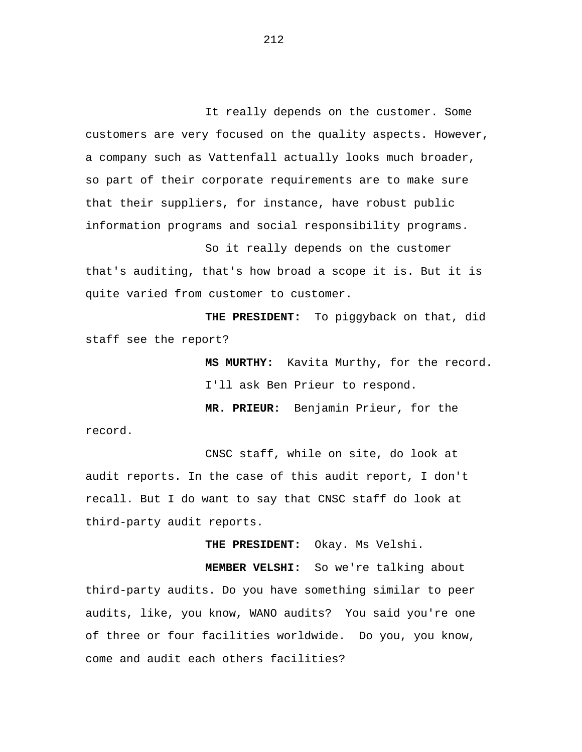It really depends on the customer. Some customers are very focused on the quality aspects. However, a company such as Vattenfall actually looks much broader, so part of their corporate requirements are to make sure that their suppliers, for instance, have robust public information programs and social responsibility programs.

So it really depends on the customer that's auditing, that's how broad a scope it is. But it is quite varied from customer to customer.

 **THE PRESIDENT:** To piggyback on that, did staff see the report?

> **MS MURTHY:** Kavita Murthy, for the record. I'll ask Ben Prieur to respond.

 **MR. PRIEUR:** Benjamin Prieur, for the record.

CNSC staff, while on site, do look at audit reports. In the case of this audit report, I don't recall. But I do want to say that CNSC staff do look at third-party audit reports.

 **THE PRESIDENT:** Okay. Ms Velshi.

 **MEMBER VELSHI:** So we're talking about third-party audits. Do you have something similar to peer audits, like, you know, WANO audits? You said you're one of three or four facilities worldwide. Do you, you know, come and audit each others facilities?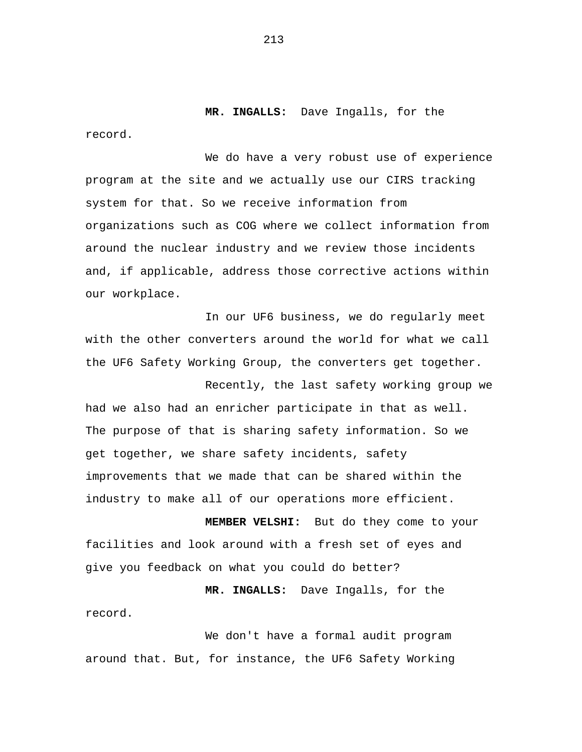**MR. INGALLS:** Dave Ingalls, for the

We do have a very robust use of experience program at the site and we actually use our CIRS tracking system for that. So we receive information from organizations such as COG where we collect information from around the nuclear industry and we review those incidents and, if applicable, address those corrective actions within our workplace.

In our UF6 business, we do regularly meet with the other converters around the world for what we call the UF6 Safety Working Group, the converters get together.

Recently, the last safety working group we had we also had an enricher participate in that as well. The purpose of that is sharing safety information. So we get together, we share safety incidents, safety improvements that we made that can be shared within the industry to make all of our operations more efficient.

 **MEMBER VELSHI:** But do they come to your facilities and look around with a fresh set of eyes and give you feedback on what you could do better?

 **MR. INGALLS:** Dave Ingalls, for the record.

We don't have a formal audit program around that. But, for instance, the UF6 Safety Working

213

record.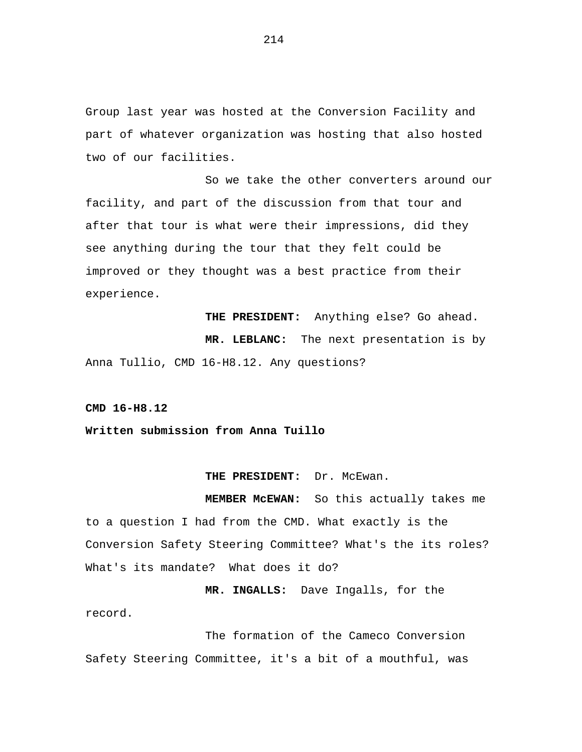Group last year was hosted at the Conversion Facility and part of whatever organization was hosting that also hosted two of our facilities.

So we take the other converters around our facility, and part of the discussion from that tour and after that tour is what were their impressions, did they see anything during the tour that they felt could be improved or they thought was a best practice from their experience.

 **THE PRESIDENT:** Anything else? Go ahead. **MR. LEBLANC:** The next presentation is by Anna Tullio, CMD 16-H8.12. Any questions?

**CMD 16-H8.12** 

**Written submission from Anna Tuillo** 

## **THE PRESIDENT:** Dr. McEwan.

 **MEMBER McEWAN:** So this actually takes me to a question I had from the CMD. What exactly is the Conversion Safety Steering Committee? What's the its roles? What's its mandate? What does it do?

 **MR. INGALLS:** Dave Ingalls, for the record.

The formation of the Cameco Conversion Safety Steering Committee, it's a bit of a mouthful, was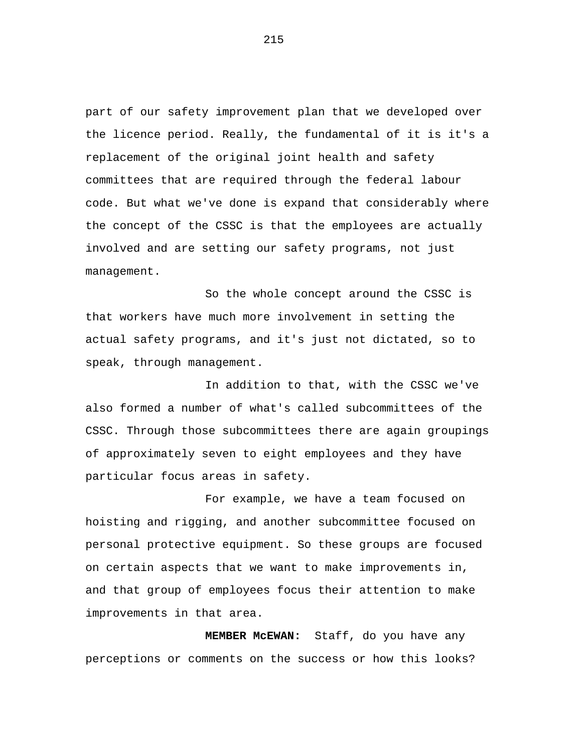part of our safety improvement plan that we developed over the licence period. Really, the fundamental of it is it's a replacement of the original joint health and safety committees that are required through the federal labour code. But what we've done is expand that considerably where the concept of the CSSC is that the employees are actually involved and are setting our safety programs, not just management.

So the whole concept around the CSSC is that workers have much more involvement in setting the actual safety programs, and it's just not dictated, so to speak, through management.

In addition to that, with the CSSC we've also formed a number of what's called subcommittees of the CSSC. Through those subcommittees there are again groupings of approximately seven to eight employees and they have particular focus areas in safety.

For example, we have a team focused on hoisting and rigging, and another subcommittee focused on personal protective equipment. So these groups are focused on certain aspects that we want to make improvements in, and that group of employees focus their attention to make improvements in that area.

 **MEMBER McEWAN:** Staff, do you have any perceptions or comments on the success or how this looks?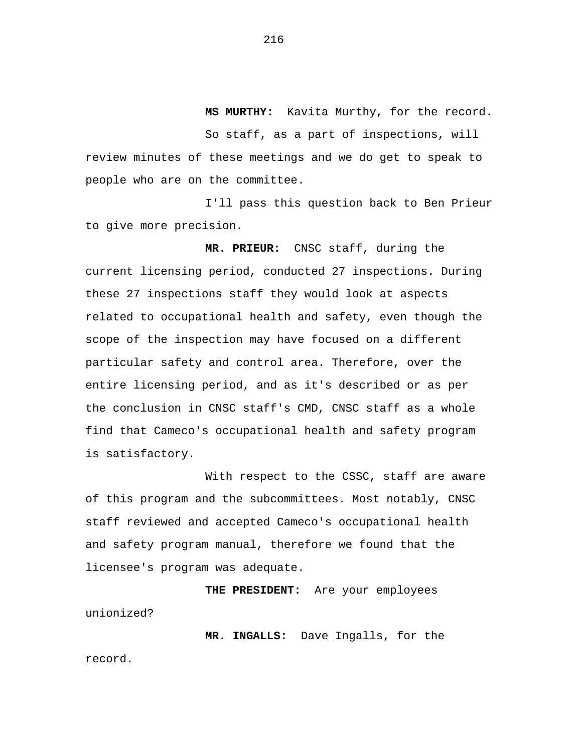**MS MURTHY:** Kavita Murthy, for the record. So staff, as a part of inspections, will review minutes of these meetings and we do get to speak to people who are on the committee.

I'll pass this question back to Ben Prieur to give more precision.

 **MR. PRIEUR:** CNSC staff, during the current licensing period, conducted 27 inspections. During these 27 inspections staff they would look at aspects related to occupational health and safety, even though the scope of the inspection may have focused on a different particular safety and control area. Therefore, over the entire licensing period, and as it's described or as per the conclusion in CNSC staff's CMD, CNSC staff as a whole find that Cameco's occupational health and safety program is satisfactory.

With respect to the CSSC, staff are aware of this program and the subcommittees. Most notably, CNSC staff reviewed and accepted Cameco's occupational health and safety program manual, therefore we found that the licensee's program was adequate.

 **THE PRESIDENT:** Are your employees unionized?

 **MR. INGALLS:** Dave Ingalls, for the record.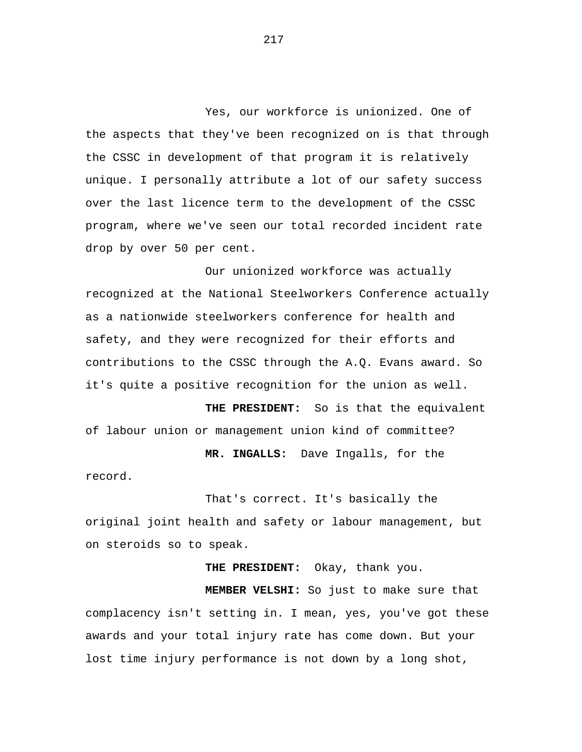Yes, our workforce is unionized. One of the aspects that they've been recognized on is that through the CSSC in development of that program it is relatively unique. I personally attribute a lot of our safety success over the last licence term to the development of the CSSC program, where we've seen our total recorded incident rate drop by over 50 per cent.

Our unionized workforce was actually recognized at the National Steelworkers Conference actually as a nationwide steelworkers conference for health and safety, and they were recognized for their efforts and contributions to the CSSC through the A.Q. Evans award. So it's quite a positive recognition for the union as well.

 **THE PRESIDENT:** So is that the equivalent of labour union or management union kind of committee?

 **MR. INGALLS:** Dave Ingalls, for the

record.

That's correct. It's basically the original joint health and safety or labour management, but on steroids so to speak.

 **THE PRESIDENT:** Okay, thank you.

 **MEMBER VELSHI:** So just to make sure that complacency isn't setting in. I mean, yes, you've got these awards and your total injury rate has come down. But your lost time injury performance is not down by a long shot,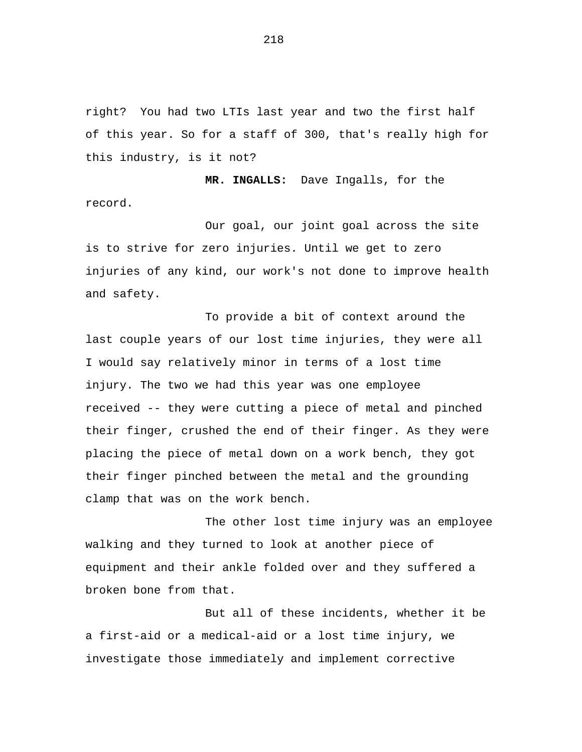right? You had two LTIs last year and two the first half of this year. So for a staff of 300, that's really high for this industry, is it not?

 **MR. INGALLS:** Dave Ingalls, for the record.

Our goal, our joint goal across the site is to strive for zero injuries. Until we get to zero injuries of any kind, our work's not done to improve health and safety.

To provide a bit of context around the last couple years of our lost time injuries, they were all I would say relatively minor in terms of a lost time injury. The two we had this year was one employee received -- they were cutting a piece of metal and pinched their finger, crushed the end of their finger. As they were placing the piece of metal down on a work bench, they got their finger pinched between the metal and the grounding clamp that was on the work bench.

The other lost time injury was an employee walking and they turned to look at another piece of equipment and their ankle folded over and they suffered a broken bone from that.

But all of these incidents, whether it be a first-aid or a medical-aid or a lost time injury, we investigate those immediately and implement corrective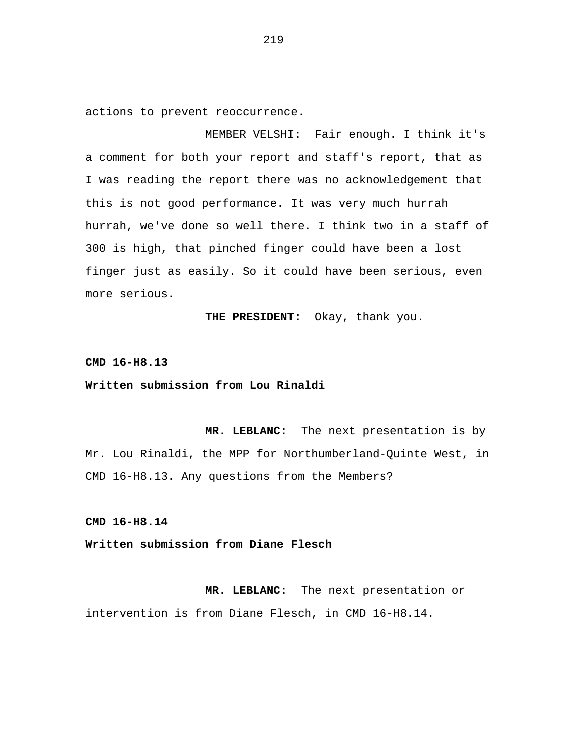actions to prevent reoccurrence.

MEMBER VELSHI: Fair enough. I think it's a comment for both your report and staff's report, that as I was reading the report there was no acknowledgement that this is not good performance. It was very much hurrah hurrah, we've done so well there. I think two in a staff of 300 is high, that pinched finger could have been a lost finger just as easily. So it could have been serious, even more serious.

 **THE PRESIDENT:** Okay, thank you.

**CMD 16-H8.13** 

**Written submission from Lou Rinaldi** 

 **MR. LEBLANC:** The next presentation is by Mr. Lou Rinaldi, the MPP for Northumberland-Quinte West, in CMD 16-H8.13. Any questions from the Members?

**CMD 16-H8.14** 

**Written submission from Diane Flesch** 

**MR. LEBLANC:** The next presentation or intervention is from Diane Flesch, in CMD 16-H8.14.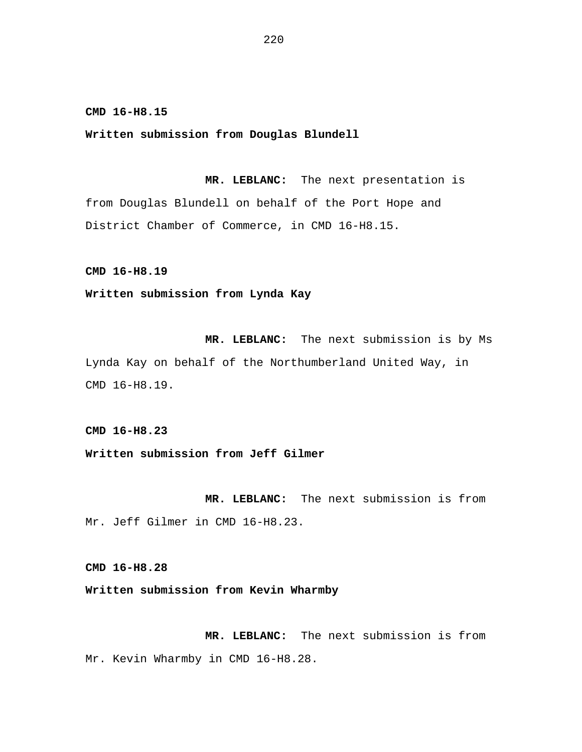**CMD 16-H8.15** 

**Written submission from Douglas Blundell** 

 **MR. LEBLANC:** The next presentation is from Douglas Blundell on behalf of the Port Hope and District Chamber of Commerce, in CMD 16-H8.15.

**CMD 16-H8.19** 

**Written submission from Lynda Kay** 

 **MR. LEBLANC:** The next submission is by Ms Lynda Kay on behalf of the Northumberland United Way, in CMD 16-H8.19.

**CMD 16-H8.23** 

**Written submission from Jeff Gilmer** 

**MR. LEBLANC:** The next submission is from Mr. Jeff Gilmer in CMD 16-H8.23.

**CMD 16-H8.28** 

**Written submission from Kevin Wharmby** 

**MR. LEBLANC:** The next submission is from Mr. Kevin Wharmby in CMD 16-H8.28.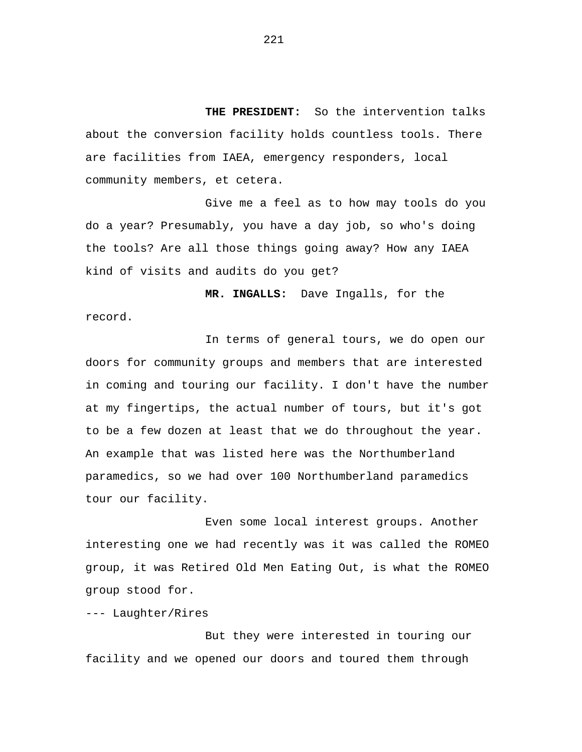**THE PRESIDENT:** So the intervention talks about the conversion facility holds countless tools. There are facilities from IAEA, emergency responders, local community members, et cetera.

Give me a feel as to how may tools do you do a year? Presumably, you have a day job, so who's doing the tools? Are all those things going away? How any IAEA kind of visits and audits do you get?

 **MR. INGALLS:** Dave Ingalls, for the record.

In terms of general tours, we do open our doors for community groups and members that are interested in coming and touring our facility. I don't have the number at my fingertips, the actual number of tours, but it's got to be a few dozen at least that we do throughout the year. An example that was listed here was the Northumberland paramedics, so we had over 100 Northumberland paramedics tour our facility.

Even some local interest groups. Another interesting one we had recently was it was called the ROMEO group, it was Retired Old Men Eating Out, is what the ROMEO group stood for.

--- Laughter/Rires

But they were interested in touring our facility and we opened our doors and toured them through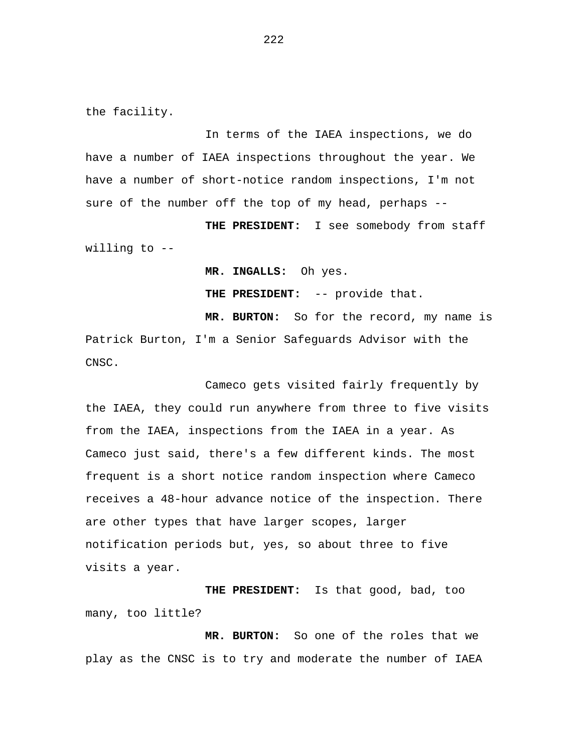the facility.

In terms of the IAEA inspections, we do have a number of IAEA inspections throughout the year. We have a number of short-notice random inspections, I'm not sure of the number off the top of my head, perhaps --

 **THE PRESIDENT:** I see somebody from staff willing to --

 **MR. INGALLS:** Oh yes.

 **THE PRESIDENT:** -- provide that.

 **MR. BURTON:** So for the record, my name is Patrick Burton, I'm a Senior Safeguards Advisor with the CNSC.

Cameco gets visited fairly frequently by the IAEA, they could run anywhere from three to five visits from the IAEA, inspections from the IAEA in a year. As Cameco just said, there's a few different kinds. The most frequent is a short notice random inspection where Cameco receives a 48-hour advance notice of the inspection. There are other types that have larger scopes, larger notification periods but, yes, so about three to five visits a year.

 **THE PRESIDENT:** Is that good, bad, too many, too little?

 **MR. BURTON:** So one of the roles that we play as the CNSC is to try and moderate the number of IAEA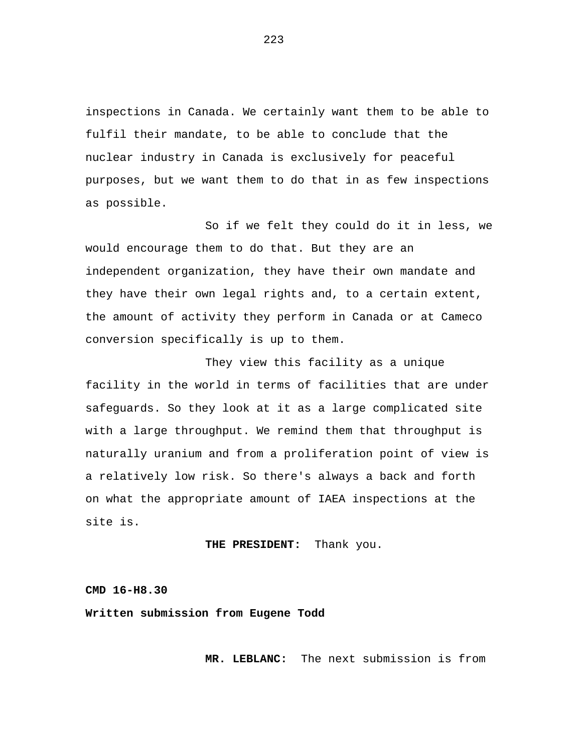inspections in Canada. We certainly want them to be able to fulfil their mandate, to be able to conclude that the nuclear industry in Canada is exclusively for peaceful purposes, but we want them to do that in as few inspections as possible.

So if we felt they could do it in less, we would encourage them to do that. But they are an independent organization, they have their own mandate and they have their own legal rights and, to a certain extent, the amount of activity they perform in Canada or at Cameco conversion specifically is up to them.

They view this facility as a unique facility in the world in terms of facilities that are under safeguards. So they look at it as a large complicated site with a large throughput. We remind them that throughput is naturally uranium and from a proliferation point of view is a relatively low risk. So there's always a back and forth on what the appropriate amount of IAEA inspections at the site is.

 **THE PRESIDENT:** Thank you.

**CMD 16-H8.30** 

**Written submission from Eugene Todd** 

 **MR. LEBLANC:** The next submission is from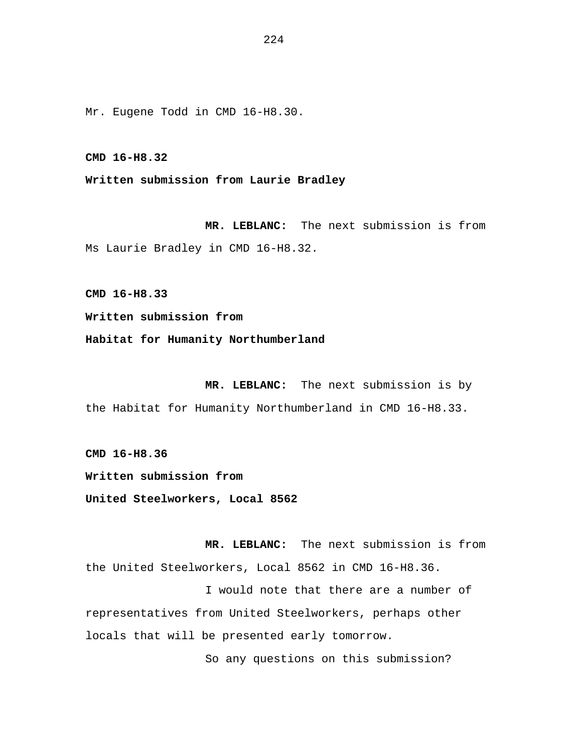Mr. Eugene Todd in CMD 16-H8.30.

**CMD 16-H8.32** 

**Written submission from Laurie Bradley** 

**MR. LEBLANC:** The next submission is from Ms Laurie Bradley in CMD 16-H8.32.

**CMD 16-H8.33** 

**Written submission from** 

**Habitat for Humanity Northumberland** 

**MR. LEBLANC:** The next submission is by the Habitat for Humanity Northumberland in CMD 16-H8.33.

**CMD 16-H8.36** 

**Written submission from** 

**United Steelworkers, Local 8562** 

**MR. LEBLANC:** The next submission is from the United Steelworkers, Local 8562 in CMD 16-H8.36.

I would note that there are a number of representatives from United Steelworkers, perhaps other locals that will be presented early tomorrow.

So any questions on this submission?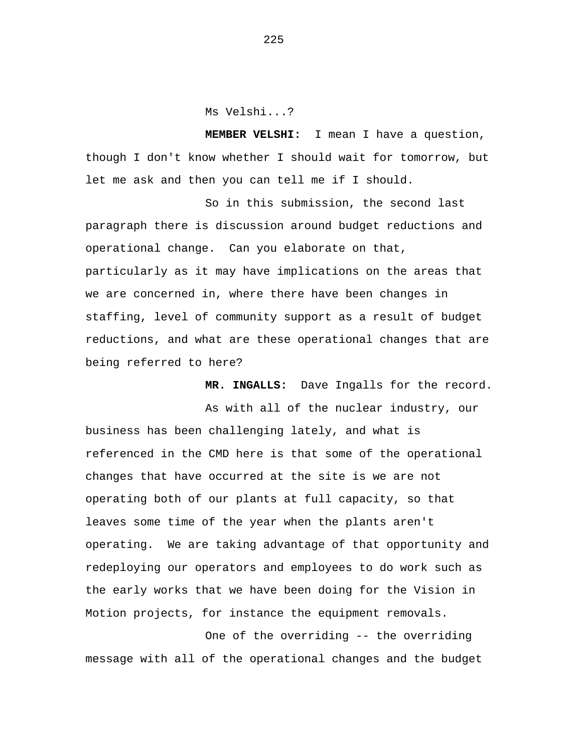Ms Velshi...?

**MEMBER VELSHI:** I mean I have a question, though I don't know whether I should wait for tomorrow, but let me ask and then you can tell me if I should.

So in this submission, the second last paragraph there is discussion around budget reductions and operational change. Can you elaborate on that, particularly as it may have implications on the areas that we are concerned in, where there have been changes in staffing, level of community support as a result of budget reductions, and what are these operational changes that are being referred to here?

**MR. INGALLS:** Dave Ingalls for the record.

As with all of the nuclear industry, our business has been challenging lately, and what is referenced in the CMD here is that some of the operational changes that have occurred at the site is we are not operating both of our plants at full capacity, so that leaves some time of the year when the plants aren't operating. We are taking advantage of that opportunity and redeploying our operators and employees to do work such as the early works that we have been doing for the Vision in Motion projects, for instance the equipment removals.

One of the overriding -- the overriding message with all of the operational changes and the budget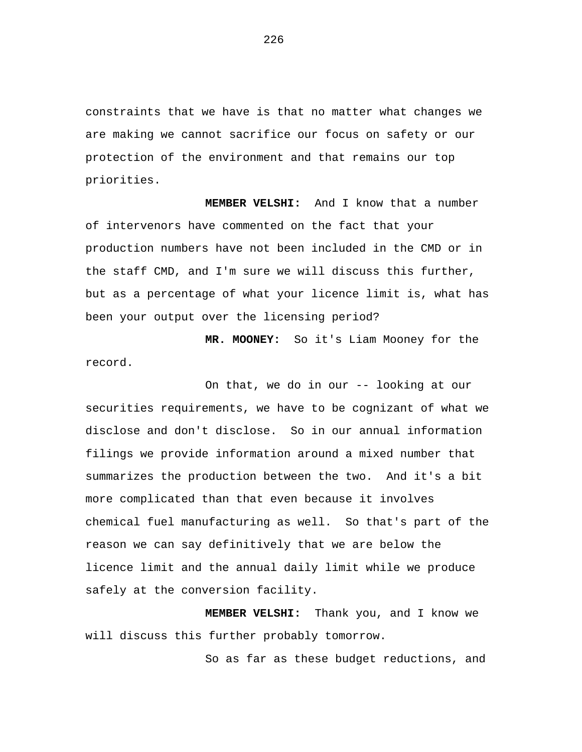constraints that we have is that no matter what changes we are making we cannot sacrifice our focus on safety or our protection of the environment and that remains our top priorities.

**MEMBER VELSHI:** And I know that a number of intervenors have commented on the fact that your production numbers have not been included in the CMD or in the staff CMD, and I'm sure we will discuss this further, but as a percentage of what your licence limit is, what has been your output over the licensing period?

**MR. MOONEY:** So it's Liam Mooney for the record.

On that, we do in our -- looking at our securities requirements, we have to be cognizant of what we disclose and don't disclose. So in our annual information filings we provide information around a mixed number that summarizes the production between the two. And it's a bit more complicated than that even because it involves chemical fuel manufacturing as well. So that's part of the reason we can say definitively that we are below the licence limit and the annual daily limit while we produce safely at the conversion facility.

**MEMBER VELSHI:** Thank you, and I know we will discuss this further probably tomorrow.

So as far as these budget reductions, and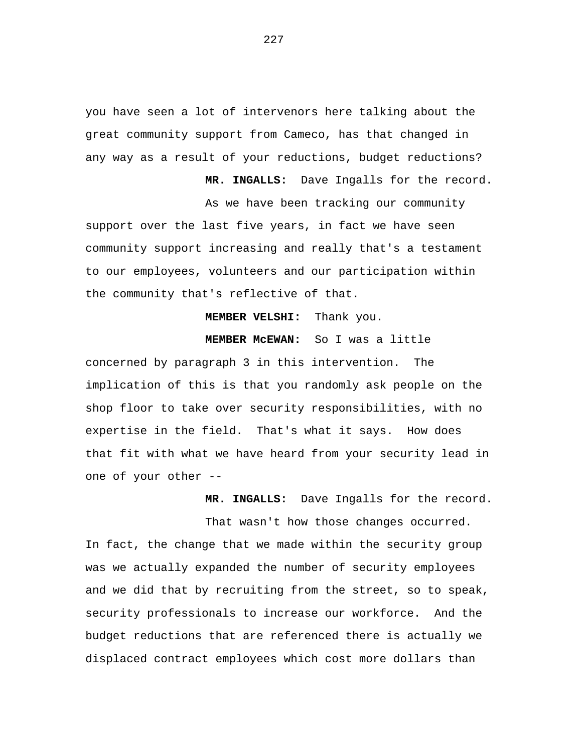you have seen a lot of intervenors here talking about the great community support from Cameco, has that changed in any way as a result of your reductions, budget reductions?

As we have been tracking our community support over the last five years, in fact we have seen community support increasing and really that's a testament to our employees, volunteers and our participation within the community that's reflective of that.

**MEMBER VELSHI:** Thank you.

**MEMBER McEWAN:** So I was a little

**MR. INGALLS:** Dave Ingalls for the record.

concerned by paragraph 3 in this intervention. The implication of this is that you randomly ask people on the shop floor to take over security responsibilities, with no expertise in the field. That's what it says. How does that fit with what we have heard from your security lead in one of your other --

**MR. INGALLS:** Dave Ingalls for the record.

That wasn't how those changes occurred. In fact, the change that we made within the security group was we actually expanded the number of security employees and we did that by recruiting from the street, so to speak, security professionals to increase our workforce. And the budget reductions that are referenced there is actually we displaced contract employees which cost more dollars than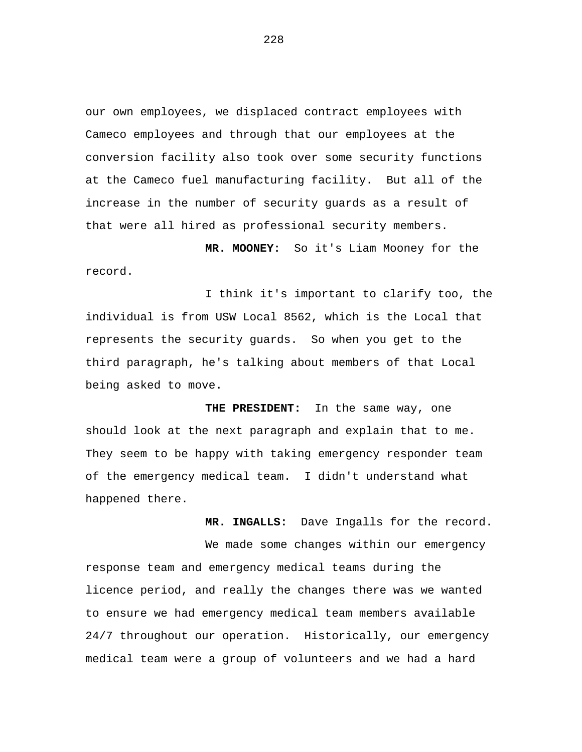our own employees, we displaced contract employees with Cameco employees and through that our employees at the conversion facility also took over some security functions at the Cameco fuel manufacturing facility. But all of the increase in the number of security guards as a result of that were all hired as professional security members.

**MR. MOONEY:** So it's Liam Mooney for the record.

I think it's important to clarify too, the individual is from USW Local 8562, which is the Local that represents the security guards. So when you get to the third paragraph, he's talking about members of that Local being asked to move.

**THE PRESIDENT:** In the same way, one should look at the next paragraph and explain that to me. They seem to be happy with taking emergency responder team of the emergency medical team. I didn't understand what happened there.

**MR. INGALLS:** Dave Ingalls for the record. We made some changes within our emergency response team and emergency medical teams during the licence period, and really the changes there was we wanted to ensure we had emergency medical team members available 24/7 throughout our operation. Historically, our emergency medical team were a group of volunteers and we had a hard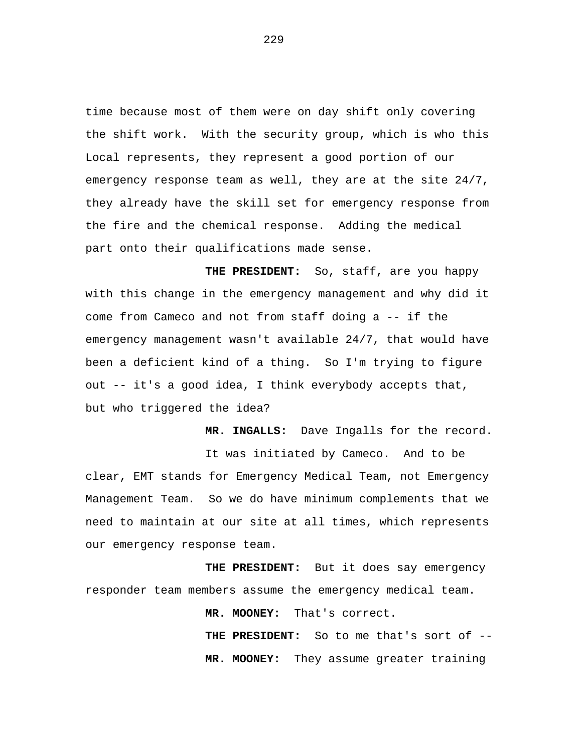time because most of them were on day shift only covering the shift work. With the security group, which is who this Local represents, they represent a good portion of our emergency response team as well, they are at the site 24/7, they already have the skill set for emergency response from the fire and the chemical response. Adding the medical part onto their qualifications made sense.

**THE PRESIDENT:** So, staff, are you happy with this change in the emergency management and why did it come from Cameco and not from staff doing a -- if the emergency management wasn't available 24/7, that would have been a deficient kind of a thing. So I'm trying to figure out -- it's a good idea, I think everybody accepts that, but who triggered the idea?

**MR. INGALLS:** Dave Ingalls for the record. It was initiated by Cameco. And to be clear, EMT stands for Emergency Medical Team, not Emergency Management Team. So we do have minimum complements that we need to maintain at our site at all times, which represents our emergency response team.

**THE PRESIDENT:** But it does say emergency responder team members assume the emergency medical team.

> **MR. MOONEY:** That's correct. **THE PRESIDENT:** So to me that's sort of -- **MR. MOONEY:** They assume greater training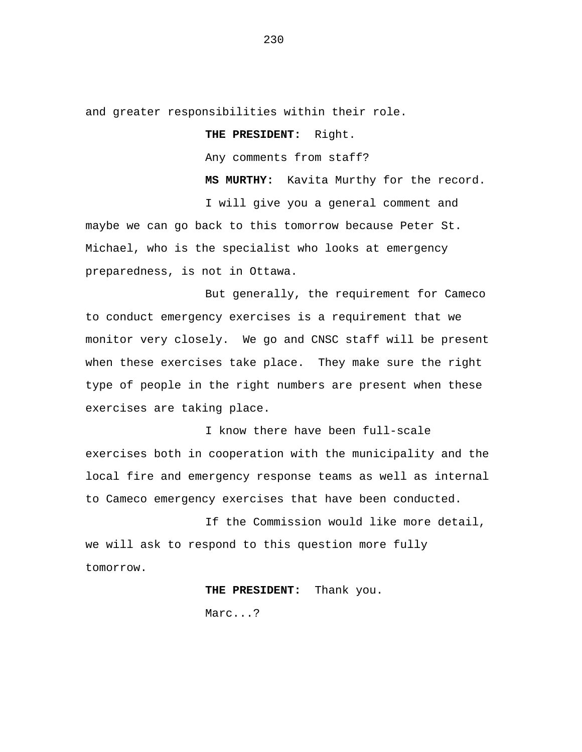and greater responsibilities within their role.

**THE PRESIDENT:** Right.

Any comments from staff?

**MS MURTHY:** Kavita Murthy for the record.

I will give you a general comment and maybe we can go back to this tomorrow because Peter St. Michael, who is the specialist who looks at emergency preparedness, is not in Ottawa.

But generally, the requirement for Cameco to conduct emergency exercises is a requirement that we monitor very closely. We go and CNSC staff will be present when these exercises take place. They make sure the right type of people in the right numbers are present when these exercises are taking place.

I know there have been full-scale exercises both in cooperation with the municipality and the local fire and emergency response teams as well as internal to Cameco emergency exercises that have been conducted.

If the Commission would like more detail, we will ask to respond to this question more fully tomorrow.

> **THE PRESIDENT:** Thank you. Marc...?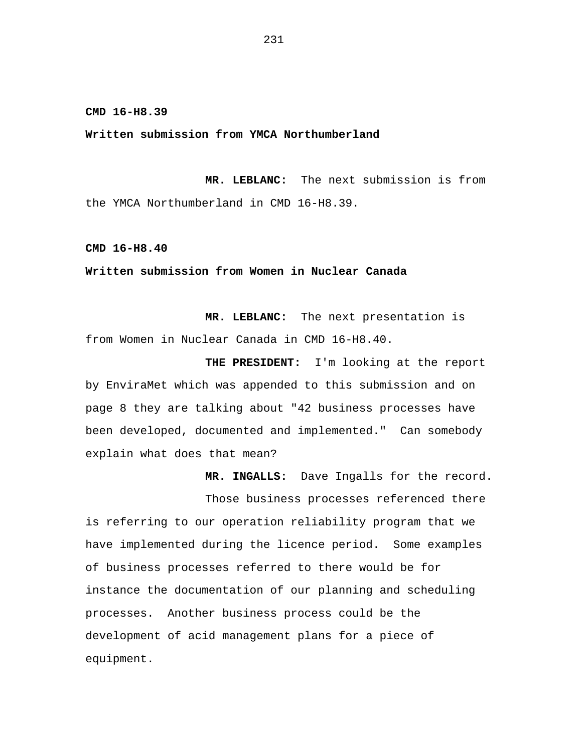**CMD 16-H8.39** 

**Written submission from YMCA Northumberland** 

**MR. LEBLANC:** The next submission is from the YMCA Northumberland in CMD 16-H8.39.

**CMD 16-H8.40** 

**Written submission from Women in Nuclear Canada** 

**MR. LEBLANC:** The next presentation is from Women in Nuclear Canada in CMD 16-H8.40.

**THE PRESIDENT:** I'm looking at the report by EnviraMet which was appended to this submission and on page 8 they are talking about "42 business processes have been developed, documented and implemented." Can somebody explain what does that mean?

**MR. INGALLS:** Dave Ingalls for the record.

Those business processes referenced there is referring to our operation reliability program that we have implemented during the licence period. Some examples of business processes referred to there would be for instance the documentation of our planning and scheduling processes. Another business process could be the development of acid management plans for a piece of equipment.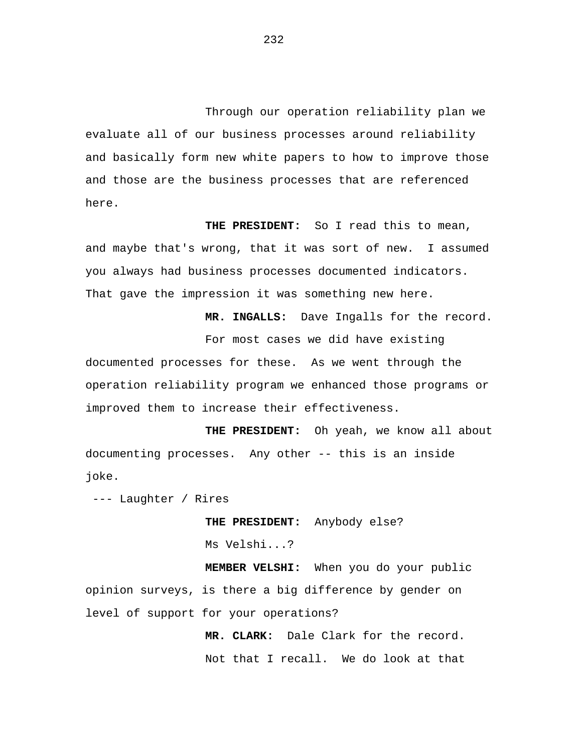Through our operation reliability plan we evaluate all of our business processes around reliability and basically form new white papers to how to improve those and those are the business processes that are referenced here.

**THE PRESIDENT:** So I read this to mean, and maybe that's wrong, that it was sort of new. I assumed you always had business processes documented indicators. That gave the impression it was something new here.

**MR. INGALLS:** Dave Ingalls for the record.

For most cases we did have existing

documented processes for these. As we went through the operation reliability program we enhanced those programs or improved them to increase their effectiveness.

 **THE PRESIDENT:** Oh yeah, we know all about documenting processes. Any other -- this is an inside joke.

--- Laughter / Rires

**THE PRESIDENT:** Anybody else? Ms Velshi...?

**MEMBER VELSHI:** When you do your public opinion surveys, is there a big difference by gender on level of support for your operations?

> **MR. CLARK:** Dale Clark for the record. Not that I recall. We do look at that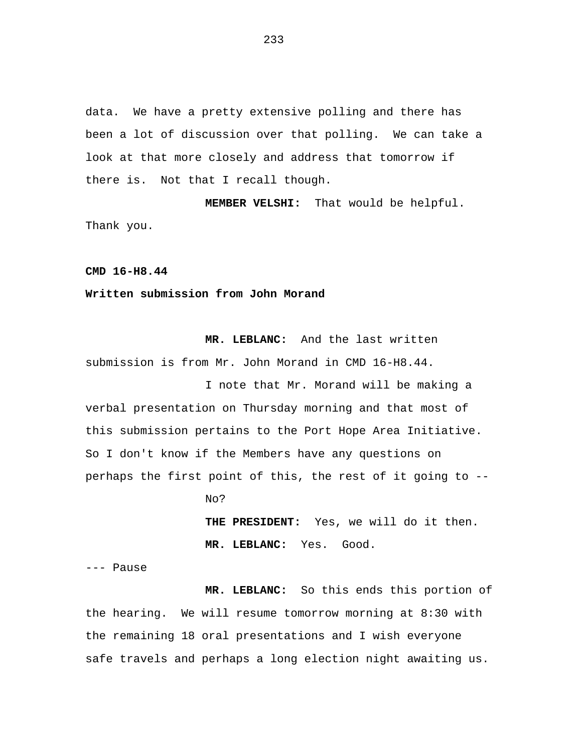data. We have a pretty extensive polling and there has been a lot of discussion over that polling. We can take a look at that more closely and address that tomorrow if there is. Not that I recall though.

**MEMBER VELSHI:** That would be helpful. Thank you.

**CMD 16-H8.44** 

**Written submission from John Morand** 

**MR. LEBLANC:** And the last written submission is from Mr. John Morand in CMD 16-H8.44.

I note that Mr. Morand will be making a verbal presentation on Thursday morning and that most of this submission pertains to the Port Hope Area Initiative. So I don't know if the Members have any questions on perhaps the first point of this, the rest of it going to --

No?

**THE PRESIDENT:** Yes, we will do it then. **MR. LEBLANC:** Yes. Good.

--- Pause

**MR. LEBLANC:** So this ends this portion of the hearing. We will resume tomorrow morning at 8:30 with the remaining 18 oral presentations and I wish everyone safe travels and perhaps a long election night awaiting us.